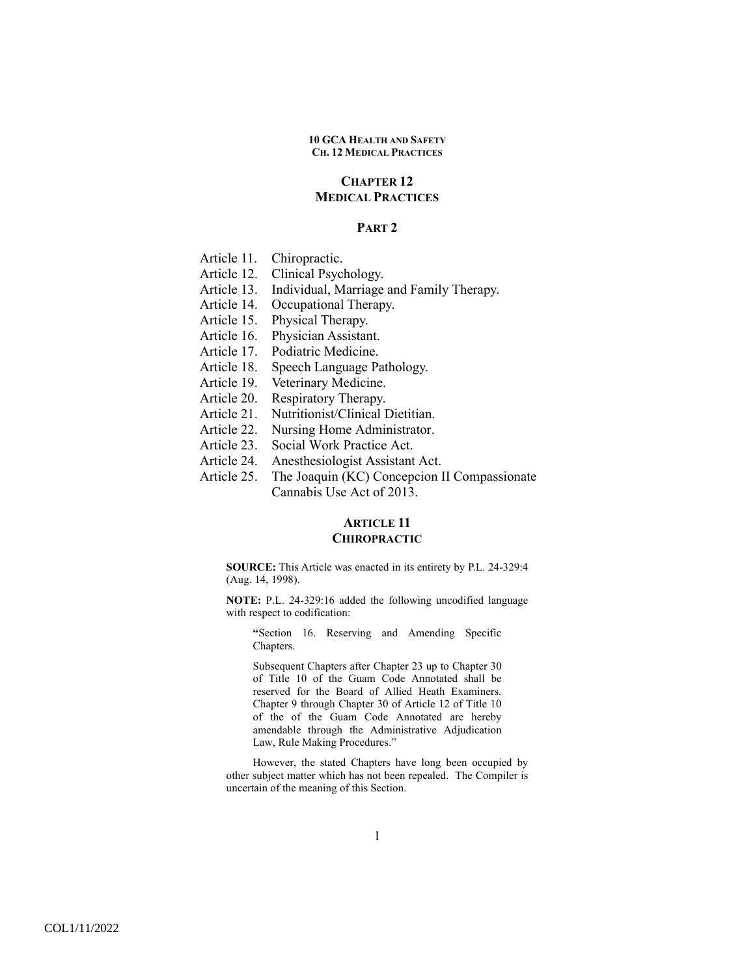# **CHAPTER 12 MEDICAL PRACTICES**

### **PART 2**

Article 11. Chiropractic.

- Article 12. Clinical Psychology.
- Article 13. Individual, Marriage and Family Therapy.
- Article 14. Occupational Therapy.
- Article 15. Physical Therapy.
- Article 16. Physician Assistant.
- Article 17. Podiatric Medicine.
- Article 18. Speech Language Pathology.
- Article 19. Veterinary Medicine.
- Article 20. Respiratory Therapy.
- Article 21. Nutritionist/Clinical Dietitian.
- Article 22. Nursing Home Administrator.
- Article 23. Social Work Practice Act.
- Article 24. Anesthesiologist Assistant Act.
- Article 25. The Joaquin (KC) Concepcion II Compassionate Cannabis Use Act of 2013.

# **ARTICLE 11 CHIROPRACTIC**

**SOURCE:** This Article was enacted in its entirety by P.L. 24-329:4 (Aug. 14, 1998).

**NOTE:** P.L. 24-329:16 added the following uncodified language with respect to codification:

**"**Section 16. Reserving and Amending Specific Chapters.

Subsequent Chapters after Chapter 23 up to Chapter 30 of Title 10 of the Guam Code Annotated shall be reserved for the Board of Allied Heath Examiners. Chapter 9 through Chapter 30 of Article 12 of Title 10 of the of the Guam Code Annotated are hereby amendable through the Administrative Adjudication Law, Rule Making Procedures."

However, the stated Chapters have long been occupied by other subject matter which has not been repealed. The Compiler is uncertain of the meaning of this Section.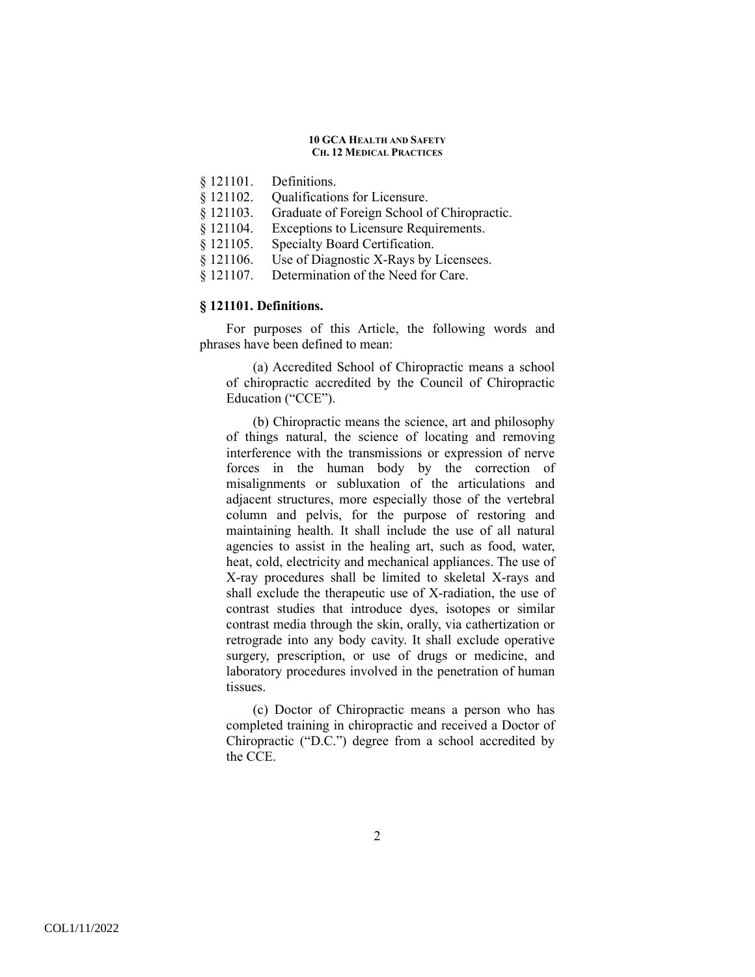- § 121101. Definitions.
- § 121102. Qualifications for Licensure.
- § 121103. Graduate of Foreign School of Chiropractic.
- § 121104. Exceptions to Licensure Requirements.
- § 121105. Specialty Board Certification.
- § 121106. Use of Diagnostic X-Rays by Licensees.
- § 121107. Determination of the Need for Care.

# **§ 121101. Definitions.**

 For purposes of this Article, the following words and phrases have been defined to mean:

(a) Accredited School of Chiropractic means a school of chiropractic accredited by the Council of Chiropractic Education ("CCE").

(b) Chiropractic means the science, art and philosophy of things natural, the science of locating and removing interference with the transmissions or expression of nerve forces in the human body by the correction of misalignments or subluxation of the articulations and adjacent structures, more especially those of the vertebral column and pelvis, for the purpose of restoring and maintaining health. It shall include the use of all natural agencies to assist in the healing art, such as food, water, heat, cold, electricity and mechanical appliances. The use of X-ray procedures shall be limited to skeletal X-rays and shall exclude the therapeutic use of X-radiation, the use of contrast studies that introduce dyes, isotopes or similar contrast media through the skin, orally, via cathertization or retrograde into any body cavity. It shall exclude operative surgery, prescription, or use of drugs or medicine, and laboratory procedures involved in the penetration of human tissues.

(c) Doctor of Chiropractic means a person who has completed training in chiropractic and received a Doctor of Chiropractic ("D.C.") degree from a school accredited by the CCE.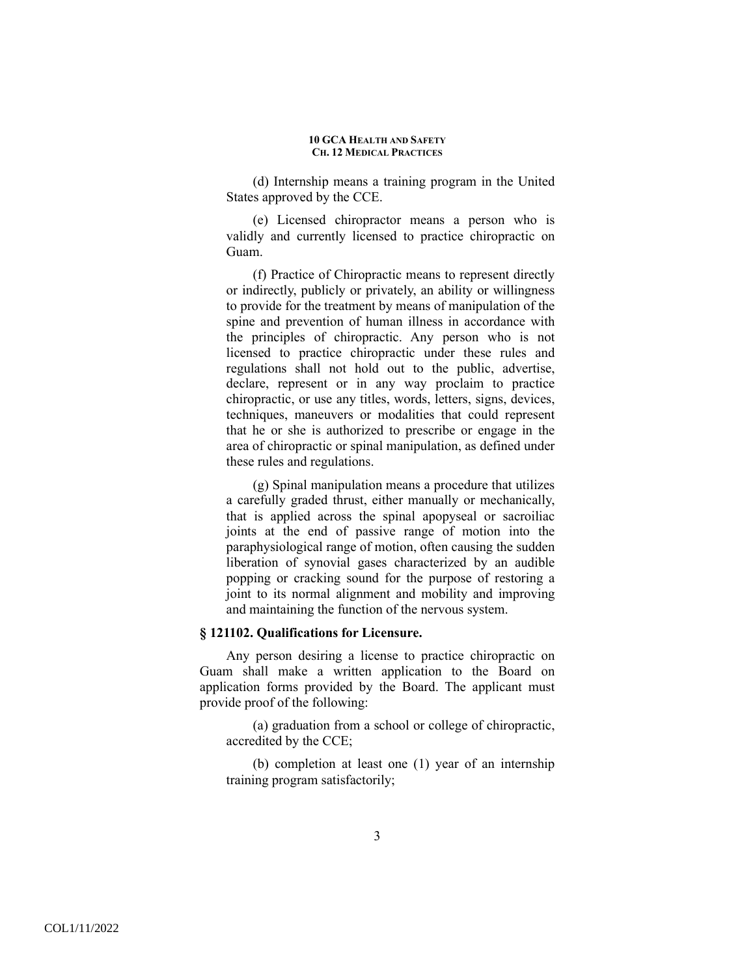(d) Internship means a training program in the United States approved by the CCE.

(e) Licensed chiropractor means a person who is validly and currently licensed to practice chiropractic on Guam.

(f) Practice of Chiropractic means to represent directly or indirectly, publicly or privately, an ability or willingness to provide for the treatment by means of manipulation of the spine and prevention of human illness in accordance with the principles of chiropractic. Any person who is not licensed to practice chiropractic under these rules and regulations shall not hold out to the public, advertise, declare, represent or in any way proclaim to practice chiropractic, or use any titles, words, letters, signs, devices, techniques, maneuvers or modalities that could represent that he or she is authorized to prescribe or engage in the area of chiropractic or spinal manipulation, as defined under these rules and regulations.

(g) Spinal manipulation means a procedure that utilizes a carefully graded thrust, either manually or mechanically, that is applied across the spinal apopyseal or sacroiliac joints at the end of passive range of motion into the paraphysiological range of motion, often causing the sudden liberation of synovial gases characterized by an audible popping or cracking sound for the purpose of restoring a joint to its normal alignment and mobility and improving and maintaining the function of the nervous system.

# **§ 121102. Qualifications for Licensure.**

 Any person desiring a license to practice chiropractic on Guam shall make a written application to the Board on application forms provided by the Board. The applicant must provide proof of the following:

(a) graduation from a school or college of chiropractic, accredited by the CCE;

(b) completion at least one (1) year of an internship training program satisfactorily;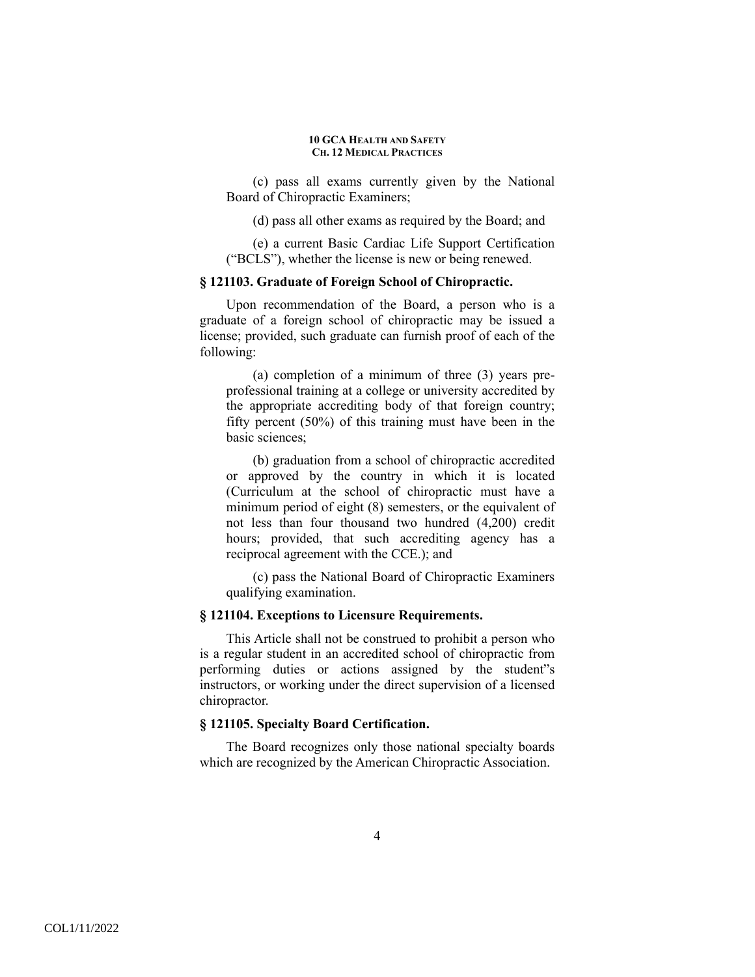(c) pass all exams currently given by the National Board of Chiropractic Examiners;

(d) pass all other exams as required by the Board; and

(e) a current Basic Cardiac Life Support Certification ("BCLS"), whether the license is new or being renewed.

### **§ 121103. Graduate of Foreign School of Chiropractic.**

 Upon recommendation of the Board, a person who is a graduate of a foreign school of chiropractic may be issued a license; provided, such graduate can furnish proof of each of the following:

(a) completion of a minimum of three (3) years preprofessional training at a college or university accredited by the appropriate accrediting body of that foreign country; fifty percent (50%) of this training must have been in the basic sciences;

(b) graduation from a school of chiropractic accredited or approved by the country in which it is located (Curriculum at the school of chiropractic must have a minimum period of eight (8) semesters, or the equivalent of not less than four thousand two hundred (4,200) credit hours; provided, that such accrediting agency has a reciprocal agreement with the CCE.); and

(c) pass the National Board of Chiropractic Examiners qualifying examination.

### **§ 121104. Exceptions to Licensure Requirements.**

 This Article shall not be construed to prohibit a person who is a regular student in an accredited school of chiropractic from performing duties or actions assigned by the student"s instructors, or working under the direct supervision of a licensed chiropractor.

# **§ 121105. Specialty Board Certification.**

 The Board recognizes only those national specialty boards which are recognized by the American Chiropractic Association.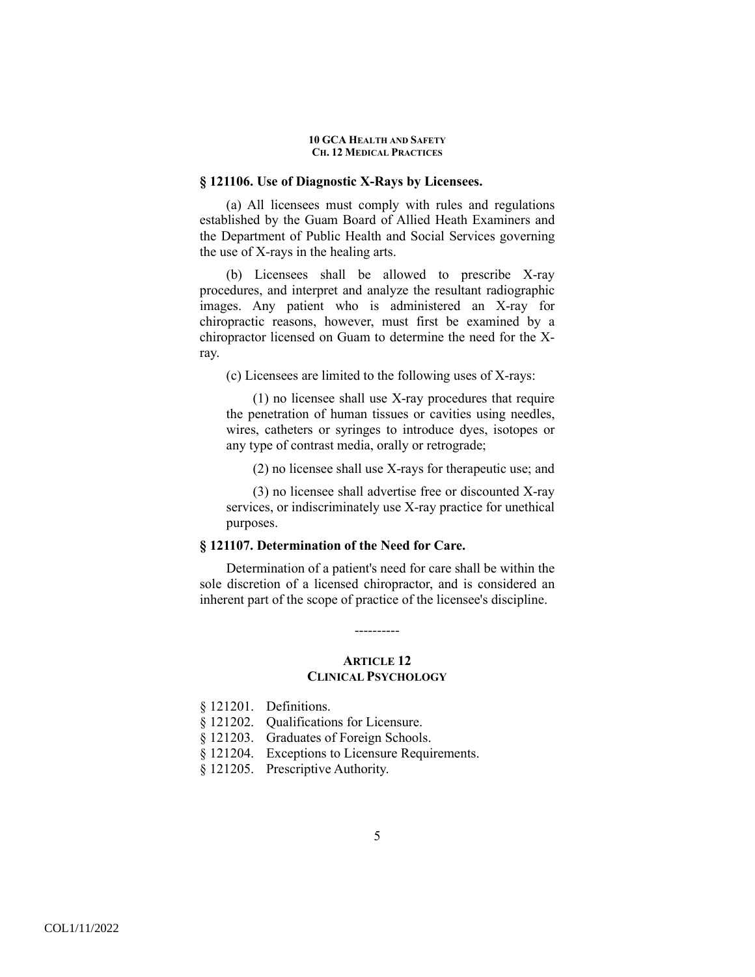### **§ 121106. Use of Diagnostic X-Rays by Licensees.**

 (a) All licensees must comply with rules and regulations established by the Guam Board of Allied Heath Examiners and the Department of Public Health and Social Services governing the use of X-rays in the healing arts.

(b) Licensees shall be allowed to prescribe X-ray procedures, and interpret and analyze the resultant radiographic images. Any patient who is administered an X-ray for chiropractic reasons, however, must first be examined by a chiropractor licensed on Guam to determine the need for the Xray.

(c) Licensees are limited to the following uses of X-rays:

(1) no licensee shall use X-ray procedures that require the penetration of human tissues or cavities using needles, wires, catheters or syringes to introduce dyes, isotopes or any type of contrast media, orally or retrograde;

(2) no licensee shall use X-rays for therapeutic use; and

(3) no licensee shall advertise free or discounted X-ray services, or indiscriminately use X-ray practice for unethical purposes.

### **§ 121107. Determination of the Need for Care.**

Determination of a patient's need for care shall be within the sole discretion of a licensed chiropractor, and is considered an inherent part of the scope of practice of the licensee's discipline.

## **ARTICLE 12 CLINICAL PSYCHOLOGY**

----------

- § 121202. Qualifications for Licensure.
- § 121203. Graduates of Foreign Schools.
- § 121204. Exceptions to Licensure Requirements.
- § 121205. Prescriptive Authority.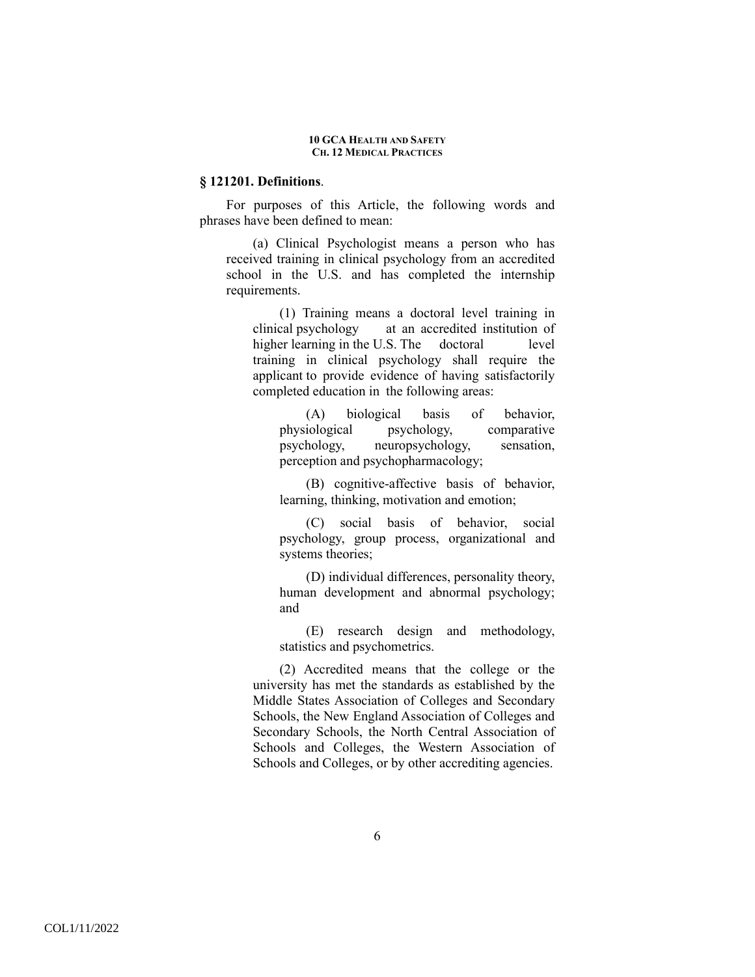### **§ 121201. Definitions**.

 For purposes of this Article, the following words and phrases have been defined to mean:

(a) Clinical Psychologist means a person who has received training in clinical psychology from an accredited school in the U.S. and has completed the internship requirements.

(1) Training means a doctoral level training in clinical psychology at an accredited institution of higher learning in the U.S. The doctoral level training in clinical psychology shall require the applicant to provide evidence of having satisfactorily completed education in the following areas:

(A) biological basis of behavior, physiological psychology, comparative psychology, neuropsychology, sensation, perception and psychopharmacology;

(B) cognitive-affective basis of behavior, learning, thinking, motivation and emotion;

(C) social basis of behavior, social psychology, group process, organizational and systems theories;

(D) individual differences, personality theory, human development and abnormal psychology; and

(E) research design and methodology, statistics and psychometrics.

(2) Accredited means that the college or the university has met the standards as established by the Middle States Association of Colleges and Secondary Schools, the New England Association of Colleges and Secondary Schools, the North Central Association of Schools and Colleges, the Western Association of Schools and Colleges, or by other accrediting agencies.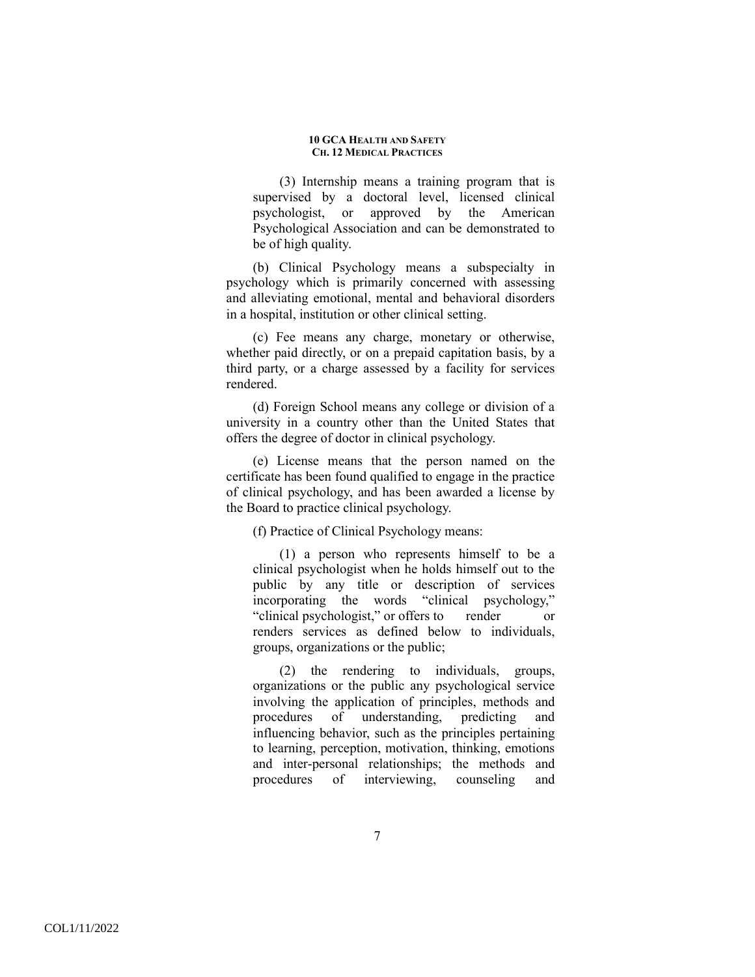(3) Internship means a training program that is supervised by a doctoral level, licensed clinical psychologist, or approved by the American Psychological Association and can be demonstrated to be of high quality.

(b) Clinical Psychology means a subspecialty in psychology which is primarily concerned with assessing and alleviating emotional, mental and behavioral disorders in a hospital, institution or other clinical setting.

(c) Fee means any charge, monetary or otherwise, whether paid directly, or on a prepaid capitation basis, by a third party, or a charge assessed by a facility for services rendered.

(d) Foreign School means any college or division of a university in a country other than the United States that offers the degree of doctor in clinical psychology.

(e) License means that the person named on the certificate has been found qualified to engage in the practice of clinical psychology, and has been awarded a license by the Board to practice clinical psychology.

(f) Practice of Clinical Psychology means:

(1) a person who represents himself to be a clinical psychologist when he holds himself out to the public by any title or description of services incorporating the words "clinical psychology," "clinical psychologist," or offers to render or renders services as defined below to individuals, groups, organizations or the public;

(2) the rendering to individuals, groups, organizations or the public any psychological service involving the application of principles, methods and procedures of understanding, predicting and influencing behavior, such as the principles pertaining to learning, perception, motivation, thinking, emotions and inter-personal relationships; the methods and procedures of interviewing, counseling and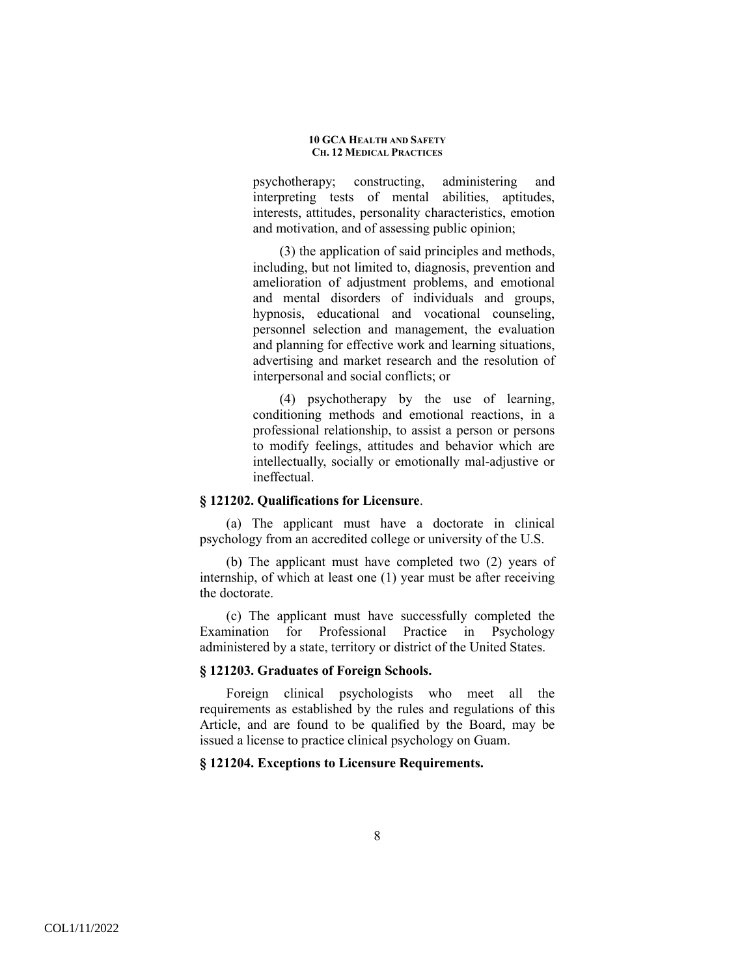psychotherapy; constructing, administering and interpreting tests of mental abilities, aptitudes, interests, attitudes, personality characteristics, emotion and motivation, and of assessing public opinion;

(3) the application of said principles and methods, including, but not limited to, diagnosis, prevention and amelioration of adjustment problems, and emotional and mental disorders of individuals and groups, hypnosis, educational and vocational counseling, personnel selection and management, the evaluation and planning for effective work and learning situations, advertising and market research and the resolution of interpersonal and social conflicts; or

(4) psychotherapy by the use of learning, conditioning methods and emotional reactions, in a professional relationship, to assist a person or persons to modify feelings, attitudes and behavior which are intellectually, socially or emotionally mal-adjustive or ineffectual.

## **§ 121202. Qualifications for Licensure**.

 (a) The applicant must have a doctorate in clinical psychology from an accredited college or university of the U.S.

(b) The applicant must have completed two (2) years of internship, of which at least one (1) year must be after receiving the doctorate.

(c) The applicant must have successfully completed the Examination for Professional Practice in Psychology administered by a state, territory or district of the United States.

### **§ 121203. Graduates of Foreign Schools.**

 Foreign clinical psychologists who meet all the requirements as established by the rules and regulations of this Article, and are found to be qualified by the Board, may be issued a license to practice clinical psychology on Guam.

### **§ 121204. Exceptions to Licensure Requirements.**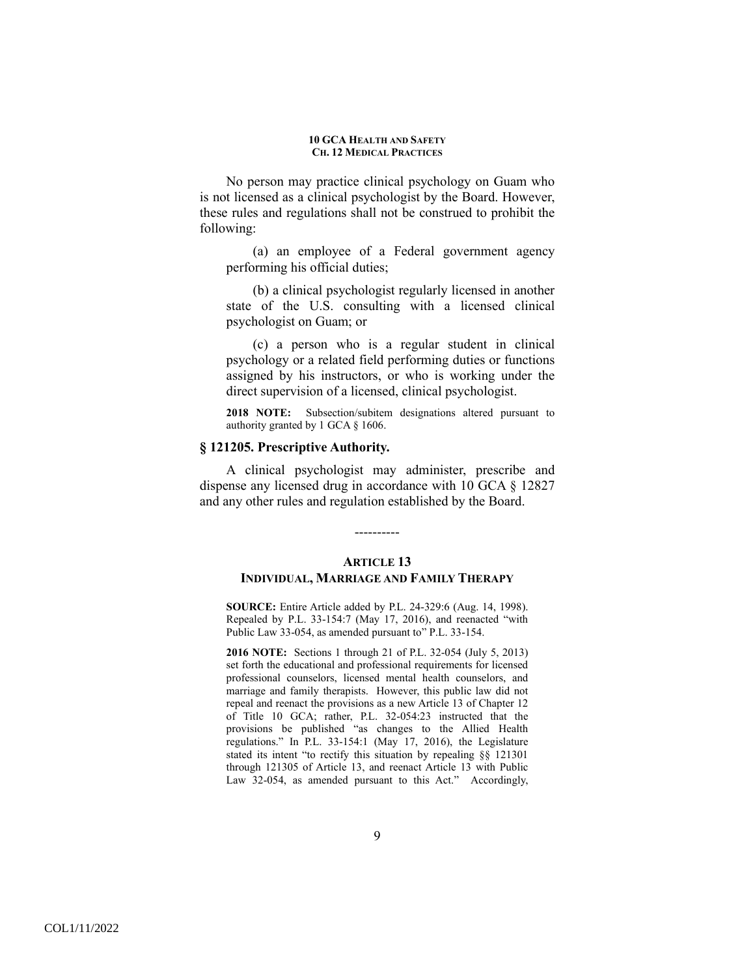No person may practice clinical psychology on Guam who is not licensed as a clinical psychologist by the Board. However, these rules and regulations shall not be construed to prohibit the following:

(a) an employee of a Federal government agency performing his official duties;

(b) a clinical psychologist regularly licensed in another state of the U.S. consulting with a licensed clinical psychologist on Guam; or

(c) a person who is a regular student in clinical psychology or a related field performing duties or functions assigned by his instructors, or who is working under the direct supervision of a licensed, clinical psychologist.

**2018 NOTE:** Subsection/subitem designations altered pursuant to authority granted by 1 GCA § 1606.

## **§ 121205. Prescriptive Authority.**

 A clinical psychologist may administer, prescribe and dispense any licensed drug in accordance with 10 GCA § 12827 and any other rules and regulation established by the Board.

----------

# **ARTICLE 13 INDIVIDUAL, MARRIAGE AND FAMILY THERAPY**

**SOURCE:** Entire Article added by P.L. 24-329:6 (Aug. 14, 1998). Repealed by P.L. 33-154:7 (May 17, 2016), and reenacted "with Public Law 33-054, as amended pursuant to" P.L. 33-154.

**2016 NOTE:** Sections 1 through 21 of P.L. 32-054 (July 5, 2013) set forth the educational and professional requirements for licensed professional counselors, licensed mental health counselors, and marriage and family therapists. However, this public law did not repeal and reenact the provisions as a new Article 13 of Chapter 12 of Title 10 GCA; rather, P.L. 32-054:23 instructed that the provisions be published "as changes to the Allied Health regulations." In P.L. 33-154:1 (May 17, 2016), the Legislature stated its intent "to rectify this situation by repealing §§ 121301 through 121305 of Article 13, and reenact Article 13 with Public Law 32-054, as amended pursuant to this Act." Accordingly,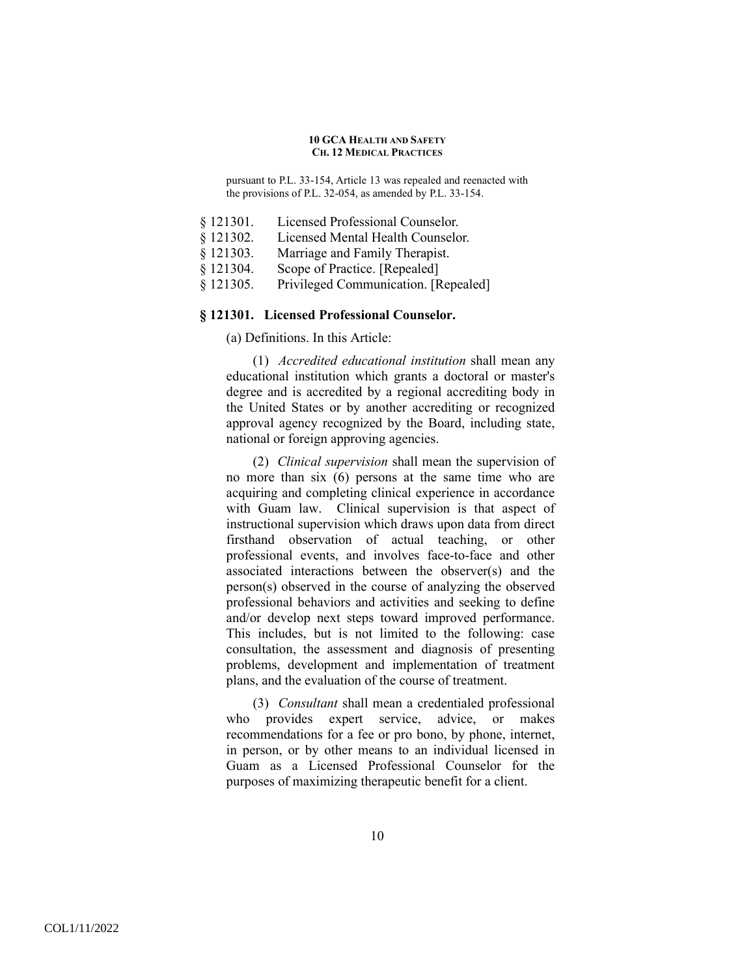pursuant to P.L. 33-154, Article 13 was repealed and reenacted with the provisions of P.L. 32-054, as amended by P.L. 33-154.

- § 121301. Licensed Professional Counselor.
- § 121302. Licensed Mental Health Counselor.
- § 121303. Marriage and Family Therapist.
- § 121304. Scope of Practice. [Repealed]
- § 121305. Privileged Communication. [Repealed]

# **§ 121301. Licensed Professional Counselor.**

(a) Definitions. In this Article:

(1) *Accredited educational institution* shall mean any educational institution which grants a doctoral or master's degree and is accredited by a regional accrediting body in the United States or by another accrediting or recognized approval agency recognized by the Board, including state, national or foreign approving agencies.

(2) *Clinical supervision* shall mean the supervision of no more than six (6) persons at the same time who are acquiring and completing clinical experience in accordance with Guam law. Clinical supervision is that aspect of instructional supervision which draws upon data from direct firsthand observation of actual teaching, or other professional events, and involves face-to-face and other associated interactions between the observer(s) and the person(s) observed in the course of analyzing the observed professional behaviors and activities and seeking to define and/or develop next steps toward improved performance. This includes, but is not limited to the following: case consultation, the assessment and diagnosis of presenting problems, development and implementation of treatment plans, and the evaluation of the course of treatment.

(3) *Consultant* shall mean a credentialed professional who provides expert service, advice, or makes recommendations for a fee or pro bono, by phone, internet, in person, or by other means to an individual licensed in Guam as a Licensed Professional Counselor for the purposes of maximizing therapeutic benefit for a client.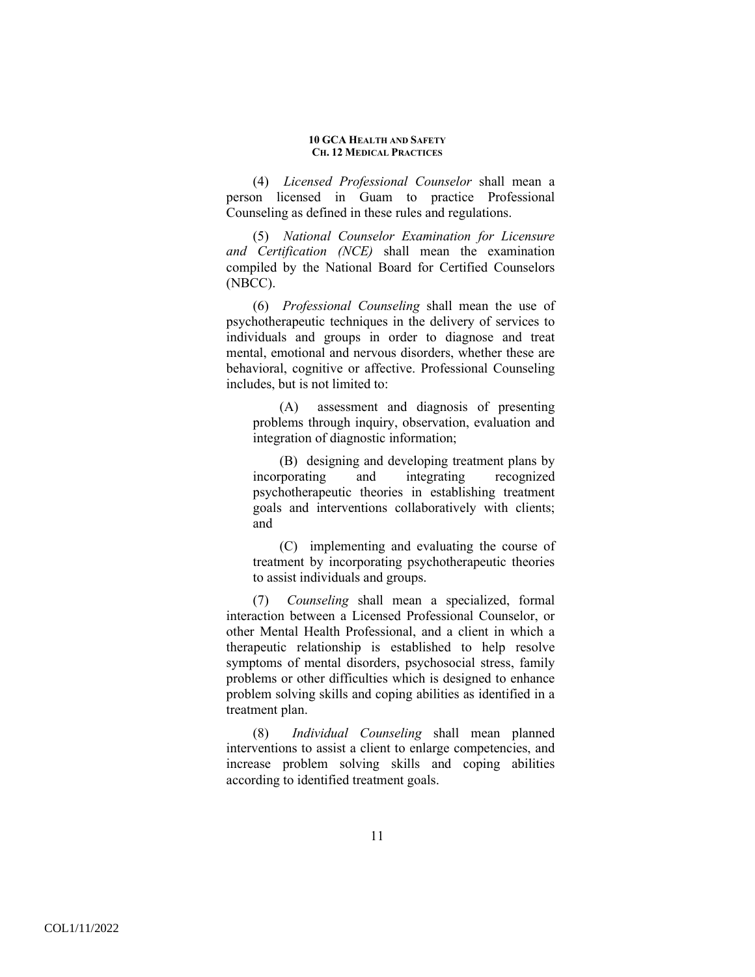(4) *Licensed Professional Counselor* shall mean a person licensed in Guam to practice Professional Counseling as defined in these rules and regulations.

(5) *National Counselor Examination for Licensure and Certification (NCE)* shall mean the examination compiled by the National Board for Certified Counselors (NBCC).

(6) *Professional Counseling* shall mean the use of psychotherapeutic techniques in the delivery of services to individuals and groups in order to diagnose and treat mental, emotional and nervous disorders, whether these are behavioral, cognitive or affective. Professional Counseling includes, but is not limited to:

(A) assessment and diagnosis of presenting problems through inquiry, observation, evaluation and integration of diagnostic information;

(B) designing and developing treatment plans by incorporating and integrating recognized psychotherapeutic theories in establishing treatment goals and interventions collaboratively with clients; and

(C) implementing and evaluating the course of treatment by incorporating psychotherapeutic theories to assist individuals and groups.

(7) *Counseling* shall mean a specialized, formal interaction between a Licensed Professional Counselor, or other Mental Health Professional, and a client in which a therapeutic relationship is established to help resolve symptoms of mental disorders, psychosocial stress, family problems or other difficulties which is designed to enhance problem solving skills and coping abilities as identified in a treatment plan.

(8) *Individual Counseling* shall mean planned interventions to assist a client to enlarge competencies, and increase problem solving skills and coping abilities according to identified treatment goals.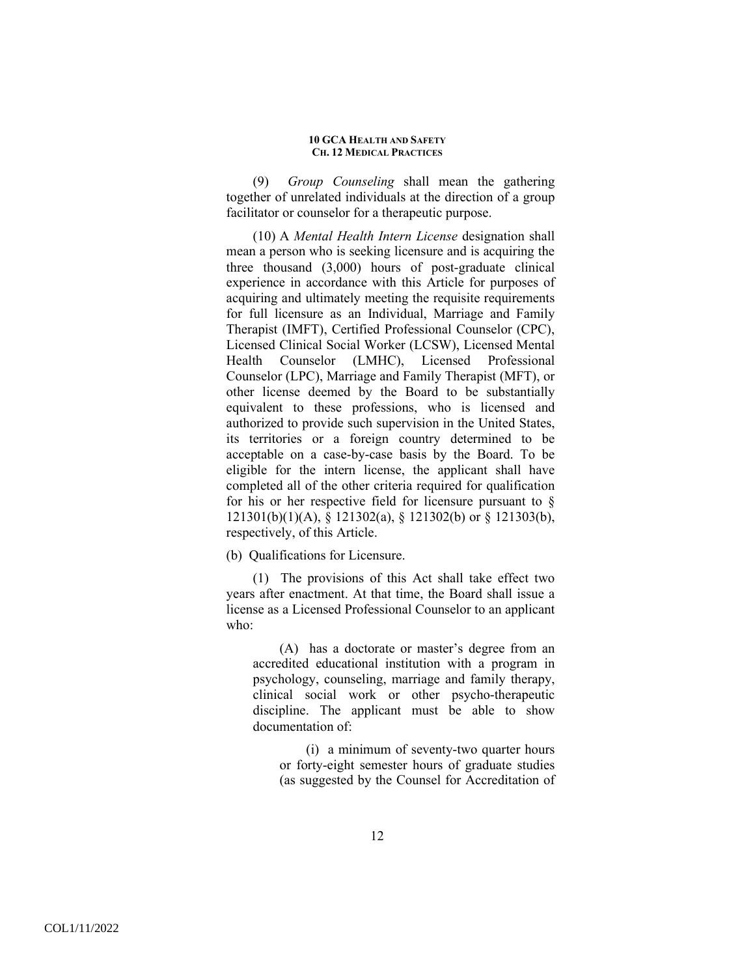(9) *Group Counseling* shall mean the gathering together of unrelated individuals at the direction of a group facilitator or counselor for a therapeutic purpose.

(10) A *Mental Health Intern License* designation shall mean a person who is seeking licensure and is acquiring the three thousand (3,000) hours of post-graduate clinical experience in accordance with this Article for purposes of acquiring and ultimately meeting the requisite requirements for full licensure as an Individual, Marriage and Family Therapist (IMFT), Certified Professional Counselor (CPC), Licensed Clinical Social Worker (LCSW), Licensed Mental Health Counselor (LMHC), Licensed Professional Counselor (LPC), Marriage and Family Therapist (MFT), or other license deemed by the Board to be substantially equivalent to these professions, who is licensed and authorized to provide such supervision in the United States, its territories or a foreign country determined to be acceptable on a case-by-case basis by the Board. To be eligible for the intern license, the applicant shall have completed all of the other criteria required for qualification for his or her respective field for licensure pursuant to  $\S$ 121301(b)(1)(A), § 121302(a), § 121302(b) or § 121303(b), respectively, of this Article.

(b) Qualifications for Licensure.

(1) The provisions of this Act shall take effect two years after enactment. At that time, the Board shall issue a license as a Licensed Professional Counselor to an applicant who:

(A) has a doctorate or master's degree from an accredited educational institution with a program in psychology, counseling, marriage and family therapy, clinical social work or other psycho-therapeutic discipline. The applicant must be able to show documentation of:

(i) a minimum of seventy-two quarter hours or forty-eight semester hours of graduate studies (as suggested by the Counsel for Accreditation of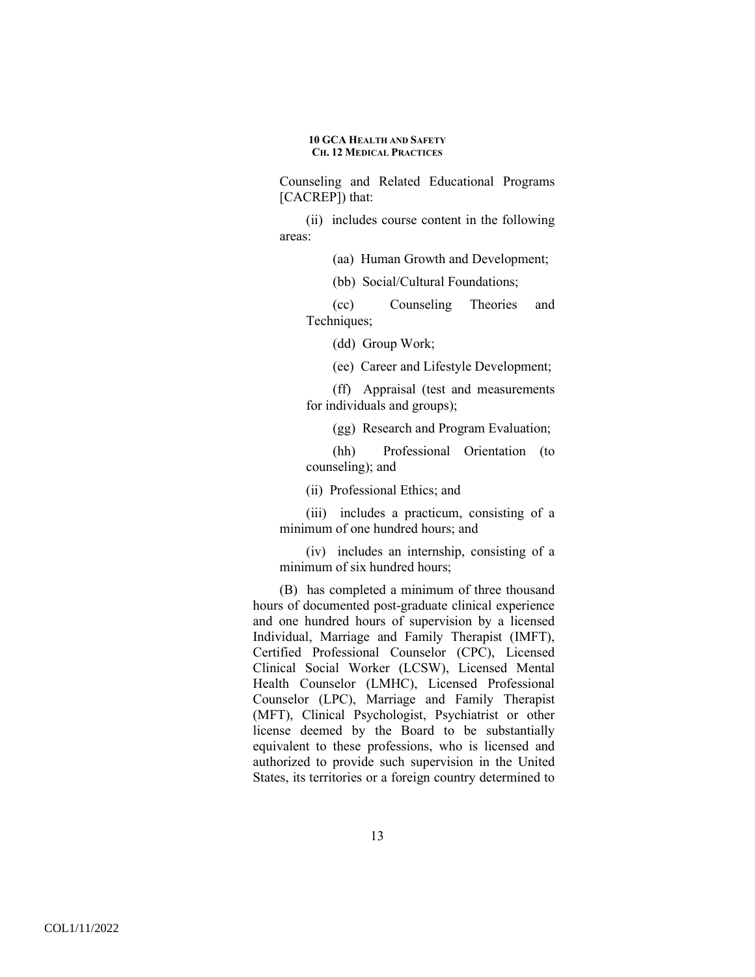Counseling and Related Educational Programs [CACREP]) that:

(ii) includes course content in the following areas:

(aa) Human Growth and Development;

(bb) Social/Cultural Foundations;

(cc) Counseling Theories and Techniques;

(dd) Group Work;

(ee) Career and Lifestyle Development;

(ff) Appraisal (test and measurements for individuals and groups);

(gg) Research and Program Evaluation;

(hh) Professional Orientation (to counseling); and

(ii) Professional Ethics; and

(iii) includes a practicum, consisting of a minimum of one hundred hours; and

(iv) includes an internship, consisting of a minimum of six hundred hours;

(B) has completed a minimum of three thousand hours of documented post-graduate clinical experience and one hundred hours of supervision by a licensed Individual, Marriage and Family Therapist (IMFT), Certified Professional Counselor (CPC), Licensed Clinical Social Worker (LCSW), Licensed Mental Health Counselor (LMHC), Licensed Professional Counselor (LPC), Marriage and Family Therapist (MFT), Clinical Psychologist, Psychiatrist or other license deemed by the Board to be substantially equivalent to these professions, who is licensed and authorized to provide such supervision in the United States, its territories or a foreign country determined to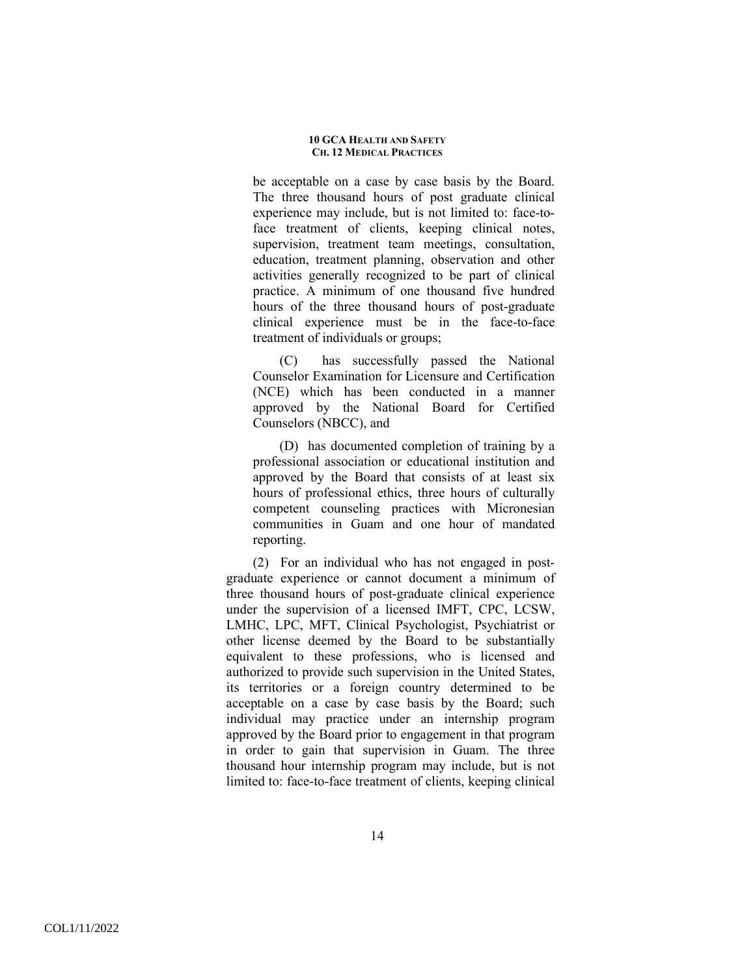be acceptable on a case by case basis by the Board. The three thousand hours of post graduate clinical experience may include, but is not limited to: face-toface treatment of clients, keeping clinical notes, supervision, treatment team meetings, consultation, education, treatment planning, observation and other activities generally recognized to be part of clinical practice. A minimum of one thousand five hundred hours of the three thousand hours of post-graduate clinical experience must be in the face-to-face treatment of individuals or groups;

(C) has successfully passed the National Counselor Examination for Licensure and Certification (NCE) which has been conducted in a manner approved by the National Board for Certified Counselors (NBCC), and

(D) has documented completion of training by a professional association or educational institution and approved by the Board that consists of at least six hours of professional ethics, three hours of culturally competent counseling practices with Micronesian communities in Guam and one hour of mandated reporting.

(2) For an individual who has not engaged in postgraduate experience or cannot document a minimum of three thousand hours of post-graduate clinical experience under the supervision of a licensed IMFT, CPC, LCSW, LMHC, LPC, MFT, Clinical Psychologist, Psychiatrist or other license deemed by the Board to be substantially equivalent to these professions, who is licensed and authorized to provide such supervision in the United States, its territories or a foreign country determined to be acceptable on a case by case basis by the Board; such individual may practice under an internship program approved by the Board prior to engagement in that program in order to gain that supervision in Guam. The three thousand hour internship program may include, but is not limited to: face-to-face treatment of clients, keeping clinical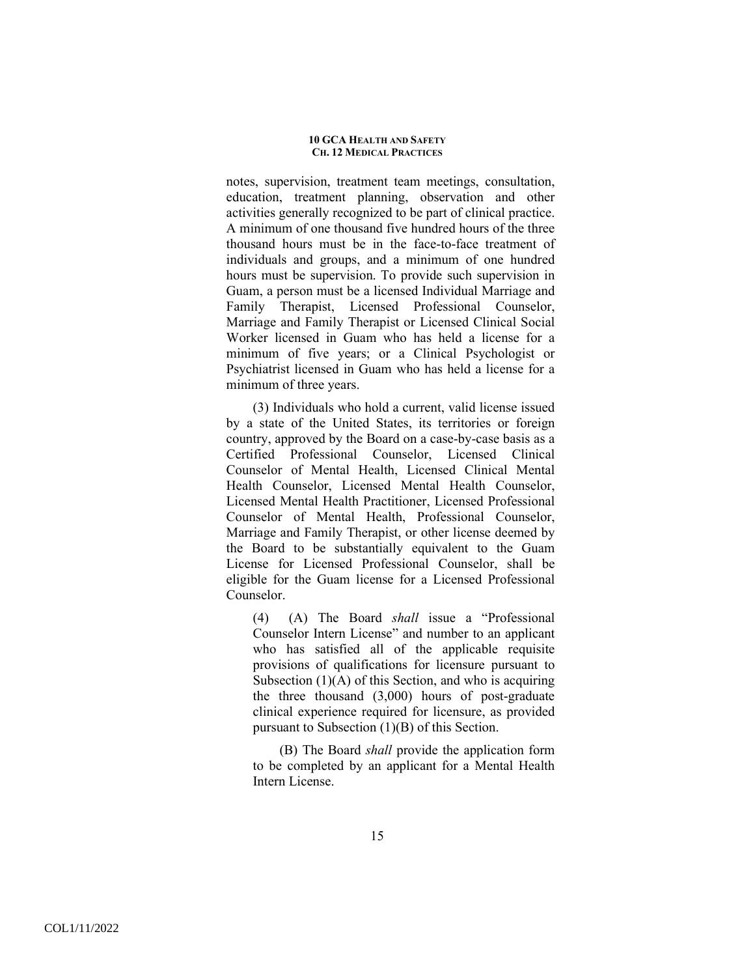notes, supervision, treatment team meetings, consultation, education, treatment planning, observation and other activities generally recognized to be part of clinical practice. A minimum of one thousand five hundred hours of the three thousand hours must be in the face-to-face treatment of individuals and groups, and a minimum of one hundred hours must be supervision. To provide such supervision in Guam, a person must be a licensed Individual Marriage and Family Therapist, Licensed Professional Counselor, Marriage and Family Therapist or Licensed Clinical Social Worker licensed in Guam who has held a license for a minimum of five years; or a Clinical Psychologist or Psychiatrist licensed in Guam who has held a license for a minimum of three years.

(3) Individuals who hold a current, valid license issued by a state of the United States, its territories or foreign country, approved by the Board on a case-by-case basis as a Certified Professional Counselor, Licensed Clinical Counselor of Mental Health, Licensed Clinical Mental Health Counselor, Licensed Mental Health Counselor, Licensed Mental Health Practitioner, Licensed Professional Counselor of Mental Health, Professional Counselor, Marriage and Family Therapist, or other license deemed by the Board to be substantially equivalent to the Guam License for Licensed Professional Counselor, shall be eligible for the Guam license for a Licensed Professional Counselor.

(4) (A) The Board *shall* issue a "Professional Counselor Intern License" and number to an applicant who has satisfied all of the applicable requisite provisions of qualifications for licensure pursuant to Subsection  $(1)(A)$  of this Section, and who is acquiring the three thousand (3,000) hours of post-graduate clinical experience required for licensure, as provided pursuant to Subsection (1)(B) of this Section.

(B) The Board *shall* provide the application form to be completed by an applicant for a Mental Health Intern License.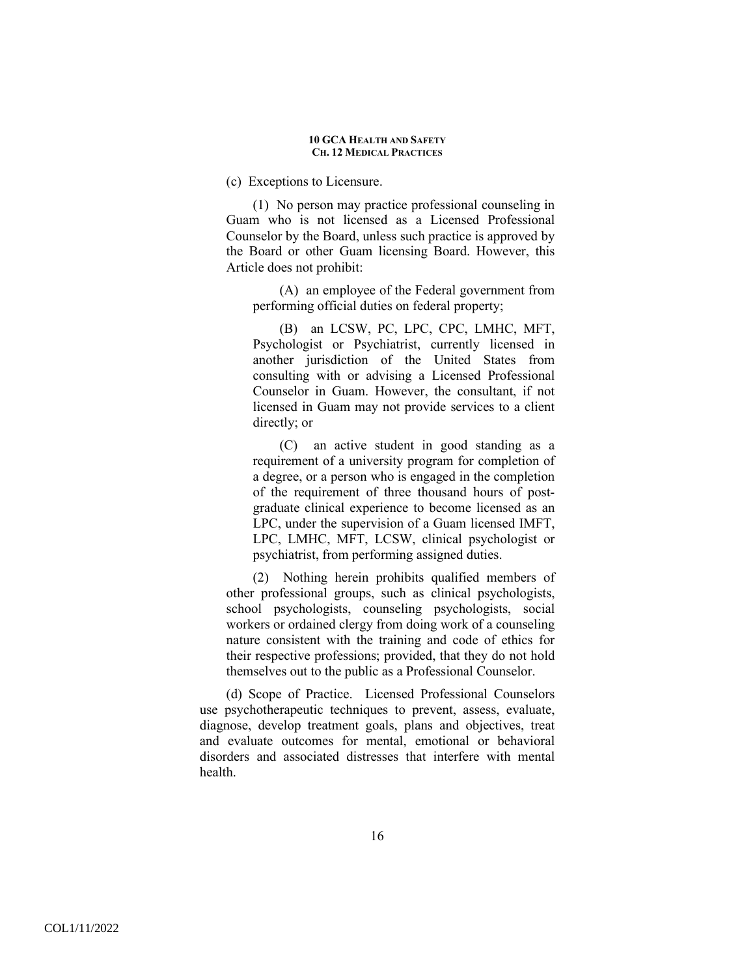(c) Exceptions to Licensure.

(1) No person may practice professional counseling in Guam who is not licensed as a Licensed Professional Counselor by the Board, unless such practice is approved by the Board or other Guam licensing Board. However, this Article does not prohibit:

(A) an employee of the Federal government from performing official duties on federal property;

(B) an LCSW, PC, LPC, CPC, LMHC, MFT, Psychologist or Psychiatrist, currently licensed in another jurisdiction of the United States from consulting with or advising a Licensed Professional Counselor in Guam. However, the consultant, if not licensed in Guam may not provide services to a client directly; or

(C) an active student in good standing as a requirement of a university program for completion of a degree, or a person who is engaged in the completion of the requirement of three thousand hours of postgraduate clinical experience to become licensed as an LPC, under the supervision of a Guam licensed IMFT, LPC, LMHC, MFT, LCSW, clinical psychologist or psychiatrist, from performing assigned duties.

(2) Nothing herein prohibits qualified members of other professional groups, such as clinical psychologists, school psychologists, counseling psychologists, social workers or ordained clergy from doing work of a counseling nature consistent with the training and code of ethics for their respective professions; provided, that they do not hold themselves out to the public as a Professional Counselor.

(d) Scope of Practice. Licensed Professional Counselors use psychotherapeutic techniques to prevent, assess, evaluate, diagnose, develop treatment goals, plans and objectives, treat and evaluate outcomes for mental, emotional or behavioral disorders and associated distresses that interfere with mental health.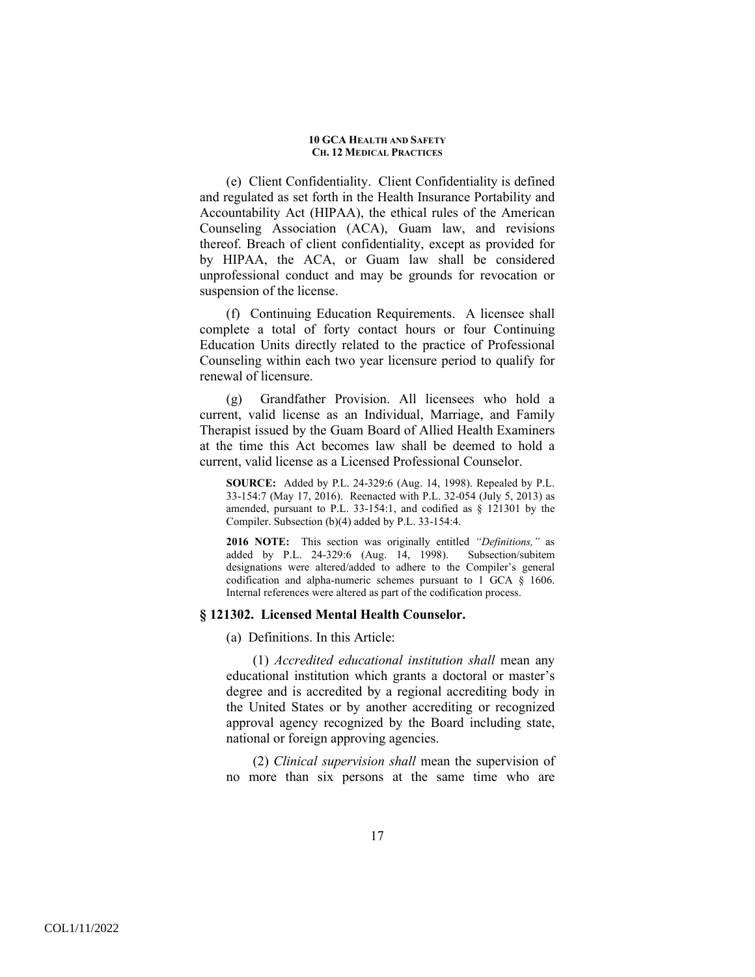(e) Client Confidentiality. Client Confidentiality is defined and regulated as set forth in the Health Insurance Portability and Accountability Act (HIPAA), the ethical rules of the American Counseling Association (ACA), Guam law, and revisions thereof. Breach of client confidentiality, except as provided for by HIPAA, the ACA, or Guam law shall be considered unprofessional conduct and may be grounds for revocation or suspension of the license.

(f) Continuing Education Requirements. A licensee shall complete a total of forty contact hours or four Continuing Education Units directly related to the practice of Professional Counseling within each two year licensure period to qualify for renewal of licensure.

(g) Grandfather Provision. All licensees who hold a current, valid license as an Individual, Marriage, and Family Therapist issued by the Guam Board of Allied Health Examiners at the time this Act becomes law shall be deemed to hold a current, valid license as a Licensed Professional Counselor.

**SOURCE:** Added by P.L. 24-329:6 (Aug. 14, 1998). Repealed by P.L. 33-154:7 (May 17, 2016). Reenacted with P.L. 32-054 (July 5, 2013) as amended, pursuant to P.L. 33-154:1, and codified as § 121301 by the Compiler. Subsection (b)(4) added by P.L. 33-154:4.

**2016 NOTE:** This section was originally entitled *"Definitions,"* as added by P.L. 24-329:6 (Aug. 14, 1998). designations were altered/added to adhere to the Compiler's general codification and alpha-numeric schemes pursuant to 1 GCA § 1606. Internal references were altered as part of the codification process.

### **§ 121302. Licensed Mental Health Counselor.**

(a) Definitions. In this Article:

(1) *Accredited educational institution shall* mean any educational institution which grants a doctoral or master's degree and is accredited by a regional accrediting body in the United States or by another accrediting or recognized approval agency recognized by the Board including state, national or foreign approving agencies.

(2) *Clinical supervision shall* mean the supervision of no more than six persons at the same time who are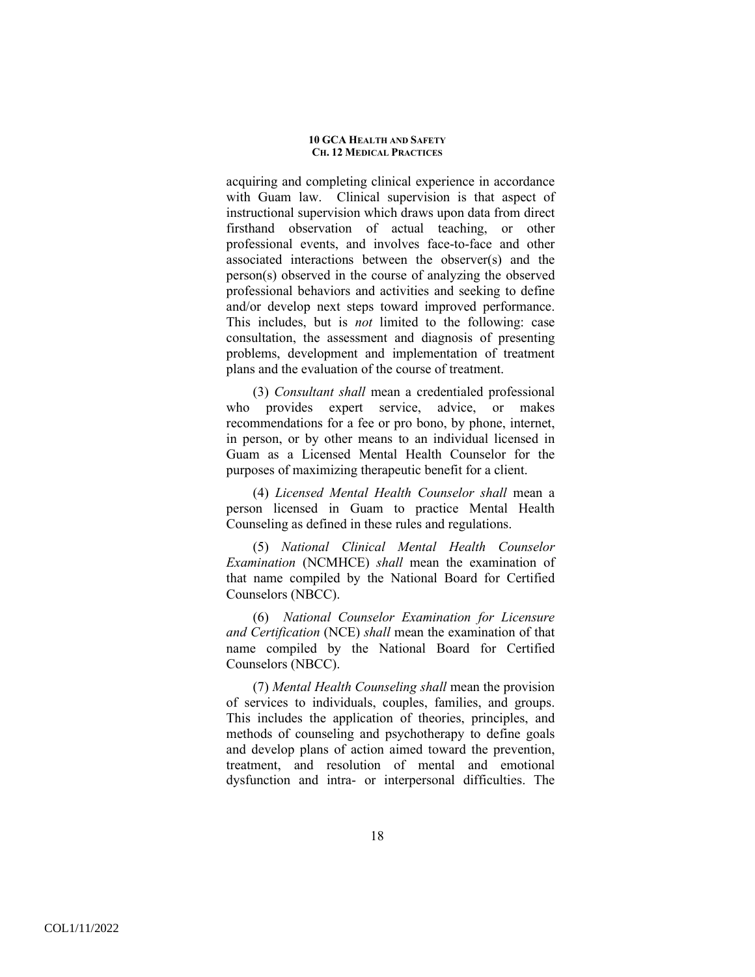acquiring and completing clinical experience in accordance with Guam law. Clinical supervision is that aspect of instructional supervision which draws upon data from direct firsthand observation of actual teaching, or other professional events, and involves face-to-face and other associated interactions between the observer(s) and the person(s) observed in the course of analyzing the observed professional behaviors and activities and seeking to define and/or develop next steps toward improved performance. This includes, but is *not* limited to the following: case consultation, the assessment and diagnosis of presenting problems, development and implementation of treatment plans and the evaluation of the course of treatment.

(3) *Consultant shall* mean a credentialed professional who provides expert service, advice, or makes recommendations for a fee or pro bono, by phone, internet, in person, or by other means to an individual licensed in Guam as a Licensed Mental Health Counselor for the purposes of maximizing therapeutic benefit for a client.

(4) *Licensed Mental Health Counselor shall* mean a person licensed in Guam to practice Mental Health Counseling as defined in these rules and regulations.

(5) *National Clinical Mental Health Counselor Examination* (NCMHCE) *shall* mean the examination of that name compiled by the National Board for Certified Counselors (NBCC).

(6) *National Counselor Examination for Licensure and Certification* (NCE) *shall* mean the examination of that name compiled by the National Board for Certified Counselors (NBCC).

(7) *Mental Health Counseling shall* mean the provision of services to individuals, couples, families, and groups. This includes the application of theories, principles, and methods of counseling and psychotherapy to define goals and develop plans of action aimed toward the prevention, treatment, and resolution of mental and emotional dysfunction and intra- or interpersonal difficulties. The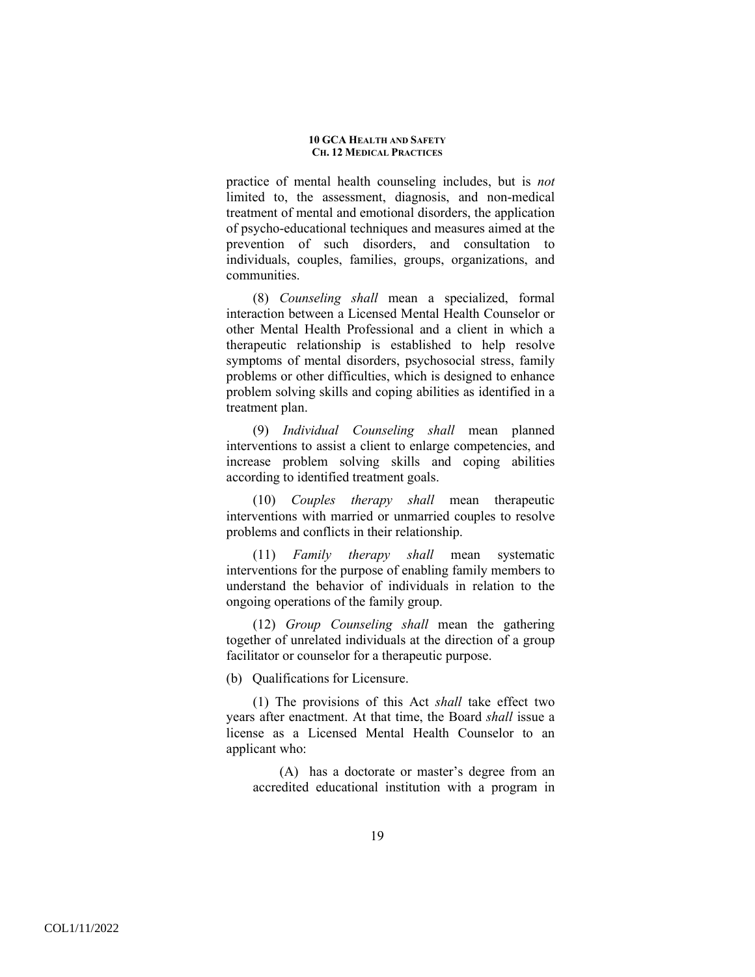practice of mental health counseling includes, but is *not*  limited to, the assessment, diagnosis, and non-medical treatment of mental and emotional disorders, the application of psycho-educational techniques and measures aimed at the prevention of such disorders, and consultation to individuals, couples, families, groups, organizations, and communities.

(8) *Counseling shall* mean a specialized, formal interaction between a Licensed Mental Health Counselor or other Mental Health Professional and a client in which a therapeutic relationship is established to help resolve symptoms of mental disorders, psychosocial stress, family problems or other difficulties, which is designed to enhance problem solving skills and coping abilities as identified in a treatment plan.

(9) *Individual Counseling shall* mean planned interventions to assist a client to enlarge competencies, and increase problem solving skills and coping abilities according to identified treatment goals.

(10) *Couples therapy shall* mean therapeutic interventions with married or unmarried couples to resolve problems and conflicts in their relationship.

(11) *Family therapy shall* mean systematic interventions for the purpose of enabling family members to understand the behavior of individuals in relation to the ongoing operations of the family group.

(12) *Group Counseling shall* mean the gathering together of unrelated individuals at the direction of a group facilitator or counselor for a therapeutic purpose.

(b) Qualifications for Licensure.

(1) The provisions of this Act *shall* take effect two years after enactment. At that time, the Board *shall* issue a license as a Licensed Mental Health Counselor to an applicant who:

(A) has a doctorate or master's degree from an accredited educational institution with a program in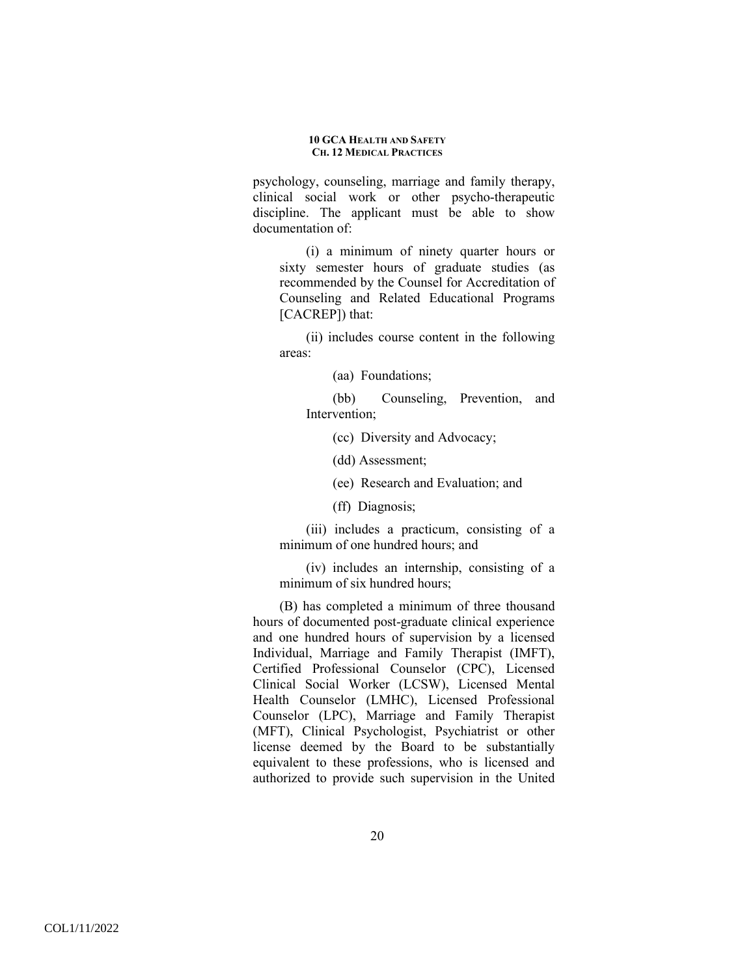psychology, counseling, marriage and family therapy, clinical social work or other psycho-therapeutic discipline. The applicant must be able to show documentation of:

(i) a minimum of ninety quarter hours or sixty semester hours of graduate studies (as recommended by the Counsel for Accreditation of Counseling and Related Educational Programs [CACREP]) that:

(ii) includes course content in the following areas:

(aa) Foundations;

(bb) Counseling, Prevention, and Intervention;

(cc) Diversity and Advocacy;

(dd) Assessment;

(ee) Research and Evaluation; and

(ff) Diagnosis;

(iii) includes a practicum, consisting of a minimum of one hundred hours; and

(iv) includes an internship, consisting of a minimum of six hundred hours;

(B) has completed a minimum of three thousand hours of documented post-graduate clinical experience and one hundred hours of supervision by a licensed Individual, Marriage and Family Therapist (IMFT), Certified Professional Counselor (CPC), Licensed Clinical Social Worker (LCSW), Licensed Mental Health Counselor (LMHC), Licensed Professional Counselor (LPC), Marriage and Family Therapist (MFT), Clinical Psychologist, Psychiatrist or other license deemed by the Board to be substantially equivalent to these professions, who is licensed and authorized to provide such supervision in the United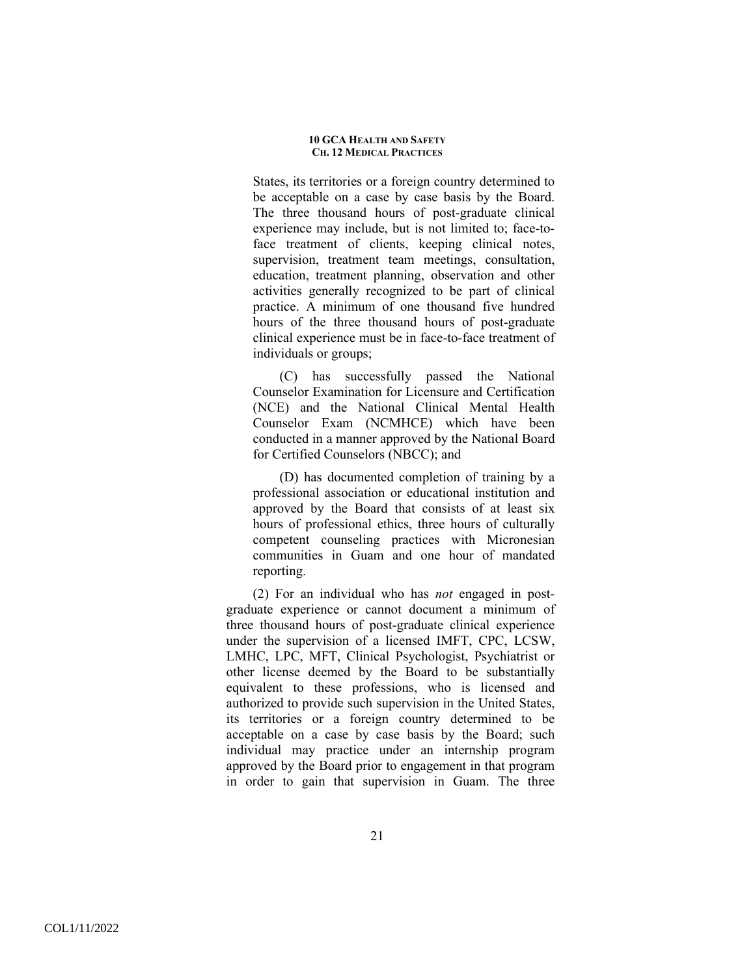States, its territories or a foreign country determined to be acceptable on a case by case basis by the Board. The three thousand hours of post-graduate clinical experience may include, but is not limited to; face-toface treatment of clients, keeping clinical notes, supervision, treatment team meetings, consultation, education, treatment planning, observation and other activities generally recognized to be part of clinical practice. A minimum of one thousand five hundred hours of the three thousand hours of post-graduate clinical experience must be in face-to-face treatment of individuals or groups;

(C) has successfully passed the National Counselor Examination for Licensure and Certification (NCE) and the National Clinical Mental Health Counselor Exam (NCMHCE) which have been conducted in a manner approved by the National Board for Certified Counselors (NBCC); and

(D) has documented completion of training by a professional association or educational institution and approved by the Board that consists of at least six hours of professional ethics, three hours of culturally competent counseling practices with Micronesian communities in Guam and one hour of mandated reporting.

(2) For an individual who has *not* engaged in postgraduate experience or cannot document a minimum of three thousand hours of post-graduate clinical experience under the supervision of a licensed IMFT, CPC, LCSW, LMHC, LPC, MFT, Clinical Psychologist, Psychiatrist or other license deemed by the Board to be substantially equivalent to these professions, who is licensed and authorized to provide such supervision in the United States, its territories or a foreign country determined to be acceptable on a case by case basis by the Board; such individual may practice under an internship program approved by the Board prior to engagement in that program in order to gain that supervision in Guam. The three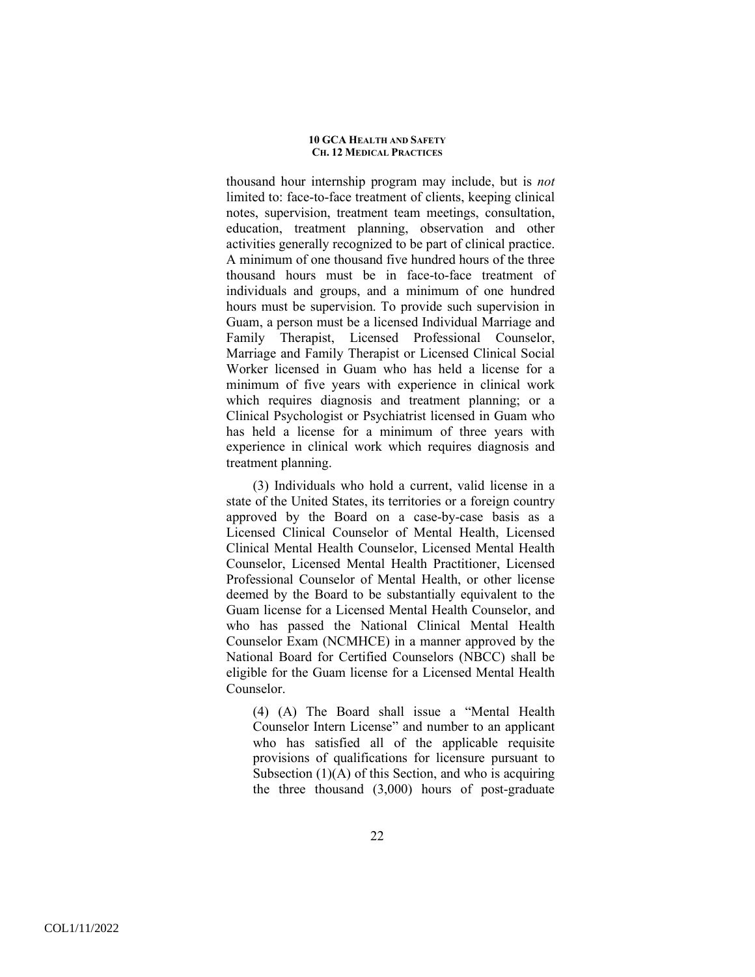thousand hour internship program may include, but is *not* limited to: face-to-face treatment of clients, keeping clinical notes, supervision, treatment team meetings, consultation, education, treatment planning, observation and other activities generally recognized to be part of clinical practice. A minimum of one thousand five hundred hours of the three thousand hours must be in face-to-face treatment of individuals and groups, and a minimum of one hundred hours must be supervision. To provide such supervision in Guam, a person must be a licensed Individual Marriage and Family Therapist, Licensed Professional Counselor, Marriage and Family Therapist or Licensed Clinical Social Worker licensed in Guam who has held a license for a minimum of five years with experience in clinical work which requires diagnosis and treatment planning; or a Clinical Psychologist or Psychiatrist licensed in Guam who has held a license for a minimum of three years with experience in clinical work which requires diagnosis and treatment planning.

(3) Individuals who hold a current, valid license in a state of the United States, its territories or a foreign country approved by the Board on a case-by-case basis as a Licensed Clinical Counselor of Mental Health, Licensed Clinical Mental Health Counselor, Licensed Mental Health Counselor, Licensed Mental Health Practitioner, Licensed Professional Counselor of Mental Health, or other license deemed by the Board to be substantially equivalent to the Guam license for a Licensed Mental Health Counselor, and who has passed the National Clinical Mental Health Counselor Exam (NCMHCE) in a manner approved by the National Board for Certified Counselors (NBCC) shall be eligible for the Guam license for a Licensed Mental Health Counselor.

(4) (A) The Board shall issue a "Mental Health Counselor Intern License" and number to an applicant who has satisfied all of the applicable requisite provisions of qualifications for licensure pursuant to Subsection  $(1)(A)$  of this Section, and who is acquiring the three thousand (3,000) hours of post-graduate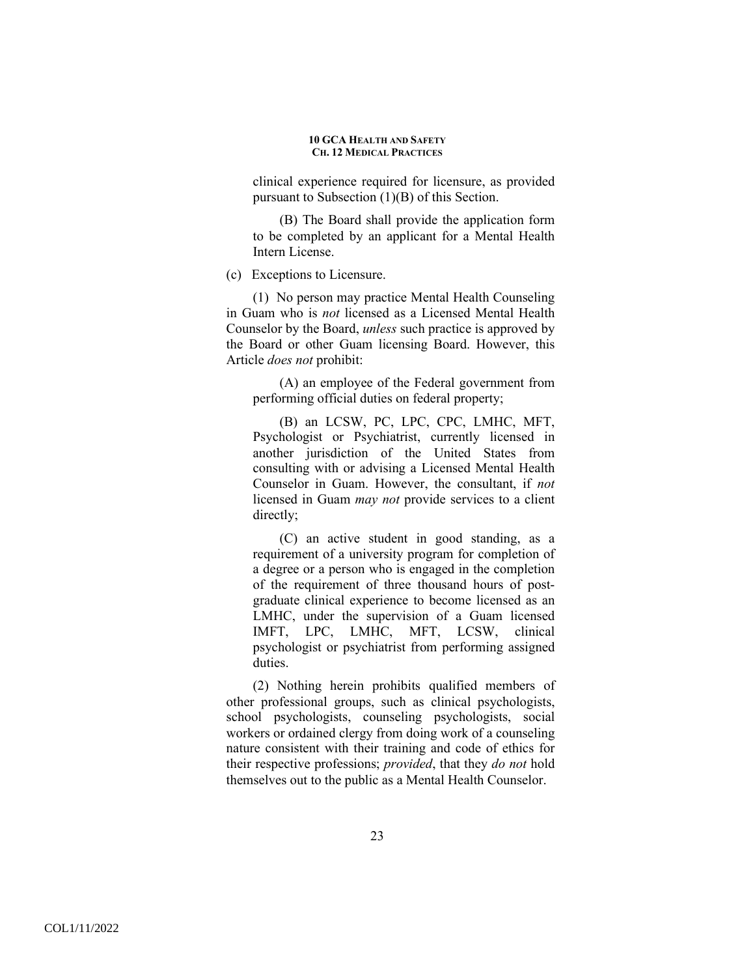clinical experience required for licensure, as provided pursuant to Subsection (1)(B) of this Section.

(B) The Board shall provide the application form to be completed by an applicant for a Mental Health Intern License.

(c) Exceptions to Licensure.

(1) No person may practice Mental Health Counseling in Guam who is *not* licensed as a Licensed Mental Health Counselor by the Board, *unless* such practice is approved by the Board or other Guam licensing Board. However, this Article *does not* prohibit:

(A) an employee of the Federal government from performing official duties on federal property;

(B) an LCSW, PC, LPC, CPC, LMHC, MFT, Psychologist or Psychiatrist, currently licensed in another jurisdiction of the United States from consulting with or advising a Licensed Mental Health Counselor in Guam. However, the consultant, if *not* licensed in Guam *may not* provide services to a client directly;

(C) an active student in good standing, as a requirement of a university program for completion of a degree or a person who is engaged in the completion of the requirement of three thousand hours of postgraduate clinical experience to become licensed as an LMHC, under the supervision of a Guam licensed IMFT, LPC, LMHC, MFT, LCSW, clinical psychologist or psychiatrist from performing assigned duties.

(2) Nothing herein prohibits qualified members of other professional groups, such as clinical psychologists, school psychologists, counseling psychologists, social workers or ordained clergy from doing work of a counseling nature consistent with their training and code of ethics for their respective professions; *provided*, that they *do not* hold themselves out to the public as a Mental Health Counselor.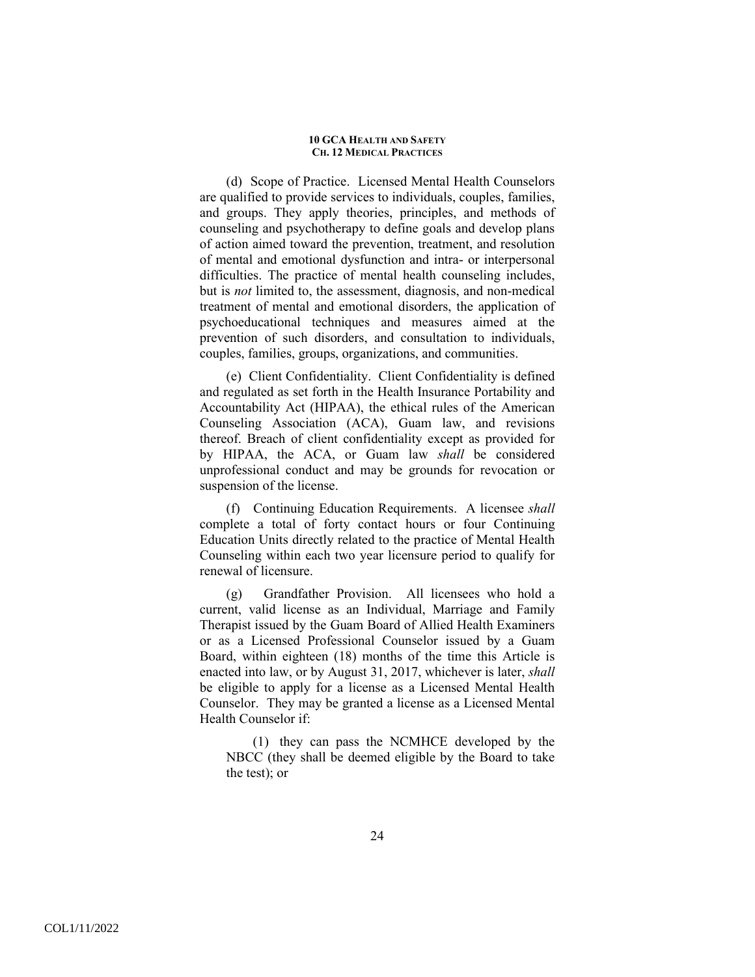(d) Scope of Practice. Licensed Mental Health Counselors are qualified to provide services to individuals, couples, families, and groups. They apply theories, principles, and methods of counseling and psychotherapy to define goals and develop plans of action aimed toward the prevention, treatment, and resolution of mental and emotional dysfunction and intra- or interpersonal difficulties. The practice of mental health counseling includes, but is *not* limited to, the assessment, diagnosis, and non-medical treatment of mental and emotional disorders, the application of psychoeducational techniques and measures aimed at the prevention of such disorders, and consultation to individuals, couples, families, groups, organizations, and communities.

(e) Client Confidentiality.Client Confidentiality is defined and regulated as set forth in the Health Insurance Portability and Accountability Act (HIPAA), the ethical rules of the American Counseling Association (ACA), Guam law, and revisions thereof. Breach of client confidentiality except as provided for by HIPAA, the ACA, or Guam law *shall* be considered unprofessional conduct and may be grounds for revocation or suspension of the license.

(f) Continuing Education Requirements.A licensee *shall* complete a total of forty contact hours or four Continuing Education Units directly related to the practice of Mental Health Counseling within each two year licensure period to qualify for renewal of licensure.

(g) Grandfather Provision.All licensees who hold a current, valid license as an Individual, Marriage and Family Therapist issued by the Guam Board of Allied Health Examiners or as a Licensed Professional Counselor issued by a Guam Board, within eighteen (18) months of the time this Article is enacted into law, or by August 31, 2017, whichever is later, *shall* be eligible to apply for a license as a Licensed Mental Health Counselor. They may be granted a license as a Licensed Mental Health Counselor if:

(1) they can pass the NCMHCE developed by the NBCC (they shall be deemed eligible by the Board to take the test); or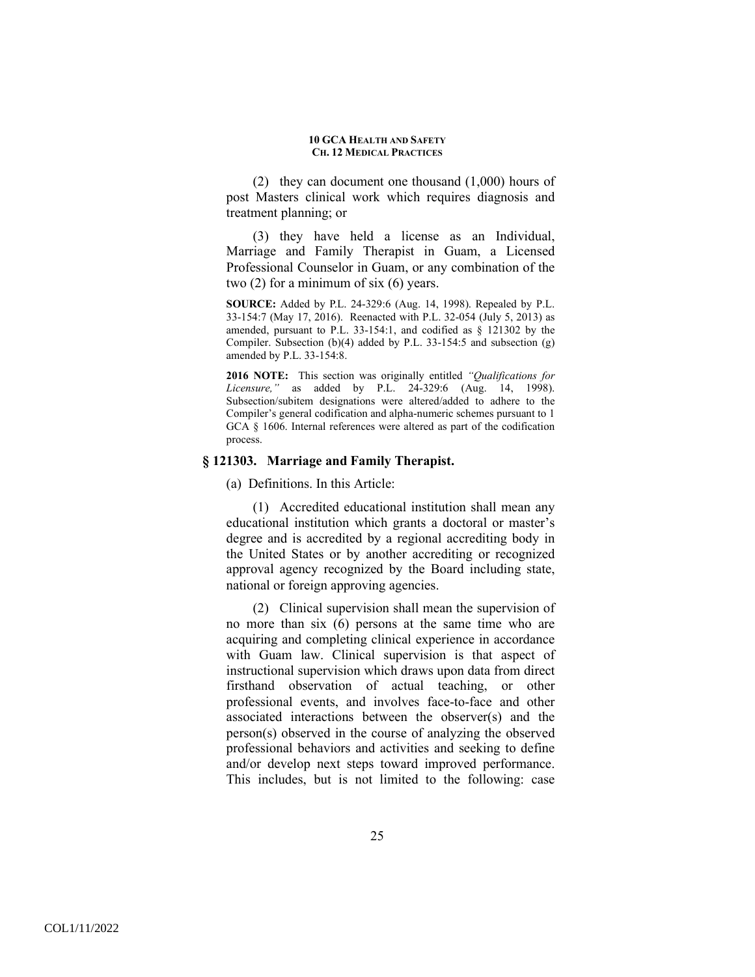(2) they can document one thousand (1,000) hours of post Masters clinical work which requires diagnosis and treatment planning; or

(3) they have held a license as an Individual, Marriage and Family Therapist in Guam, a Licensed Professional Counselor in Guam, or any combination of the two (2) for a minimum of six (6) years.

**SOURCE:** Added by P.L. 24-329:6 (Aug. 14, 1998). Repealed by P.L. 33-154:7 (May 17, 2016). Reenacted with P.L. 32-054 (July 5, 2013) as amended, pursuant to P.L. 33-154:1, and codified as  $\S$  121302 by the Compiler. Subsection (b)(4) added by P.L. 33-154:5 and subsection (g) amended by P.L. 33-154:8.

**2016 NOTE:** This section was originally entitled *"Qualifications for Licensure,"* as added by P.L. 24-329:6 (Aug. 14, 1998). Subsection/subitem designations were altered/added to adhere to the Compiler's general codification and alpha-numeric schemes pursuant to 1 GCA § 1606. Internal references were altered as part of the codification process.

## **§ 121303. Marriage and Family Therapist.**

(a) Definitions. In this Article:

(1) Accredited educational institution shall mean any educational institution which grants a doctoral or master's degree and is accredited by a regional accrediting body in the United States or by another accrediting or recognized approval agency recognized by the Board including state, national or foreign approving agencies.

(2) Clinical supervision shall mean the supervision of no more than six (6) persons at the same time who are acquiring and completing clinical experience in accordance with Guam law. Clinical supervision is that aspect of instructional supervision which draws upon data from direct firsthand observation of actual teaching, or other professional events, and involves face-to-face and other associated interactions between the observer(s) and the person(s) observed in the course of analyzing the observed professional behaviors and activities and seeking to define and/or develop next steps toward improved performance. This includes, but is not limited to the following: case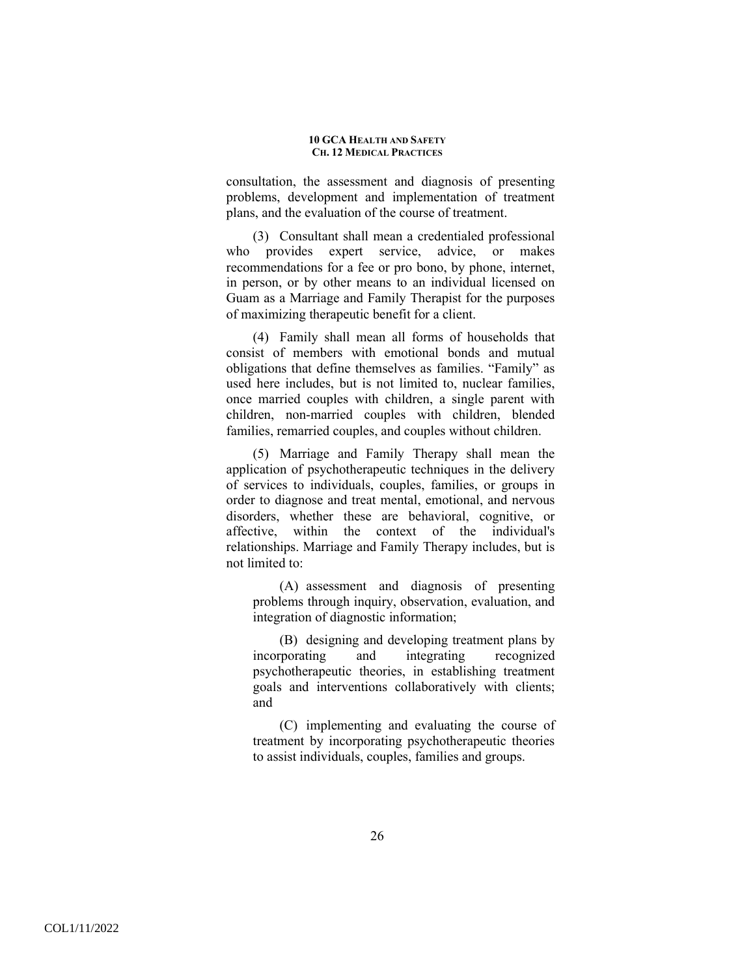consultation, the assessment and diagnosis of presenting problems, development and implementation of treatment plans, and the evaluation of the course of treatment.

(3) Consultant shall mean a credentialed professional who provides expert service, advice, or makes recommendations for a fee or pro bono, by phone, internet, in person, or by other means to an individual licensed on Guam as a Marriage and Family Therapist for the purposes of maximizing therapeutic benefit for a client.

(4) Family shall mean all forms of households that consist of members with emotional bonds and mutual obligations that define themselves as families. "Family" as used here includes, but is not limited to, nuclear families, once married couples with children, a single parent with children, non-married couples with children, blended families, remarried couples, and couples without children.

(5) Marriage and Family Therapy shall mean the application of psychotherapeutic techniques in the delivery of services to individuals, couples, families, or groups in order to diagnose and treat mental, emotional, and nervous disorders, whether these are behavioral, cognitive, or affective, within the context of the individual's relationships. Marriage and Family Therapy includes, but is not limited to:

(A) assessment and diagnosis of presenting problems through inquiry, observation, evaluation, and integration of diagnostic information;

(B) designing and developing treatment plans by incorporating and integrating recognized psychotherapeutic theories, in establishing treatment goals and interventions collaboratively with clients; and

(C) implementing and evaluating the course of treatment by incorporating psychotherapeutic theories to assist individuals, couples, families and groups.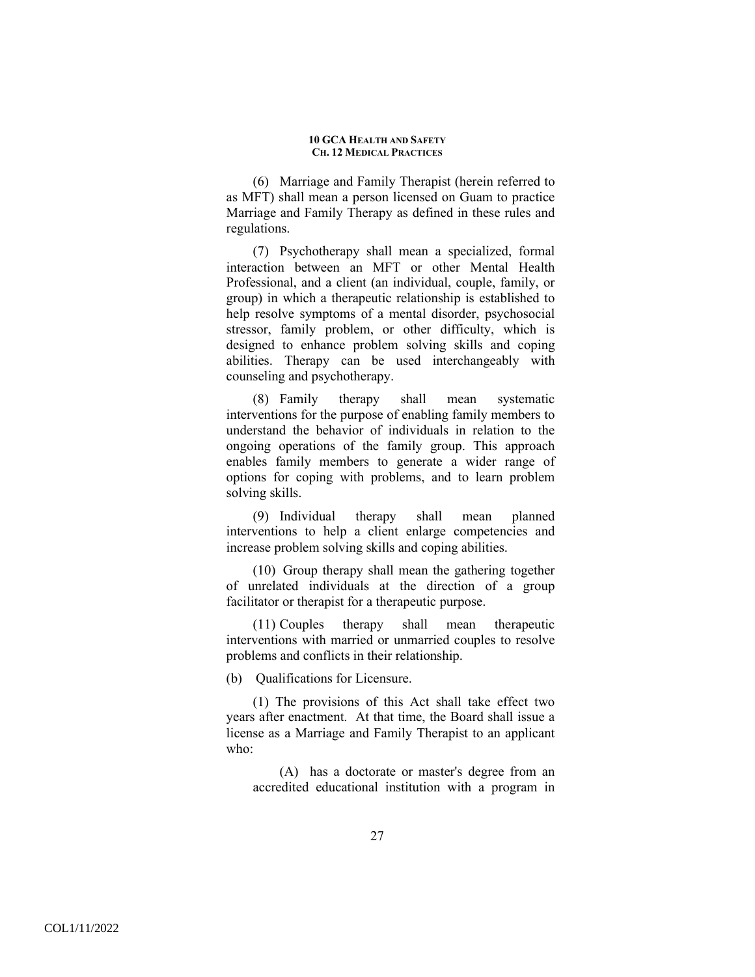(6) Marriage and Family Therapist (herein referred to as MFT) shall mean a person licensed on Guam to practice Marriage and Family Therapy as defined in these rules and regulations.

(7) Psychotherapy shall mean a specialized, formal interaction between an MFT or other Mental Health Professional, and a client (an individual, couple, family, or group) in which a therapeutic relationship is established to help resolve symptoms of a mental disorder, psychosocial stressor, family problem, or other difficulty, which is designed to enhance problem solving skills and coping abilities. Therapy can be used interchangeably with counseling and psychotherapy.

(8) Family therapy shall mean systematic interventions for the purpose of enabling family members to understand the behavior of individuals in relation to the ongoing operations of the family group. This approach enables family members to generate a wider range of options for coping with problems, and to learn problem solving skills.

(9) Individual therapy shall mean planned interventions to help a client enlarge competencies and increase problem solving skills and coping abilities.

(10) Group therapy shall mean the gathering together of unrelated individuals at the direction of a group facilitator or therapist for a therapeutic purpose.

(11) Couples therapy shall mean therapeutic interventions with married or unmarried couples to resolve problems and conflicts in their relationship.

(b) Qualifications for Licensure.

(1) The provisions of this Act shall take effect two years after enactment. At that time, the Board shall issue a license as a Marriage and Family Therapist to an applicant who:

(A) has a doctorate or master's degree from an accredited educational institution with a program in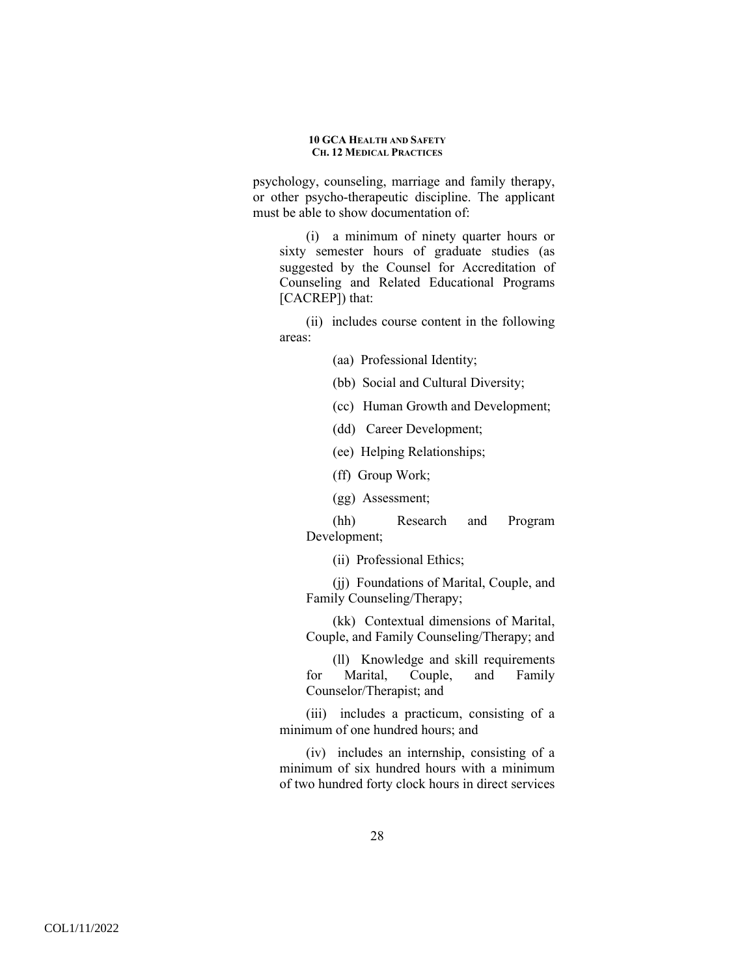psychology, counseling, marriage and family therapy, or other psycho-therapeutic discipline. The applicant must be able to show documentation of:

(i) a minimum of ninety quarter hours or sixty semester hours of graduate studies (as suggested by the Counsel for Accreditation of Counseling and Related Educational Programs [CACREP]) that:

(ii) includes course content in the following areas:

(aa) Professional Identity;

(bb) Social and Cultural Diversity;

(cc) Human Growth and Development;

(dd) Career Development;

(ee) Helping Relationships;

(ff) Group Work;

(gg) Assessment;

(hh) Research and Program Development;

(ii) Professional Ethics;

(jj) Foundations of Marital, Couple, and Family Counseling/Therapy;

(kk) Contextual dimensions of Marital, Couple, and Family Counseling/Therapy; and

(ll) Knowledge and skill requirements for Marital, Couple, and Family Counselor/Therapist; and

(iii) includes a practicum, consisting of a minimum of one hundred hours; and

(iv) includes an internship, consisting of a minimum of six hundred hours with a minimum of two hundred forty clock hours in direct services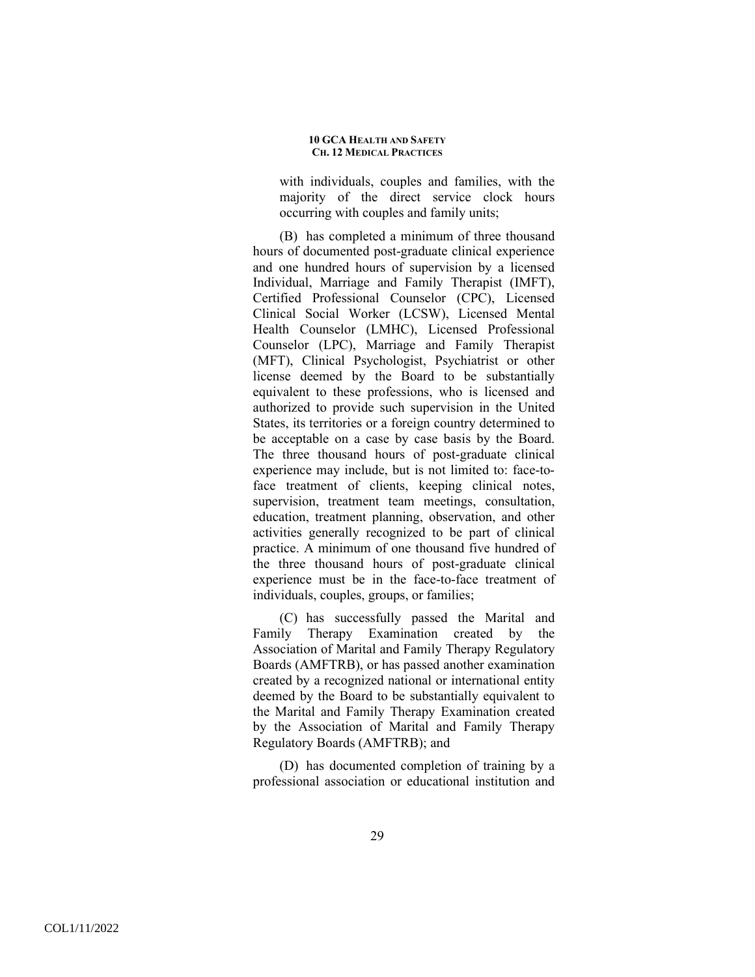with individuals, couples and families, with the majority of the direct service clock hours occurring with couples and family units;

(B) has completed a minimum of three thousand hours of documented post-graduate clinical experience and one hundred hours of supervision by a licensed Individual, Marriage and Family Therapist (IMFT), Certified Professional Counselor (CPC), Licensed Clinical Social Worker (LCSW), Licensed Mental Health Counselor (LMHC), Licensed Professional Counselor (LPC), Marriage and Family Therapist (MFT), Clinical Psychologist, Psychiatrist or other license deemed by the Board to be substantially equivalent to these professions, who is licensed and authorized to provide such supervision in the United States, its territories or a foreign country determined to be acceptable on a case by case basis by the Board. The three thousand hours of post-graduate clinical experience may include, but is not limited to: face-toface treatment of clients, keeping clinical notes, supervision, treatment team meetings, consultation, education, treatment planning, observation, and other activities generally recognized to be part of clinical practice. A minimum of one thousand five hundred of the three thousand hours of post-graduate clinical experience must be in the face-to-face treatment of individuals, couples, groups, or families;

(C) has successfully passed the Marital and Family Therapy Examination created by the Association of Marital and Family Therapy Regulatory Boards (AMFTRB), or has passed another examination created by a recognized national or international entity deemed by the Board to be substantially equivalent to the Marital and Family Therapy Examination created by the Association of Marital and Family Therapy Regulatory Boards (AMFTRB); and

(D) has documented completion of training by a professional association or educational institution and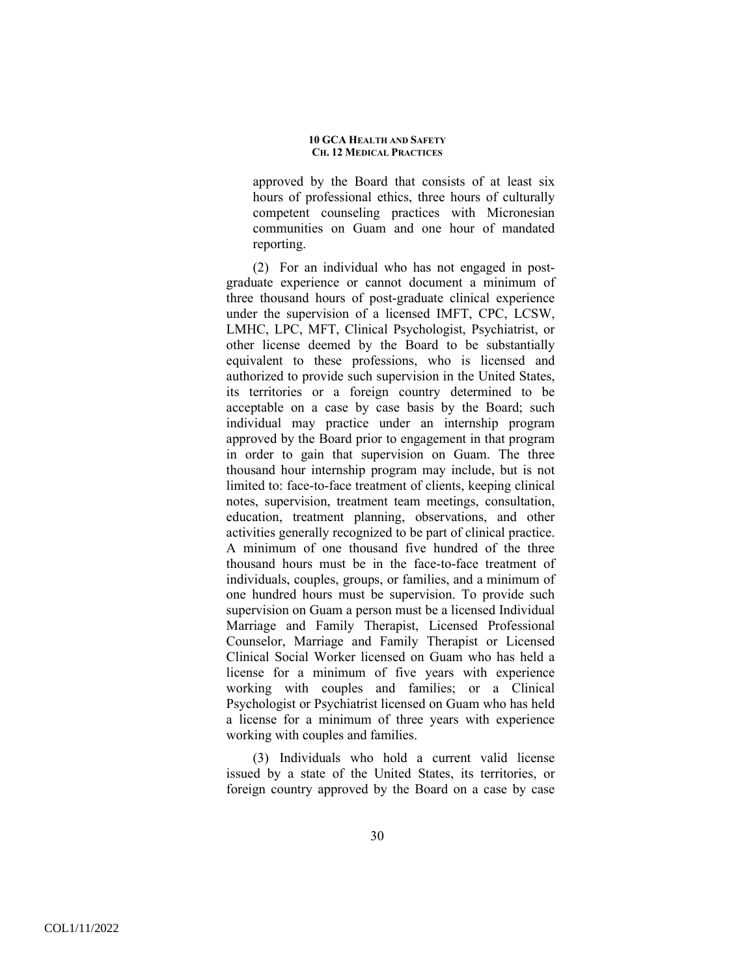approved by the Board that consists of at least six hours of professional ethics, three hours of culturally competent counseling practices with Micronesian communities on Guam and one hour of mandated reporting.

(2) For an individual who has not engaged in postgraduate experience or cannot document a minimum of three thousand hours of post-graduate clinical experience under the supervision of a licensed IMFT, CPC, LCSW, LMHC, LPC, MFT, Clinical Psychologist, Psychiatrist, or other license deemed by the Board to be substantially equivalent to these professions, who is licensed and authorized to provide such supervision in the United States, its territories or a foreign country determined to be acceptable on a case by case basis by the Board; such individual may practice under an internship program approved by the Board prior to engagement in that program in order to gain that supervision on Guam. The three thousand hour internship program may include, but is not limited to: face-to-face treatment of clients, keeping clinical notes, supervision, treatment team meetings, consultation, education, treatment planning, observations, and other activities generally recognized to be part of clinical practice. A minimum of one thousand five hundred of the three thousand hours must be in the face-to-face treatment of individuals, couples, groups, or families, and a minimum of one hundred hours must be supervision. To provide such supervision on Guam a person must be a licensed Individual Marriage and Family Therapist, Licensed Professional Counselor, Marriage and Family Therapist or Licensed Clinical Social Worker licensed on Guam who has held a license for a minimum of five years with experience working with couples and families; or a Clinical Psychologist or Psychiatrist licensed on Guam who has held a license for a minimum of three years with experience working with couples and families.

(3) Individuals who hold a current valid license issued by a state of the United States, its territories, or foreign country approved by the Board on a case by case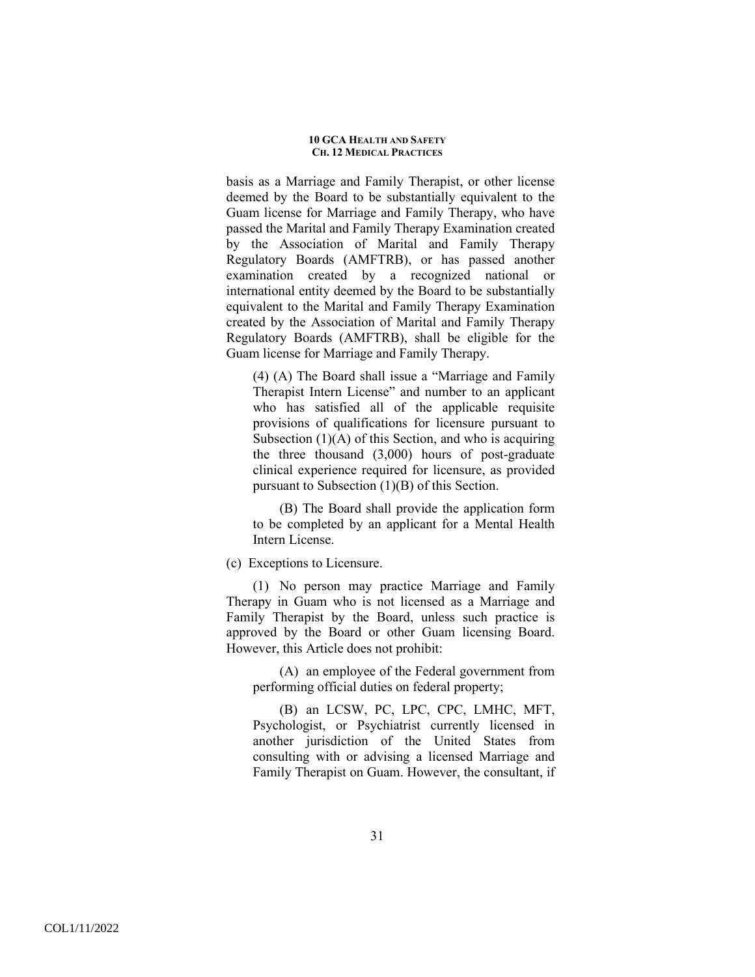basis as a Marriage and Family Therapist, or other license deemed by the Board to be substantially equivalent to the Guam license for Marriage and Family Therapy, who have passed the Marital and Family Therapy Examination created by the Association of Marital and Family Therapy Regulatory Boards (AMFTRB), or has passed another examination created by a recognized national or international entity deemed by the Board to be substantially equivalent to the Marital and Family Therapy Examination created by the Association of Marital and Family Therapy Regulatory Boards (AMFTRB), shall be eligible for the Guam license for Marriage and Family Therapy.

(4) (A) The Board shall issue a "Marriage and Family Therapist Intern License" and number to an applicant who has satisfied all of the applicable requisite provisions of qualifications for licensure pursuant to Subsection  $(1)(A)$  of this Section, and who is acquiring the three thousand (3,000) hours of post-graduate clinical experience required for licensure, as provided pursuant to Subsection (1)(B) of this Section.

(B) The Board shall provide the application form to be completed by an applicant for a Mental Health Intern License.

(c) Exceptions to Licensure.

(1) No person may practice Marriage and Family Therapy in Guam who is not licensed as a Marriage and Family Therapist by the Board, unless such practice is approved by the Board or other Guam licensing Board. However, this Article does not prohibit:

(A) an employee of the Federal government from performing official duties on federal property;

(B) an LCSW, PC, LPC, CPC, LMHC, MFT, Psychologist, or Psychiatrist currently licensed in another jurisdiction of the United States from consulting with or advising a licensed Marriage and Family Therapist on Guam. However, the consultant, if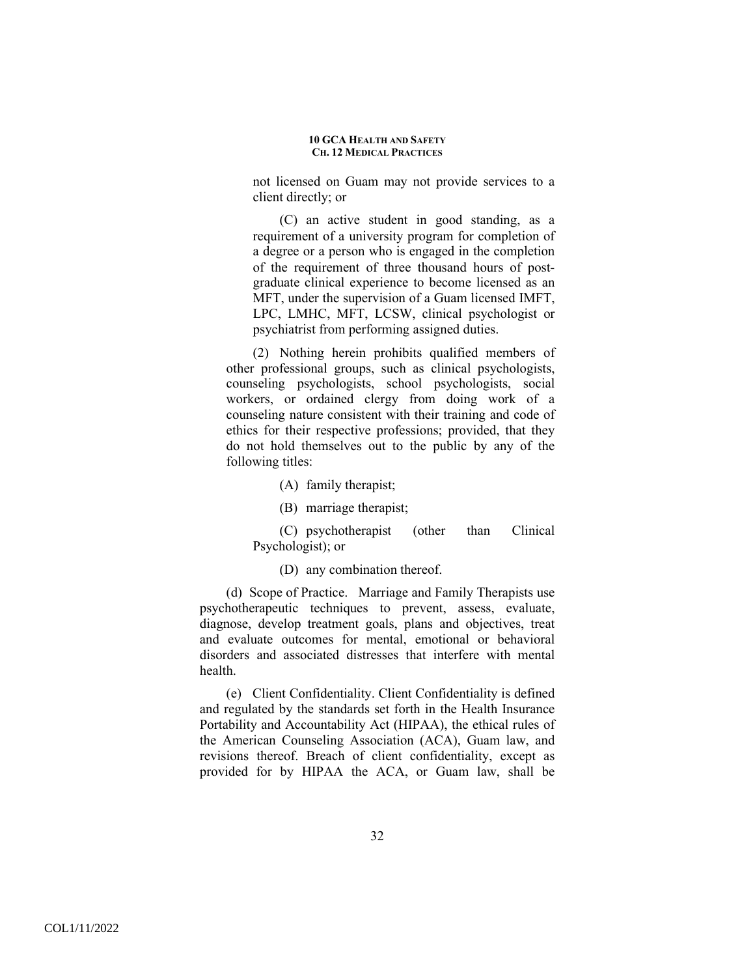not licensed on Guam may not provide services to a client directly; or

(C) an active student in good standing, as a requirement of a university program for completion of a degree or a person who is engaged in the completion of the requirement of three thousand hours of postgraduate clinical experience to become licensed as an MFT, under the supervision of a Guam licensed IMFT, LPC, LMHC, MFT, LCSW, clinical psychologist or psychiatrist from performing assigned duties.

(2) Nothing herein prohibits qualified members of other professional groups, such as clinical psychologists, counseling psychologists, school psychologists, social workers, or ordained clergy from doing work of a counseling nature consistent with their training and code of ethics for their respective professions; provided, that they do not hold themselves out to the public by any of the following titles:

(A) family therapist;

(B) marriage therapist;

(C) psychotherapist (other than Clinical Psychologist); or

(D) any combination thereof.

(d) Scope of Practice. Marriage and Family Therapists use psychotherapeutic techniques to prevent, assess, evaluate, diagnose, develop treatment goals, plans and objectives, treat and evaluate outcomes for mental, emotional or behavioral disorders and associated distresses that interfere with mental health.

(e) Client Confidentiality. Client Confidentiality is defined and regulated by the standards set forth in the Health Insurance Portability and Accountability Act (HIPAA), the ethical rules of the American Counseling Association (ACA), Guam law, and revisions thereof. Breach of client confidentiality, except as provided for by HIPAA the ACA, or Guam law, shall be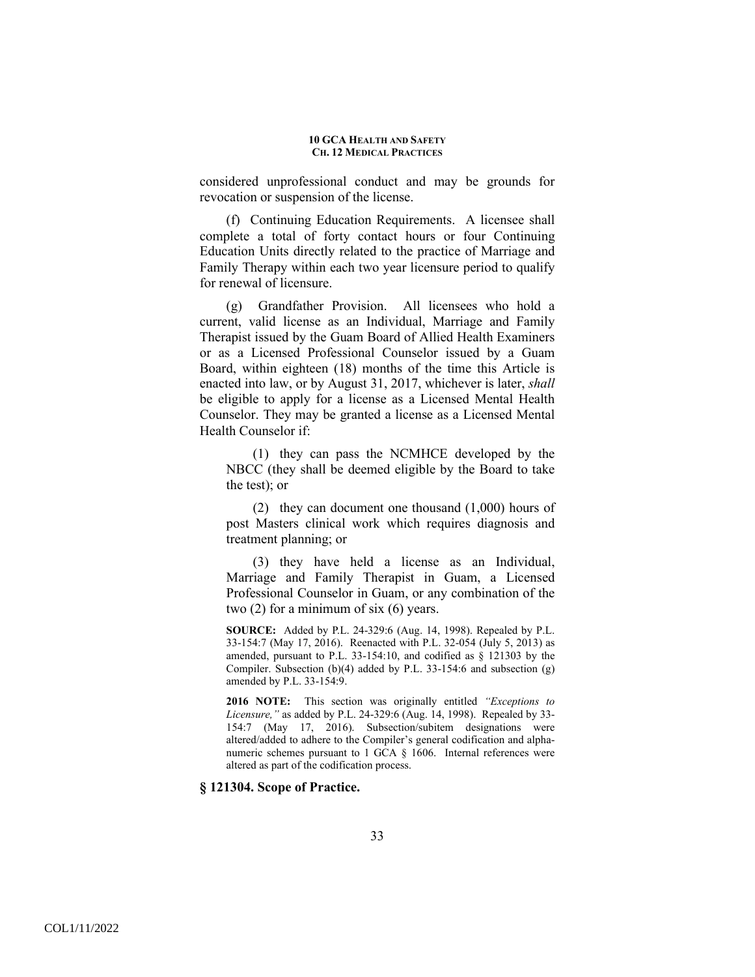considered unprofessional conduct and may be grounds for revocation or suspension of the license.

(f) Continuing Education Requirements. A licensee shall complete a total of forty contact hours or four Continuing Education Units directly related to the practice of Marriage and Family Therapy within each two year licensure period to qualify for renewal of licensure.

(g) Grandfather Provision. All licensees who hold a current, valid license as an Individual, Marriage and Family Therapist issued by the Guam Board of Allied Health Examiners or as a Licensed Professional Counselor issued by a Guam Board, within eighteen (18) months of the time this Article is enacted into law, or by August 31, 2017, whichever is later, *shall* be eligible to apply for a license as a Licensed Mental Health Counselor. They may be granted a license as a Licensed Mental Health Counselor if:

(1) they can pass the NCMHCE developed by the NBCC (they shall be deemed eligible by the Board to take the test); or

(2) they can document one thousand (1,000) hours of post Masters clinical work which requires diagnosis and treatment planning; or

(3) they have held a license as an Individual, Marriage and Family Therapist in Guam, a Licensed Professional Counselor in Guam, or any combination of the two (2) for a minimum of six (6) years.

**SOURCE:** Added by P.L. 24-329:6 (Aug. 14, 1998). Repealed by P.L. 33-154:7 (May 17, 2016). Reenacted with P.L. 32-054 (July 5, 2013) as amended, pursuant to P.L. 33-154:10, and codified as § 121303 by the Compiler. Subsection (b)(4) added by P.L. 33-154:6 and subsection (g) amended by P.L. 33-154:9.

**2016 NOTE:** This section was originally entitled *"Exceptions to Licensure,"* as added by P.L. 24-329:6 (Aug. 14, 1998). Repealed by 33- 154:7 (May 17, 2016). Subsection/subitem designations were altered/added to adhere to the Compiler's general codification and alphanumeric schemes pursuant to 1 GCA § 1606. Internal references were altered as part of the codification process.

### **§ 121304. Scope of Practice.**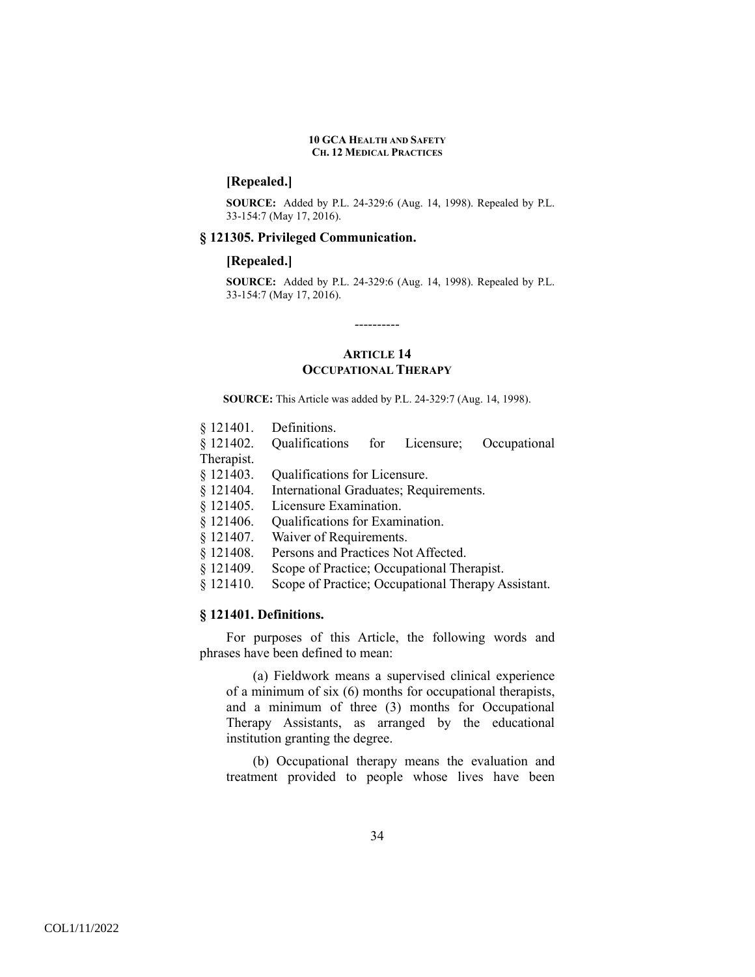# **[Repealed.]**

**SOURCE:** Added by P.L. 24-329:6 (Aug. 14, 1998). Repealed by P.L. 33-154:7 (May 17, 2016).

### **§ 121305. Privileged Communication.**

### **[Repealed.]**

**SOURCE:** Added by P.L. 24-329:6 (Aug. 14, 1998). Repealed by P.L. 33-154:7 (May 17, 2016).

# **ARTICLE 14 OCCUPATIONAL THERAPY**

----------

**SOURCE:** This Article was added by P.L. 24-329:7 (Aug. 14, 1998).

|  |  | § 121401. | Definitions. |
|--|--|-----------|--------------|
|--|--|-----------|--------------|

- § 121402. Qualifications for Licensure; Occupational Therapist.
- § 121403. Qualifications for Licensure.
- § 121404. International Graduates; Requirements.
- § 121405. Licensure Examination.
- § 121406. Qualifications for Examination.
- § 121407. Waiver of Requirements.
- § 121408. Persons and Practices Not Affected.
- § 121409. Scope of Practice; Occupational Therapist.
- § 121410. Scope of Practice; Occupational Therapy Assistant.

## **§ 121401. Definitions.**

 For purposes of this Article, the following words and phrases have been defined to mean:

(a) Fieldwork means a supervised clinical experience of a minimum of six (6) months for occupational therapists, and a minimum of three (3) months for Occupational Therapy Assistants, as arranged by the educational institution granting the degree.

(b) Occupational therapy means the evaluation and treatment provided to people whose lives have been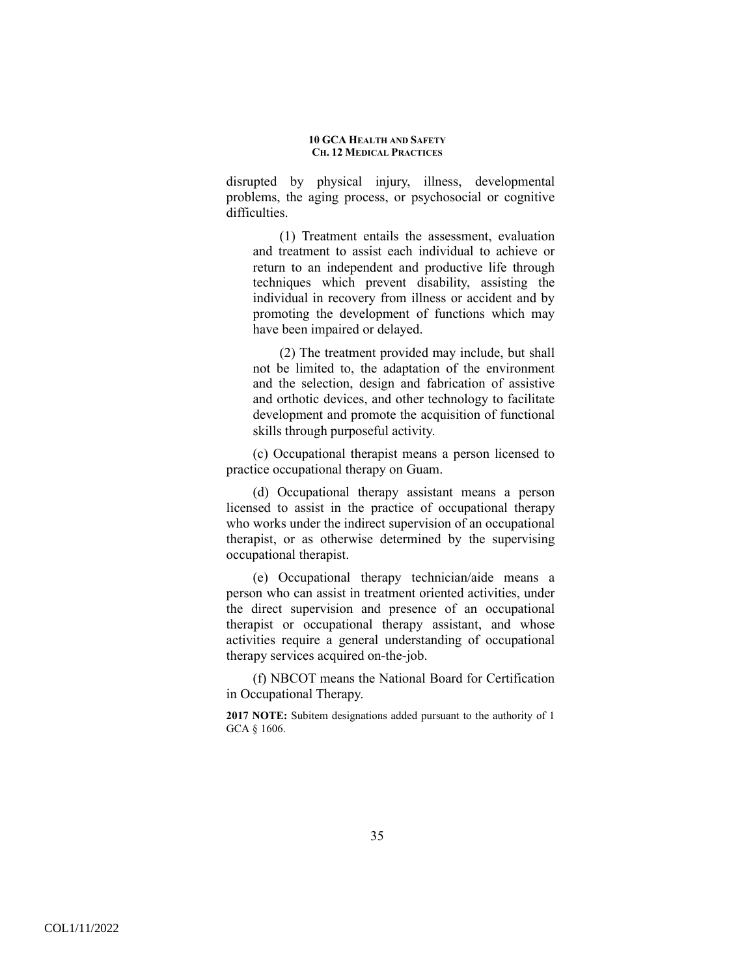disrupted by physical injury, illness, developmental problems, the aging process, or psychosocial or cognitive difficulties.

(1) Treatment entails the assessment, evaluation and treatment to assist each individual to achieve or return to an independent and productive life through techniques which prevent disability, assisting the individual in recovery from illness or accident and by promoting the development of functions which may have been impaired or delayed.

(2) The treatment provided may include, but shall not be limited to, the adaptation of the environment and the selection, design and fabrication of assistive and orthotic devices, and other technology to facilitate development and promote the acquisition of functional skills through purposeful activity.

(c) Occupational therapist means a person licensed to practice occupational therapy on Guam.

(d) Occupational therapy assistant means a person licensed to assist in the practice of occupational therapy who works under the indirect supervision of an occupational therapist, or as otherwise determined by the supervising occupational therapist.

(e) Occupational therapy technician/aide means a person who can assist in treatment oriented activities, under the direct supervision and presence of an occupational therapist or occupational therapy assistant, and whose activities require a general understanding of occupational therapy services acquired on-the-job.

(f) NBCOT means the National Board for Certification in Occupational Therapy.

**2017 NOTE:** Subitem designations added pursuant to the authority of 1 GCA § 1606.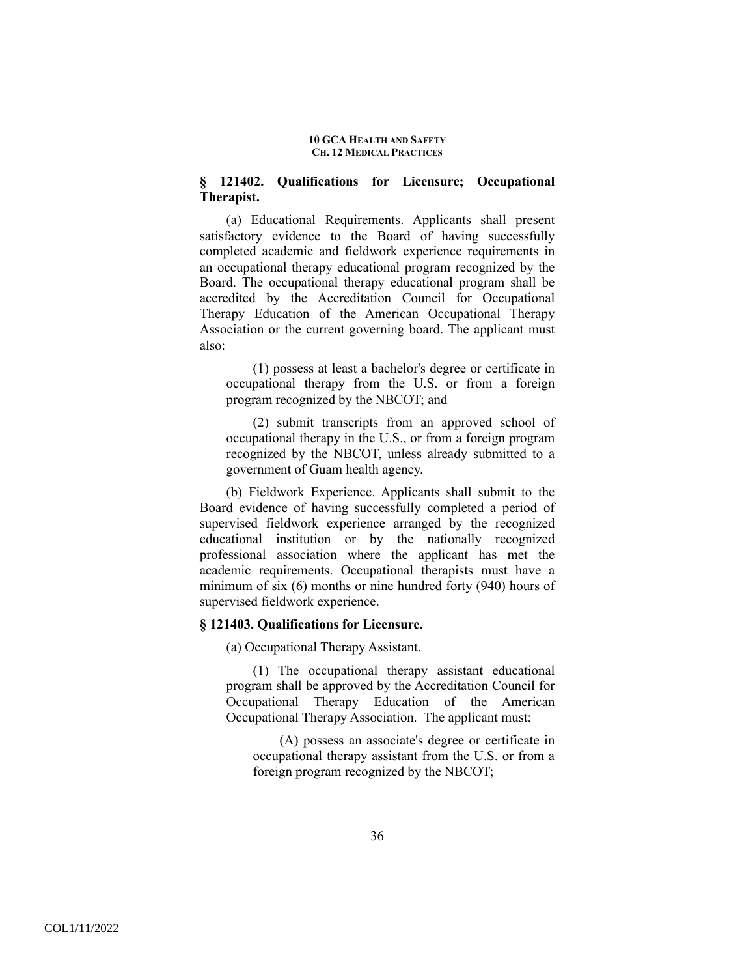# **§ 121402. Qualifications for Licensure; Occupational Therapist.**

(a) Educational Requirements. Applicants shall present satisfactory evidence to the Board of having successfully completed academic and fieldwork experience requirements in an occupational therapy educational program recognized by the Board. The occupational therapy educational program shall be accredited by the Accreditation Council for Occupational Therapy Education of the American Occupational Therapy Association or the current governing board. The applicant must also:

(1) possess at least a bachelor's degree or certificate in occupational therapy from the U.S. or from a foreign program recognized by the NBCOT; and

(2) submit transcripts from an approved school of occupational therapy in the U.S., or from a foreign program recognized by the NBCOT, unless already submitted to a government of Guam health agency.

(b) Fieldwork Experience. Applicants shall submit to the Board evidence of having successfully completed a period of supervised fieldwork experience arranged by the recognized educational institution or by the nationally recognized professional association where the applicant has met the academic requirements. Occupational therapists must have a minimum of six (6) months or nine hundred forty (940) hours of supervised fieldwork experience.

## **§ 121403. Qualifications for Licensure.**

(a) Occupational Therapy Assistant.

(1) The occupational therapy assistant educational program shall be approved by the Accreditation Council for Occupational Therapy Education of the American Occupational Therapy Association. The applicant must:

(A) possess an associate's degree or certificate in occupational therapy assistant from the U.S. or from a foreign program recognized by the NBCOT;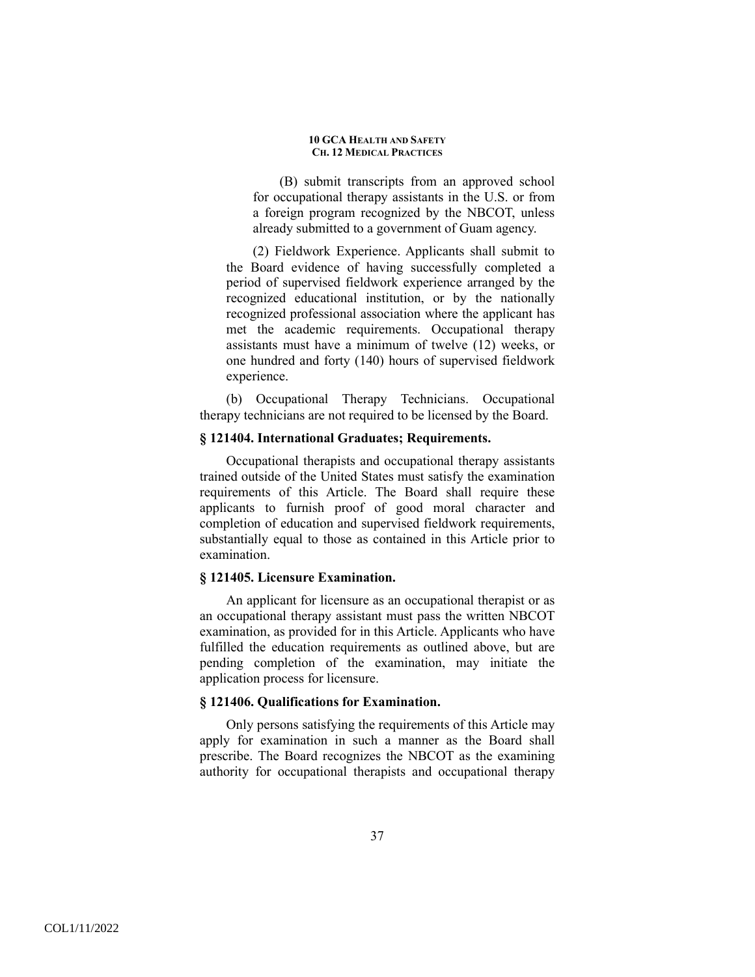(B) submit transcripts from an approved school for occupational therapy assistants in the U.S. or from a foreign program recognized by the NBCOT, unless already submitted to a government of Guam agency.

(2) Fieldwork Experience. Applicants shall submit to the Board evidence of having successfully completed a period of supervised fieldwork experience arranged by the recognized educational institution, or by the nationally recognized professional association where the applicant has met the academic requirements. Occupational therapy assistants must have a minimum of twelve (12) weeks, or one hundred and forty (140) hours of supervised fieldwork experience.

(b) Occupational Therapy Technicians. Occupational therapy technicians are not required to be licensed by the Board.

## **§ 121404. International Graduates; Requirements.**

 Occupational therapists and occupational therapy assistants trained outside of the United States must satisfy the examination requirements of this Article. The Board shall require these applicants to furnish proof of good moral character and completion of education and supervised fieldwork requirements, substantially equal to those as contained in this Article prior to examination.

## **§ 121405. Licensure Examination.**

 An applicant for licensure as an occupational therapist or as an occupational therapy assistant must pass the written NBCOT examination, as provided for in this Article. Applicants who have fulfilled the education requirements as outlined above, but are pending completion of the examination, may initiate the application process for licensure.

### **§ 121406. Qualifications for Examination.**

 Only persons satisfying the requirements of this Article may apply for examination in such a manner as the Board shall prescribe. The Board recognizes the NBCOT as the examining authority for occupational therapists and occupational therapy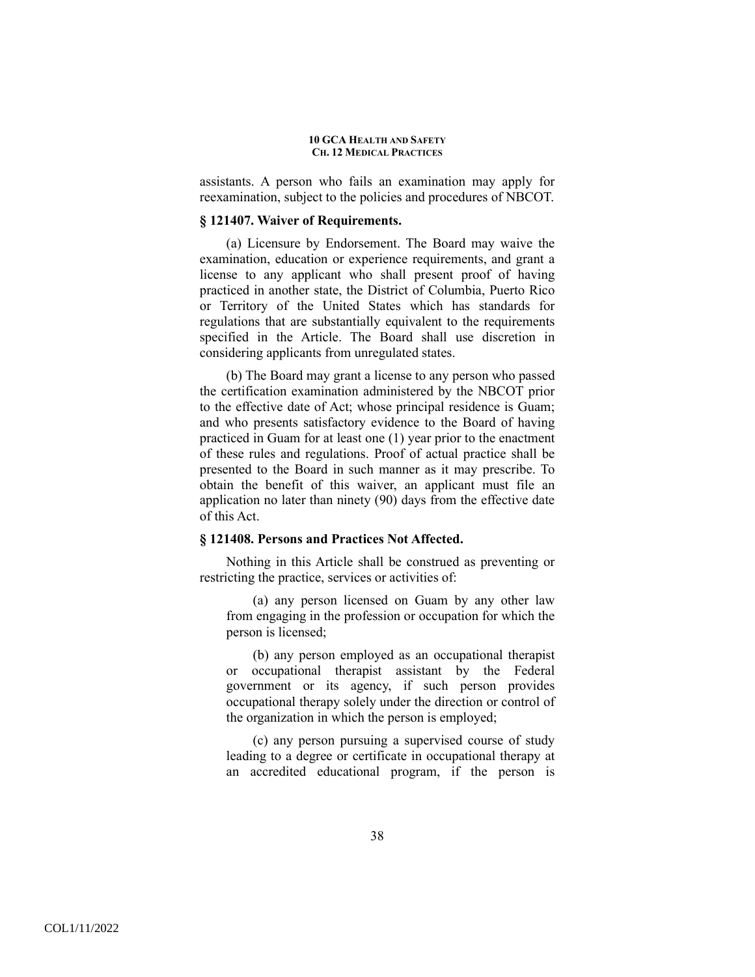assistants. A person who fails an examination may apply for reexamination, subject to the policies and procedures of NBCOT.

## **§ 121407. Waiver of Requirements.**

(a) Licensure by Endorsement. The Board may waive the examination, education or experience requirements, and grant a license to any applicant who shall present proof of having practiced in another state, the District of Columbia, Puerto Rico or Territory of the United States which has standards for regulations that are substantially equivalent to the requirements specified in the Article. The Board shall use discretion in considering applicants from unregulated states.

(b) The Board may grant a license to any person who passed the certification examination administered by the NBCOT prior to the effective date of Act; whose principal residence is Guam; and who presents satisfactory evidence to the Board of having practiced in Guam for at least one (1) year prior to the enactment of these rules and regulations. Proof of actual practice shall be presented to the Board in such manner as it may prescribe. To obtain the benefit of this waiver, an applicant must file an application no later than ninety (90) days from the effective date of this Act.

### **§ 121408. Persons and Practices Not Affected.**

 Nothing in this Article shall be construed as preventing or restricting the practice, services or activities of:

(a) any person licensed on Guam by any other law from engaging in the profession or occupation for which the person is licensed;

(b) any person employed as an occupational therapist or occupational therapist assistant by the Federal government or its agency, if such person provides occupational therapy solely under the direction or control of the organization in which the person is employed;

(c) any person pursuing a supervised course of study leading to a degree or certificate in occupational therapy at an accredited educational program, if the person is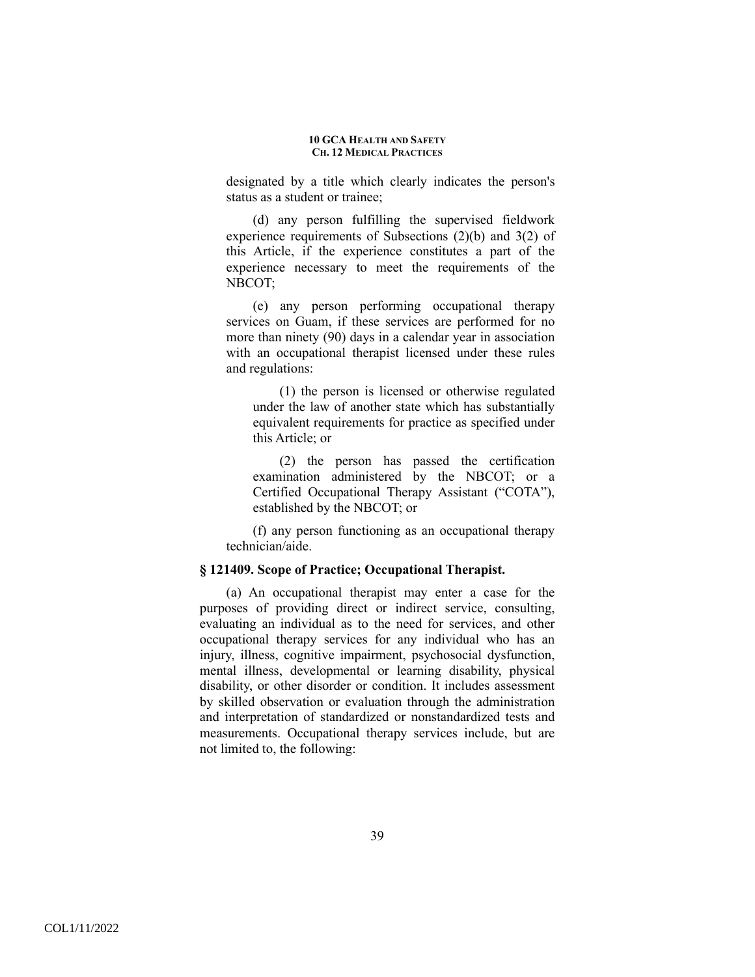designated by a title which clearly indicates the person's status as a student or trainee;

(d) any person fulfilling the supervised fieldwork experience requirements of Subsections (2)(b) and 3(2) of this Article, if the experience constitutes a part of the experience necessary to meet the requirements of the NBCOT;

(e) any person performing occupational therapy services on Guam, if these services are performed for no more than ninety (90) days in a calendar year in association with an occupational therapist licensed under these rules and regulations:

(1) the person is licensed or otherwise regulated under the law of another state which has substantially equivalent requirements for practice as specified under this Article; or

(2) the person has passed the certification examination administered by the NBCOT; or a Certified Occupational Therapy Assistant ("COTA"), established by the NBCOT; or

(f) any person functioning as an occupational therapy technician/aide.

## **§ 121409. Scope of Practice; Occupational Therapist.**

 (a) An occupational therapist may enter a case for the purposes of providing direct or indirect service, consulting, evaluating an individual as to the need for services, and other occupational therapy services for any individual who has an injury, illness, cognitive impairment, psychosocial dysfunction, mental illness, developmental or learning disability, physical disability, or other disorder or condition. It includes assessment by skilled observation or evaluation through the administration and interpretation of standardized or nonstandardized tests and measurements. Occupational therapy services include, but are not limited to, the following: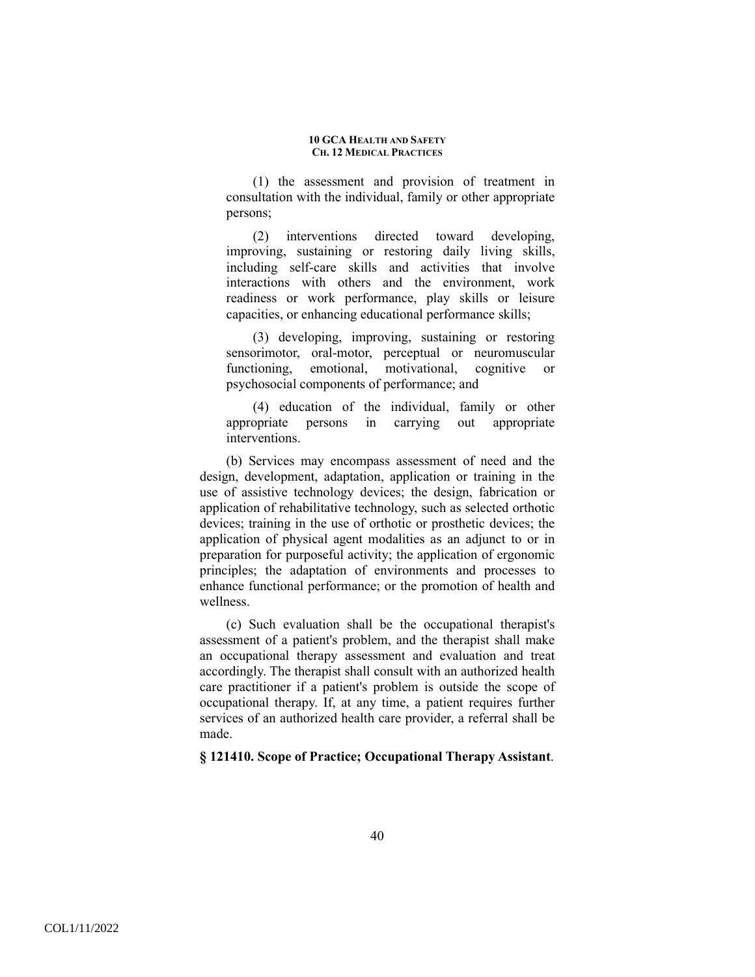(1) the assessment and provision of treatment in consultation with the individual, family or other appropriate persons;

(2) interventions directed toward developing, improving, sustaining or restoring daily living skills, including self-care skills and activities that involve interactions with others and the environment, work readiness or work performance, play skills or leisure capacities, or enhancing educational performance skills;

(3) developing, improving, sustaining or restoring sensorimotor, oral-motor, perceptual or neuromuscular functioning, emotional, motivational, cognitive or psychosocial components of performance; and

(4) education of the individual, family or other appropriate persons in carrying out appropriate interventions.

(b) Services may encompass assessment of need and the design, development, adaptation, application or training in the use of assistive technology devices; the design, fabrication or application of rehabilitative technology, such as selected orthotic devices; training in the use of orthotic or prosthetic devices; the application of physical agent modalities as an adjunct to or in preparation for purposeful activity; the application of ergonomic principles; the adaptation of environments and processes to enhance functional performance; or the promotion of health and wellness.

(c) Such evaluation shall be the occupational therapist's assessment of a patient's problem, and the therapist shall make an occupational therapy assessment and evaluation and treat accordingly. The therapist shall consult with an authorized health care practitioner if a patient's problem is outside the scope of occupational therapy. If, at any time, a patient requires further services of an authorized health care provider, a referral shall be made.

## **§ 121410. Scope of Practice; Occupational Therapy Assistant**.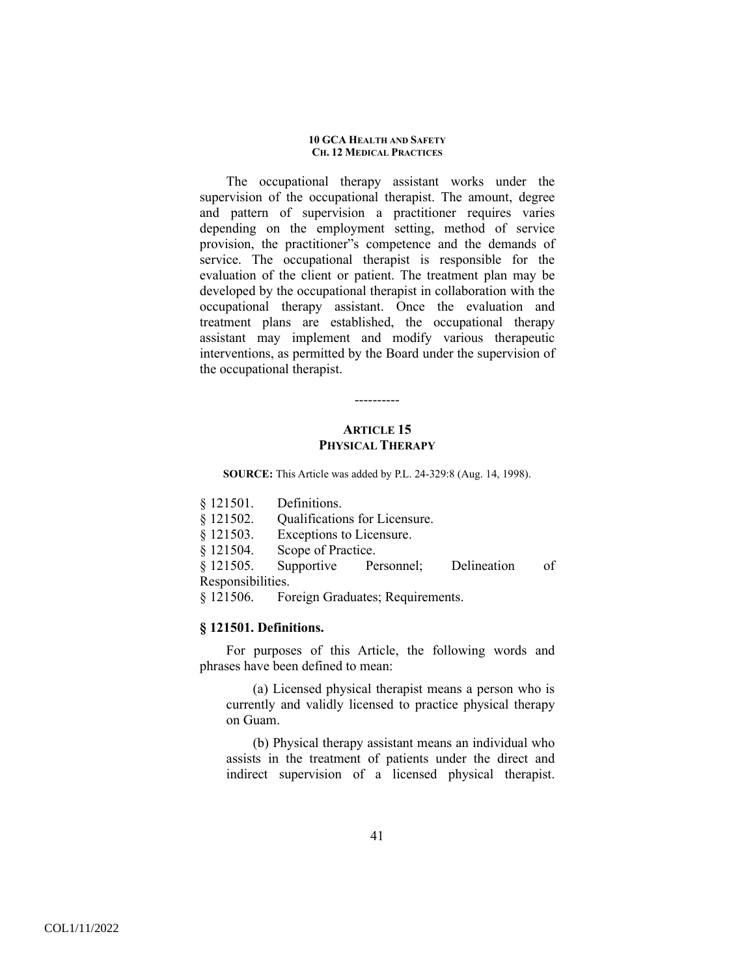The occupational therapy assistant works under the supervision of the occupational therapist. The amount, degree and pattern of supervision a practitioner requires varies depending on the employment setting, method of service provision, the practitioner"s competence and the demands of service. The occupational therapist is responsible for the evaluation of the client or patient. The treatment plan may be developed by the occupational therapist in collaboration with the occupational therapy assistant. Once the evaluation and treatment plans are established, the occupational therapy assistant may implement and modify various therapeutic interventions, as permitted by the Board under the supervision of the occupational therapist.

# **ARTICLE 15 PHYSICAL THERAPY**

----------

**SOURCE:** This Article was added by P.L. 24-329:8 (Aug. 14, 1998).

- § 121501. Definitions.
- § 121502. Qualifications for Licensure.
- § 121503. Exceptions to Licensure.

§ 121504. Scope of Practice.

§ 121505. Supportive Personnel; Delineation of Responsibilities.

§ 121506. Foreign Graduates; Requirements.

### **§ 121501. Definitions.**

 For purposes of this Article, the following words and phrases have been defined to mean:

(a) Licensed physical therapist means a person who is currently and validly licensed to practice physical therapy on Guam.

(b) Physical therapy assistant means an individual who assists in the treatment of patients under the direct and indirect supervision of a licensed physical therapist.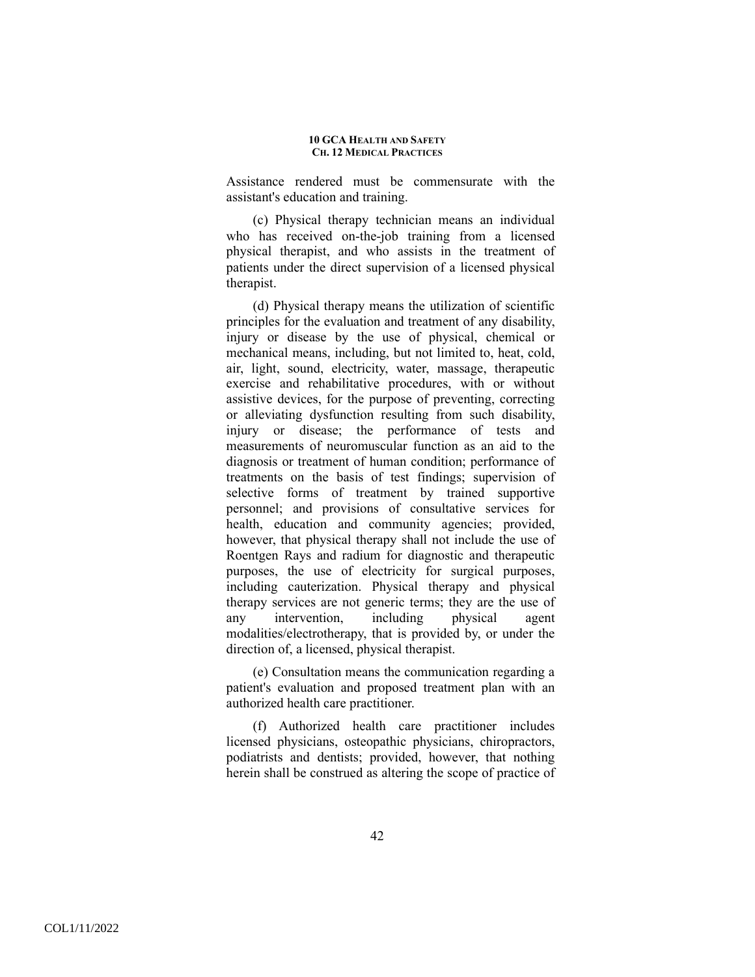Assistance rendered must be commensurate with the assistant's education and training.

(c) Physical therapy technician means an individual who has received on-the-job training from a licensed physical therapist, and who assists in the treatment of patients under the direct supervision of a licensed physical therapist.

(d) Physical therapy means the utilization of scientific principles for the evaluation and treatment of any disability, injury or disease by the use of physical, chemical or mechanical means, including, but not limited to, heat, cold, air, light, sound, electricity, water, massage, therapeutic exercise and rehabilitative procedures, with or without assistive devices, for the purpose of preventing, correcting or alleviating dysfunction resulting from such disability, injury or disease; the performance of tests and measurements of neuromuscular function as an aid to the diagnosis or treatment of human condition; performance of treatments on the basis of test findings; supervision of selective forms of treatment by trained supportive personnel; and provisions of consultative services for health, education and community agencies; provided, however, that physical therapy shall not include the use of Roentgen Rays and radium for diagnostic and therapeutic purposes, the use of electricity for surgical purposes, including cauterization. Physical therapy and physical therapy services are not generic terms; they are the use of any intervention, including physical agent any intervention, including physical agent modalities/electrotherapy, that is provided by, or under the direction of, a licensed, physical therapist.

(e) Consultation means the communication regarding a patient's evaluation and proposed treatment plan with an authorized health care practitioner.

(f) Authorized health care practitioner includes licensed physicians, osteopathic physicians, chiropractors, podiatrists and dentists; provided, however, that nothing herein shall be construed as altering the scope of practice of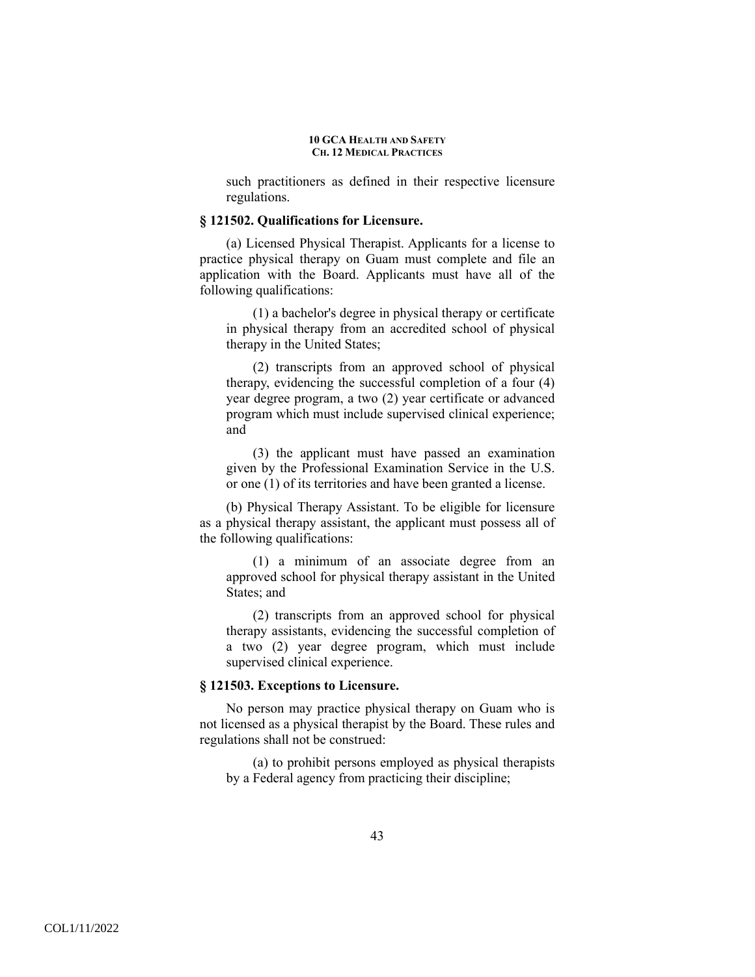such practitioners as defined in their respective licensure regulations.

### **§ 121502. Qualifications for Licensure.**

(a) Licensed Physical Therapist. Applicants for a license to practice physical therapy on Guam must complete and file an application with the Board. Applicants must have all of the following qualifications:

(1) a bachelor's degree in physical therapy or certificate in physical therapy from an accredited school of physical therapy in the United States;

(2) transcripts from an approved school of physical therapy, evidencing the successful completion of a four (4) year degree program, a two (2) year certificate or advanced program which must include supervised clinical experience; and

(3) the applicant must have passed an examination given by the Professional Examination Service in the U.S. or one (1) of its territories and have been granted a license.

(b) Physical Therapy Assistant. To be eligible for licensure as a physical therapy assistant, the applicant must possess all of the following qualifications:

(1) a minimum of an associate degree from an approved school for physical therapy assistant in the United States; and

(2) transcripts from an approved school for physical therapy assistants, evidencing the successful completion of a two (2) year degree program, which must include supervised clinical experience.

### **§ 121503. Exceptions to Licensure.**

No person may practice physical therapy on Guam who is not licensed as a physical therapist by the Board. These rules and regulations shall not be construed:

(a) to prohibit persons employed as physical therapists by a Federal agency from practicing their discipline;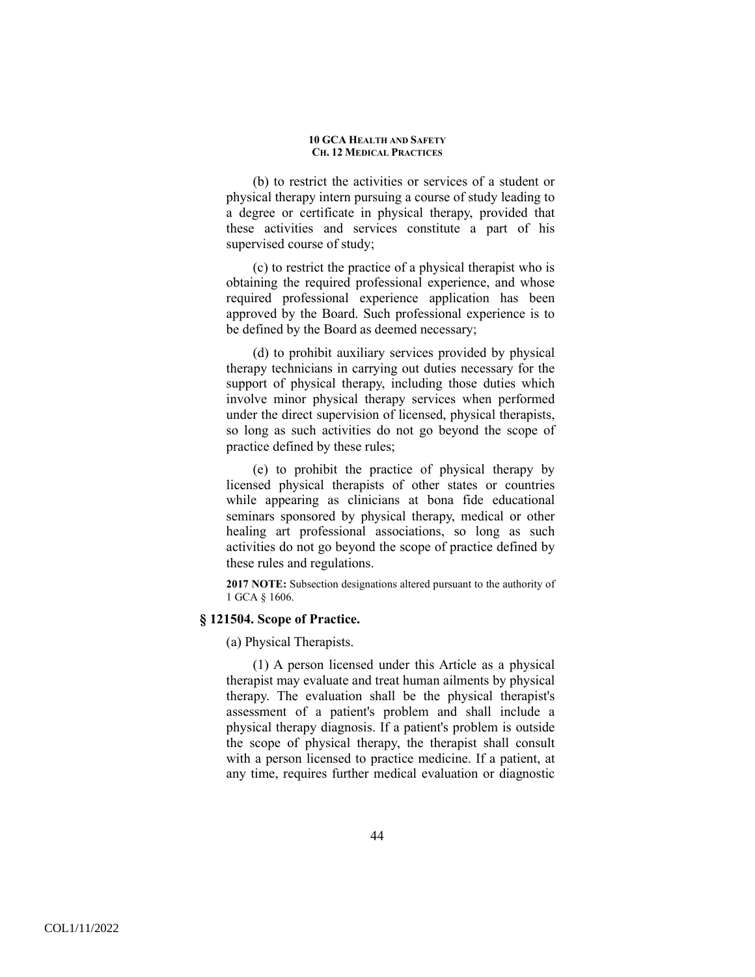(b) to restrict the activities or services of a student or physical therapy intern pursuing a course of study leading to a degree or certificate in physical therapy, provided that these activities and services constitute a part of his supervised course of study;

(c) to restrict the practice of a physical therapist who is obtaining the required professional experience, and whose required professional experience application has been approved by the Board. Such professional experience is to be defined by the Board as deemed necessary;

(d) to prohibit auxiliary services provided by physical therapy technicians in carrying out duties necessary for the support of physical therapy, including those duties which involve minor physical therapy services when performed under the direct supervision of licensed, physical therapists, so long as such activities do not go beyond the scope of practice defined by these rules;

(e) to prohibit the practice of physical therapy by licensed physical therapists of other states or countries while appearing as clinicians at bona fide educational seminars sponsored by physical therapy, medical or other healing art professional associations, so long as such activities do not go beyond the scope of practice defined by these rules and regulations.

**2017 NOTE:** Subsection designations altered pursuant to the authority of 1 GCA § 1606.

## **§ 121504. Scope of Practice.**

(a) Physical Therapists.

(1) A person licensed under this Article as a physical therapist may evaluate and treat human ailments by physical therapy. The evaluation shall be the physical therapist's assessment of a patient's problem and shall include a physical therapy diagnosis. If a patient's problem is outside the scope of physical therapy, the therapist shall consult with a person licensed to practice medicine. If a patient, at any time, requires further medical evaluation or diagnostic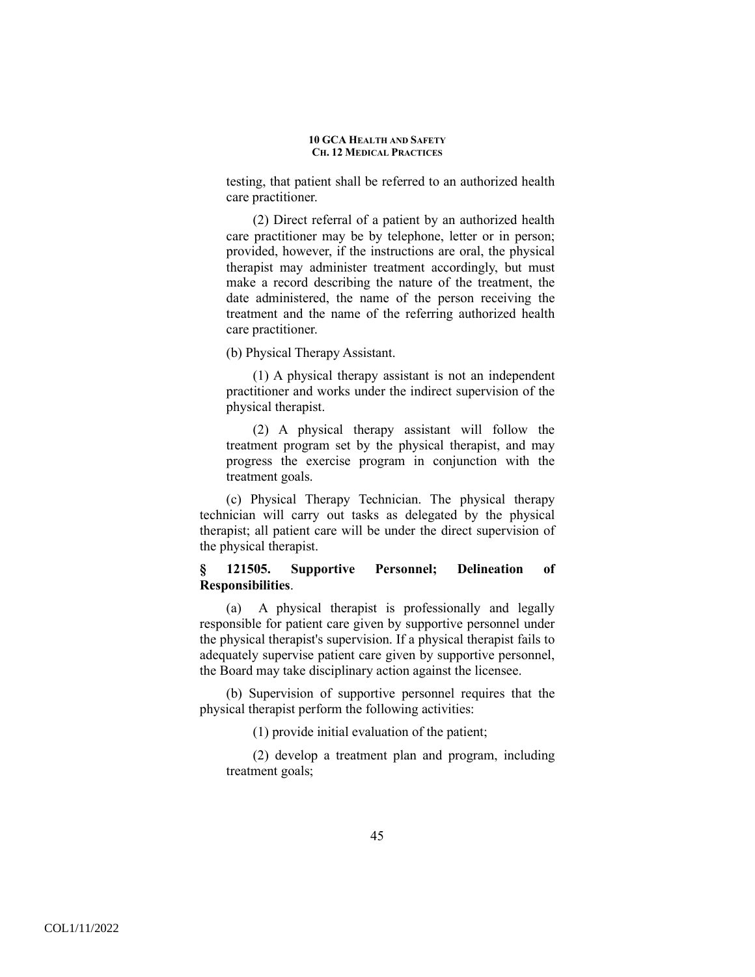testing, that patient shall be referred to an authorized health care practitioner.

(2) Direct referral of a patient by an authorized health care practitioner may be by telephone, letter or in person; provided, however, if the instructions are oral, the physical therapist may administer treatment accordingly, but must make a record describing the nature of the treatment, the date administered, the name of the person receiving the treatment and the name of the referring authorized health care practitioner.

(b) Physical Therapy Assistant.

(1) A physical therapy assistant is not an independent practitioner and works under the indirect supervision of the physical therapist.

(2) A physical therapy assistant will follow the treatment program set by the physical therapist, and may progress the exercise program in conjunction with the treatment goals.

(c) Physical Therapy Technician. The physical therapy technician will carry out tasks as delegated by the physical therapist; all patient care will be under the direct supervision of the physical therapist.

# **§ 121505. Supportive Personnel; Delineation of Responsibilities**.

(a) A physical therapist is professionally and legally responsible for patient care given by supportive personnel under the physical therapist's supervision. If a physical therapist fails to adequately supervise patient care given by supportive personnel, the Board may take disciplinary action against the licensee.

(b) Supervision of supportive personnel requires that the physical therapist perform the following activities:

(1) provide initial evaluation of the patient;

(2) develop a treatment plan and program, including treatment goals;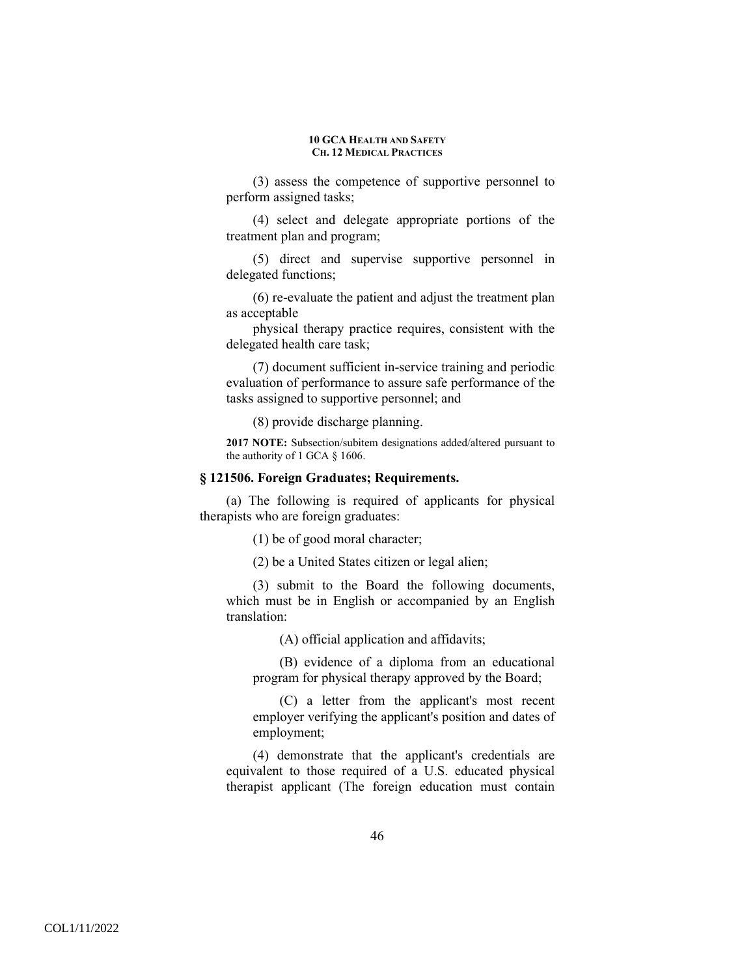(3) assess the competence of supportive personnel to perform assigned tasks;

(4) select and delegate appropriate portions of the treatment plan and program;

(5) direct and supervise supportive personnel in delegated functions;

(6) re-evaluate the patient and adjust the treatment plan as acceptable

physical therapy practice requires, consistent with the delegated health care task;

(7) document sufficient in-service training and periodic evaluation of performance to assure safe performance of the tasks assigned to supportive personnel; and

(8) provide discharge planning.

**2017 NOTE:** Subsection/subitem designations added/altered pursuant to the authority of 1 GCA § 1606.

## **§ 121506. Foreign Graduates; Requirements.**

(a) The following is required of applicants for physical therapists who are foreign graduates:

(1) be of good moral character;

(2) be a United States citizen or legal alien;

(3) submit to the Board the following documents, which must be in English or accompanied by an English translation:

(A) official application and affidavits;

(B) evidence of a diploma from an educational program for physical therapy approved by the Board;

(C) a letter from the applicant's most recent employer verifying the applicant's position and dates of employment;

(4) demonstrate that the applicant's credentials are equivalent to those required of a U.S. educated physical therapist applicant (The foreign education must contain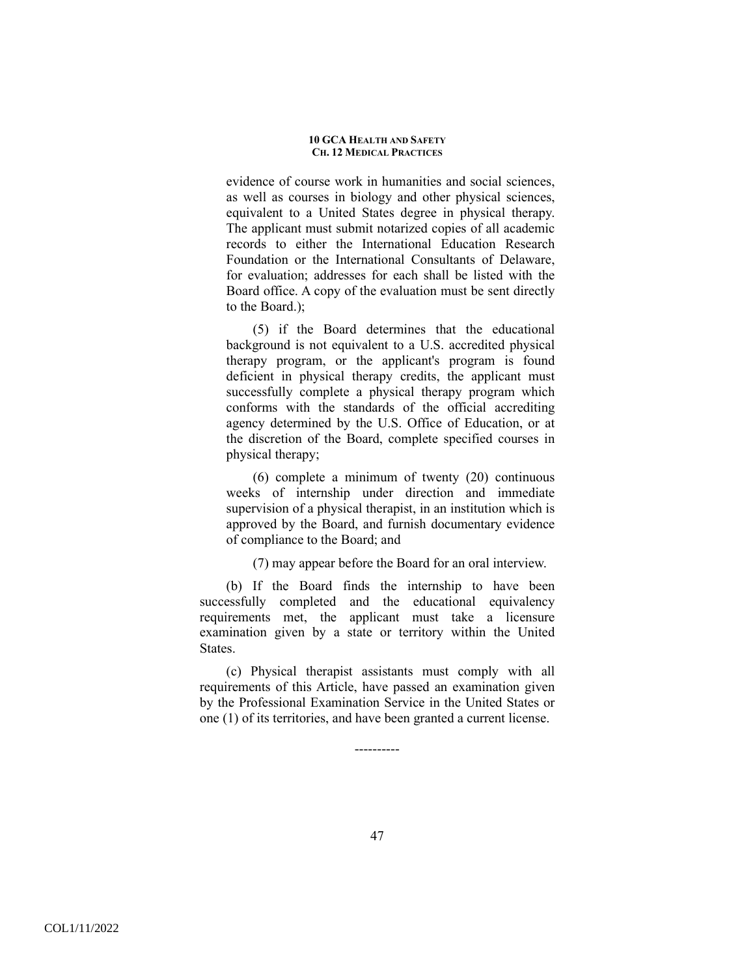evidence of course work in humanities and social sciences, as well as courses in biology and other physical sciences, equivalent to a United States degree in physical therapy. The applicant must submit notarized copies of all academic records to either the International Education Research Foundation or the International Consultants of Delaware, for evaluation; addresses for each shall be listed with the Board office. A copy of the evaluation must be sent directly to the Board.);

(5) if the Board determines that the educational background is not equivalent to a U.S. accredited physical therapy program, or the applicant's program is found deficient in physical therapy credits, the applicant must successfully complete a physical therapy program which conforms with the standards of the official accrediting agency determined by the U.S. Office of Education, or at the discretion of the Board, complete specified courses in physical therapy;

(6) complete a minimum of twenty (20) continuous weeks of internship under direction and immediate supervision of a physical therapist, in an institution which is approved by the Board, and furnish documentary evidence of compliance to the Board; and

(7) may appear before the Board for an oral interview.

(b) If the Board finds the internship to have been successfully completed and the educational equivalency requirements met, the applicant must take a licensure examination given by a state or territory within the United States.

(c) Physical therapist assistants must comply with all requirements of this Article, have passed an examination given by the Professional Examination Service in the United States or one (1) of its territories, and have been granted a current license.

----------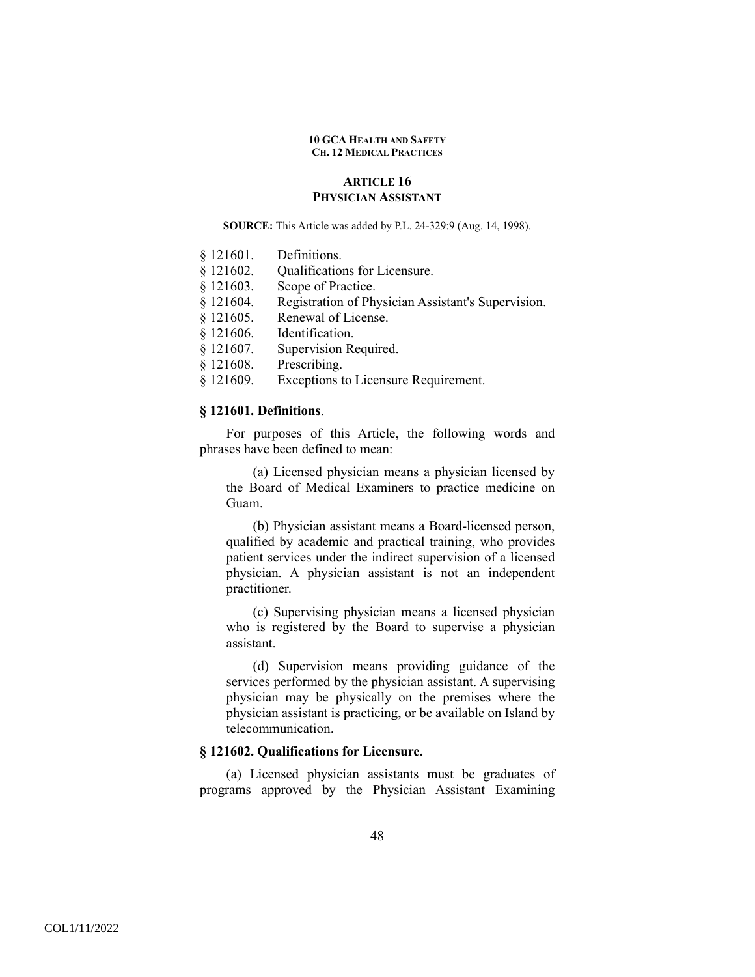## **ARTICLE 16 PHYSICIAN ASSISTANT**

**SOURCE:** This Article was added by P.L. 24-329:9 (Aug. 14, 1998).

- § 121602. Qualifications for Licensure.
- § 121603. Scope of Practice.
- § 121604. Registration of Physician Assistant's Supervision.
- § 121605. Renewal of License.
- § 121606. Identification.
- § 121607. Supervision Required.
- § 121608. Prescribing.
- § 121609. Exceptions to Licensure Requirement.

## **§ 121601. Definitions**.

 For purposes of this Article, the following words and phrases have been defined to mean:

(a) Licensed physician means a physician licensed by the Board of Medical Examiners to practice medicine on Guam.

(b) Physician assistant means a Board-licensed person, qualified by academic and practical training, who provides patient services under the indirect supervision of a licensed physician. A physician assistant is not an independent practitioner.

(c) Supervising physician means a licensed physician who is registered by the Board to supervise a physician assistant.

(d) Supervision means providing guidance of the services performed by the physician assistant. A supervising physician may be physically on the premises where the physician assistant is practicing, or be available on Island by telecommunication.

## **§ 121602. Qualifications for Licensure.**

 (a) Licensed physician assistants must be graduates of programs approved by the Physician Assistant Examining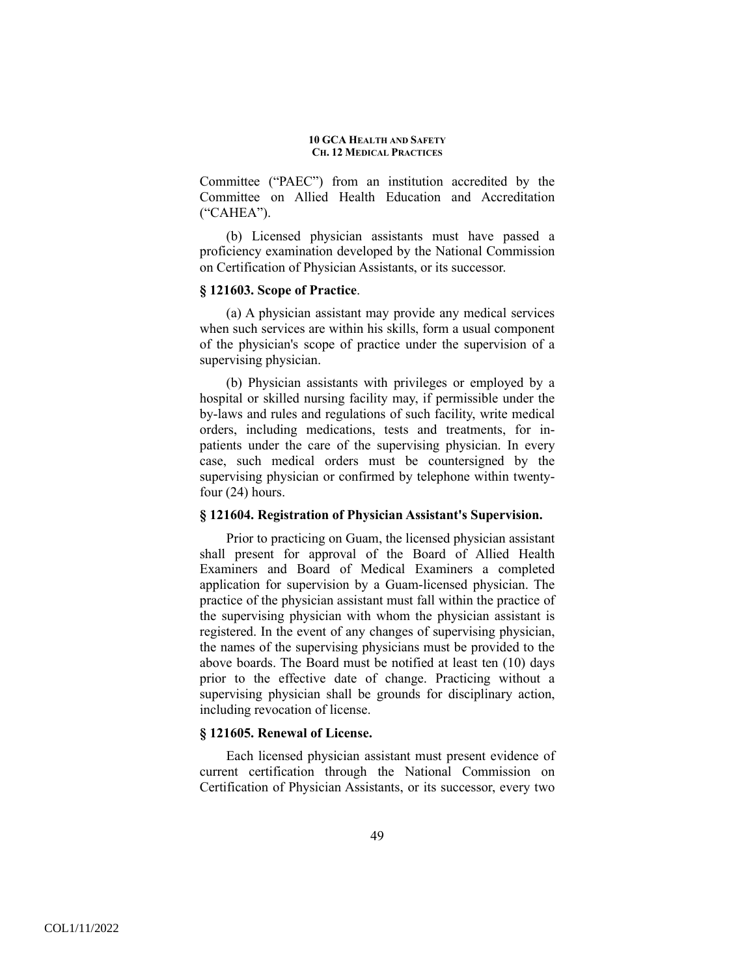Committee ("PAEC") from an institution accredited by the Committee on Allied Health Education and Accreditation ("CAHEA").

(b) Licensed physician assistants must have passed a proficiency examination developed by the National Commission on Certification of Physician Assistants, or its successor.

## **§ 121603. Scope of Practice**.

(a) A physician assistant may provide any medical services when such services are within his skills, form a usual component of the physician's scope of practice under the supervision of a supervising physician.

(b) Physician assistants with privileges or employed by a hospital or skilled nursing facility may, if permissible under the by-laws and rules and regulations of such facility, write medical orders, including medications, tests and treatments, for inpatients under the care of the supervising physician. In every case, such medical orders must be countersigned by the supervising physician or confirmed by telephone within twentyfour (24) hours.

## **§ 121604. Registration of Physician Assistant's Supervision.**

Prior to practicing on Guam, the licensed physician assistant shall present for approval of the Board of Allied Health Examiners and Board of Medical Examiners a completed application for supervision by a Guam-licensed physician. The practice of the physician assistant must fall within the practice of the supervising physician with whom the physician assistant is registered. In the event of any changes of supervising physician, the names of the supervising physicians must be provided to the above boards. The Board must be notified at least ten (10) days prior to the effective date of change. Practicing without a supervising physician shall be grounds for disciplinary action, including revocation of license.

### **§ 121605. Renewal of License.**

Each licensed physician assistant must present evidence of current certification through the National Commission on Certification of Physician Assistants, or its successor, every two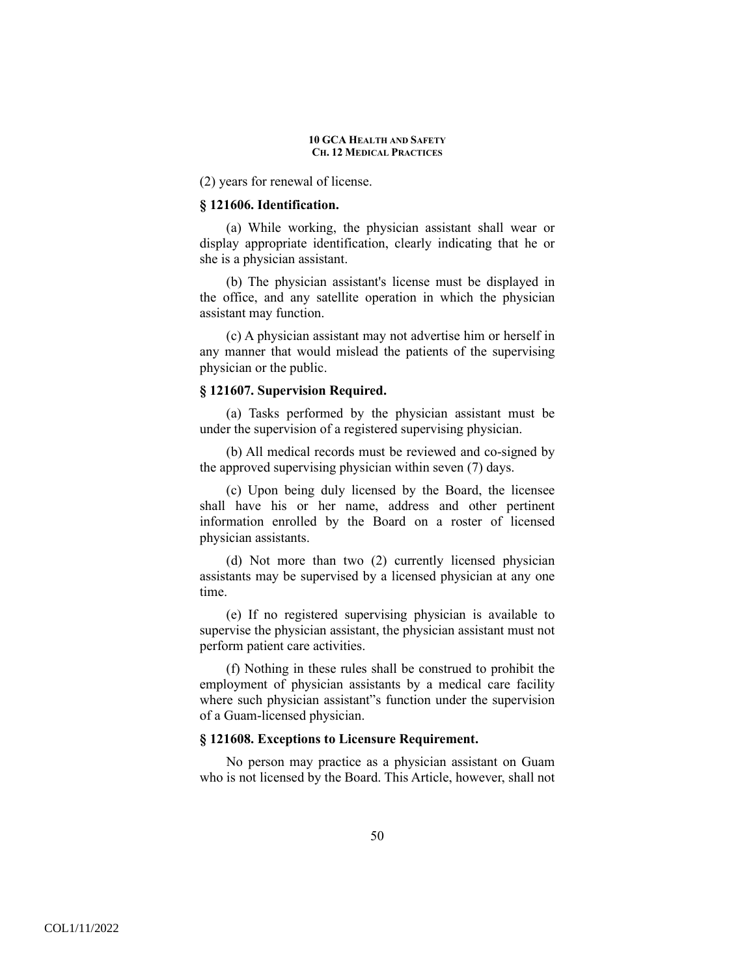(2) years for renewal of license.

### **§ 121606. Identification.**

(a) While working, the physician assistant shall wear or display appropriate identification, clearly indicating that he or she is a physician assistant.

(b) The physician assistant's license must be displayed in the office, and any satellite operation in which the physician assistant may function.

(c) A physician assistant may not advertise him or herself in any manner that would mislead the patients of the supervising physician or the public.

### **§ 121607. Supervision Required.**

(a) Tasks performed by the physician assistant must be under the supervision of a registered supervising physician.

(b) All medical records must be reviewed and co-signed by the approved supervising physician within seven (7) days.

(c) Upon being duly licensed by the Board, the licensee shall have his or her name, address and other pertinent information enrolled by the Board on a roster of licensed physician assistants.

(d) Not more than two (2) currently licensed physician assistants may be supervised by a licensed physician at any one time.

(e) If no registered supervising physician is available to supervise the physician assistant, the physician assistant must not perform patient care activities.

(f) Nothing in these rules shall be construed to prohibit the employment of physician assistants by a medical care facility where such physician assistant"s function under the supervision of a Guam-licensed physician.

## **§ 121608. Exceptions to Licensure Requirement.**

No person may practice as a physician assistant on Guam who is not licensed by the Board. This Article, however, shall not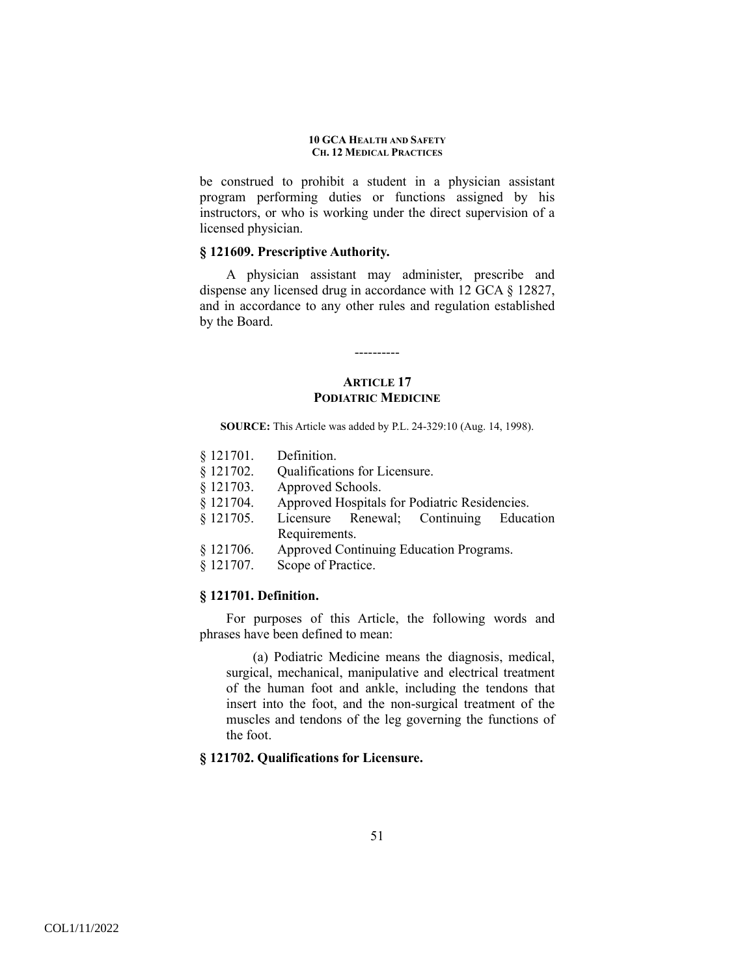be construed to prohibit a student in a physician assistant program performing duties or functions assigned by his instructors, or who is working under the direct supervision of a licensed physician.

# **§ 121609. Prescriptive Authority.**

A physician assistant may administer, prescribe and dispense any licensed drug in accordance with 12 GCA § 12827, and in accordance to any other rules and regulation established by the Board.

## **ARTICLE 17 PODIATRIC MEDICINE**

----------

**SOURCE:** This Article was added by P.L. 24-329:10 (Aug. 14, 1998).

- § 121701. Definition.
- § 121702. Qualifications for Licensure.
- § 121703. Approved Schools.
- § 121704. Approved Hospitals for Podiatric Residencies.
- § 121705. Licensure Renewal; Continuing Education Requirements.
- § 121706. Approved Continuing Education Programs.
- § 121707. Scope of Practice.

### **§ 121701. Definition.**

 For purposes of this Article, the following words and phrases have been defined to mean:

(a) Podiatric Medicine means the diagnosis, medical, surgical, mechanical, manipulative and electrical treatment of the human foot and ankle, including the tendons that insert into the foot, and the non-surgical treatment of the muscles and tendons of the leg governing the functions of the foot.

### **§ 121702. Qualifications for Licensure.**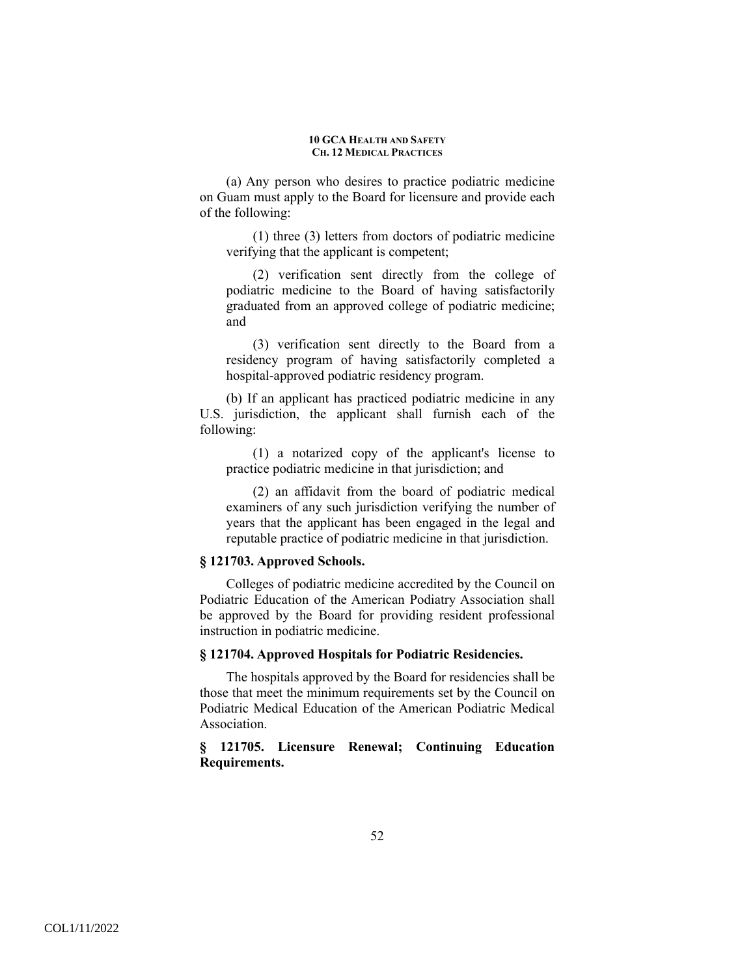(a) Any person who desires to practice podiatric medicine on Guam must apply to the Board for licensure and provide each of the following:

(1) three (3) letters from doctors of podiatric medicine verifying that the applicant is competent;

(2) verification sent directly from the college of podiatric medicine to the Board of having satisfactorily graduated from an approved college of podiatric medicine; and

(3) verification sent directly to the Board from a residency program of having satisfactorily completed a hospital-approved podiatric residency program.

(b) If an applicant has practiced podiatric medicine in any U.S. jurisdiction, the applicant shall furnish each of the following:

(1) a notarized copy of the applicant's license to practice podiatric medicine in that jurisdiction; and

(2) an affidavit from the board of podiatric medical examiners of any such jurisdiction verifying the number of years that the applicant has been engaged in the legal and reputable practice of podiatric medicine in that jurisdiction.

## **§ 121703. Approved Schools.**

 Colleges of podiatric medicine accredited by the Council on Podiatric Education of the American Podiatry Association shall be approved by the Board for providing resident professional instruction in podiatric medicine.

### **§ 121704. Approved Hospitals for Podiatric Residencies.**

 The hospitals approved by the Board for residencies shall be those that meet the minimum requirements set by the Council on Podiatric Medical Education of the American Podiatric Medical **Association** 

# **§ 121705. Licensure Renewal; Continuing Education Requirements.**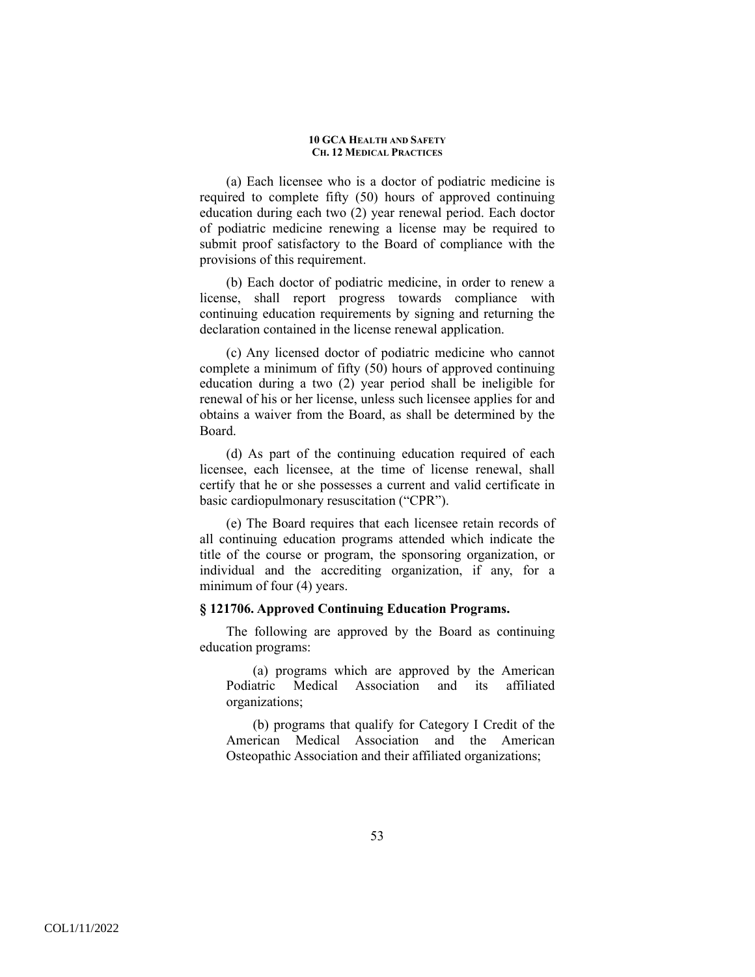(a) Each licensee who is a doctor of podiatric medicine is required to complete fifty (50) hours of approved continuing education during each two (2) year renewal period. Each doctor of podiatric medicine renewing a license may be required to submit proof satisfactory to the Board of compliance with the provisions of this requirement.

(b) Each doctor of podiatric medicine, in order to renew a license, shall report progress towards compliance with continuing education requirements by signing and returning the declaration contained in the license renewal application.

(c) Any licensed doctor of podiatric medicine who cannot complete a minimum of fifty (50) hours of approved continuing education during a two (2) year period shall be ineligible for renewal of his or her license, unless such licensee applies for and obtains a waiver from the Board, as shall be determined by the Board.

(d) As part of the continuing education required of each licensee, each licensee, at the time of license renewal, shall certify that he or she possesses a current and valid certificate in basic cardiopulmonary resuscitation ("CPR").

(e) The Board requires that each licensee retain records of all continuing education programs attended which indicate the title of the course or program, the sponsoring organization, or individual and the accrediting organization, if any, for a minimum of four (4) years.

## **§ 121706. Approved Continuing Education Programs.**

 The following are approved by the Board as continuing education programs:

(a) programs which are approved by the American Podiatric Medical Association and its affiliated organizations;

(b) programs that qualify for Category I Credit of the American Medical Association and the American Osteopathic Association and their affiliated organizations;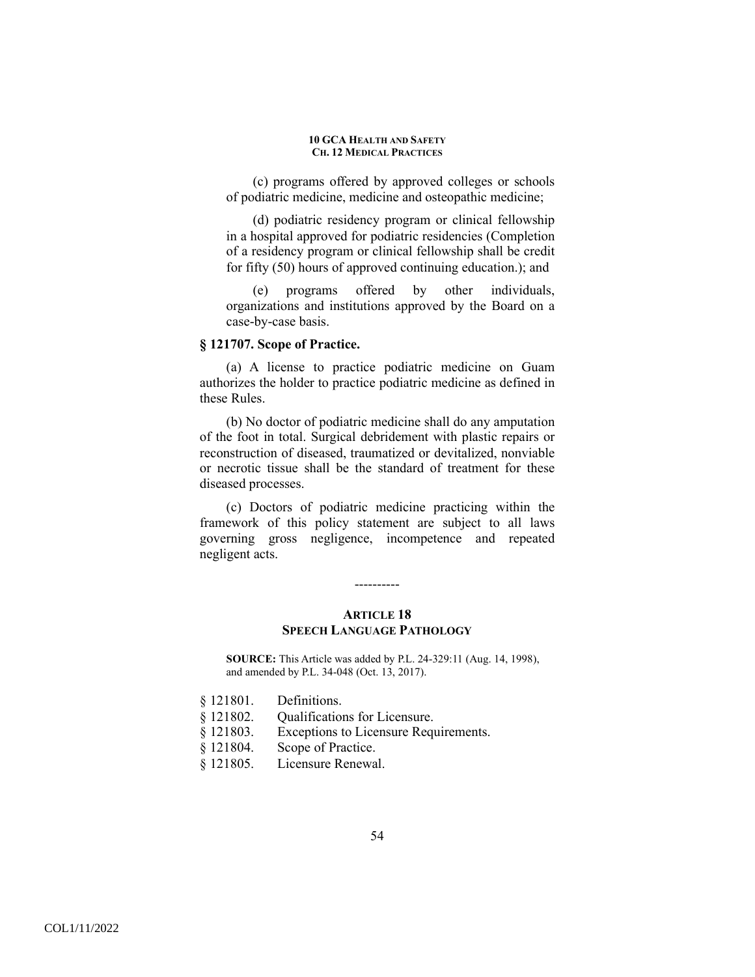(c) programs offered by approved colleges or schools of podiatric medicine, medicine and osteopathic medicine;

(d) podiatric residency program or clinical fellowship in a hospital approved for podiatric residencies (Completion of a residency program or clinical fellowship shall be credit for fifty (50) hours of approved continuing education.); and

(e) programs offered by other individuals, organizations and institutions approved by the Board on a case-by-case basis.

## **§ 121707. Scope of Practice.**

 (a) A license to practice podiatric medicine on Guam authorizes the holder to practice podiatric medicine as defined in these Rules.

(b) No doctor of podiatric medicine shall do any amputation of the foot in total. Surgical debridement with plastic repairs or reconstruction of diseased, traumatized or devitalized, nonviable or necrotic tissue shall be the standard of treatment for these diseased processes.

(c) Doctors of podiatric medicine practicing within the framework of this policy statement are subject to all laws governing gross negligence, incompetence and repeated negligent acts.

### ----------

## **ARTICLE 18 SPEECH LANGUAGE PATHOLOGY**

**SOURCE:** This Article was added by P.L. 24-329:11 (Aug. 14, 1998), and amended by P.L. 34-048 (Oct. 13, 2017).

- § 121801. Definitions.
- § 121802. Qualifications for Licensure.
- § 121803. Exceptions to Licensure Requirements.
- § 121804. Scope of Practice.
- § 121805. Licensure Renewal.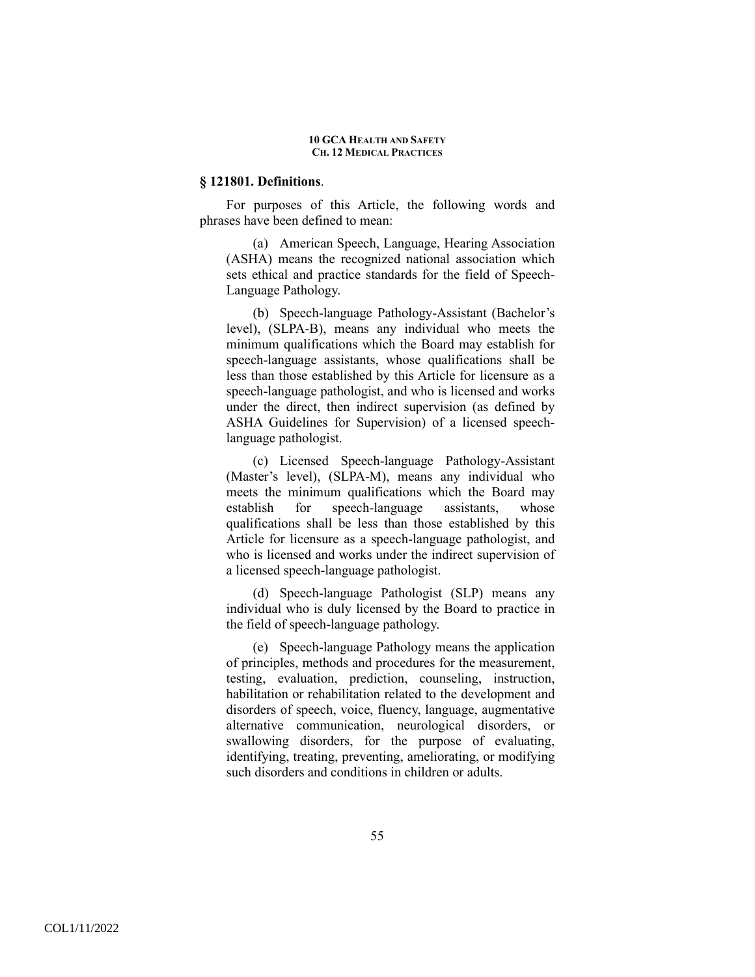## **§ 121801. Definitions**.

For purposes of this Article, the following words and phrases have been defined to mean:

(a) American Speech, Language, Hearing Association (ASHA) means the recognized national association which sets ethical and practice standards for the field of Speech-Language Pathology.

(b) Speech-language Pathology-Assistant (Bachelor's level), (SLPA-B), means any individual who meets the minimum qualifications which the Board may establish for speech-language assistants, whose qualifications shall be less than those established by this Article for licensure as a speech-language pathologist, and who is licensed and works under the direct, then indirect supervision (as defined by ASHA Guidelines for Supervision) of a licensed speechlanguage pathologist.

(c) Licensed Speech-language Pathology-Assistant (Master's level), (SLPA-M), means any individual who meets the minimum qualifications which the Board may establish for speech-language assistants, whose qualifications shall be less than those established by this Article for licensure as a speech-language pathologist, and who is licensed and works under the indirect supervision of a licensed speech-language pathologist.

(d) Speech-language Pathologist (SLP) means any individual who is duly licensed by the Board to practice in the field of speech-language pathology.

(e) Speech-language Pathology means the application of principles, methods and procedures for the measurement, testing, evaluation, prediction, counseling, instruction, habilitation or rehabilitation related to the development and disorders of speech, voice, fluency, language, augmentative alternative communication, neurological disorders, or swallowing disorders, for the purpose of evaluating, identifying, treating, preventing, ameliorating, or modifying such disorders and conditions in children or adults.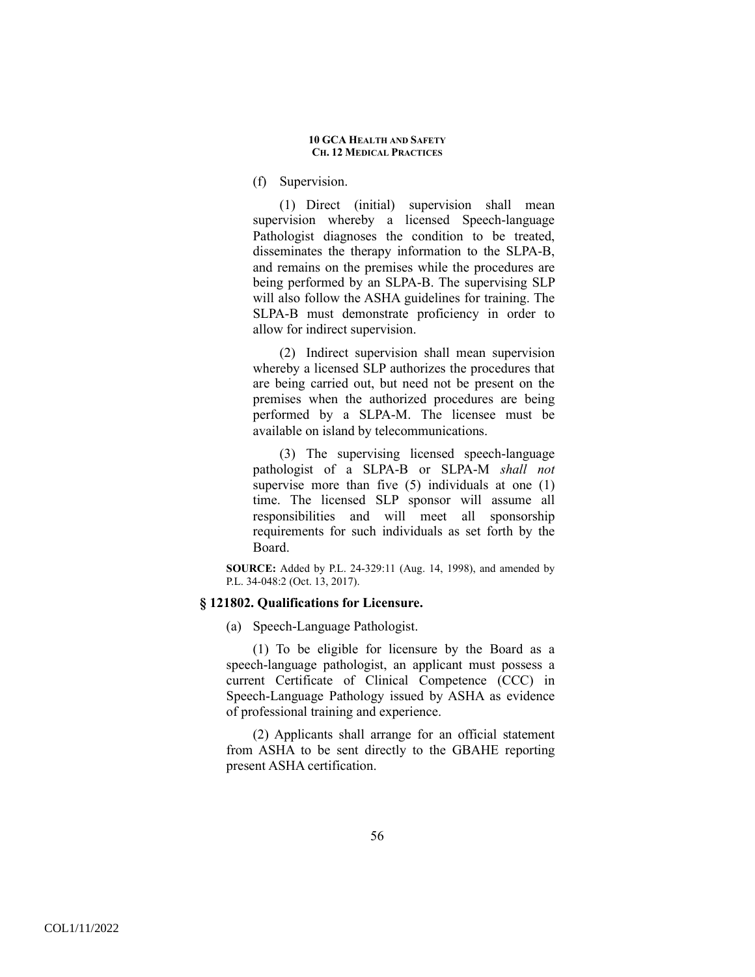(f) Supervision.

(1) Direct (initial) supervision shall mean supervision whereby a licensed Speech-language Pathologist diagnoses the condition to be treated, disseminates the therapy information to the SLPA-B, and remains on the premises while the procedures are being performed by an SLPA-B. The supervising SLP will also follow the ASHA guidelines for training. The SLPA-B must demonstrate proficiency in order to allow for indirect supervision.

(2) Indirect supervision shall mean supervision whereby a licensed SLP authorizes the procedures that are being carried out, but need not be present on the premises when the authorized procedures are being performed by a SLPA-M. The licensee must be available on island by telecommunications.

(3) The supervising licensed speech-language pathologist of a SLPA-B or SLPA-M *shall not*  supervise more than five (5) individuals at one (1) time. The licensed SLP sponsor will assume all responsibilities and will meet all sponsorship requirements for such individuals as set forth by the Board.

**SOURCE:** Added by P.L. 24-329:11 (Aug. 14, 1998), and amended by P.L. 34-048:2 (Oct. 13, 2017).

## **§ 121802. Qualifications for Licensure.**

(a) Speech-Language Pathologist.

(1) To be eligible for licensure by the Board as a speech-language pathologist, an applicant must possess a current Certificate of Clinical Competence (CCC) in Speech-Language Pathology issued by ASHA as evidence of professional training and experience.

(2) Applicants shall arrange for an official statement from ASHA to be sent directly to the GBAHE reporting present ASHA certification.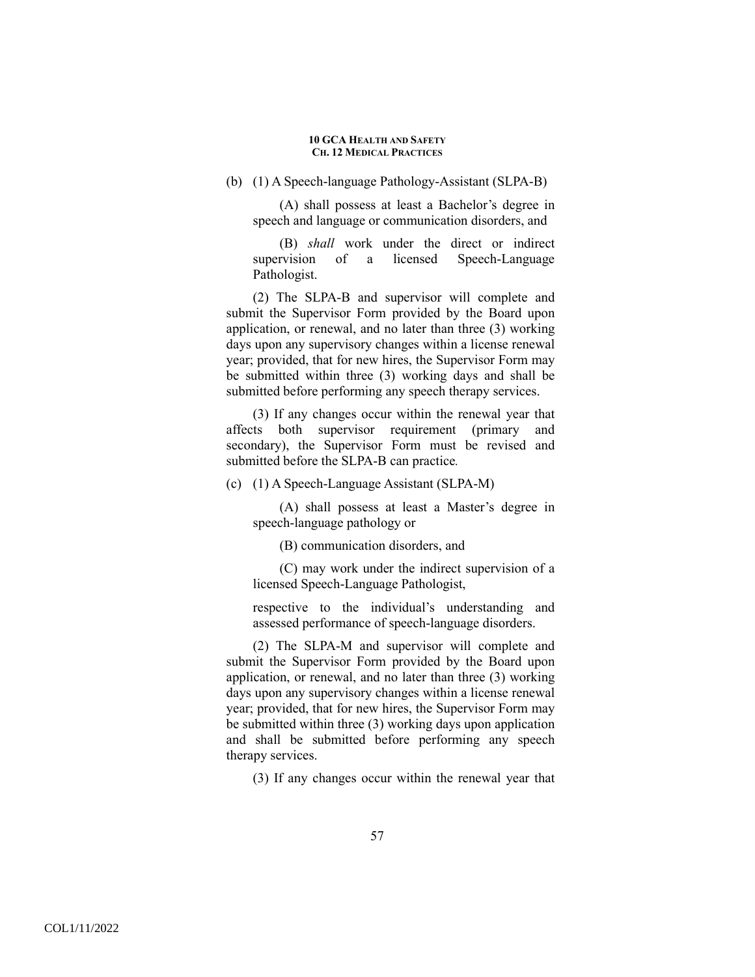## (b) (1) A Speech-language Pathology-Assistant (SLPA-B)

(A) shall possess at least a Bachelor's degree in speech and language or communication disorders, and

(B) *shall* work under the direct or indirect supervision of a licensed Speech-Language Pathologist.

(2) The SLPA-B and supervisor will complete and submit the Supervisor Form provided by the Board upon application, or renewal, and no later than three (3) working days upon any supervisory changes within a license renewal year; provided, that for new hires, the Supervisor Form may be submitted within three (3) working days and shall be submitted before performing any speech therapy services.

(3) If any changes occur within the renewal year that affects both supervisor requirement (primary and secondary), the Supervisor Form must be revised and submitted before the SLPA-B can practice*.*

(c) (1) A Speech-Language Assistant (SLPA-M)

(A) shall possess at least a Master's degree in speech-language pathology or

(B) communication disorders, and

(C) may work under the indirect supervision of a licensed Speech-Language Pathologist,

respective to the individual's understanding and assessed performance of speech-language disorders.

(2) The SLPA-M and supervisor will complete and submit the Supervisor Form provided by the Board upon application, or renewal, and no later than three (3) working days upon any supervisory changes within a license renewal year; provided, that for new hires, the Supervisor Form may be submitted within three (3) working days upon application and shall be submitted before performing any speech therapy services.

(3) If any changes occur within the renewal year that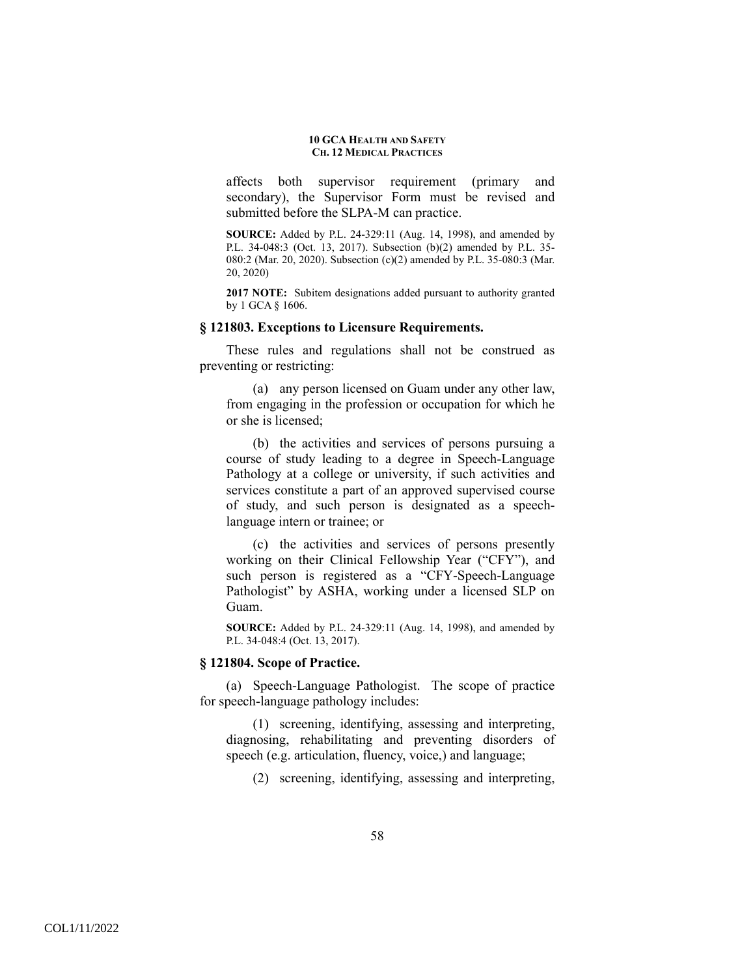affects both supervisor requirement (primary and secondary), the Supervisor Form must be revised and submitted before the SLPA-M can practice.

**SOURCE:** Added by P.L. 24-329:11 (Aug. 14, 1998), and amended by P.L. 34-048:3 (Oct. 13, 2017). Subsection (b)(2) amended by P.L. 35- 080:2 (Mar. 20, 2020). Subsection (c)(2) amended by P.L. 35-080:3 (Mar. 20, 2020)

**2017 NOTE:** Subitem designations added pursuant to authority granted by 1 GCA § 1606.

### **§ 121803. Exceptions to Licensure Requirements.**

These rules and regulations shall not be construed as preventing or restricting:

(a) any person licensed on Guam under any other law, from engaging in the profession or occupation for which he or she is licensed;

(b) the activities and services of persons pursuing a course of study leading to a degree in Speech-Language Pathology at a college or university, if such activities and services constitute a part of an approved supervised course of study, and such person is designated as a speechlanguage intern or trainee; or

(c) the activities and services of persons presently working on their Clinical Fellowship Year ("CFY"), and such person is registered as a "CFY-Speech-Language Pathologist" by ASHA, working under a licensed SLP on Guam.

**SOURCE:** Added by P.L. 24-329:11 (Aug. 14, 1998), and amended by P.L. 34-048:4 (Oct. 13, 2017).

### **§ 121804. Scope of Practice.**

(a) Speech-Language Pathologist. The scope of practice for speech-language pathology includes:

(1) screening, identifying, assessing and interpreting, diagnosing, rehabilitating and preventing disorders of speech (e.g. articulation, fluency, voice,) and language;

(2) screening, identifying, assessing and interpreting,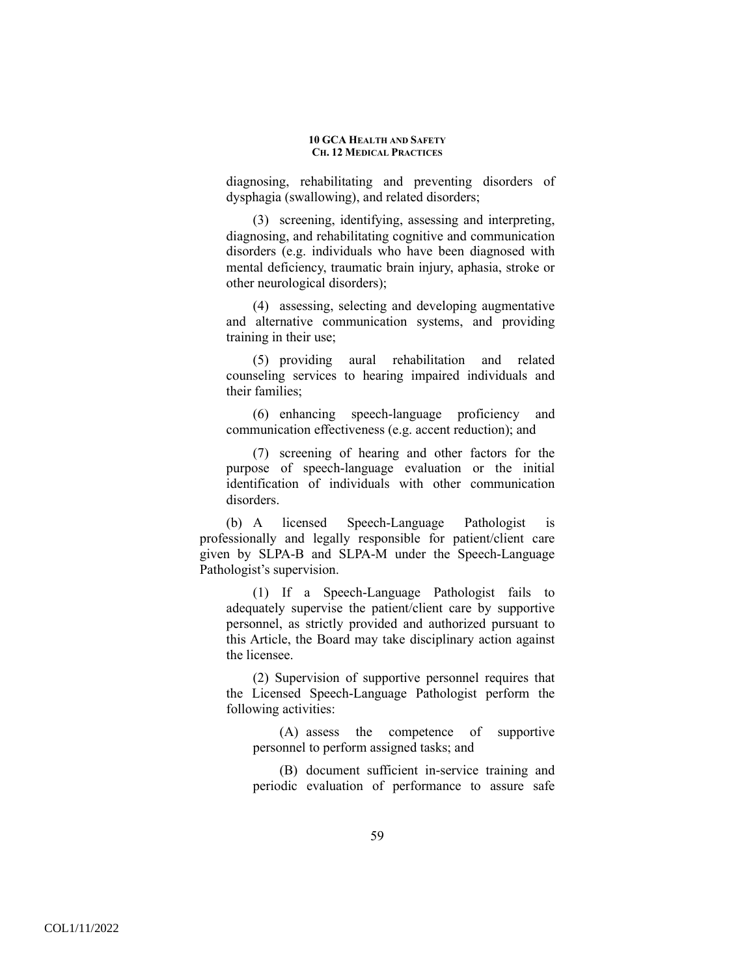diagnosing, rehabilitating and preventing disorders of dysphagia (swallowing), and related disorders;

(3) screening, identifying, assessing and interpreting, diagnosing, and rehabilitating cognitive and communication disorders (e.g. individuals who have been diagnosed with mental deficiency, traumatic brain injury, aphasia, stroke or other neurological disorders);

(4) assessing, selecting and developing augmentative and alternative communication systems, and providing training in their use;

(5) providing aural rehabilitation and related counseling services to hearing impaired individuals and their families;

(6) enhancing speech-language proficiency and communication effectiveness (e.g. accent reduction); and

(7) screening of hearing and other factors for the purpose of speech-language evaluation or the initial identification of individuals with other communication disorders.

(b) A licensed Speech-Language Pathologist is professionally and legally responsible for patient/client care given by SLPA-B and SLPA-M under the Speech-Language Pathologist's supervision.

(1) If a Speech-Language Pathologist fails to adequately supervise the patient/client care by supportive personnel, as strictly provided and authorized pursuant to this Article, the Board may take disciplinary action against the licensee.

(2) Supervision of supportive personnel requires that the Licensed Speech-Language Pathologist perform the following activities:

(A) assess the competence of supportive personnel to perform assigned tasks; and

(B) document sufficient in-service training and periodic evaluation of performance to assure safe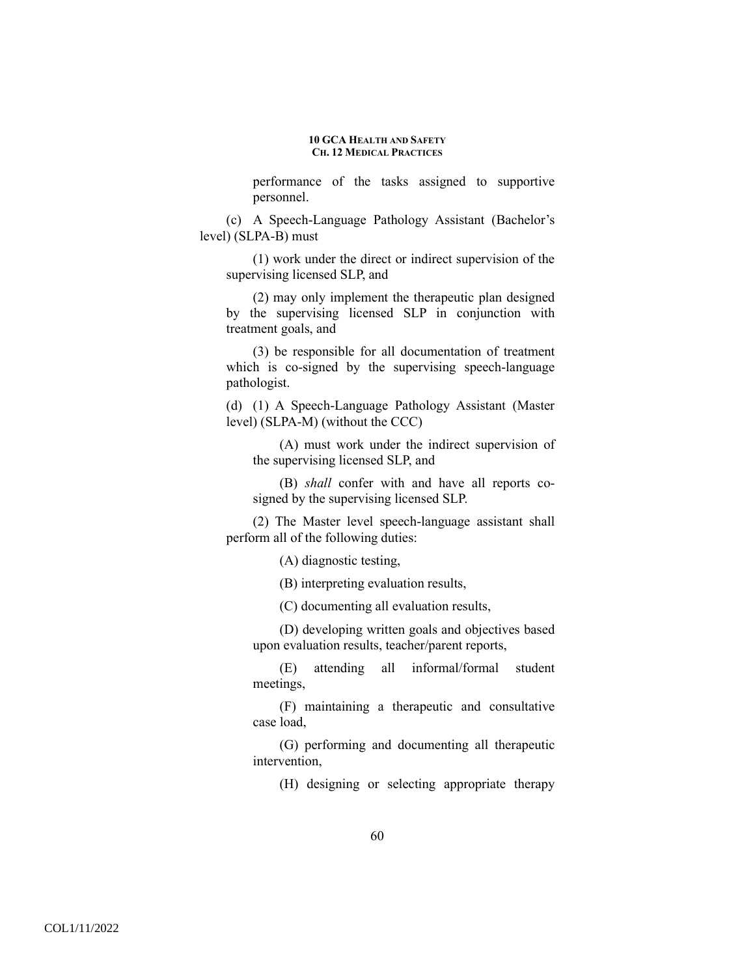performance of the tasks assigned to supportive personnel.

(c) A Speech-Language Pathology Assistant (Bachelor's level) (SLPA-B) must

(1) work under the direct or indirect supervision of the supervising licensed SLP, and

(2) may only implement the therapeutic plan designed by the supervising licensed SLP in conjunction with treatment goals, and

(3) be responsible for all documentation of treatment which is co-signed by the supervising speech-language pathologist.

(d) (1) A Speech-Language Pathology Assistant (Master level) (SLPA-M) (without the CCC)

(A) must work under the indirect supervision of the supervising licensed SLP, and

(B) *shall* confer with and have all reports cosigned by the supervising licensed SLP.

(2) The Master level speech-language assistant shall perform all of the following duties:

(A) diagnostic testing,

(B) interpreting evaluation results,

(C) documenting all evaluation results,

(D) developing written goals and objectives based upon evaluation results, teacher/parent reports,

(E) attending all informal/formal student meetings,

(F) maintaining a therapeutic and consultative case load,

(G) performing and documenting all therapeutic intervention,

(H) designing or selecting appropriate therapy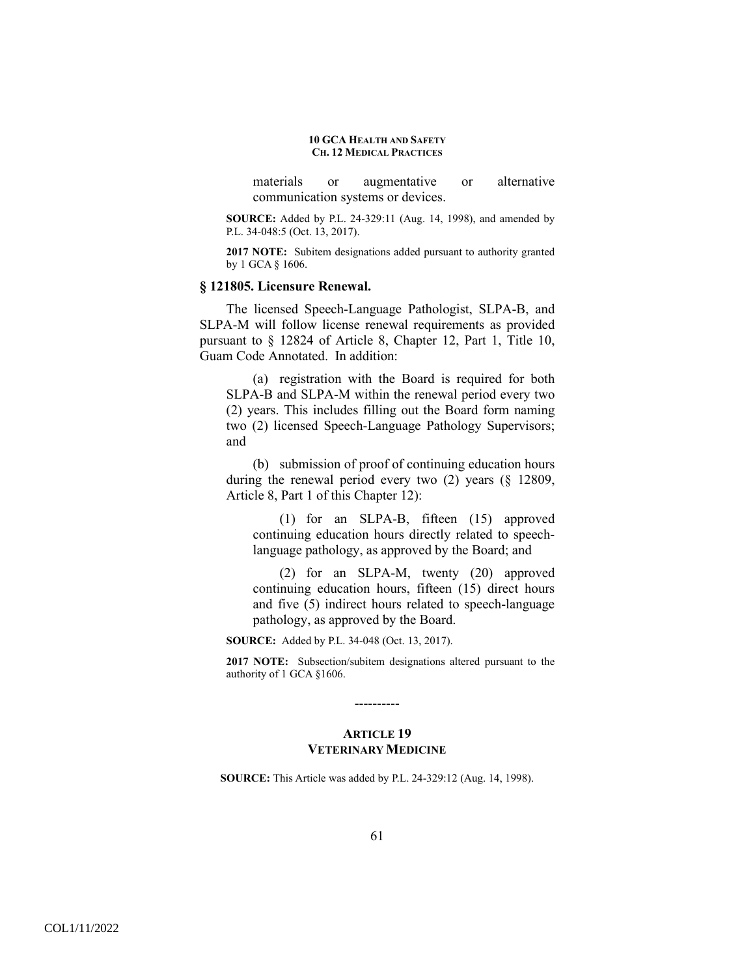materials or augmentative or alternative communication systems or devices.

**SOURCE:** Added by P.L. 24-329:11 (Aug. 14, 1998), and amended by P.L. 34-048:5 (Oct. 13, 2017).

**2017 NOTE:** Subitem designations added pursuant to authority granted by 1 GCA § 1606.

### **§ 121805. Licensure Renewal.**

The licensed Speech-Language Pathologist, SLPA-B, and SLPA-M will follow license renewal requirements as provided pursuant to § 12824 of Article 8, Chapter 12, Part 1, Title 10, Guam Code Annotated. In addition:

(a) registration with the Board is required for both SLPA-B and SLPA-M within the renewal period every two (2) years. This includes filling out the Board form naming two (2) licensed Speech-Language Pathology Supervisors; and

(b) submission of proof of continuing education hours during the renewal period every two (2) years (§ 12809, Article 8, Part 1 of this Chapter 12):

(1) for an SLPA-B, fifteen (15) approved continuing education hours directly related to speechlanguage pathology, as approved by the Board; and

(2) for an SLPA-M, twenty (20) approved continuing education hours, fifteen (15) direct hours and five (5) indirect hours related to speech-language pathology, as approved by the Board.

**SOURCE:** Added by P.L. 34-048 (Oct. 13, 2017).

**2017 NOTE:** Subsection/subitem designations altered pursuant to the authority of 1 GCA §1606.

# **ARTICLE 19 VETERINARY MEDICINE**

----------

**SOURCE:** This Article was added by P.L. 24-329:12 (Aug. 14, 1998).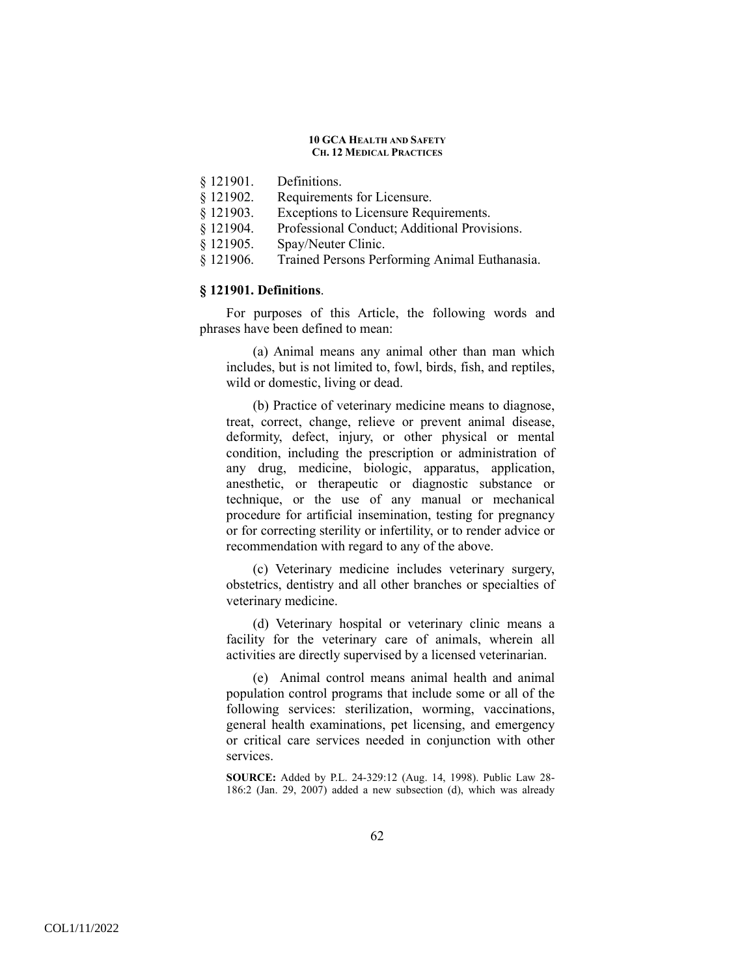- § 121901. Definitions.
- § 121902. Requirements for Licensure.
- § 121903. Exceptions to Licensure Requirements.
- § 121904. Professional Conduct; Additional Provisions.
- § 121905. Spay/Neuter Clinic.
- § 121906. Trained Persons Performing Animal Euthanasia.

## **§ 121901. Definitions**.

For purposes of this Article, the following words and phrases have been defined to mean:

(a) Animal means any animal other than man which includes, but is not limited to, fowl, birds, fish, and reptiles, wild or domestic, living or dead.

(b) Practice of veterinary medicine means to diagnose, treat, correct, change, relieve or prevent animal disease, deformity, defect, injury, or other physical or mental condition, including the prescription or administration of any drug, medicine, biologic, apparatus, application, anesthetic, or therapeutic or diagnostic substance or technique, or the use of any manual or mechanical procedure for artificial insemination, testing for pregnancy or for correcting sterility or infertility, or to render advice or recommendation with regard to any of the above.

(c) Veterinary medicine includes veterinary surgery, obstetrics, dentistry and all other branches or specialties of veterinary medicine.

(d) Veterinary hospital or veterinary clinic means a facility for the veterinary care of animals, wherein all activities are directly supervised by a licensed veterinarian.

(e) Animal control means animal health and animal population control programs that include some or all of the following services: sterilization, worming, vaccinations, general health examinations, pet licensing, and emergency or critical care services needed in conjunction with other services.

**SOURCE:** Added by P.L. 24-329:12 (Aug. 14, 1998). Public Law 28- 186:2 (Jan. 29, 2007) added a new subsection (d), which was already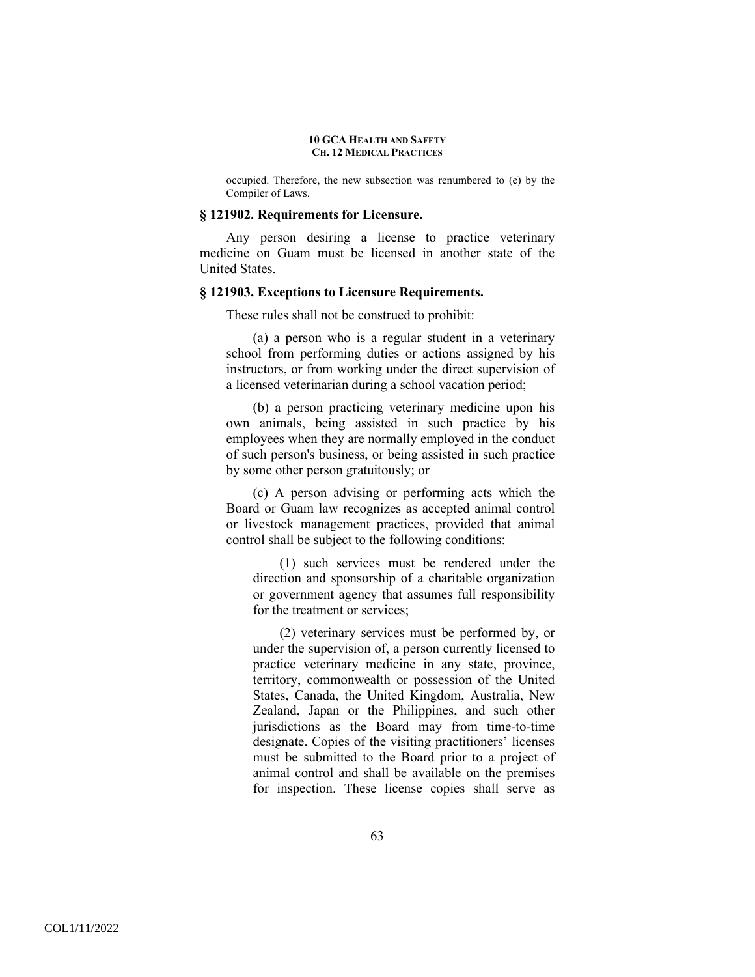occupied. Therefore, the new subsection was renumbered to (e) by the Compiler of Laws.

### **§ 121902. Requirements for Licensure.**

Any person desiring a license to practice veterinary medicine on Guam must be licensed in another state of the United States.

## **§ 121903. Exceptions to Licensure Requirements.**

These rules shall not be construed to prohibit:

(a) a person who is a regular student in a veterinary school from performing duties or actions assigned by his instructors, or from working under the direct supervision of a licensed veterinarian during a school vacation period;

(b) a person practicing veterinary medicine upon his own animals, being assisted in such practice by his employees when they are normally employed in the conduct of such person's business, or being assisted in such practice by some other person gratuitously; or

(c) A person advising or performing acts which the Board or Guam law recognizes as accepted animal control or livestock management practices, provided that animal control shall be subject to the following conditions:

(1) such services must be rendered under the direction and sponsorship of a charitable organization or government agency that assumes full responsibility for the treatment or services;

(2) veterinary services must be performed by, or under the supervision of, a person currently licensed to practice veterinary medicine in any state, province, territory, commonwealth or possession of the United States, Canada, the United Kingdom, Australia, New Zealand, Japan or the Philippines, and such other jurisdictions as the Board may from time-to-time designate. Copies of the visiting practitioners' licenses must be submitted to the Board prior to a project of animal control and shall be available on the premises for inspection. These license copies shall serve as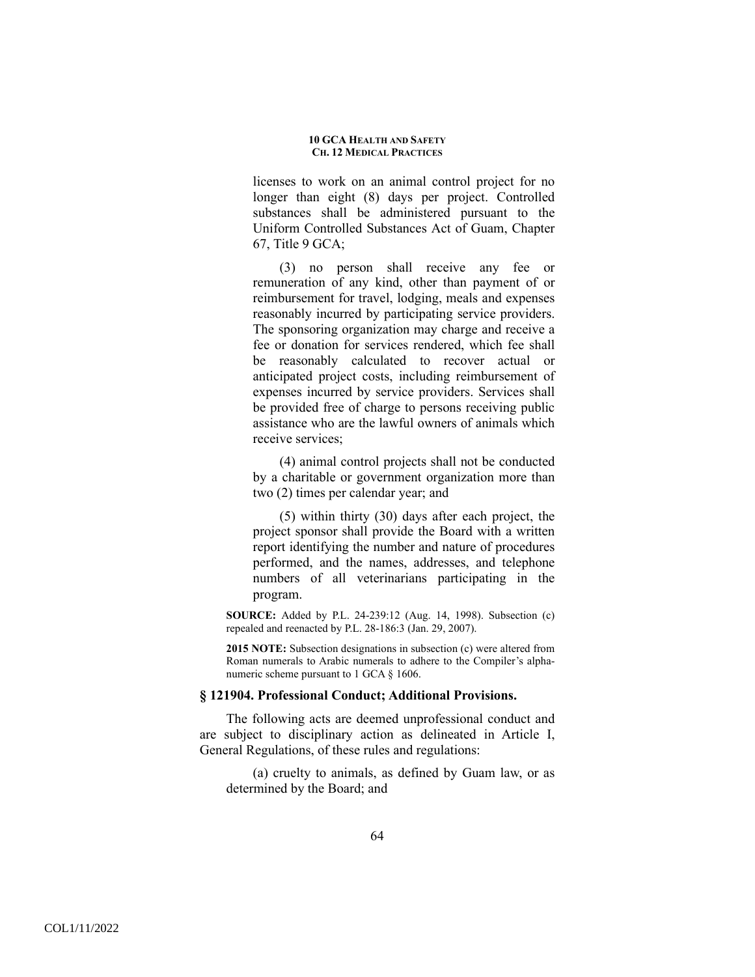licenses to work on an animal control project for no longer than eight (8) days per project. Controlled substances shall be administered pursuant to the Uniform Controlled Substances Act of Guam, Chapter 67, Title 9 GCA;

(3) no person shall receive any fee or remuneration of any kind, other than payment of or reimbursement for travel, lodging, meals and expenses reasonably incurred by participating service providers. The sponsoring organization may charge and receive a fee or donation for services rendered, which fee shall be reasonably calculated to recover actual or anticipated project costs, including reimbursement of expenses incurred by service providers. Services shall be provided free of charge to persons receiving public assistance who are the lawful owners of animals which receive services;

(4) animal control projects shall not be conducted by a charitable or government organization more than two (2) times per calendar year; and

(5) within thirty (30) days after each project, the project sponsor shall provide the Board with a written report identifying the number and nature of procedures performed, and the names, addresses, and telephone numbers of all veterinarians participating in the program.

**SOURCE:** Added by P.L. 24-239:12 (Aug. 14, 1998). Subsection (c) repealed and reenacted by P.L. 28-186:3 (Jan. 29, 2007).

**2015 NOTE:** Subsection designations in subsection (c) were altered from Roman numerals to Arabic numerals to adhere to the Compiler's alphanumeric scheme pursuant to 1 GCA  $\S$  1606.

### **§ 121904. Professional Conduct; Additional Provisions.**

The following acts are deemed unprofessional conduct and are subject to disciplinary action as delineated in Article I, General Regulations, of these rules and regulations:

(a) cruelty to animals, as defined by Guam law, or as determined by the Board; and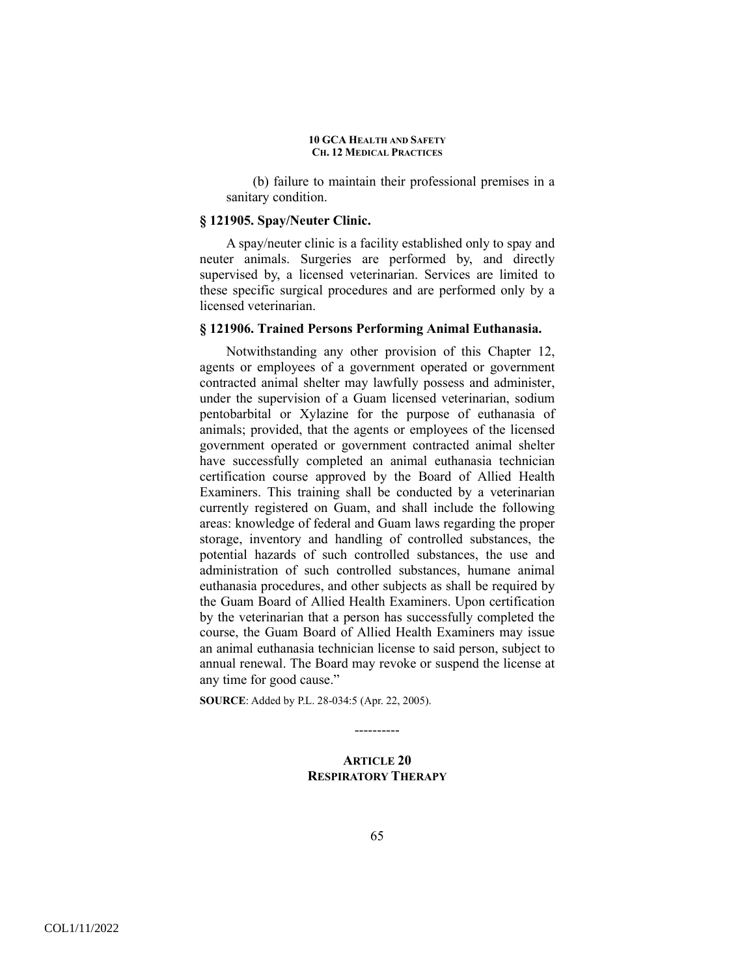(b) failure to maintain their professional premises in a sanitary condition.

### **§ 121905. Spay/Neuter Clinic.**

A spay/neuter clinic is a facility established only to spay and neuter animals. Surgeries are performed by, and directly supervised by, a licensed veterinarian. Services are limited to these specific surgical procedures and are performed only by a licensed veterinarian.

## **§ 121906. Trained Persons Performing Animal Euthanasia.**

Notwithstanding any other provision of this Chapter 12, agents or employees of a government operated or government contracted animal shelter may lawfully possess and administer, under the supervision of a Guam licensed veterinarian, sodium pentobarbital or Xylazine for the purpose of euthanasia of animals; provided, that the agents or employees of the licensed government operated or government contracted animal shelter have successfully completed an animal euthanasia technician certification course approved by the Board of Allied Health Examiners. This training shall be conducted by a veterinarian currently registered on Guam, and shall include the following areas: knowledge of federal and Guam laws regarding the proper storage, inventory and handling of controlled substances, the potential hazards of such controlled substances, the use and administration of such controlled substances, humane animal euthanasia procedures, and other subjects as shall be required by the Guam Board of Allied Health Examiners. Upon certification by the veterinarian that a person has successfully completed the course, the Guam Board of Allied Health Examiners may issue an animal euthanasia technician license to said person, subject to annual renewal. The Board may revoke or suspend the license at any time for good cause."

**SOURCE**: Added by P.L. 28-034:5 (Apr. 22, 2005).

----------

# **ARTICLE 20 RESPIRATORY THERAPY**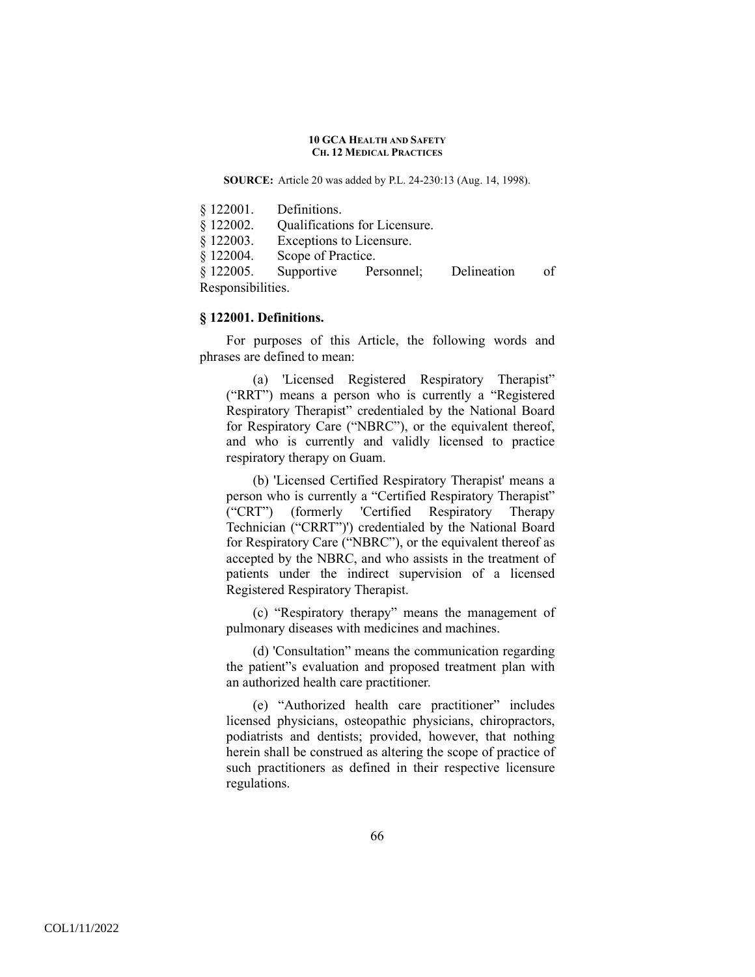**SOURCE:** Article 20 was added by P.L. 24-230:13 (Aug. 14, 1998).

| § 122001. | Definitions.                  |
|-----------|-------------------------------|
| \$122002. | Qualifications for Licensure. |
| \$122003. | Exceptions to Licensure.      |
| \$122004. | Scope of Practice.            |

§ 122005. Supportive Personnel; Delineation of Responsibilities.

### **§ 122001. Definitions.**

For purposes of this Article, the following words and phrases are defined to mean:

(a) 'Licensed Registered Respiratory Therapist" ("RRT") means a person who is currently a "Registered Respiratory Therapist" credentialed by the National Board for Respiratory Care ("NBRC"), or the equivalent thereof, and who is currently and validly licensed to practice respiratory therapy on Guam.

(b) 'Licensed Certified Respiratory Therapist' means a person who is currently a "Certified Respiratory Therapist" ("CRT") (formerly 'Certified Respiratory Therapy Technician ("CRRT")') credentialed by the National Board for Respiratory Care ("NBRC"), or the equivalent thereof as accepted by the NBRC, and who assists in the treatment of patients under the indirect supervision of a licensed Registered Respiratory Therapist.

(c) "Respiratory therapy" means the management of pulmonary diseases with medicines and machines.

(d) 'Consultation" means the communication regarding the patient"s evaluation and proposed treatment plan with an authorized health care practitioner.

(e) "Authorized health care practitioner" includes licensed physicians, osteopathic physicians, chiropractors, podiatrists and dentists; provided, however, that nothing herein shall be construed as altering the scope of practice of such practitioners as defined in their respective licensure regulations.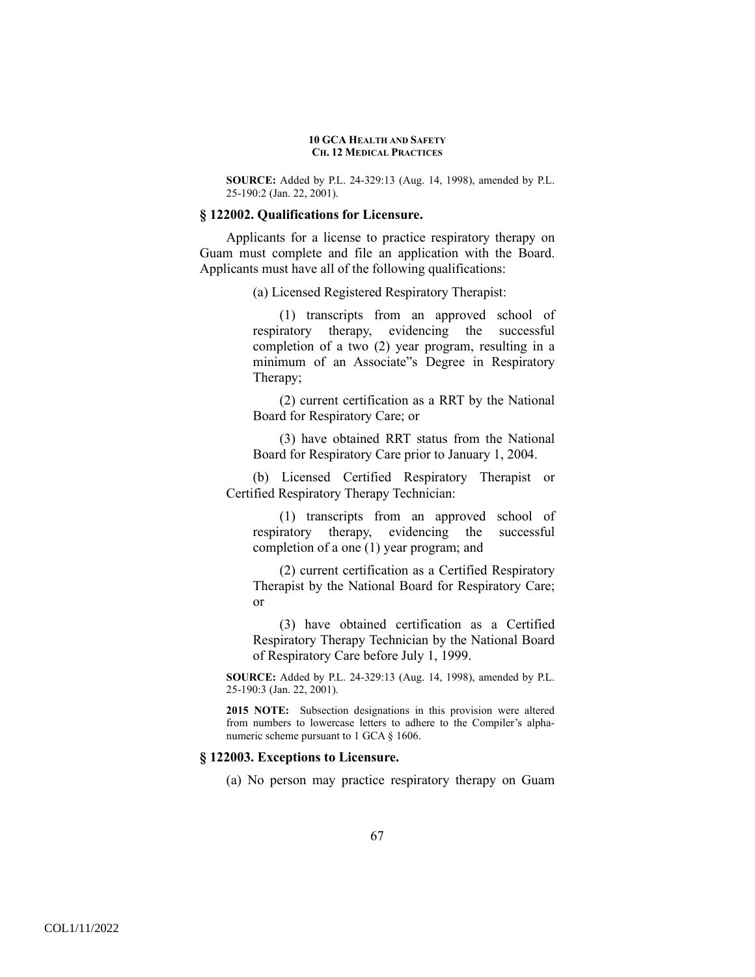**SOURCE:** Added by P.L. 24-329:13 (Aug. 14, 1998), amended by P.L. 25-190:2 (Jan. 22, 2001).

### **§ 122002. Qualifications for Licensure.**

 Applicants for a license to practice respiratory therapy on Guam must complete and file an application with the Board. Applicants must have all of the following qualifications:

(a) Licensed Registered Respiratory Therapist:

(1) transcripts from an approved school of respiratory therapy, evidencing the successful completion of a two (2) year program, resulting in a minimum of an Associate"s Degree in Respiratory Therapy;

(2) current certification as a RRT by the National Board for Respiratory Care; or

(3) have obtained RRT status from the National Board for Respiratory Care prior to January 1, 2004.

(b) Licensed Certified Respiratory Therapist or Certified Respiratory Therapy Technician:

(1) transcripts from an approved school of respiratory therapy, evidencing the successful completion of a one (1) year program; and

(2) current certification as a Certified Respiratory Therapist by the National Board for Respiratory Care; or

(3) have obtained certification as a Certified Respiratory Therapy Technician by the National Board of Respiratory Care before July 1, 1999.

**SOURCE:** Added by P.L. 24-329:13 (Aug. 14, 1998), amended by P.L. 25-190:3 (Jan. 22, 2001).

**2015 NOTE:** Subsection designations in this provision were altered from numbers to lowercase letters to adhere to the Compiler's alphanumeric scheme pursuant to 1 GCA § 1606.

### **§ 122003. Exceptions to Licensure.**

(a) No person may practice respiratory therapy on Guam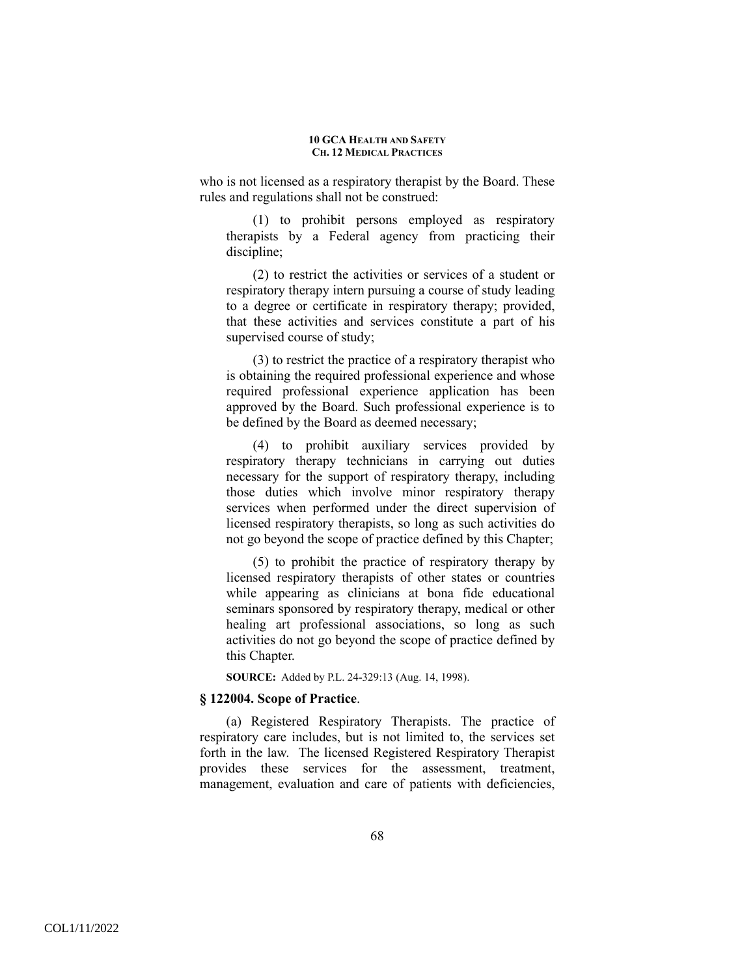who is not licensed as a respiratory therapist by the Board. These rules and regulations shall not be construed:

(1) to prohibit persons employed as respiratory therapists by a Federal agency from practicing their discipline;

(2) to restrict the activities or services of a student or respiratory therapy intern pursuing a course of study leading to a degree or certificate in respiratory therapy; provided, that these activities and services constitute a part of his supervised course of study;

(3) to restrict the practice of a respiratory therapist who is obtaining the required professional experience and whose required professional experience application has been approved by the Board. Such professional experience is to be defined by the Board as deemed necessary;

(4) to prohibit auxiliary services provided by respiratory therapy technicians in carrying out duties necessary for the support of respiratory therapy, including those duties which involve minor respiratory therapy services when performed under the direct supervision of licensed respiratory therapists, so long as such activities do not go beyond the scope of practice defined by this Chapter;

(5) to prohibit the practice of respiratory therapy by licensed respiratory therapists of other states or countries while appearing as clinicians at bona fide educational seminars sponsored by respiratory therapy, medical or other healing art professional associations, so long as such activities do not go beyond the scope of practice defined by this Chapter.

**SOURCE:** Added by P.L. 24-329:13 (Aug. 14, 1998).

## **§ 122004. Scope of Practice**.

(a) Registered Respiratory Therapists. The practice of respiratory care includes, but is not limited to, the services set forth in the law. The licensed Registered Respiratory Therapist provides these services for the assessment, treatment, management, evaluation and care of patients with deficiencies,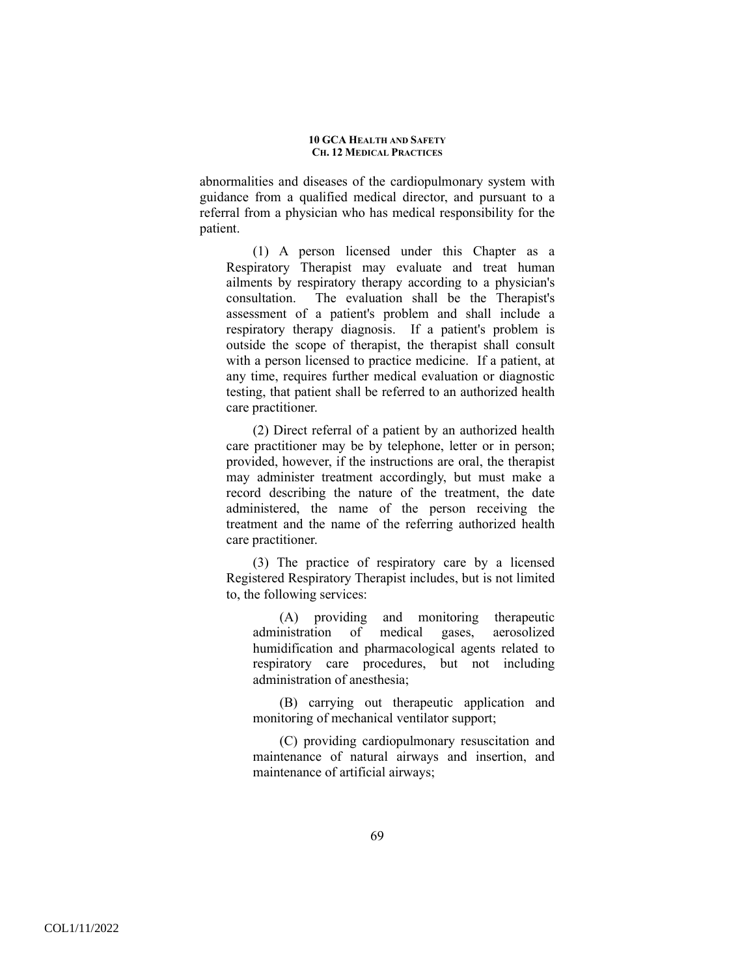abnormalities and diseases of the cardiopulmonary system with guidance from a qualified medical director, and pursuant to a referral from a physician who has medical responsibility for the patient.

(1) A person licensed under this Chapter as a Respiratory Therapist may evaluate and treat human ailments by respiratory therapy according to a physician's consultation. The evaluation shall be the Therapist's assessment of a patient's problem and shall include a respiratory therapy diagnosis. If a patient's problem is outside the scope of therapist, the therapist shall consult with a person licensed to practice medicine. If a patient, at any time, requires further medical evaluation or diagnostic testing, that patient shall be referred to an authorized health care practitioner.

(2) Direct referral of a patient by an authorized health care practitioner may be by telephone, letter or in person; provided, however, if the instructions are oral, the therapist may administer treatment accordingly, but must make a record describing the nature of the treatment, the date administered, the name of the person receiving the treatment and the name of the referring authorized health care practitioner.

(3) The practice of respiratory care by a licensed Registered Respiratory Therapist includes, but is not limited to, the following services:

(A) providing and monitoring therapeutic administration of medical gases, aerosolized humidification and pharmacological agents related to respiratory care procedures, but not including administration of anesthesia;

(B) carrying out therapeutic application and monitoring of mechanical ventilator support;

(C) providing cardiopulmonary resuscitation and maintenance of natural airways and insertion, and maintenance of artificial airways;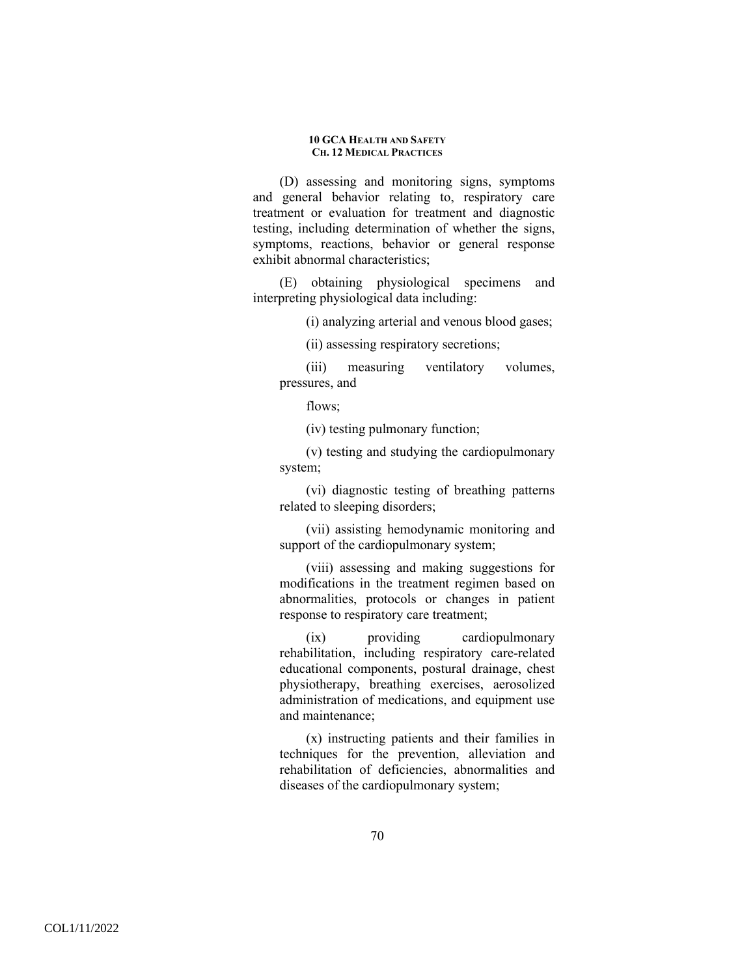(D) assessing and monitoring signs, symptoms and general behavior relating to, respiratory care treatment or evaluation for treatment and diagnostic testing, including determination of whether the signs, symptoms, reactions, behavior or general response exhibit abnormal characteristics;

(E) obtaining physiological specimens and interpreting physiological data including:

(i) analyzing arterial and venous blood gases;

(ii) assessing respiratory secretions;

(iii) measuring ventilatory volumes, pressures, and

flows;

(iv) testing pulmonary function;

(v) testing and studying the cardiopulmonary system;

(vi) diagnostic testing of breathing patterns related to sleeping disorders;

(vii) assisting hemodynamic monitoring and support of the cardiopulmonary system;

(viii) assessing and making suggestions for modifications in the treatment regimen based on abnormalities, protocols or changes in patient response to respiratory care treatment;

(ix) providing cardiopulmonary rehabilitation, including respiratory care-related educational components, postural drainage, chest physiotherapy, breathing exercises, aerosolized administration of medications, and equipment use and maintenance;

(x) instructing patients and their families in techniques for the prevention, alleviation and rehabilitation of deficiencies, abnormalities and diseases of the cardiopulmonary system;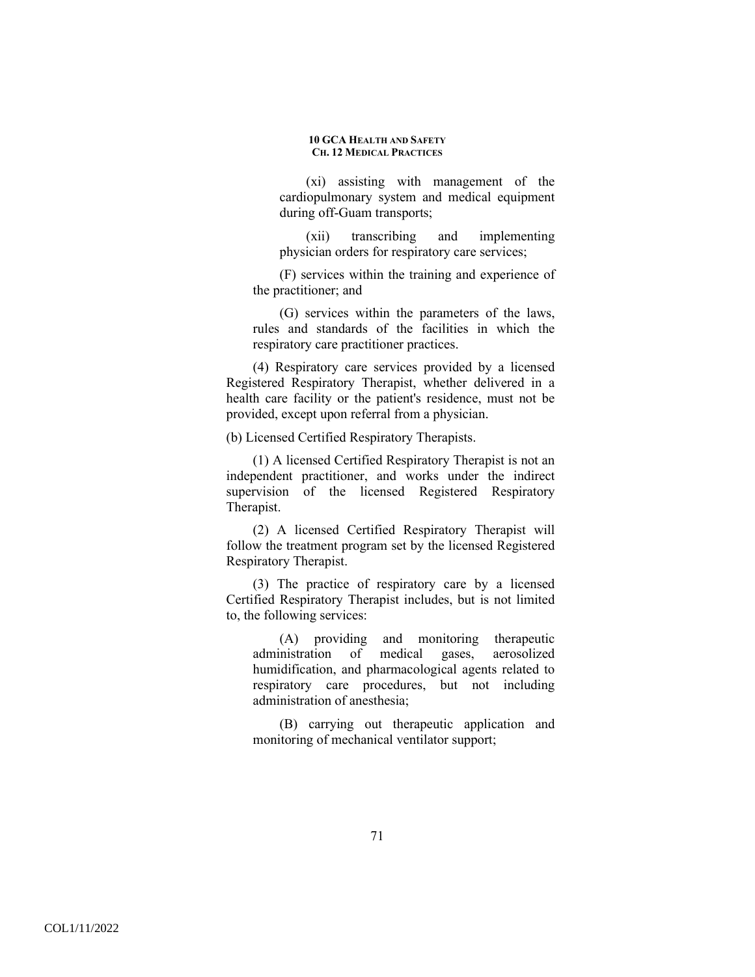(xi) assisting with management of the cardiopulmonary system and medical equipment during off-Guam transports;

(xii) transcribing and implementing physician orders for respiratory care services;

(F) services within the training and experience of the practitioner; and

(G) services within the parameters of the laws, rules and standards of the facilities in which the respiratory care practitioner practices.

(4) Respiratory care services provided by a licensed Registered Respiratory Therapist, whether delivered in a health care facility or the patient's residence, must not be provided, except upon referral from a physician.

(b) Licensed Certified Respiratory Therapists.

(1) A licensed Certified Respiratory Therapist is not an independent practitioner, and works under the indirect supervision of the licensed Registered Respiratory Therapist.

(2) A licensed Certified Respiratory Therapist will follow the treatment program set by the licensed Registered Respiratory Therapist.

(3) The practice of respiratory care by a licensed Certified Respiratory Therapist includes, but is not limited to, the following services:

(A) providing and monitoring therapeutic administration of medical gases, aerosolized humidification, and pharmacological agents related to respiratory care procedures, but not including administration of anesthesia;

(B) carrying out therapeutic application and monitoring of mechanical ventilator support;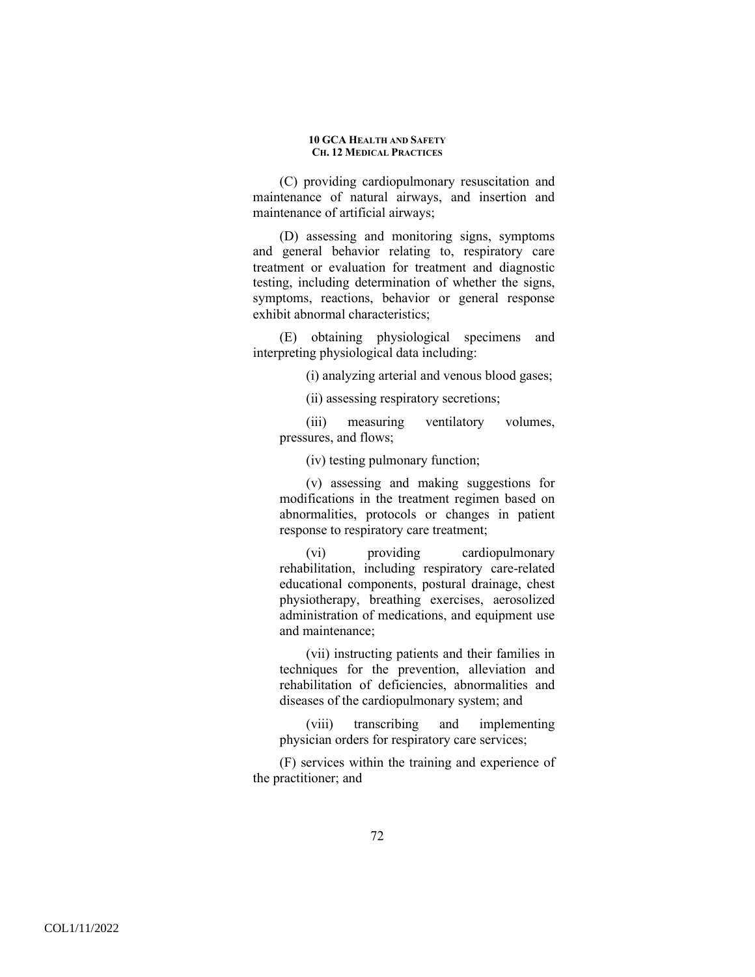(C) providing cardiopulmonary resuscitation and maintenance of natural airways, and insertion and maintenance of artificial airways;

(D) assessing and monitoring signs, symptoms and general behavior relating to, respiratory care treatment or evaluation for treatment and diagnostic testing, including determination of whether the signs, symptoms, reactions, behavior or general response exhibit abnormal characteristics;

(E) obtaining physiological specimens and interpreting physiological data including:

(i) analyzing arterial and venous blood gases;

(ii) assessing respiratory secretions;

(iii) measuring ventilatory volumes, pressures, and flows;

(iv) testing pulmonary function;

(v) assessing and making suggestions for modifications in the treatment regimen based on abnormalities, protocols or changes in patient response to respiratory care treatment;

(vi) providing cardiopulmonary rehabilitation, including respiratory care-related educational components, postural drainage, chest physiotherapy, breathing exercises, aerosolized administration of medications, and equipment use and maintenance;

(vii) instructing patients and their families in techniques for the prevention, alleviation and rehabilitation of deficiencies, abnormalities and diseases of the cardiopulmonary system; and

(viii) transcribing and implementing physician orders for respiratory care services;

(F) services within the training and experience of the practitioner; and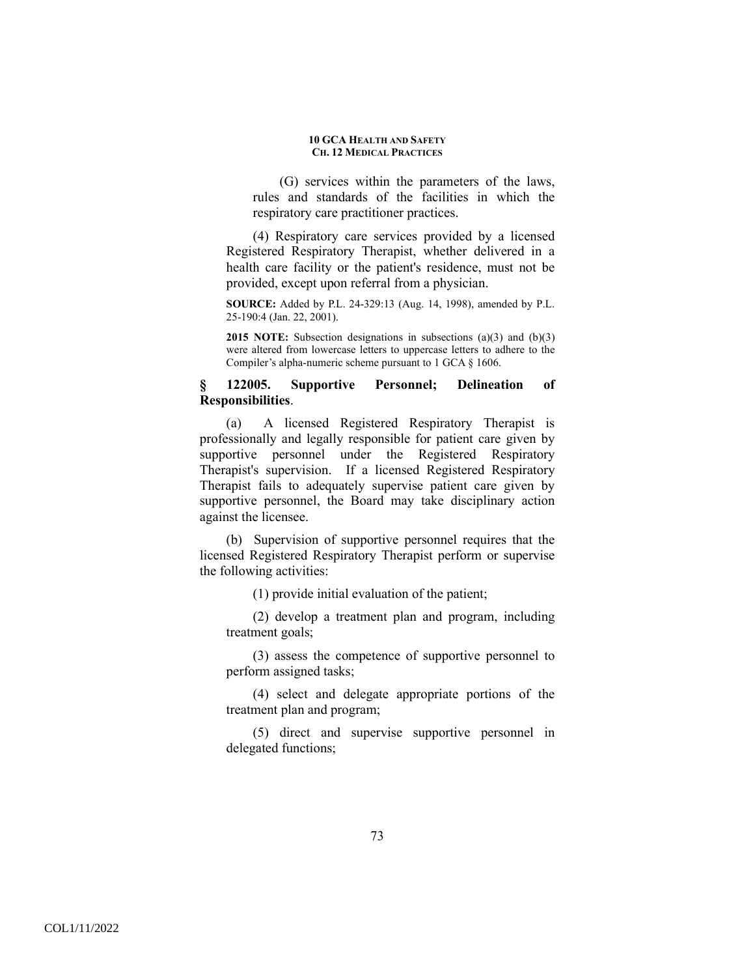(G) services within the parameters of the laws, rules and standards of the facilities in which the respiratory care practitioner practices.

(4) Respiratory care services provided by a licensed Registered Respiratory Therapist, whether delivered in a health care facility or the patient's residence, must not be provided, except upon referral from a physician.

**SOURCE:** Added by P.L. 24-329:13 (Aug. 14, 1998), amended by P.L. 25-190:4 (Jan. 22, 2001).

**2015 NOTE:** Subsection designations in subsections (a)(3) and (b)(3) were altered from lowercase letters to uppercase letters to adhere to the Compiler's alpha-numeric scheme pursuant to 1 GCA § 1606.

## **§ 122005. Supportive Personnel; Delineation of Responsibilities**.

(a) A licensed Registered Respiratory Therapist is professionally and legally responsible for patient care given by supportive personnel under the Registered Respiratory Therapist's supervision. If a licensed Registered Respiratory Therapist fails to adequately supervise patient care given by supportive personnel, the Board may take disciplinary action against the licensee.

(b) Supervision of supportive personnel requires that the licensed Registered Respiratory Therapist perform or supervise the following activities:

(1) provide initial evaluation of the patient;

(2) develop a treatment plan and program, including treatment goals;

(3) assess the competence of supportive personnel to perform assigned tasks;

(4) select and delegate appropriate portions of the treatment plan and program;

(5) direct and supervise supportive personnel in delegated functions;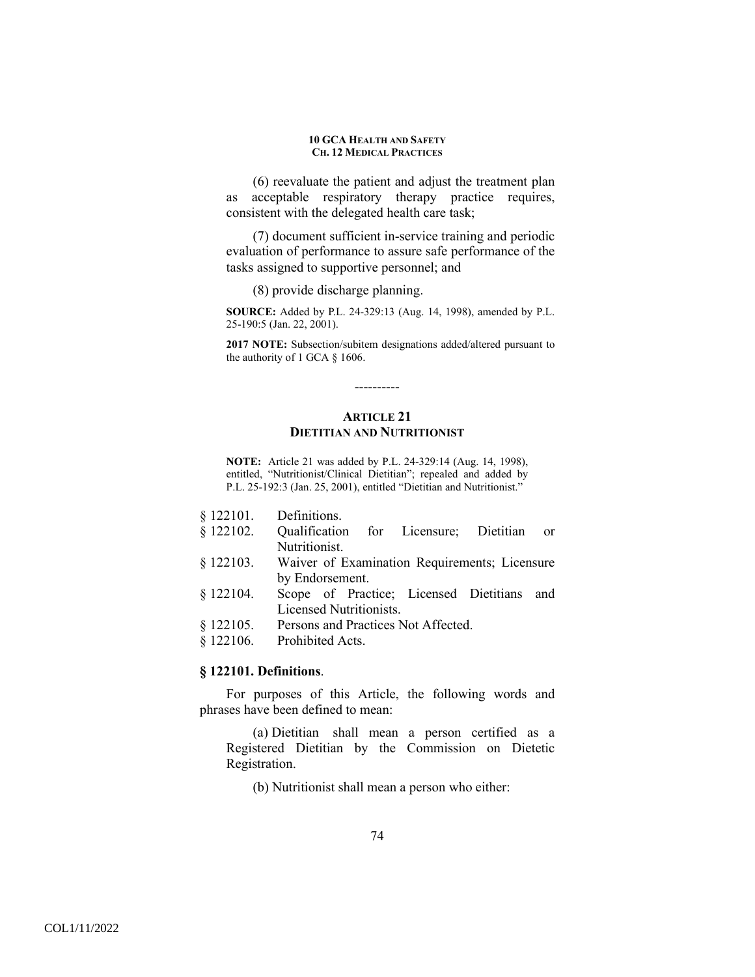(6) reevaluate the patient and adjust the treatment plan as acceptable respiratory therapy practice requires, consistent with the delegated health care task;

(7) document sufficient in-service training and periodic evaluation of performance to assure safe performance of the tasks assigned to supportive personnel; and

(8) provide discharge planning.

**SOURCE:** Added by P.L. 24-329:13 (Aug. 14, 1998), amended by P.L. 25-190:5 (Jan. 22, 2001).

**2017 NOTE:** Subsection/subitem designations added/altered pursuant to the authority of 1 GCA § 1606.

# **ARTICLE 21 DIETITIAN AND NUTRITIONIST**

----------

**NOTE:** Article 21 was added by P.L. 24-329:14 (Aug. 14, 1998), entitled, "Nutritionist/Clinical Dietitian"; repealed and added by P.L. 25-192:3 (Jan. 25, 2001), entitled "Dietitian and Nutritionist."

- § 122102. Qualification for Licensure; Dietitian or Nutritionist.
- § 122103. Waiver of Examination Requirements; Licensure by Endorsement.
- § 122104. Scope of Practice; Licensed Dietitians and Licensed Nutritionists.
- § 122105. Persons and Practices Not Affected.
- § 122106. Prohibited Acts.

### **§ 122101. Definitions**.

For purposes of this Article, the following words and phrases have been defined to mean:

(a) Dietitian shall mean a person certified as a Registered Dietitian by the Commission on Dietetic Registration.

(b) Nutritionist shall mean a person who either: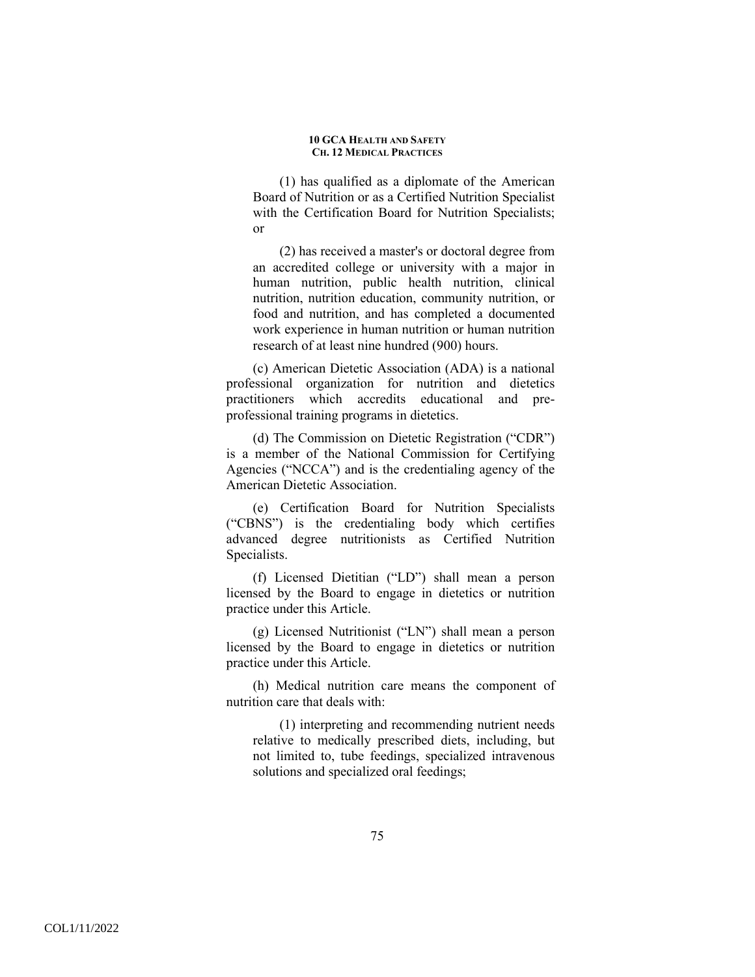(1) has qualified as a diplomate of the American Board of Nutrition or as a Certified Nutrition Specialist with the Certification Board for Nutrition Specialists; or

(2) has received a master's or doctoral degree from an accredited college or university with a major in human nutrition, public health nutrition, clinical nutrition, nutrition education, community nutrition, or food and nutrition, and has completed a documented work experience in human nutrition or human nutrition research of at least nine hundred (900) hours.

(c) American Dietetic Association (ADA) is a national professional organization for nutrition and dietetics practitioners which accredits educational and preprofessional training programs in dietetics.

(d) The Commission on Dietetic Registration ("CDR") is a member of the National Commission for Certifying Agencies ("NCCA") and is the credentialing agency of the American Dietetic Association.

(e) Certification Board for Nutrition Specialists ("CBNS") is the credentialing body which certifies advanced degree nutritionists as Certified Nutrition Specialists.

(f) Licensed Dietitian ("LD") shall mean a person licensed by the Board to engage in dietetics or nutrition practice under this Article.

(g) Licensed Nutritionist ("LN") shall mean a person licensed by the Board to engage in dietetics or nutrition practice under this Article.

(h) Medical nutrition care means the component of nutrition care that deals with:

(1) interpreting and recommending nutrient needs relative to medically prescribed diets, including, but not limited to, tube feedings, specialized intravenous solutions and specialized oral feedings;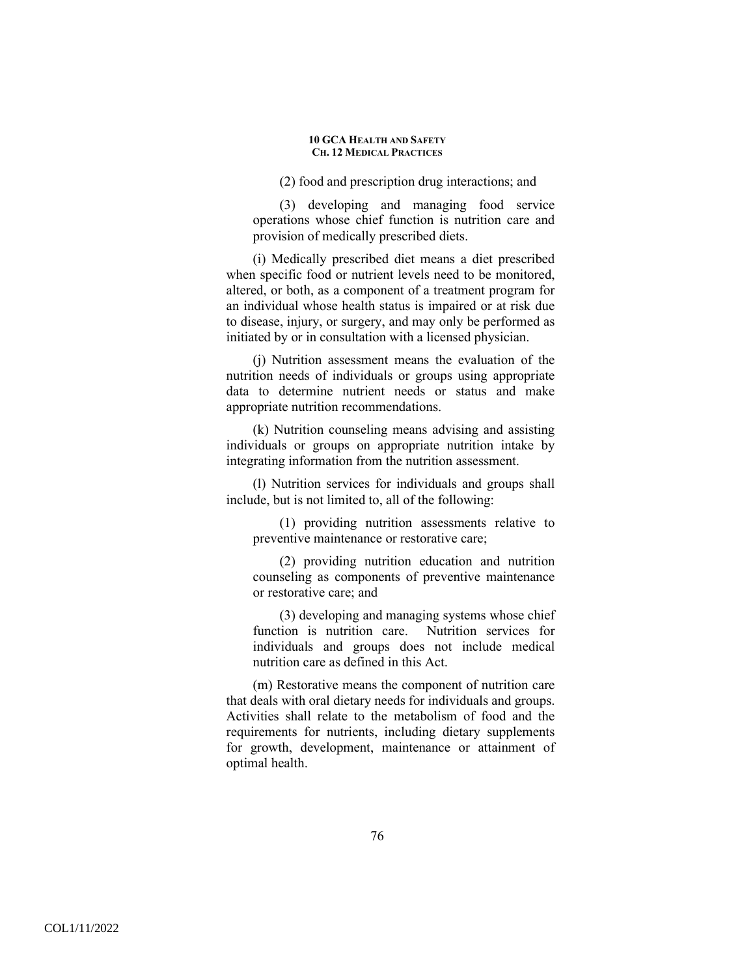(2) food and prescription drug interactions; and

(3) developing and managing food service operations whose chief function is nutrition care and provision of medically prescribed diets.

(i) Medically prescribed diet means a diet prescribed when specific food or nutrient levels need to be monitored, altered, or both, as a component of a treatment program for an individual whose health status is impaired or at risk due to disease, injury, or surgery, and may only be performed as initiated by or in consultation with a licensed physician.

(j) Nutrition assessment means the evaluation of the nutrition needs of individuals or groups using appropriate data to determine nutrient needs or status and make appropriate nutrition recommendations.

(k) Nutrition counseling means advising and assisting individuals or groups on appropriate nutrition intake by integrating information from the nutrition assessment.

(l) Nutrition services for individuals and groups shall include, but is not limited to, all of the following:

(1) providing nutrition assessments relative to preventive maintenance or restorative care;

(2) providing nutrition education and nutrition counseling as components of preventive maintenance or restorative care; and

(3) developing and managing systems whose chief function is nutrition care. Nutrition services for individuals and groups does not include medical nutrition care as defined in this Act.

(m) Restorative means the component of nutrition care that deals with oral dietary needs for individuals and groups. Activities shall relate to the metabolism of food and the requirements for nutrients, including dietary supplements for growth, development, maintenance or attainment of optimal health.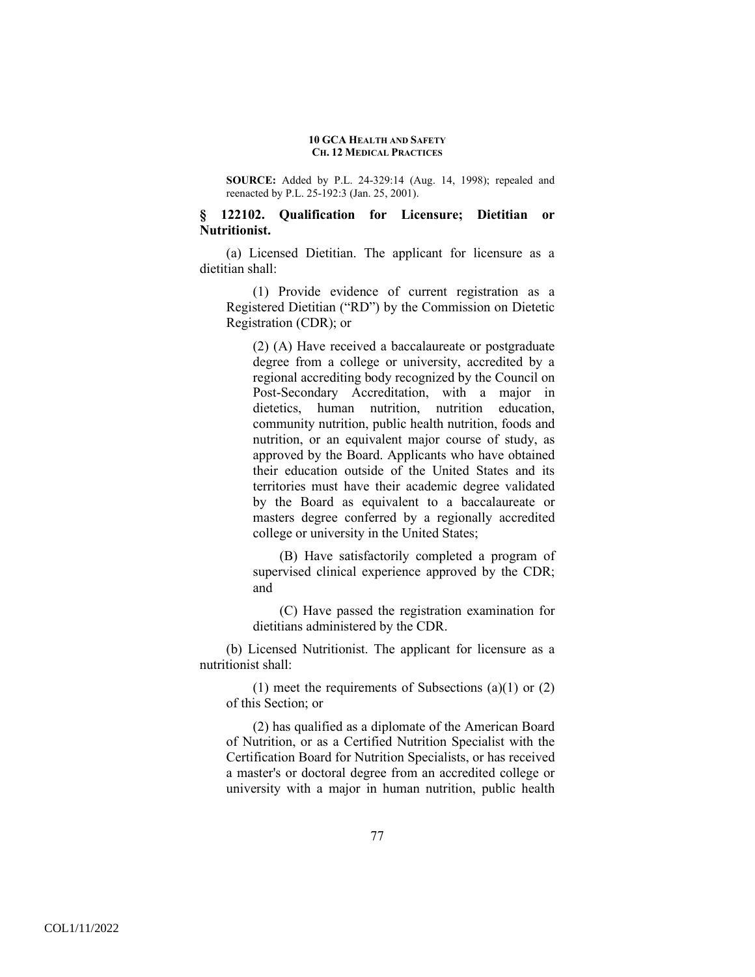**SOURCE:** Added by P.L. 24-329:14 (Aug. 14, 1998); repealed and reenacted by P.L. 25-192:3 (Jan. 25, 2001).

# **§ 122102. Qualification for Licensure; Dietitian or Nutritionist.**

(a) Licensed Dietitian. The applicant for licensure as a dietitian shall:

(1) Provide evidence of current registration as a Registered Dietitian ("RD") by the Commission on Dietetic Registration (CDR); or

(2) (A) Have received a baccalaureate or postgraduate degree from a college or university, accredited by a regional accrediting body recognized by the Council on Post-Secondary Accreditation, with a major in dietetics, human nutrition, nutrition education, community nutrition, public health nutrition, foods and nutrition, or an equivalent major course of study, as approved by the Board. Applicants who have obtained their education outside of the United States and its territories must have their academic degree validated by the Board as equivalent to a baccalaureate or masters degree conferred by a regionally accredited college or university in the United States;

(B) Have satisfactorily completed a program of supervised clinical experience approved by the CDR; and

(C) Have passed the registration examination for dietitians administered by the CDR.

(b) Licensed Nutritionist. The applicant for licensure as a nutritionist shall:

(1) meet the requirements of Subsections (a)(1) or  $(2)$ of this Section; or

(2) has qualified as a diplomate of the American Board of Nutrition, or as a Certified Nutrition Specialist with the Certification Board for Nutrition Specialists, or has received a master's or doctoral degree from an accredited college or university with a major in human nutrition, public health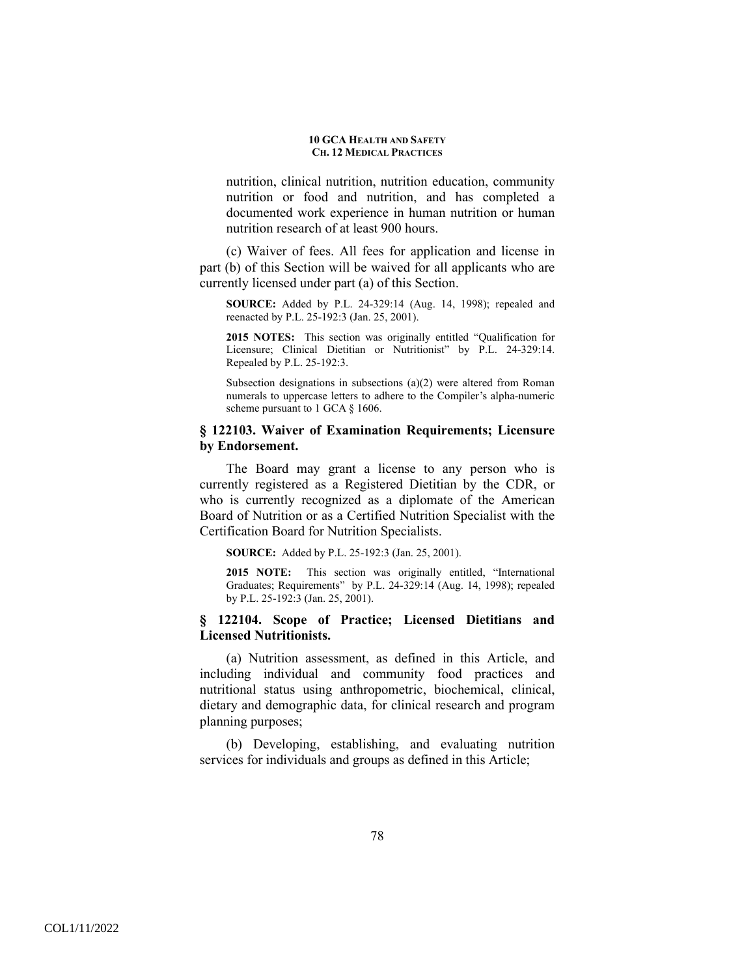nutrition, clinical nutrition, nutrition education, community nutrition or food and nutrition, and has completed a documented work experience in human nutrition or human nutrition research of at least 900 hours.

(c) Waiver of fees. All fees for application and license in part (b) of this Section will be waived for all applicants who are currently licensed under part (a) of this Section.

**SOURCE:** Added by P.L. 24-329:14 (Aug. 14, 1998); repealed and reenacted by P.L. 25-192:3 (Jan. 25, 2001).

**2015 NOTES:** This section was originally entitled "Qualification for Licensure; Clinical Dietitian or Nutritionist" by P.L. 24-329:14. Repealed by P.L. 25-192:3.

Subsection designations in subsections (a)(2) were altered from Roman numerals to uppercase letters to adhere to the Compiler's alpha-numeric scheme pursuant to 1 GCA § 1606.

# **§ 122103. Waiver of Examination Requirements; Licensure by Endorsement.**

The Board may grant a license to any person who is currently registered as a Registered Dietitian by the CDR, or who is currently recognized as a diplomate of the American Board of Nutrition or as a Certified Nutrition Specialist with the Certification Board for Nutrition Specialists.

**SOURCE:** Added by P.L. 25-192:3 (Jan. 25, 2001).

**2015 NOTE:** This section was originally entitled, "International Graduates; Requirements" by P.L. 24-329:14 (Aug. 14, 1998); repealed by P.L. 25-192:3 (Jan. 25, 2001).

# **§ 122104. Scope of Practice; Licensed Dietitians and Licensed Nutritionists.**

(a) Nutrition assessment, as defined in this Article, and including individual and community food practices and nutritional status using anthropometric, biochemical, clinical, dietary and demographic data, for clinical research and program planning purposes;

(b) Developing, establishing, and evaluating nutrition services for individuals and groups as defined in this Article;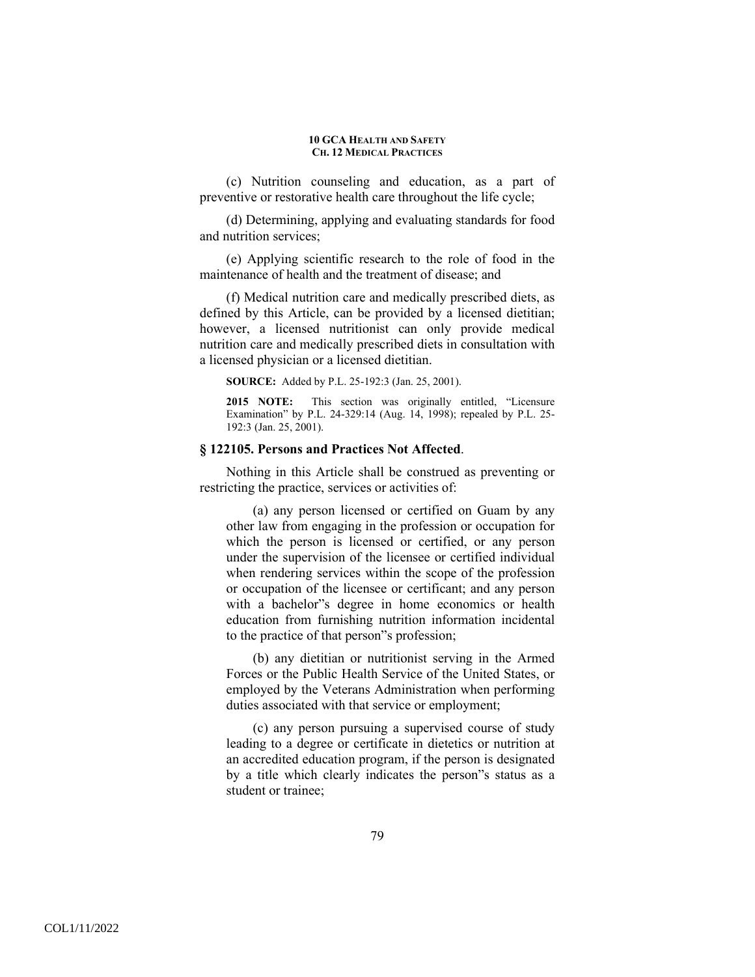(c) Nutrition counseling and education, as a part of preventive or restorative health care throughout the life cycle;

(d) Determining, applying and evaluating standards for food and nutrition services;

(e) Applying scientific research to the role of food in the maintenance of health and the treatment of disease; and

(f) Medical nutrition care and medically prescribed diets, as defined by this Article, can be provided by a licensed dietitian; however, a licensed nutritionist can only provide medical nutrition care and medically prescribed diets in consultation with a licensed physician or a licensed dietitian.

**SOURCE:** Added by P.L. 25-192:3 (Jan. 25, 2001).

**2015 NOTE:** This section was originally entitled, "Licensure Examination" by P.L. 24-329:14 (Aug. 14, 1998); repealed by P.L. 25- 192:3 (Jan. 25, 2001).

### **§ 122105. Persons and Practices Not Affected**.

Nothing in this Article shall be construed as preventing or restricting the practice, services or activities of:

(a) any person licensed or certified on Guam by any other law from engaging in the profession or occupation for which the person is licensed or certified, or any person under the supervision of the licensee or certified individual when rendering services within the scope of the profession or occupation of the licensee or certificant; and any person with a bachelor"s degree in home economics or health education from furnishing nutrition information incidental to the practice of that person"s profession;

(b) any dietitian or nutritionist serving in the Armed Forces or the Public Health Service of the United States, or employed by the Veterans Administration when performing duties associated with that service or employment;

(c) any person pursuing a supervised course of study leading to a degree or certificate in dietetics or nutrition at an accredited education program, if the person is designated by a title which clearly indicates the person"s status as a student or trainee;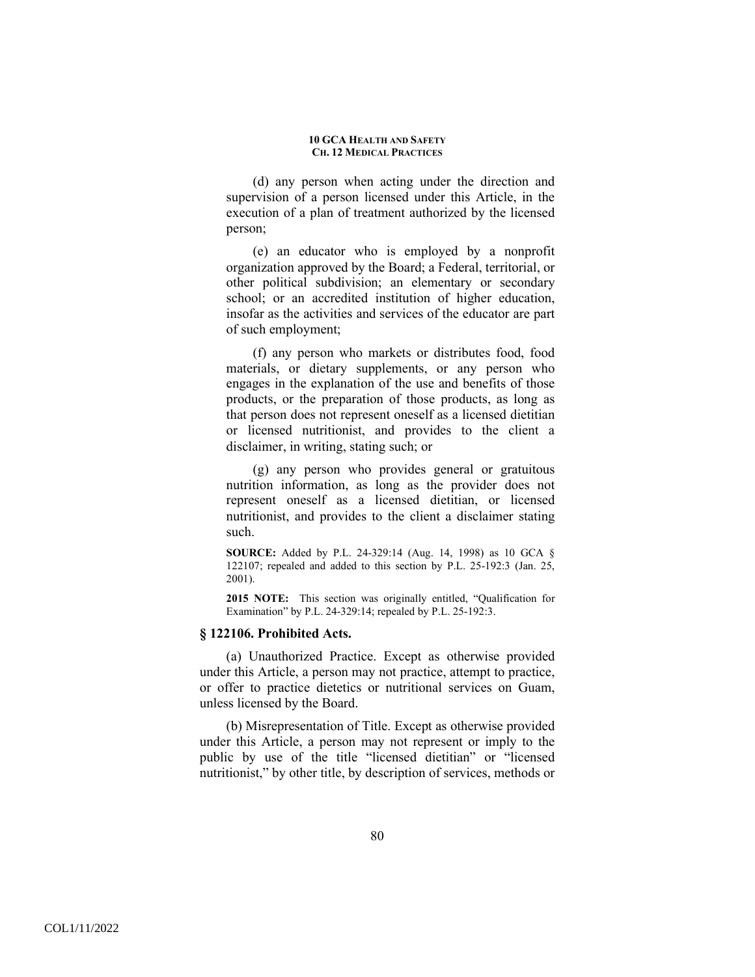(d) any person when acting under the direction and supervision of a person licensed under this Article, in the execution of a plan of treatment authorized by the licensed person;

(e) an educator who is employed by a nonprofit organization approved by the Board; a Federal, territorial, or other political subdivision; an elementary or secondary school; or an accredited institution of higher education, insofar as the activities and services of the educator are part of such employment;

(f) any person who markets or distributes food, food materials, or dietary supplements, or any person who engages in the explanation of the use and benefits of those products, or the preparation of those products, as long as that person does not represent oneself as a licensed dietitian or licensed nutritionist, and provides to the client a disclaimer, in writing, stating such; or

(g) any person who provides general or gratuitous nutrition information, as long as the provider does not represent oneself as a licensed dietitian, or licensed nutritionist, and provides to the client a disclaimer stating such.

**SOURCE:** Added by P.L. 24-329:14 (Aug. 14, 1998) as 10 GCA § 122107; repealed and added to this section by P.L. 25-192:3 (Jan. 25, 2001).

**2015 NOTE:** This section was originally entitled, "Qualification for Examination" by P.L. 24-329:14; repealed by P.L. 25-192:3.

## **§ 122106. Prohibited Acts.**

(a) Unauthorized Practice. Except as otherwise provided under this Article, a person may not practice, attempt to practice, or offer to practice dietetics or nutritional services on Guam, unless licensed by the Board.

(b) Misrepresentation of Title. Except as otherwise provided under this Article, a person may not represent or imply to the public by use of the title "licensed dietitian" or "licensed nutritionist," by other title, by description of services, methods or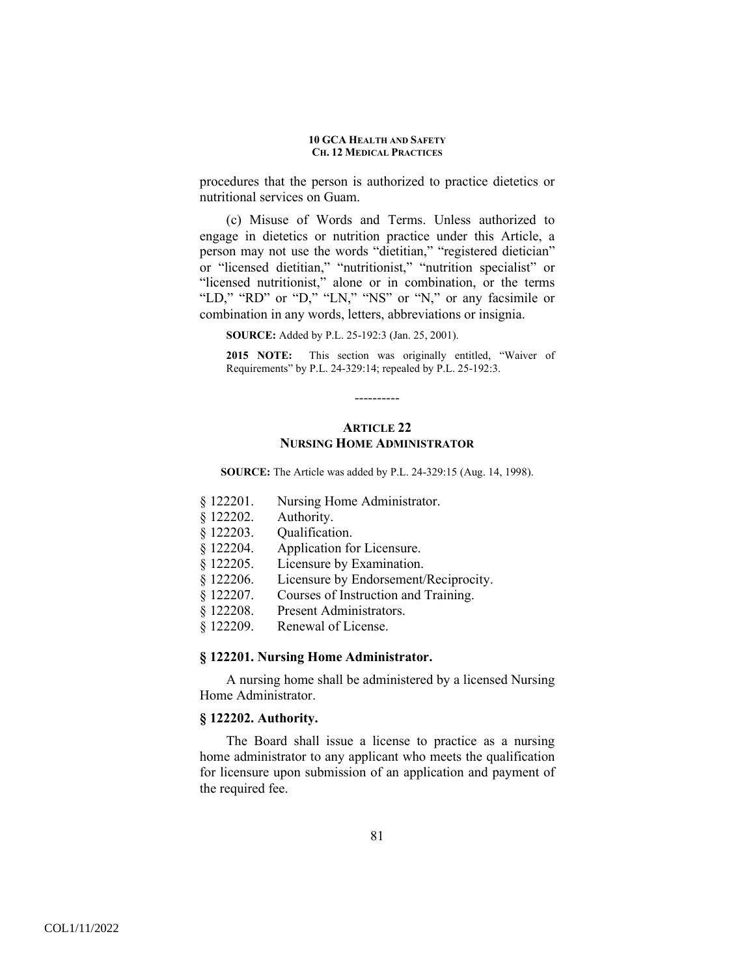procedures that the person is authorized to practice dietetics or nutritional services on Guam.

(c) Misuse of Words and Terms. Unless authorized to engage in dietetics or nutrition practice under this Article, a person may not use the words "dietitian," "registered dietician" or "licensed dietitian," "nutritionist," "nutrition specialist" or "licensed nutritionist," alone or in combination, or the terms "LD," "RD" or "D," "LN," "NS" or "N," or any facsimile or combination in any words, letters, abbreviations or insignia.

**SOURCE:** Added by P.L. 25-192:3 (Jan. 25, 2001).

**2015 NOTE:** This section was originally entitled, "Waiver of Requirements" by P.L. 24-329:14; repealed by P.L. 25-192:3.

# **ARTICLE 22 NURSING HOME ADMINISTRATOR**

----------

**SOURCE:** The Article was added by P.L. 24-329:15 (Aug. 14, 1998).

- § 122201. Nursing Home Administrator.
- § 122202. Authority.
- § 122203. Qualification.
- § 122204. Application for Licensure.
- § 122205. Licensure by Examination.
- § 122206. Licensure by Endorsement/Reciprocity.
- § 122207. Courses of Instruction and Training.
- § 122208. Present Administrators.
- § 122209. Renewal of License.

### **§ 122201. Nursing Home Administrator.**

A nursing home shall be administered by a licensed Nursing Home Administrator.

## **§ 122202. Authority.**

The Board shall issue a license to practice as a nursing home administrator to any applicant who meets the qualification for licensure upon submission of an application and payment of the required fee.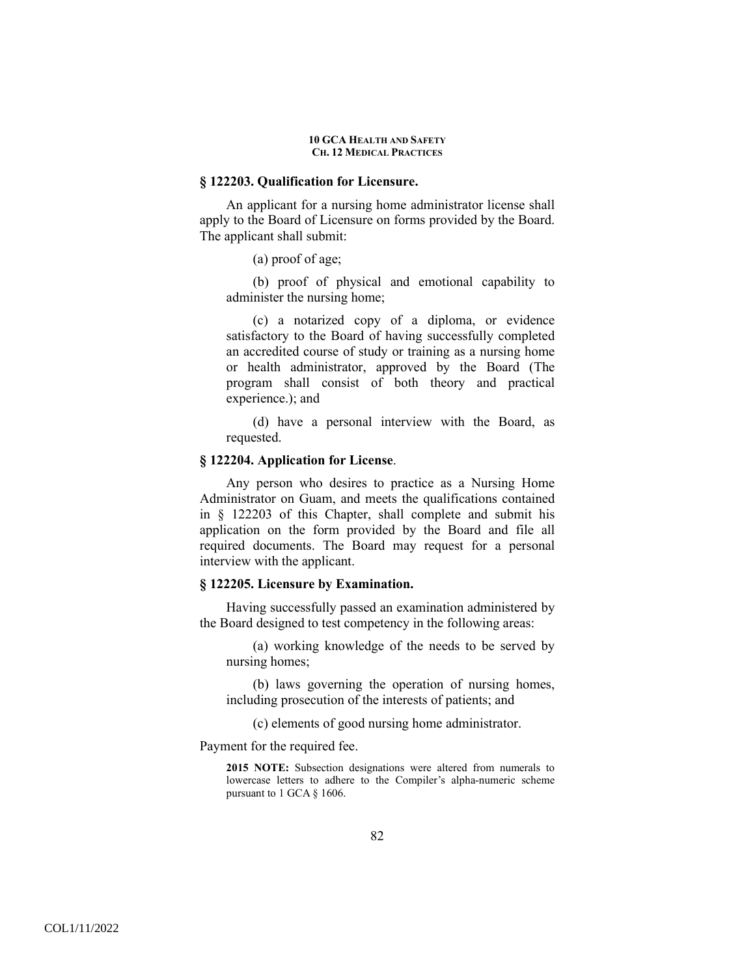### **§ 122203. Qualification for Licensure.**

An applicant for a nursing home administrator license shall apply to the Board of Licensure on forms provided by the Board. The applicant shall submit:

(a) proof of age;

(b) proof of physical and emotional capability to administer the nursing home;

(c) a notarized copy of a diploma, or evidence satisfactory to the Board of having successfully completed an accredited course of study or training as a nursing home or health administrator, approved by the Board (The program shall consist of both theory and practical experience.); and

(d) have a personal interview with the Board, as requested.

### **§ 122204. Application for License**.

Any person who desires to practice as a Nursing Home Administrator on Guam, and meets the qualifications contained in § 122203 of this Chapter, shall complete and submit his application on the form provided by the Board and file all required documents. The Board may request for a personal interview with the applicant.

## **§ 122205. Licensure by Examination.**

Having successfully passed an examination administered by the Board designed to test competency in the following areas:

(a) working knowledge of the needs to be served by nursing homes;

(b) laws governing the operation of nursing homes, including prosecution of the interests of patients; and

(c) elements of good nursing home administrator.

Payment for the required fee.

**2015 NOTE:** Subsection designations were altered from numerals to lowercase letters to adhere to the Compiler's alpha-numeric scheme pursuant to 1 GCA § 1606.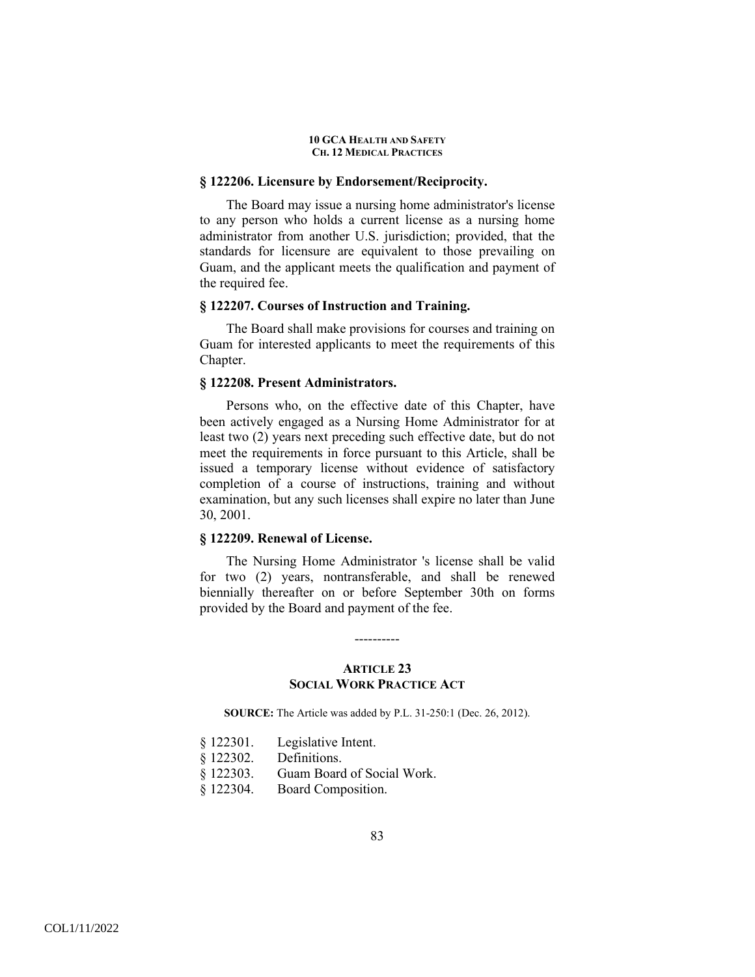### **§ 122206. Licensure by Endorsement/Reciprocity.**

The Board may issue a nursing home administrator's license to any person who holds a current license as a nursing home administrator from another U.S. jurisdiction; provided, that the standards for licensure are equivalent to those prevailing on Guam, and the applicant meets the qualification and payment of the required fee.

## **§ 122207. Courses of Instruction and Training.**

The Board shall make provisions for courses and training on Guam for interested applicants to meet the requirements of this Chapter.

## **§ 122208. Present Administrators.**

Persons who, on the effective date of this Chapter, have been actively engaged as a Nursing Home Administrator for at least two (2) years next preceding such effective date, but do not meet the requirements in force pursuant to this Article, shall be issued a temporary license without evidence of satisfactory completion of a course of instructions, training and without examination, but any such licenses shall expire no later than June 30, 2001.

## **§ 122209. Renewal of License.**

The Nursing Home Administrator 's license shall be valid for two (2) years, nontransferable, and shall be renewed biennially thereafter on or before September 30th on forms provided by the Board and payment of the fee.

## **ARTICLE 23 SOCIAL WORK PRACTICE ACT**

----------

**SOURCE:** The Article was added by P.L. 31-250:1 (Dec. 26, 2012).

| § 122301.   | Legislative Intent.        |
|-------------|----------------------------|
| $§$ 122302. | Definitions.               |
| § 122303.   | Guam Board of Social Work. |
| § 122304.   | Board Composition.         |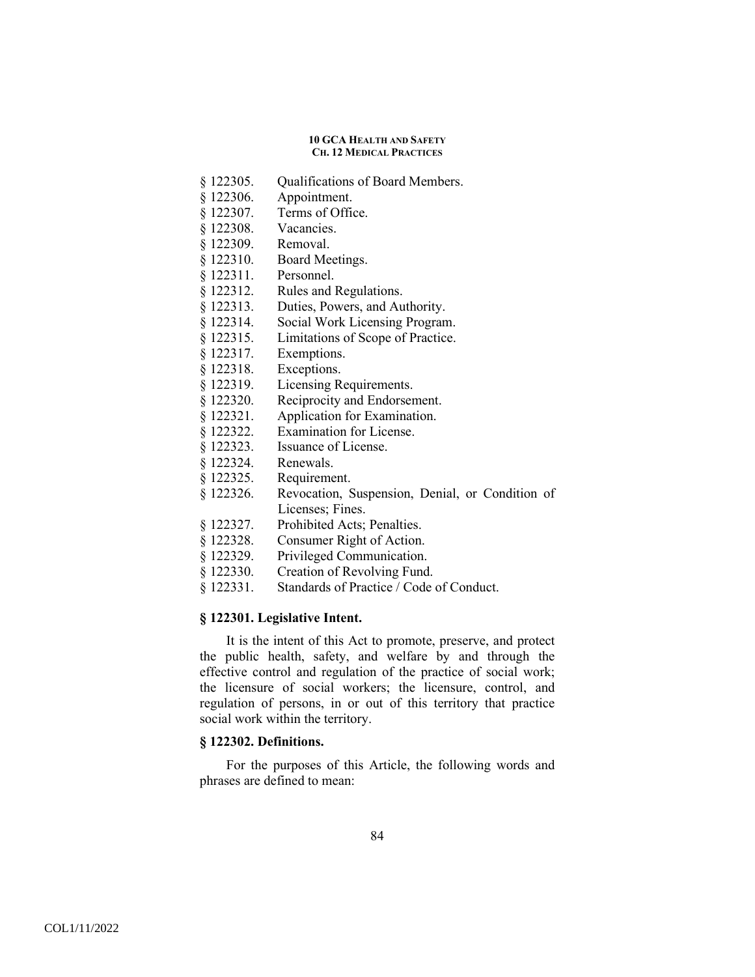- § 122305. Qualifications of Board Members.
- § 122306. Appointment.
- § 122307. Terms of Office.
- § 122308. Vacancies.
- § 122309. Removal.
- § 122310. Board Meetings.
- § 122311. Personnel.
- § 122312. Rules and Regulations.
- § 122313. Duties, Powers, and Authority.
- § 122314. Social Work Licensing Program.
- § 122315. Limitations of Scope of Practice.
- § 122317. Exemptions.
- § 122318. Exceptions.
- § 122319. Licensing Requirements.
- § 122320. Reciprocity and Endorsement.
- § 122321. Application for Examination.
- § 122322. Examination for License.
- § 122323. Issuance of License.
- § 122324. Renewals.
- § 122325. Requirement.
- § 122326. Revocation, Suspension, Denial, or Condition of Licenses; Fines.
- § 122327. Prohibited Acts; Penalties.
- § 122328. Consumer Right of Action.
- § 122329. Privileged Communication.
- § 122330. Creation of Revolving Fund.
- § 122331. Standards of Practice / Code of Conduct.

### **§ 122301. Legislative Intent.**

It is the intent of this Act to promote, preserve, and protect the public health, safety, and welfare by and through the effective control and regulation of the practice of social work; the licensure of social workers; the licensure, control, and regulation of persons, in or out of this territory that practice social work within the territory.

## **§ 122302. Definitions.**

For the purposes of this Article, the following words and phrases are defined to mean: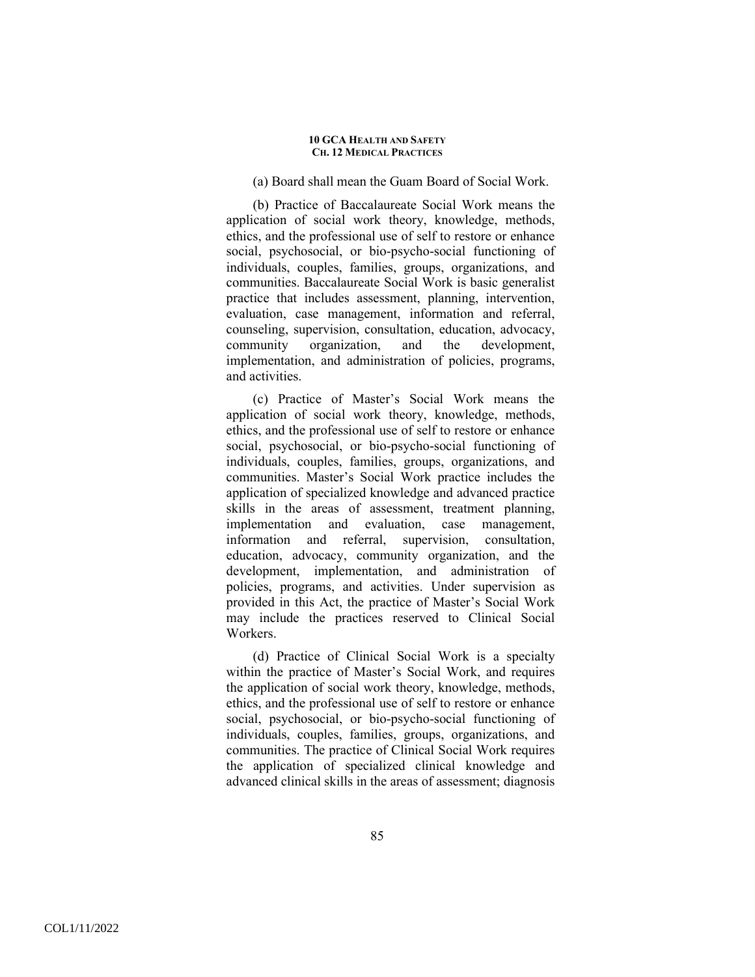### (a) Board shall mean the Guam Board of Social Work.

(b) Practice of Baccalaureate Social Work means the application of social work theory, knowledge, methods, ethics, and the professional use of self to restore or enhance social, psychosocial, or bio-psycho-social functioning of individuals, couples, families, groups, organizations, and communities. Baccalaureate Social Work is basic generalist practice that includes assessment, planning, intervention, evaluation, case management, information and referral, counseling, supervision, consultation, education, advocacy, community organization, and the development, implementation, and administration of policies, programs, and activities.

(c) Practice of Master's Social Work means the application of social work theory, knowledge, methods, ethics, and the professional use of self to restore or enhance social, psychosocial, or bio-psycho-social functioning of individuals, couples, families, groups, organizations, and communities. Master's Social Work practice includes the application of specialized knowledge and advanced practice skills in the areas of assessment, treatment planning, implementation and evaluation, case management, information and referral, supervision, consultation, education, advocacy, community organization, and the development, implementation, and administration of policies, programs, and activities. Under supervision as provided in this Act, the practice of Master's Social Work may include the practices reserved to Clinical Social Workers.

(d) Practice of Clinical Social Work is a specialty within the practice of Master's Social Work, and requires the application of social work theory, knowledge, methods, ethics, and the professional use of self to restore or enhance social, psychosocial, or bio-psycho-social functioning of individuals, couples, families, groups, organizations, and communities. The practice of Clinical Social Work requires the application of specialized clinical knowledge and advanced clinical skills in the areas of assessment; diagnosis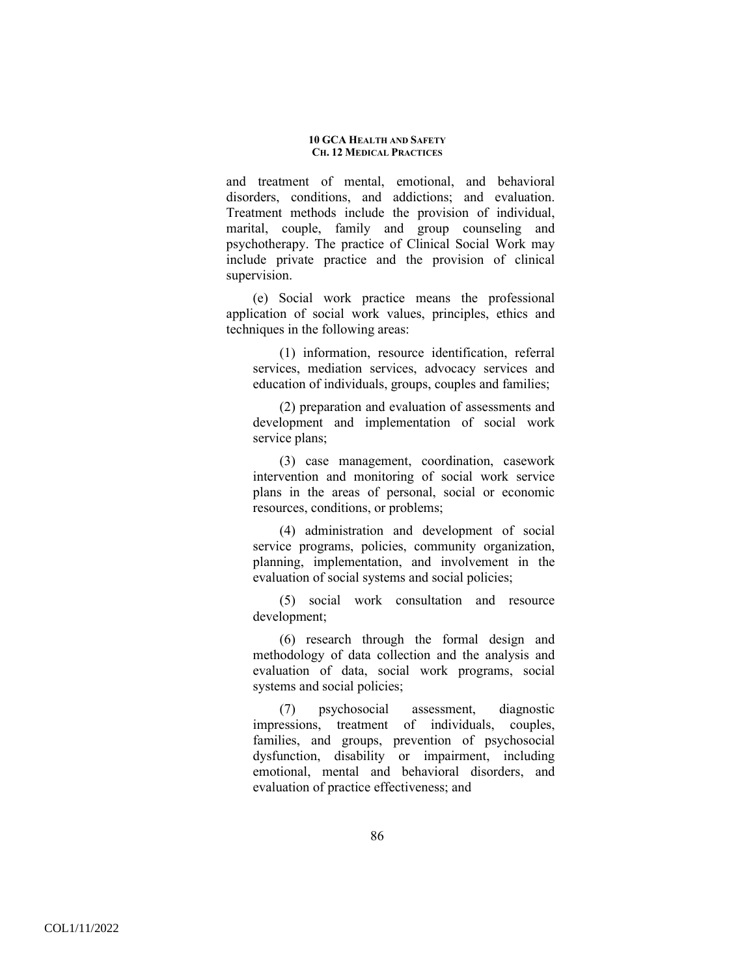and treatment of mental, emotional, and behavioral disorders, conditions, and addictions; and evaluation. Treatment methods include the provision of individual, marital, couple, family and group counseling and psychotherapy. The practice of Clinical Social Work may include private practice and the provision of clinical supervision.

(e) Social work practice means the professional application of social work values, principles, ethics and techniques in the following areas:

(1) information, resource identification, referral services, mediation services, advocacy services and education of individuals, groups, couples and families;

(2) preparation and evaluation of assessments and development and implementation of social work service plans;

(3) case management, coordination, casework intervention and monitoring of social work service plans in the areas of personal, social or economic resources, conditions, or problems;

(4) administration and development of social service programs, policies, community organization, planning, implementation, and involvement in the evaluation of social systems and social policies;

(5) social work consultation and resource development;

(6) research through the formal design and methodology of data collection and the analysis and evaluation of data, social work programs, social systems and social policies;

(7) psychosocial assessment, diagnostic impressions, treatment of individuals, couples, families, and groups, prevention of psychosocial dysfunction, disability or impairment, including emotional, mental and behavioral disorders, and evaluation of practice effectiveness; and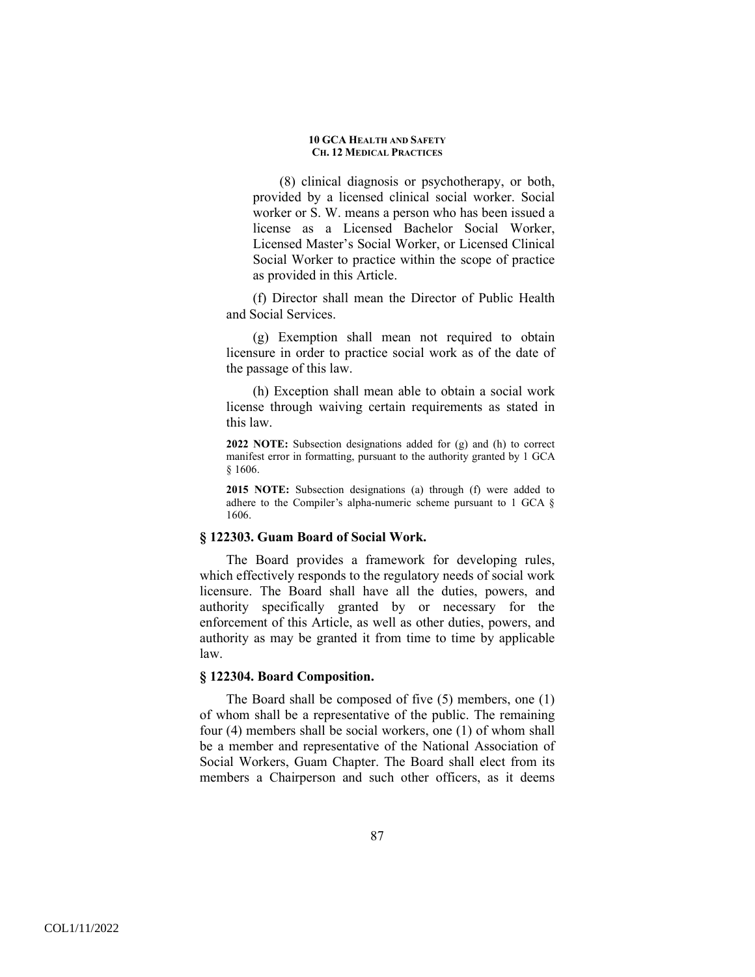(8) clinical diagnosis or psychotherapy, or both, provided by a licensed clinical social worker. Social worker or S. W. means a person who has been issued a license as a Licensed Bachelor Social Worker, Licensed Master's Social Worker, or Licensed Clinical Social Worker to practice within the scope of practice as provided in this Article.

(f) Director shall mean the Director of Public Health and Social Services.

(g) Exemption shall mean not required to obtain licensure in order to practice social work as of the date of the passage of this law.

(h) Exception shall mean able to obtain a social work license through waiving certain requirements as stated in this law.

**2022 NOTE:** Subsection designations added for (g) and (h) to correct manifest error in formatting, pursuant to the authority granted by 1 GCA § 1606.

**2015 NOTE:** Subsection designations (a) through (f) were added to adhere to the Compiler's alpha-numeric scheme pursuant to 1 GCA § 1606.

## **§ 122303. Guam Board of Social Work.**

The Board provides a framework for developing rules, which effectively responds to the regulatory needs of social work licensure. The Board shall have all the duties, powers, and authority specifically granted by or necessary for the enforcement of this Article, as well as other duties, powers, and authority as may be granted it from time to time by applicable law.

### **§ 122304. Board Composition.**

The Board shall be composed of five (5) members, one (1) of whom shall be a representative of the public. The remaining four (4) members shall be social workers, one (1) of whom shall be a member and representative of the National Association of Social Workers, Guam Chapter. The Board shall elect from its members a Chairperson and such other officers, as it deems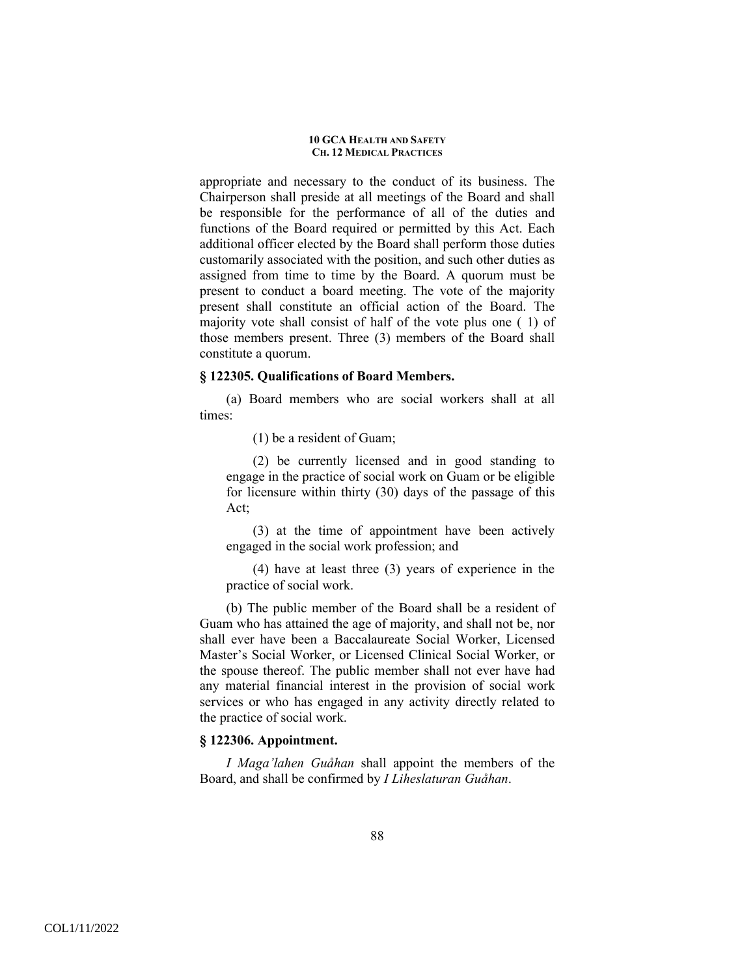appropriate and necessary to the conduct of its business. The Chairperson shall preside at all meetings of the Board and shall be responsible for the performance of all of the duties and functions of the Board required or permitted by this Act. Each additional officer elected by the Board shall perform those duties customarily associated with the position, and such other duties as assigned from time to time by the Board. A quorum must be present to conduct a board meeting. The vote of the majority present shall constitute an official action of the Board. The majority vote shall consist of half of the vote plus one ( 1) of those members present. Three (3) members of the Board shall constitute a quorum.

### **§ 122305. Qualifications of Board Members.**

(a) Board members who are social workers shall at all times:

(1) be a resident of Guam;

(2) be currently licensed and in good standing to engage in the practice of social work on Guam or be eligible for licensure within thirty (30) days of the passage of this Act;

(3) at the time of appointment have been actively engaged in the social work profession; and

(4) have at least three (3) years of experience in the practice of social work.

(b) The public member of the Board shall be a resident of Guam who has attained the age of majority, and shall not be, nor shall ever have been a Baccalaureate Social Worker, Licensed Master's Social Worker, or Licensed Clinical Social Worker, or the spouse thereof. The public member shall not ever have had any material financial interest in the provision of social work services or who has engaged in any activity directly related to the practice of social work.

# **§ 122306. Appointment.**

*I Maga'lahen Guåhan* shall appoint the members of the Board, and shall be confirmed by *I Liheslaturan Guåhan*.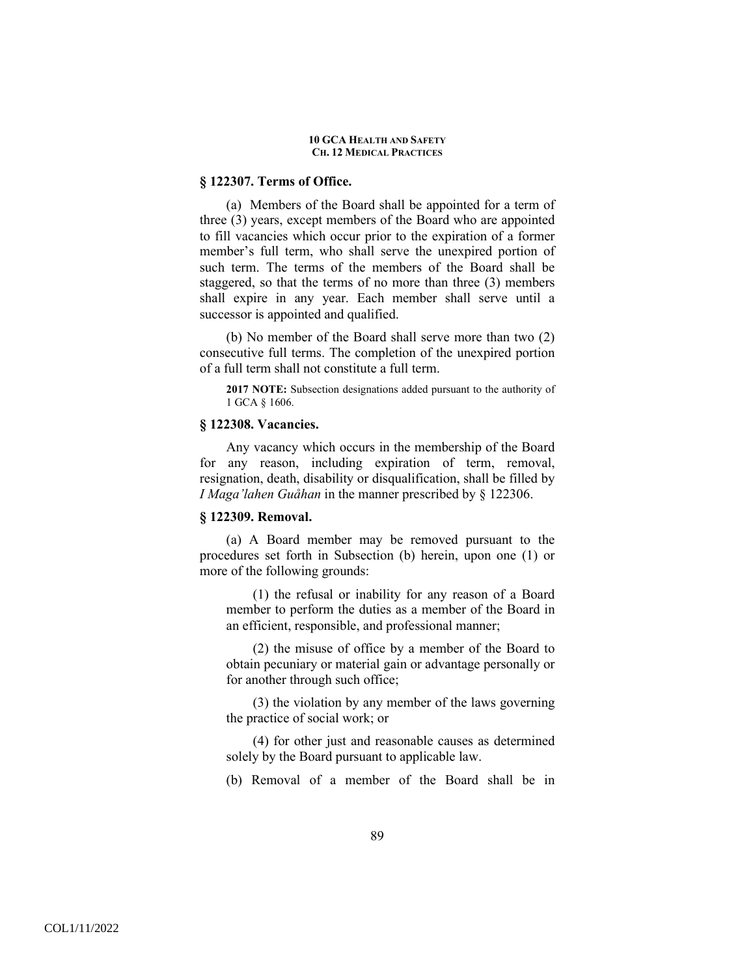### **§ 122307. Terms of Office.**

(a) Members of the Board shall be appointed for a term of three (3) years, except members of the Board who are appointed to fill vacancies which occur prior to the expiration of a former member's full term, who shall serve the unexpired portion of such term. The terms of the members of the Board shall be staggered, so that the terms of no more than three (3) members shall expire in any year. Each member shall serve until a successor is appointed and qualified.

(b) No member of the Board shall serve more than two (2) consecutive full terms. The completion of the unexpired portion of a full term shall not constitute a full term.

**2017 NOTE:** Subsection designations added pursuant to the authority of 1 GCA § 1606.

## **§ 122308. Vacancies.**

Any vacancy which occurs in the membership of the Board for any reason, including expiration of term, removal, resignation, death, disability or disqualification, shall be filled by *I Maga'lahen Guåhan* in the manner prescribed by § 122306.

### **§ 122309. Removal.**

(a) A Board member may be removed pursuant to the procedures set forth in Subsection (b) herein, upon one (1) or more of the following grounds:

(1) the refusal or inability for any reason of a Board member to perform the duties as a member of the Board in an efficient, responsible, and professional manner;

(2) the misuse of office by a member of the Board to obtain pecuniary or material gain or advantage personally or for another through such office;

(3) the violation by any member of the laws governing the practice of social work; or

(4) for other just and reasonable causes as determined solely by the Board pursuant to applicable law.

(b) Removal of a member of the Board shall be in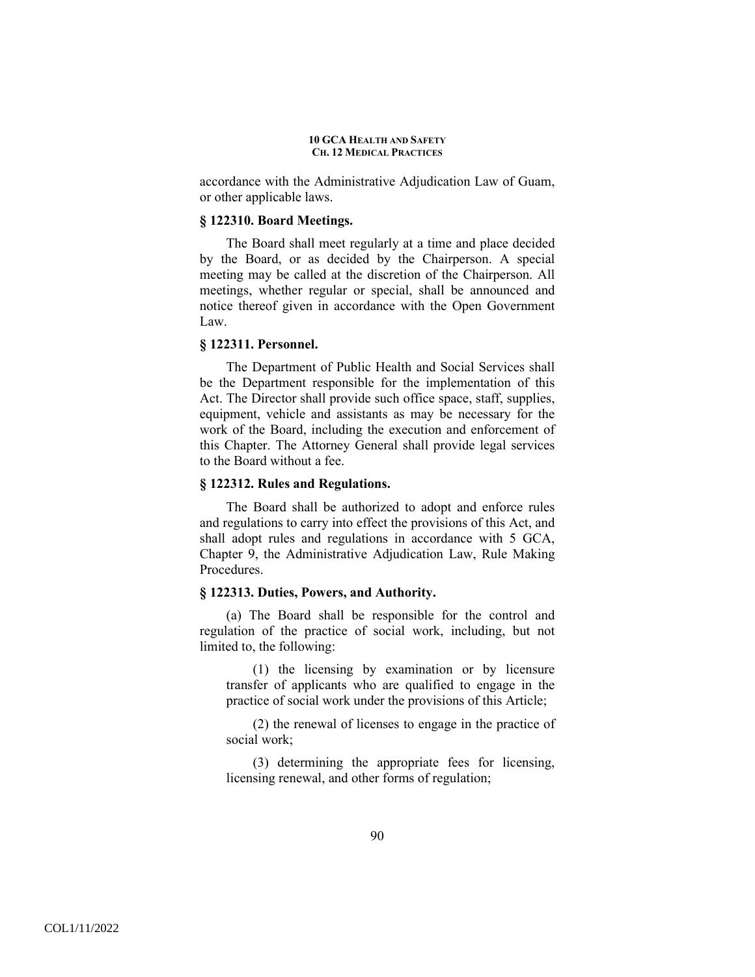accordance with the Administrative Adjudication Law of Guam, or other applicable laws.

### **§ 122310. Board Meetings.**

The Board shall meet regularly at a time and place decided by the Board, or as decided by the Chairperson. A special meeting may be called at the discretion of the Chairperson. All meetings, whether regular or special, shall be announced and notice thereof given in accordance with the Open Government Law.

## **§ 122311. Personnel.**

The Department of Public Health and Social Services shall be the Department responsible for the implementation of this Act. The Director shall provide such office space, staff, supplies, equipment, vehicle and assistants as may be necessary for the work of the Board, including the execution and enforcement of this Chapter. The Attorney General shall provide legal services to the Board without a fee.

### **§ 122312. Rules and Regulations.**

The Board shall be authorized to adopt and enforce rules and regulations to carry into effect the provisions of this Act, and shall adopt rules and regulations in accordance with 5 GCA, Chapter 9, the Administrative Adjudication Law, Rule Making Procedures.

### **§ 122313. Duties, Powers, and Authority.**

(a) The Board shall be responsible for the control and regulation of the practice of social work, including, but not limited to, the following:

(1) the licensing by examination or by licensure transfer of applicants who are qualified to engage in the practice of social work under the provisions of this Article;

(2) the renewal of licenses to engage in the practice of social work;

(3) determining the appropriate fees for licensing, licensing renewal, and other forms of regulation;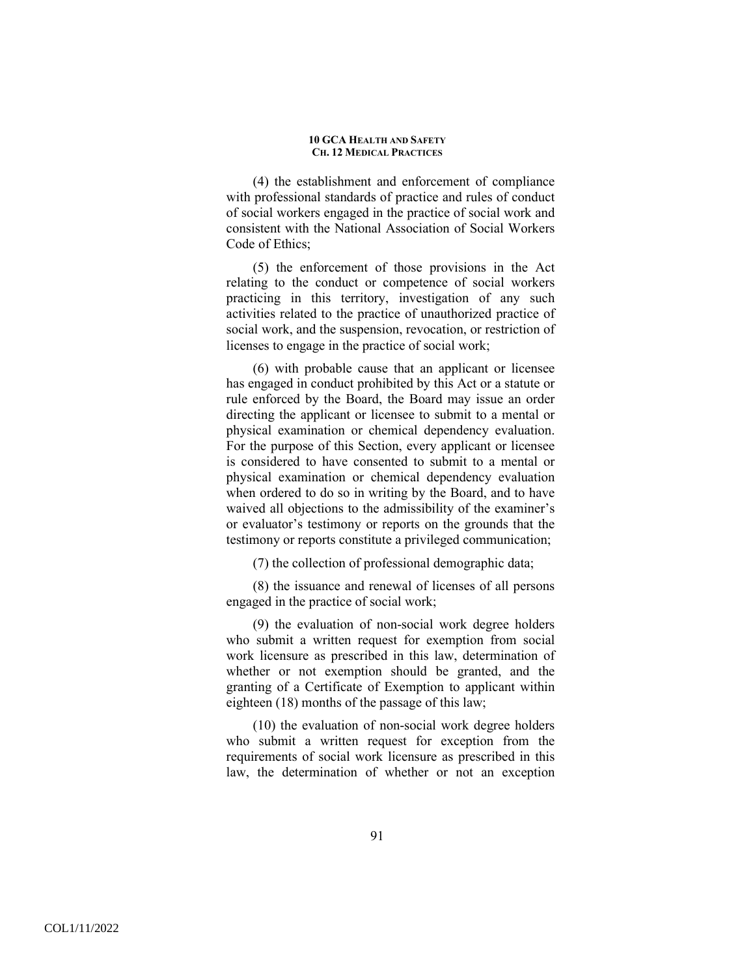(4) the establishment and enforcement of compliance with professional standards of practice and rules of conduct of social workers engaged in the practice of social work and consistent with the National Association of Social Workers Code of Ethics;

(5) the enforcement of those provisions in the Act relating to the conduct or competence of social workers practicing in this territory, investigation of any such activities related to the practice of unauthorized practice of social work, and the suspension, revocation, or restriction of licenses to engage in the practice of social work;

(6) with probable cause that an applicant or licensee has engaged in conduct prohibited by this Act or a statute or rule enforced by the Board, the Board may issue an order directing the applicant or licensee to submit to a mental or physical examination or chemical dependency evaluation. For the purpose of this Section, every applicant or licensee is considered to have consented to submit to a mental or physical examination or chemical dependency evaluation when ordered to do so in writing by the Board, and to have waived all objections to the admissibility of the examiner's or evaluator's testimony or reports on the grounds that the testimony or reports constitute a privileged communication;

(7) the collection of professional demographic data;

(8) the issuance and renewal of licenses of all persons engaged in the practice of social work;

(9) the evaluation of non-social work degree holders who submit a written request for exemption from social work licensure as prescribed in this law, determination of whether or not exemption should be granted, and the granting of a Certificate of Exemption to applicant within eighteen (18) months of the passage of this law;

(10) the evaluation of non-social work degree holders who submit a written request for exception from the requirements of social work licensure as prescribed in this law, the determination of whether or not an exception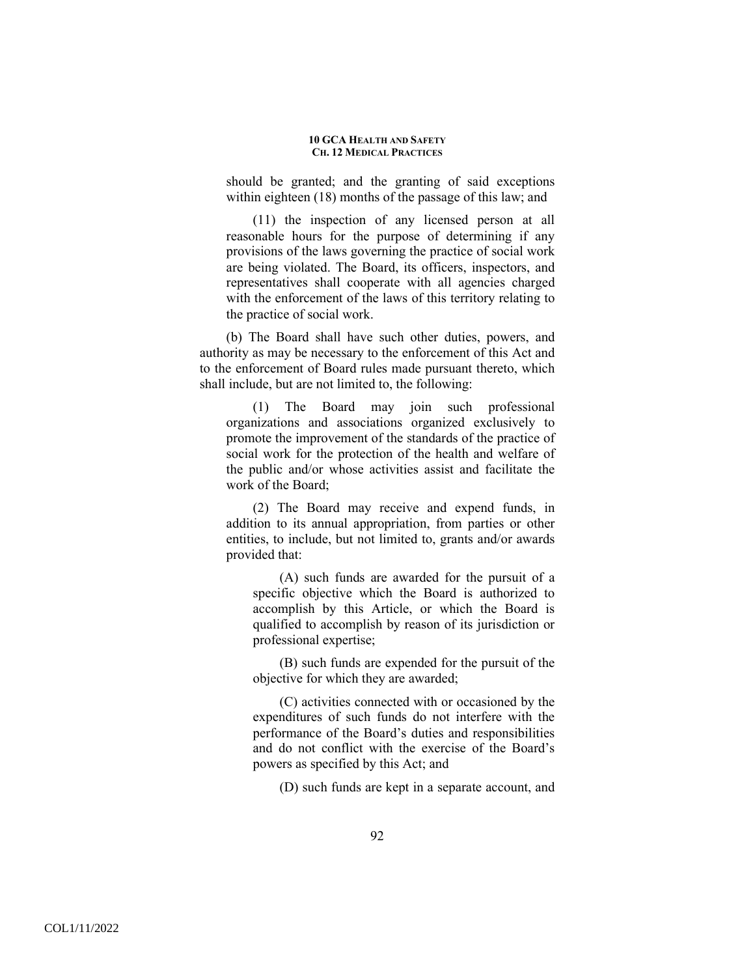should be granted; and the granting of said exceptions within eighteen (18) months of the passage of this law; and

(11) the inspection of any licensed person at all reasonable hours for the purpose of determining if any provisions of the laws governing the practice of social work are being violated. The Board, its officers, inspectors, and representatives shall cooperate with all agencies charged with the enforcement of the laws of this territory relating to the practice of social work.

(b) The Board shall have such other duties, powers, and authority as may be necessary to the enforcement of this Act and to the enforcement of Board rules made pursuant thereto, which shall include, but are not limited to, the following:

(1) The Board may join such professional organizations and associations organized exclusively to promote the improvement of the standards of the practice of social work for the protection of the health and welfare of the public and/or whose activities assist and facilitate the work of the Board;

(2) The Board may receive and expend funds, in addition to its annual appropriation, from parties or other entities, to include, but not limited to, grants and/or awards provided that:

(A) such funds are awarded for the pursuit of a specific objective which the Board is authorized to accomplish by this Article, or which the Board is qualified to accomplish by reason of its jurisdiction or professional expertise;

(B) such funds are expended for the pursuit of the objective for which they are awarded;

(C) activities connected with or occasioned by the expenditures of such funds do not interfere with the performance of the Board's duties and responsibilities and do not conflict with the exercise of the Board's powers as specified by this Act; and

(D) such funds are kept in a separate account, and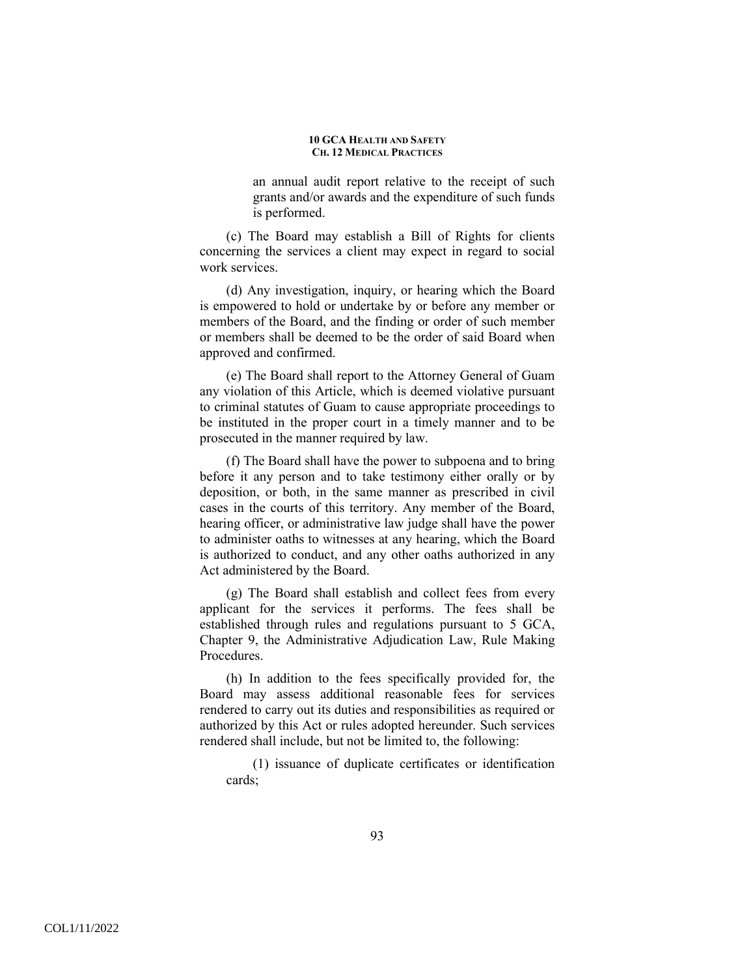an annual audit report relative to the receipt of such grants and/or awards and the expenditure of such funds is performed.

(c) The Board may establish a Bill of Rights for clients concerning the services a client may expect in regard to social work services.

(d) Any investigation, inquiry, or hearing which the Board is empowered to hold or undertake by or before any member or members of the Board, and the finding or order of such member or members shall be deemed to be the order of said Board when approved and confirmed.

(e) The Board shall report to the Attorney General of Guam any violation of this Article, which is deemed violative pursuant to criminal statutes of Guam to cause appropriate proceedings to be instituted in the proper court in a timely manner and to be prosecuted in the manner required by law.

(f) The Board shall have the power to subpoena and to bring before it any person and to take testimony either orally or by deposition, or both, in the same manner as prescribed in civil cases in the courts of this territory. Any member of the Board, hearing officer, or administrative law judge shall have the power to administer oaths to witnesses at any hearing, which the Board is authorized to conduct, and any other oaths authorized in any Act administered by the Board.

(g) The Board shall establish and collect fees from every applicant for the services it performs. The fees shall be established through rules and regulations pursuant to 5 GCA, Chapter 9, the Administrative Adjudication Law, Rule Making Procedures.

(h) In addition to the fees specifically provided for, the Board may assess additional reasonable fees for services rendered to carry out its duties and responsibilities as required or authorized by this Act or rules adopted hereunder. Such services rendered shall include, but not be limited to, the following:

(1) issuance of duplicate certificates or identification cards;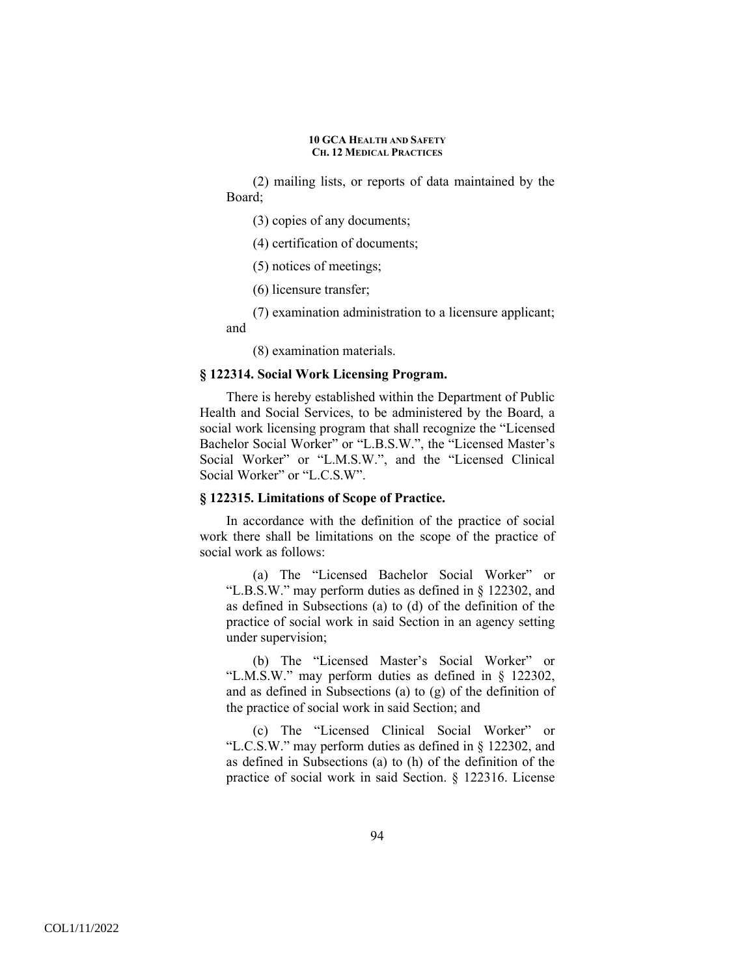(2) mailing lists, or reports of data maintained by the Board;

(3) copies of any documents;

(4) certification of documents;

(5) notices of meetings;

(6) licensure transfer;

(7) examination administration to a licensure applicant; and

(8) examination materials.

### **§ 122314. Social Work Licensing Program.**

There is hereby established within the Department of Public Health and Social Services, to be administered by the Board, a social work licensing program that shall recognize the "Licensed Bachelor Social Worker" or "L.B.S.W.", the "Licensed Master's Social Worker" or "L.M.S.W.", and the "Licensed Clinical Social Worker" or "L.C.S.W".

### **§ 122315. Limitations of Scope of Practice.**

In accordance with the definition of the practice of social work there shall be limitations on the scope of the practice of social work as follows:

(a) The "Licensed Bachelor Social Worker" or "L.B.S.W." may perform duties as defined in § 122302, and as defined in Subsections (a) to (d) of the definition of the practice of social work in said Section in an agency setting under supervision;

(b) The "Licensed Master's Social Worker" or "L.M.S.W." may perform duties as defined in § 122302, and as defined in Subsections (a) to (g) of the definition of the practice of social work in said Section; and

(c) The "Licensed Clinical Social Worker" or "L.C.S.W." may perform duties as defined in § 122302, and as defined in Subsections (a) to (h) of the definition of the practice of social work in said Section. § 122316. License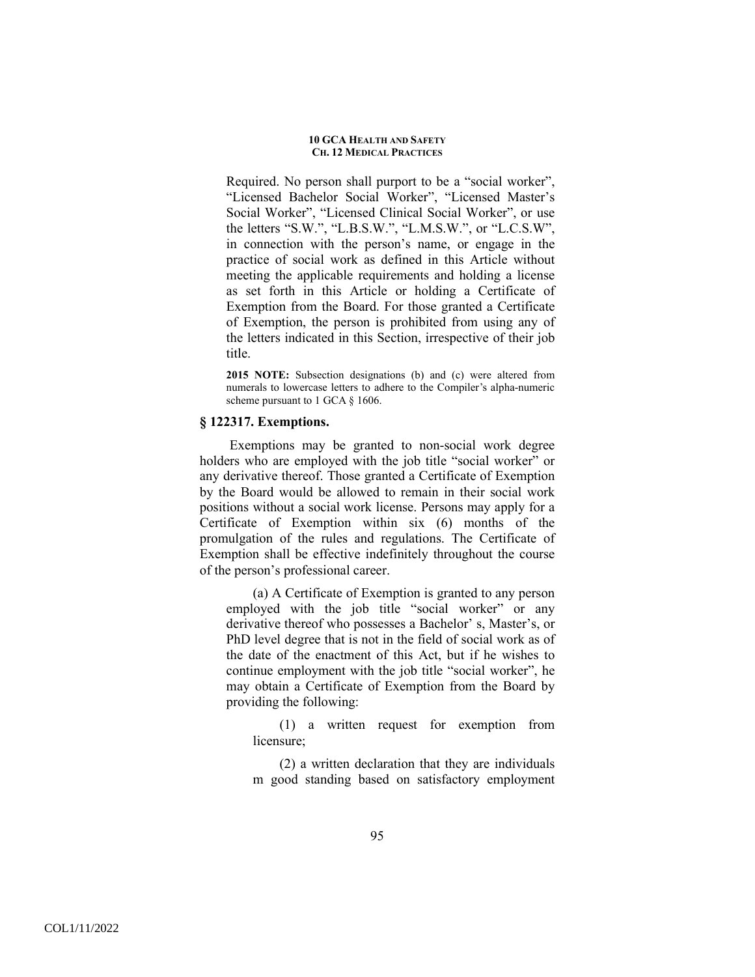Required. No person shall purport to be a "social worker", "Licensed Bachelor Social Worker", "Licensed Master's Social Worker", "Licensed Clinical Social Worker", or use the letters "S.W.", "L.B.S.W.", "L.M.S.W.", or "L.C.S.W", in connection with the person's name, or engage in the practice of social work as defined in this Article without meeting the applicable requirements and holding a license as set forth in this Article or holding a Certificate of Exemption from the Board. For those granted a Certificate of Exemption, the person is prohibited from using any of the letters indicated in this Section, irrespective of their job title.

**2015 NOTE:** Subsection designations (b) and (c) were altered from numerals to lowercase letters to adhere to the Compiler's alpha-numeric scheme pursuant to 1 GCA § 1606.

### **§ 122317. Exemptions.**

 Exemptions may be granted to non-social work degree holders who are employed with the job title "social worker" or any derivative thereof. Those granted a Certificate of Exemption by the Board would be allowed to remain in their social work positions without a social work license. Persons may apply for a Certificate of Exemption within six (6) months of the promulgation of the rules and regulations. The Certificate of Exemption shall be effective indefinitely throughout the course of the person's professional career.

(a) A Certificate of Exemption is granted to any person employed with the job title "social worker" or any derivative thereof who possesses a Bachelor' s, Master's, or PhD level degree that is not in the field of social work as of the date of the enactment of this Act, but if he wishes to continue employment with the job title "social worker", he may obtain a Certificate of Exemption from the Board by providing the following:

(1) a written request for exemption from licensure;

(2) a written declaration that they are individuals m good standing based on satisfactory employment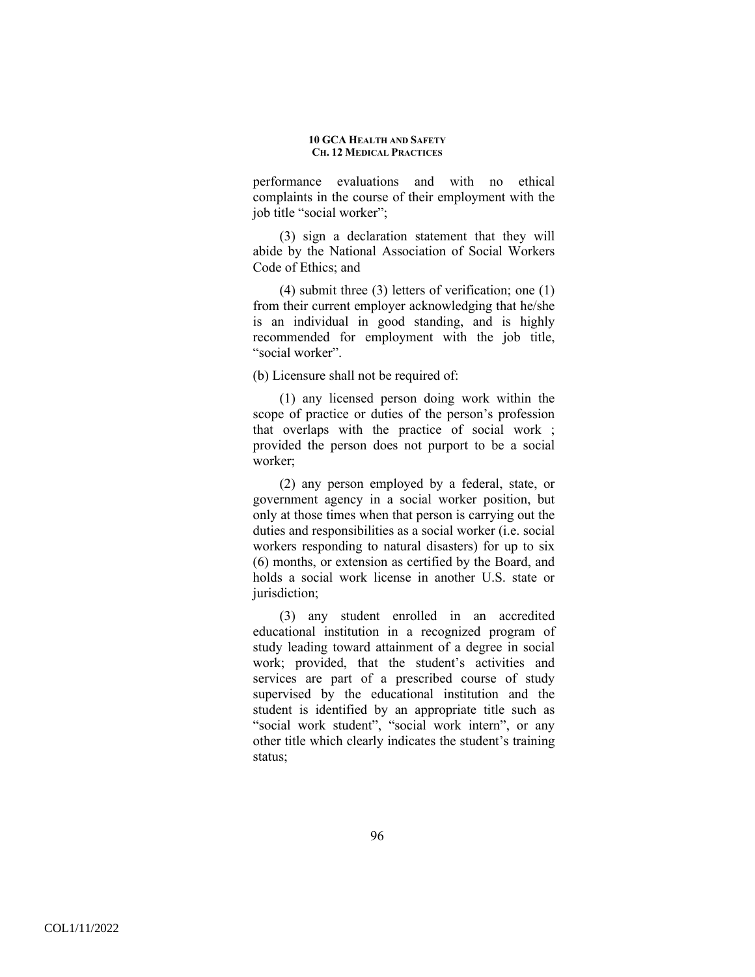performance evaluations and with no ethical complaints in the course of their employment with the job title "social worker";

(3) sign a declaration statement that they will abide by the National Association of Social Workers Code of Ethics; and

(4) submit three (3) letters of verification; one (1) from their current employer acknowledging that he/she is an individual in good standing, and is highly recommended for employment with the job title, "social worker".

(b) Licensure shall not be required of:

(1) any licensed person doing work within the scope of practice or duties of the person's profession that overlaps with the practice of social work ; provided the person does not purport to be a social worker;

(2) any person employed by a federal, state, or government agency in a social worker position, but only at those times when that person is carrying out the duties and responsibilities as a social worker (i.e. social workers responding to natural disasters) for up to six (6) months, or extension as certified by the Board, and holds a social work license in another U.S. state or jurisdiction:

(3) any student enrolled in an accredited educational institution in a recognized program of study leading toward attainment of a degree in social work; provided, that the student's activities and services are part of a prescribed course of study supervised by the educational institution and the student is identified by an appropriate title such as "social work student", "social work intern", or any other title which clearly indicates the student's training status;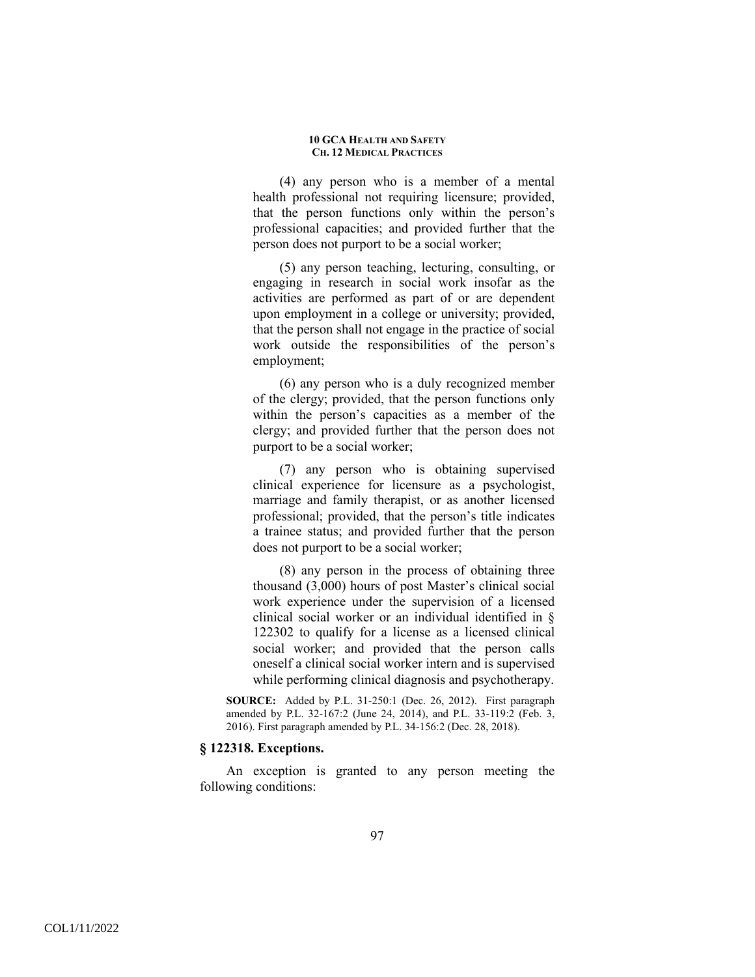(4) any person who is a member of a mental health professional not requiring licensure; provided, that the person functions only within the person's professional capacities; and provided further that the person does not purport to be a social worker;

(5) any person teaching, lecturing, consulting, or engaging in research in social work insofar as the activities are performed as part of or are dependent upon employment in a college or university; provided, that the person shall not engage in the practice of social work outside the responsibilities of the person's employment;

(6) any person who is a duly recognized member of the clergy; provided, that the person functions only within the person's capacities as a member of the clergy; and provided further that the person does not purport to be a social worker;

(7) any person who is obtaining supervised clinical experience for licensure as a psychologist, marriage and family therapist, or as another licensed professional; provided, that the person's title indicates a trainee status; and provided further that the person does not purport to be a social worker;

(8) any person in the process of obtaining three thousand (3,000) hours of post Master's clinical social work experience under the supervision of a licensed clinical social worker or an individual identified in § 122302 to qualify for a license as a licensed clinical social worker; and provided that the person calls oneself a clinical social worker intern and is supervised while performing clinical diagnosis and psychotherapy.

**SOURCE:** Added by P.L. 31-250:1 (Dec. 26, 2012). First paragraph amended by P.L. 32-167:2 (June 24, 2014), and P.L. 33-119:2 (Feb. 3, 2016). First paragraph amended by P.L. 34-156:2 (Dec. 28, 2018).

### **§ 122318. Exceptions.**

An exception is granted to any person meeting the following conditions: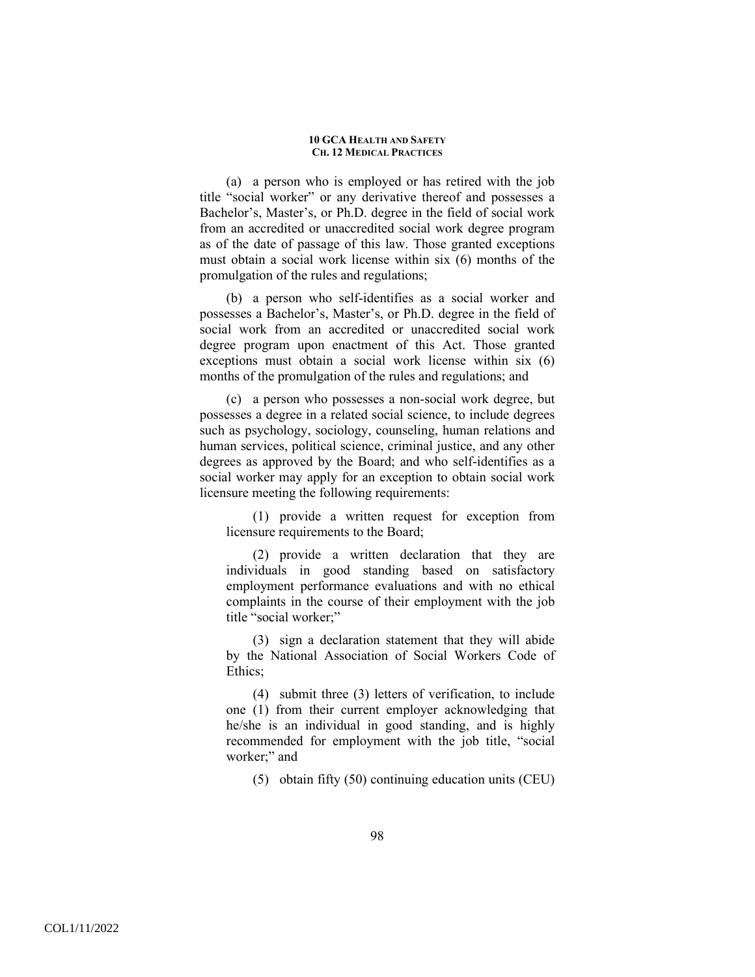(a) a person who is employed or has retired with the job title "social worker" or any derivative thereof and possesses a Bachelor's, Master's, or Ph.D. degree in the field of social work from an accredited or unaccredited social work degree program as of the date of passage of this law. Those granted exceptions must obtain a social work license within six (6) months of the promulgation of the rules and regulations;

(b) a person who self-identifies as a social worker and possesses a Bachelor's, Master's, or Ph.D. degree in the field of social work from an accredited or unaccredited social work degree program upon enactment of this Act. Those granted exceptions must obtain a social work license within six (6) months of the promulgation of the rules and regulations; and

(c) a person who possesses a non-social work degree, but possesses a degree in a related social science, to include degrees such as psychology, sociology, counseling, human relations and human services, political science, criminal justice, and any other degrees as approved by the Board; and who self-identifies as a social worker may apply for an exception to obtain social work licensure meeting the following requirements:

(1) provide a written request for exception from licensure requirements to the Board;

(2) provide a written declaration that they are individuals in good standing based on satisfactory employment performance evaluations and with no ethical complaints in the course of their employment with the job title "social worker;"

(3) sign a declaration statement that they will abide by the National Association of Social Workers Code of Ethics;

(4) submit three (3) letters of verification, to include one (1) from their current employer acknowledging that he/she is an individual in good standing, and is highly recommended for employment with the job title, "social worker;" and

(5) obtain fifty (50) continuing education units (CEU)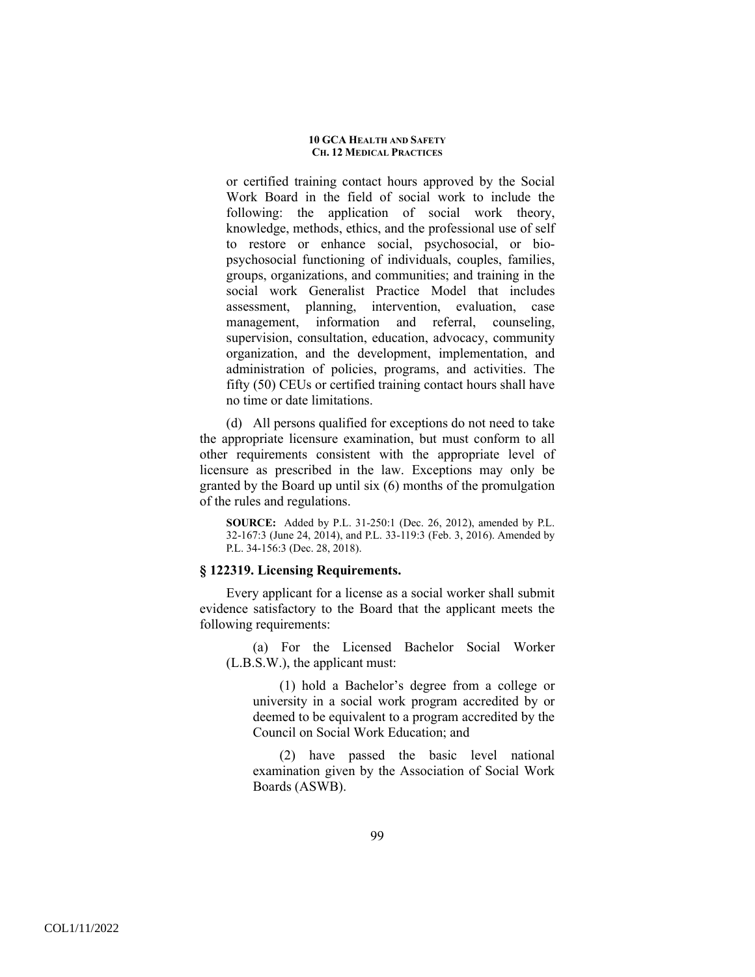or certified training contact hours approved by the Social Work Board in the field of social work to include the following: the application of social work theory, knowledge, methods, ethics, and the professional use of self to restore or enhance social, psychosocial, or biopsychosocial functioning of individuals, couples, families, groups, organizations, and communities; and training in the social work Generalist Practice Model that includes assessment, planning, intervention, evaluation, case management, information and referral, counseling, supervision, consultation, education, advocacy, community organization, and the development, implementation, and administration of policies, programs, and activities. The fifty (50) CEUs or certified training contact hours shall have no time or date limitations.

(d) All persons qualified for exceptions do not need to take the appropriate licensure examination, but must conform to all other requirements consistent with the appropriate level of licensure as prescribed in the law. Exceptions may only be granted by the Board up until six (6) months of the promulgation of the rules and regulations.

**SOURCE:** Added by P.L. 31-250:1 (Dec. 26, 2012), amended by P.L. 32-167:3 (June 24, 2014), and P.L. 33-119:3 (Feb. 3, 2016). Amended by P.L. 34-156:3 (Dec. 28, 2018).

## **§ 122319. Licensing Requirements.**

Every applicant for a license as a social worker shall submit evidence satisfactory to the Board that the applicant meets the following requirements:

(a) For the Licensed Bachelor Social Worker (L.B.S.W.), the applicant must:

(1) hold a Bachelor's degree from a college or university in a social work program accredited by or deemed to be equivalent to a program accredited by the Council on Social Work Education; and

(2) have passed the basic level national examination given by the Association of Social Work Boards (ASWB).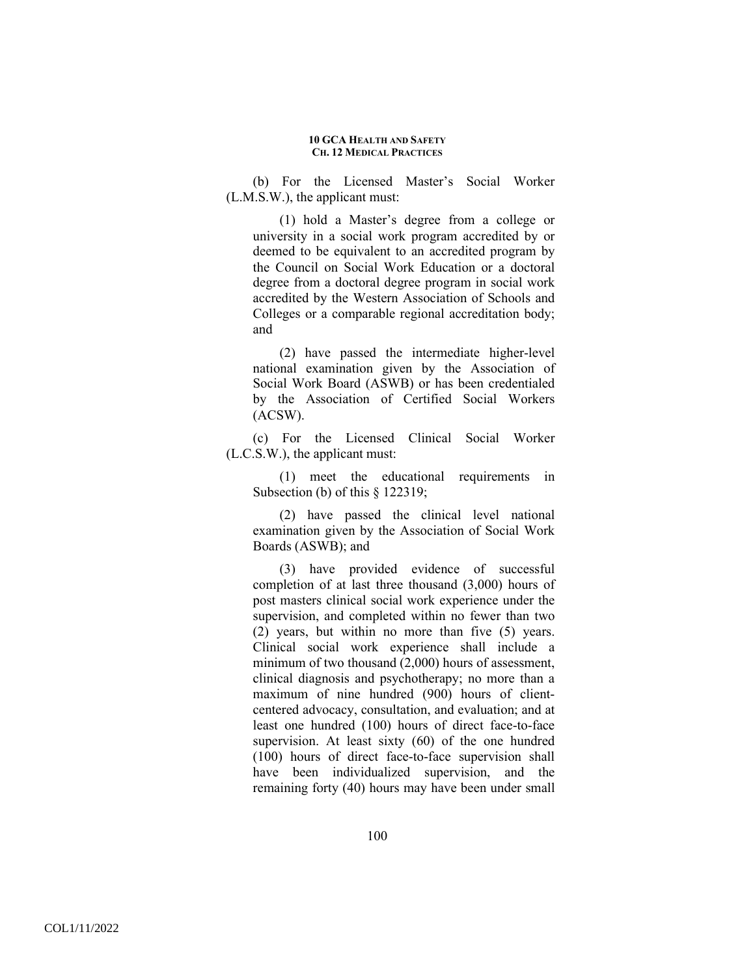(b) For the Licensed Master's Social Worker (L.M.S.W.), the applicant must:

(1) hold a Master's degree from a college or university in a social work program accredited by or deemed to be equivalent to an accredited program by the Council on Social Work Education or a doctoral degree from a doctoral degree program in social work accredited by the Western Association of Schools and Colleges or a comparable regional accreditation body; and

(2) have passed the intermediate higher-level national examination given by the Association of Social Work Board (ASWB) or has been credentialed by the Association of Certified Social Workers (ACSW).

(c) For the Licensed Clinical Social Worker (L.C.S.W.), the applicant must:

(1) meet the educational requirements in Subsection (b) of this  $\S$  122319;

(2) have passed the clinical level national examination given by the Association of Social Work Boards (ASWB); and

(3) have provided evidence of successful completion of at last three thousand (3,000) hours of post masters clinical social work experience under the supervision, and completed within no fewer than two (2) years, but within no more than five (5) years. Clinical social work experience shall include a minimum of two thousand (2,000) hours of assessment, clinical diagnosis and psychotherapy; no more than a maximum of nine hundred (900) hours of clientcentered advocacy, consultation, and evaluation; and at least one hundred (100) hours of direct face-to-face supervision. At least sixty (60) of the one hundred (100) hours of direct face-to-face supervision shall have been individualized supervision, and the remaining forty (40) hours may have been under small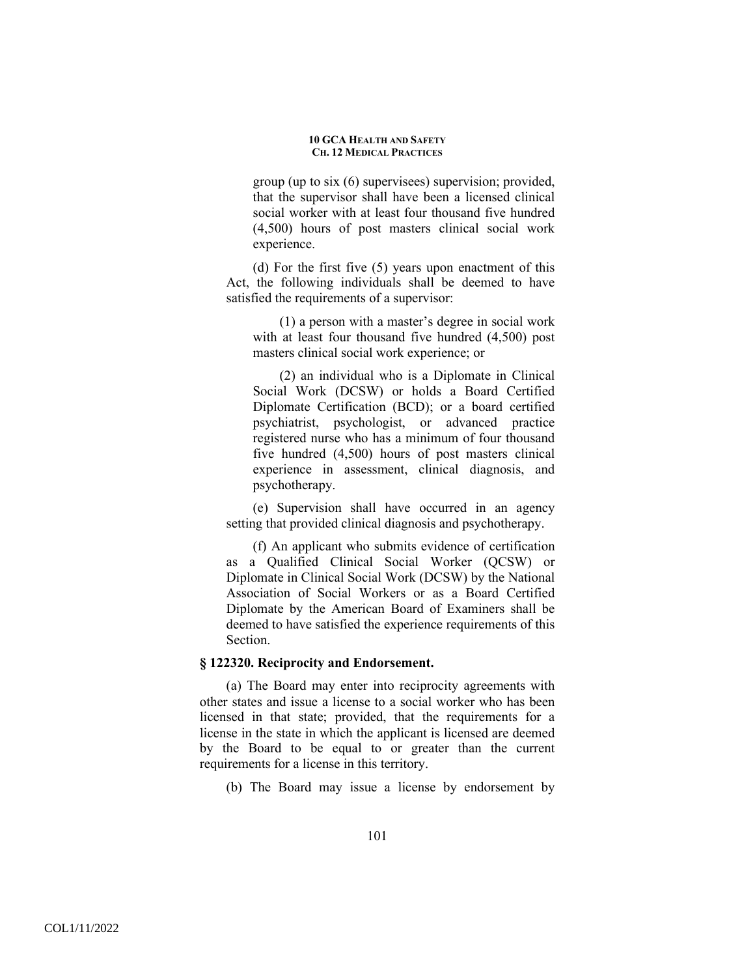group (up to six (6) supervisees) supervision; provided, that the supervisor shall have been a licensed clinical social worker with at least four thousand five hundred (4,500) hours of post masters clinical social work experience.

(d) For the first five (5) years upon enactment of this Act, the following individuals shall be deemed to have satisfied the requirements of a supervisor:

(1) a person with a master's degree in social work with at least four thousand five hundred (4,500) post masters clinical social work experience; or

(2) an individual who is a Diplomate in Clinical Social Work (DCSW) or holds a Board Certified Diplomate Certification (BCD); or a board certified psychiatrist, psychologist, or advanced practice registered nurse who has a minimum of four thousand five hundred (4,500) hours of post masters clinical experience in assessment, clinical diagnosis, and psychotherapy.

(e) Supervision shall have occurred in an agency setting that provided clinical diagnosis and psychotherapy.

(f) An applicant who submits evidence of certification as a Qualified Clinical Social Worker (QCSW) or Diplomate in Clinical Social Work (DCSW) by the National Association of Social Workers or as a Board Certified Diplomate by the American Board of Examiners shall be deemed to have satisfied the experience requirements of this Section.

## **§ 122320. Reciprocity and Endorsement.**

(a) The Board may enter into reciprocity agreements with other states and issue a license to a social worker who has been licensed in that state; provided, that the requirements for a license in the state in which the applicant is licensed are deemed by the Board to be equal to or greater than the current requirements for a license in this territory.

(b) The Board may issue a license by endorsement by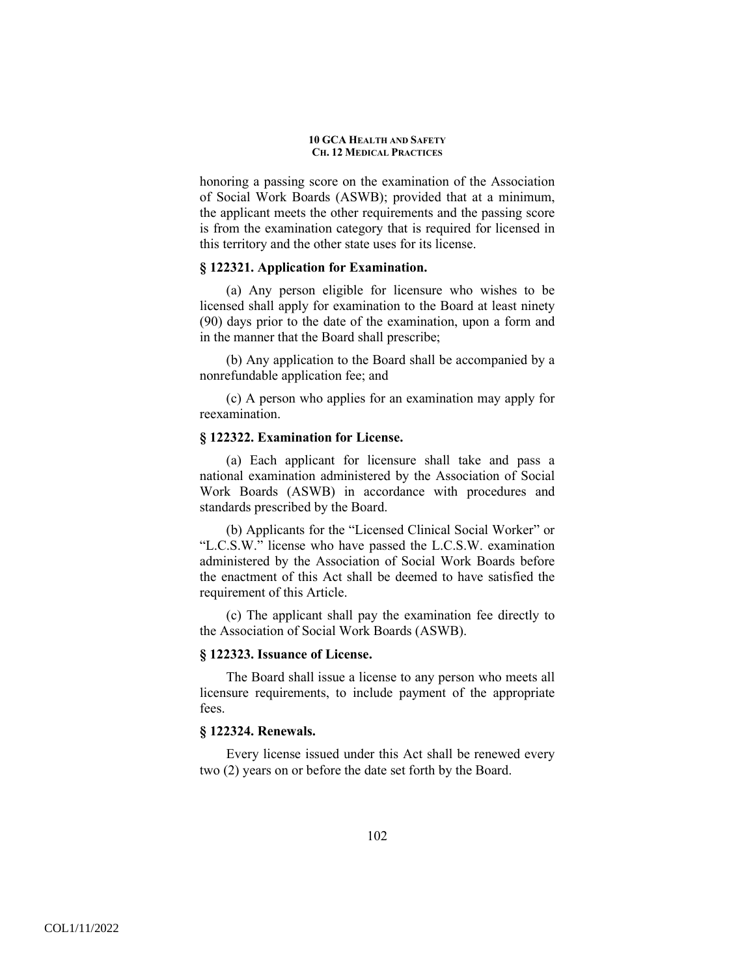honoring a passing score on the examination of the Association of Social Work Boards (ASWB); provided that at a minimum, the applicant meets the other requirements and the passing score is from the examination category that is required for licensed in this territory and the other state uses for its license.

# **§ 122321. Application for Examination.**

(a) Any person eligible for licensure who wishes to be licensed shall apply for examination to the Board at least ninety (90) days prior to the date of the examination, upon a form and in the manner that the Board shall prescribe;

(b) Any application to the Board shall be accompanied by a nonrefundable application fee; and

(c) A person who applies for an examination may apply for reexamination.

## **§ 122322. Examination for License.**

(a) Each applicant for licensure shall take and pass a national examination administered by the Association of Social Work Boards (ASWB) in accordance with procedures and standards prescribed by the Board.

(b) Applicants for the "Licensed Clinical Social Worker" or "L.C.S.W." license who have passed the L.C.S.W. examination administered by the Association of Social Work Boards before the enactment of this Act shall be deemed to have satisfied the requirement of this Article.

(c) The applicant shall pay the examination fee directly to the Association of Social Work Boards (ASWB).

### **§ 122323. Issuance of License.**

The Board shall issue a license to any person who meets all licensure requirements, to include payment of the appropriate fees.

# **§ 122324. Renewals.**

Every license issued under this Act shall be renewed every two (2) years on or before the date set forth by the Board.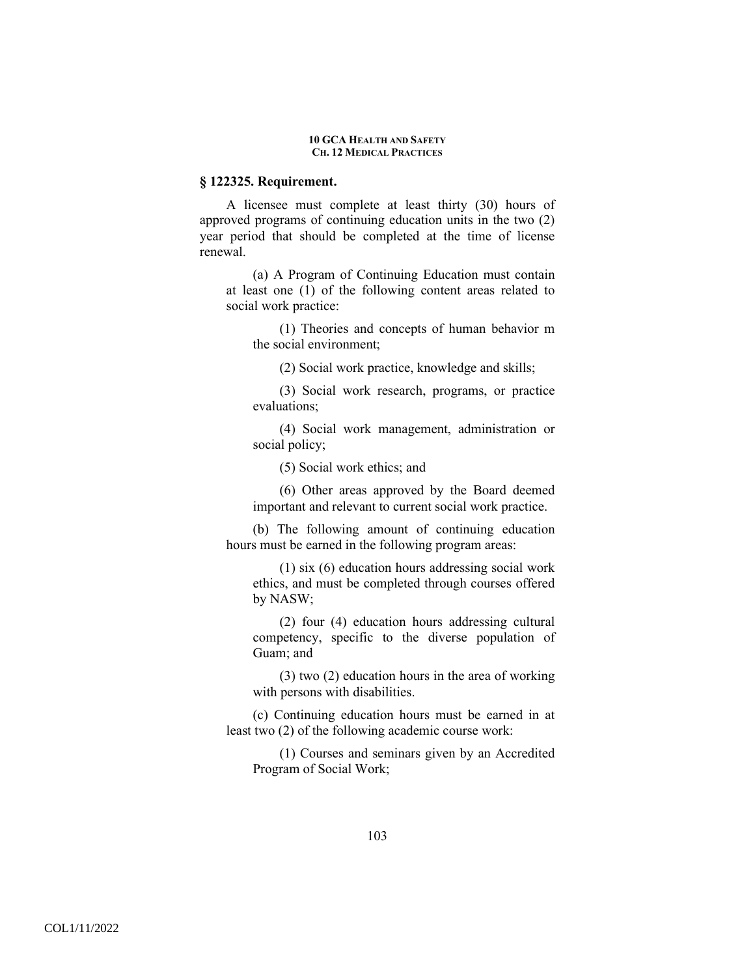### **§ 122325. Requirement.**

A licensee must complete at least thirty (30) hours of approved programs of continuing education units in the two (2) year period that should be completed at the time of license renewal.

(a) A Program of Continuing Education must contain at least one (1) of the following content areas related to social work practice:

(1) Theories and concepts of human behavior m the social environment;

(2) Social work practice, knowledge and skills;

(3) Social work research, programs, or practice evaluations;

(4) Social work management, administration or social policy;

(5) Social work ethics; and

(6) Other areas approved by the Board deemed important and relevant to current social work practice.

(b) The following amount of continuing education hours must be earned in the following program areas:

(1) six (6) education hours addressing social work ethics, and must be completed through courses offered by NASW;

(2) four (4) education hours addressing cultural competency, specific to the diverse population of Guam; and

(3) two (2) education hours in the area of working with persons with disabilities.

(c) Continuing education hours must be earned in at least two (2) of the following academic course work:

(1) Courses and seminars given by an Accredited Program of Social Work;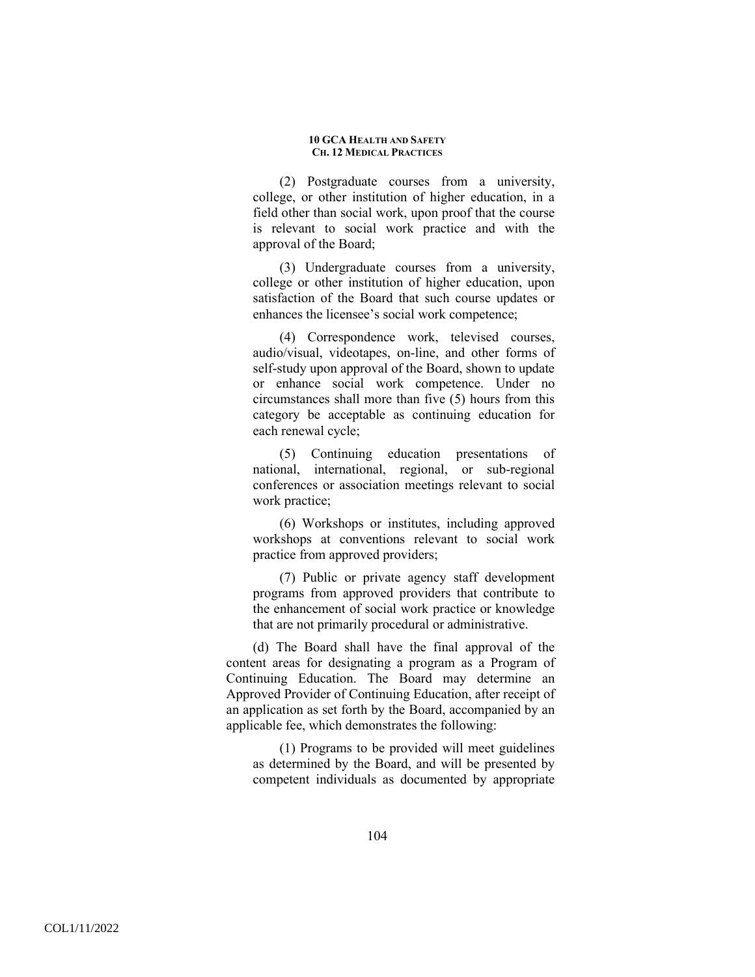(2) Postgraduate courses from a university, college, or other institution of higher education, in a field other than social work, upon proof that the course is relevant to social work practice and with the approval of the Board;

(3) Undergraduate courses from a university, college or other institution of higher education, upon satisfaction of the Board that such course updates or enhances the licensee's social work competence;

(4) Correspondence work, televised courses, audio/visual, videotapes, on-line, and other forms of self-study upon approval of the Board, shown to update or enhance social work competence. Under no circumstances shall more than five (5) hours from this category be acceptable as continuing education for each renewal cycle;

(5) Continuing education presentations of national, international, regional, or sub-regional conferences or association meetings relevant to social work practice;

(6) Workshops or institutes, including approved workshops at conventions relevant to social work practice from approved providers;

(7) Public or private agency staff development programs from approved providers that contribute to the enhancement of social work practice or knowledge that are not primarily procedural or administrative.

(d) The Board shall have the final approval of the content areas for designating a program as a Program of Continuing Education. The Board may determine an Approved Provider of Continuing Education, after receipt of an application as set forth by the Board, accompanied by an applicable fee, which demonstrates the following:

(1) Programs to be provided will meet guidelines as determined by the Board, and will be presented by competent individuals as documented by appropriate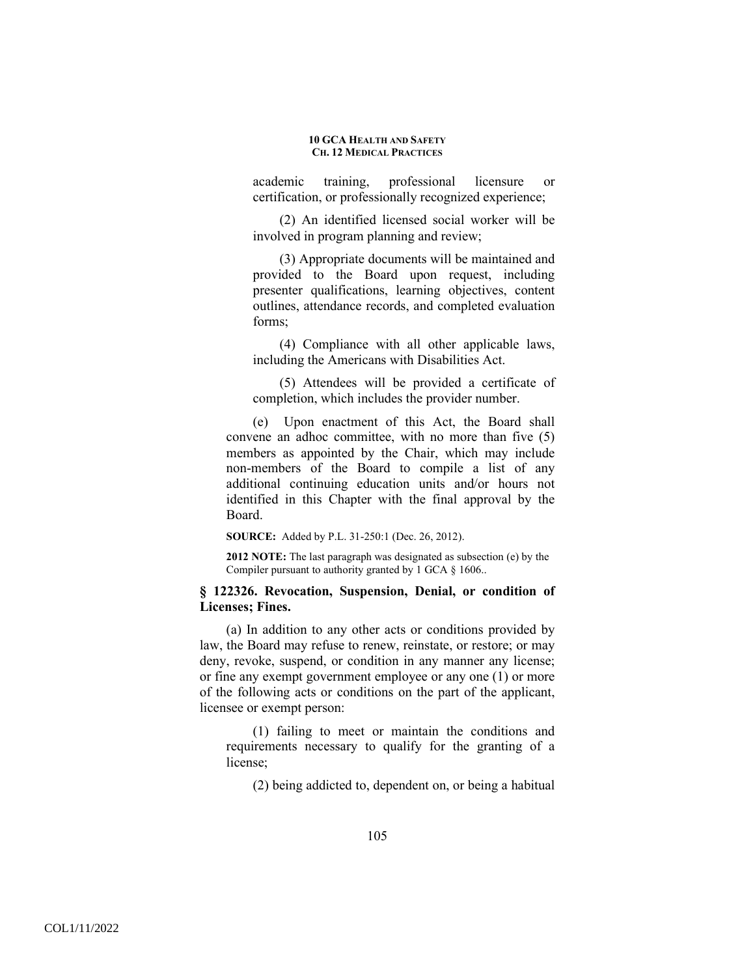academic training, professional licensure or certification, or professionally recognized experience;

(2) An identified licensed social worker will be involved in program planning and review;

(3) Appropriate documents will be maintained and provided to the Board upon request, including presenter qualifications, learning objectives, content outlines, attendance records, and completed evaluation forms;

(4) Compliance with all other applicable laws, including the Americans with Disabilities Act.

(5) Attendees will be provided a certificate of completion, which includes the provider number.

(e) Upon enactment of this Act, the Board shall convene an adhoc committee, with no more than five (5) members as appointed by the Chair, which may include non-members of the Board to compile a list of any additional continuing education units and/or hours not identified in this Chapter with the final approval by the Board.

**SOURCE:** Added by P.L. 31-250:1 (Dec. 26, 2012).

**2012 NOTE:** The last paragraph was designated as subsection (e) by the Compiler pursuant to authority granted by 1 GCA § 1606..

## **§ 122326. Revocation, Suspension, Denial, or condition of Licenses; Fines.**

(a) In addition to any other acts or conditions provided by law, the Board may refuse to renew, reinstate, or restore; or may deny, revoke, suspend, or condition in any manner any license; or fine any exempt government employee or any one (1) or more of the following acts or conditions on the part of the applicant, licensee or exempt person:

(1) failing to meet or maintain the conditions and requirements necessary to qualify for the granting of a license;

(2) being addicted to, dependent on, or being a habitual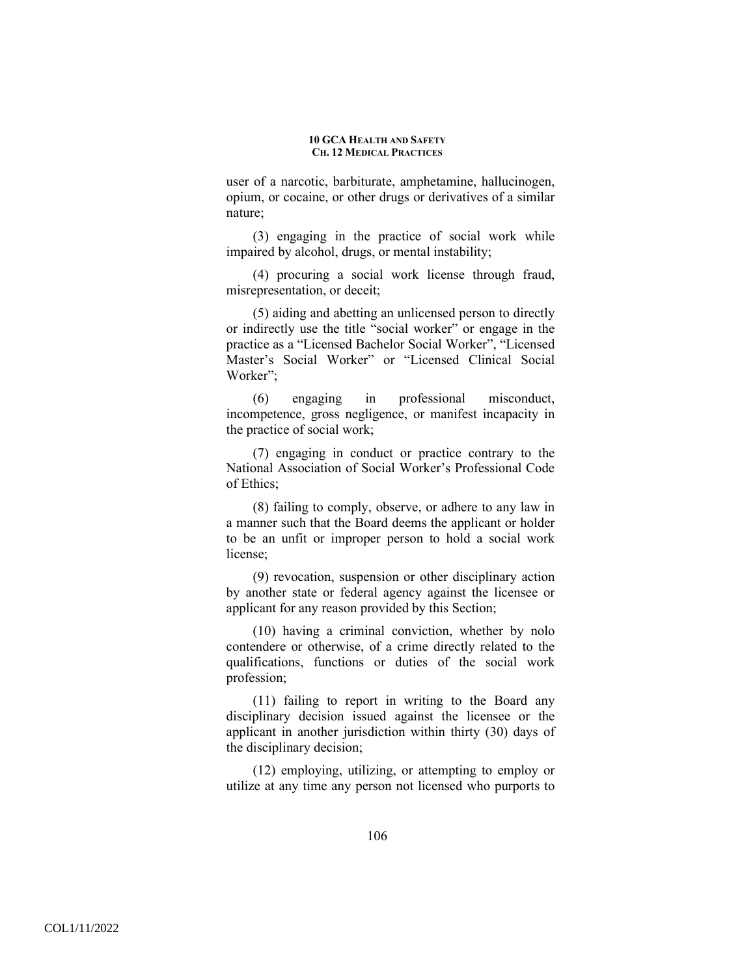user of a narcotic, barbiturate, amphetamine, hallucinogen, opium, or cocaine, or other drugs or derivatives of a similar nature;

(3) engaging in the practice of social work while impaired by alcohol, drugs, or mental instability;

(4) procuring a social work license through fraud, misrepresentation, or deceit;

(5) aiding and abetting an unlicensed person to directly or indirectly use the title "social worker" or engage in the practice as a "Licensed Bachelor Social Worker", "Licensed Master's Social Worker" or "Licensed Clinical Social Worker"<sup>.</sup>

(6) engaging in professional misconduct, incompetence, gross negligence, or manifest incapacity in the practice of social work;

(7) engaging in conduct or practice contrary to the National Association of Social Worker's Professional Code of Ethics;

(8) failing to comply, observe, or adhere to any law in a manner such that the Board deems the applicant or holder to be an unfit or improper person to hold a social work license;

(9) revocation, suspension or other disciplinary action by another state or federal agency against the licensee or applicant for any reason provided by this Section;

(10) having a criminal conviction, whether by nolo contendere or otherwise, of a crime directly related to the qualifications, functions or duties of the social work profession;

(11) failing to report in writing to the Board any disciplinary decision issued against the licensee or the applicant in another jurisdiction within thirty (30) days of the disciplinary decision;

(12) employing, utilizing, or attempting to employ or utilize at any time any person not licensed who purports to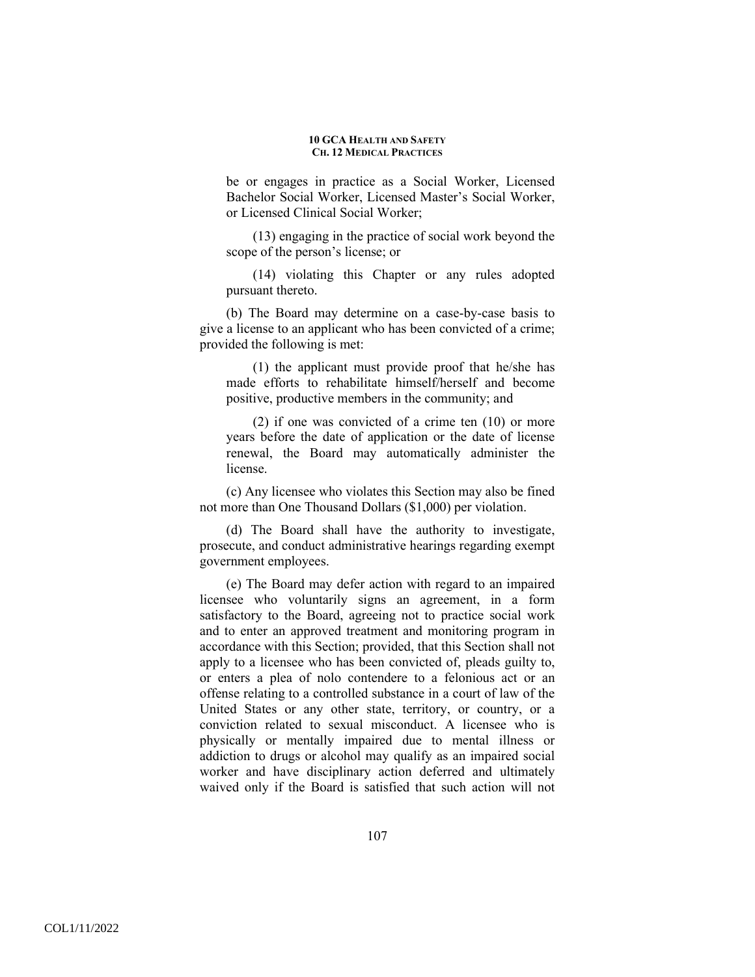be or engages in practice as a Social Worker, Licensed Bachelor Social Worker, Licensed Master's Social Worker, or Licensed Clinical Social Worker;

(13) engaging in the practice of social work beyond the scope of the person's license; or

(14) violating this Chapter or any rules adopted pursuant thereto.

(b) The Board may determine on a case-by-case basis to give a license to an applicant who has been convicted of a crime; provided the following is met:

(1) the applicant must provide proof that he/she has made efforts to rehabilitate himself/herself and become positive, productive members in the community; and

(2) if one was convicted of a crime ten (10) or more years before the date of application or the date of license renewal, the Board may automatically administer the license.

(c) Any licensee who violates this Section may also be fined not more than One Thousand Dollars (\$1,000) per violation.

(d) The Board shall have the authority to investigate, prosecute, and conduct administrative hearings regarding exempt government employees.

(e) The Board may defer action with regard to an impaired licensee who voluntarily signs an agreement, in a form satisfactory to the Board, agreeing not to practice social work and to enter an approved treatment and monitoring program in accordance with this Section; provided, that this Section shall not apply to a licensee who has been convicted of, pleads guilty to, or enters a plea of nolo contendere to a felonious act or an offense relating to a controlled substance in a court of law of the United States or any other state, territory, or country, or a conviction related to sexual misconduct. A licensee who is physically or mentally impaired due to mental illness or addiction to drugs or alcohol may qualify as an impaired social worker and have disciplinary action deferred and ultimately waived only if the Board is satisfied that such action will not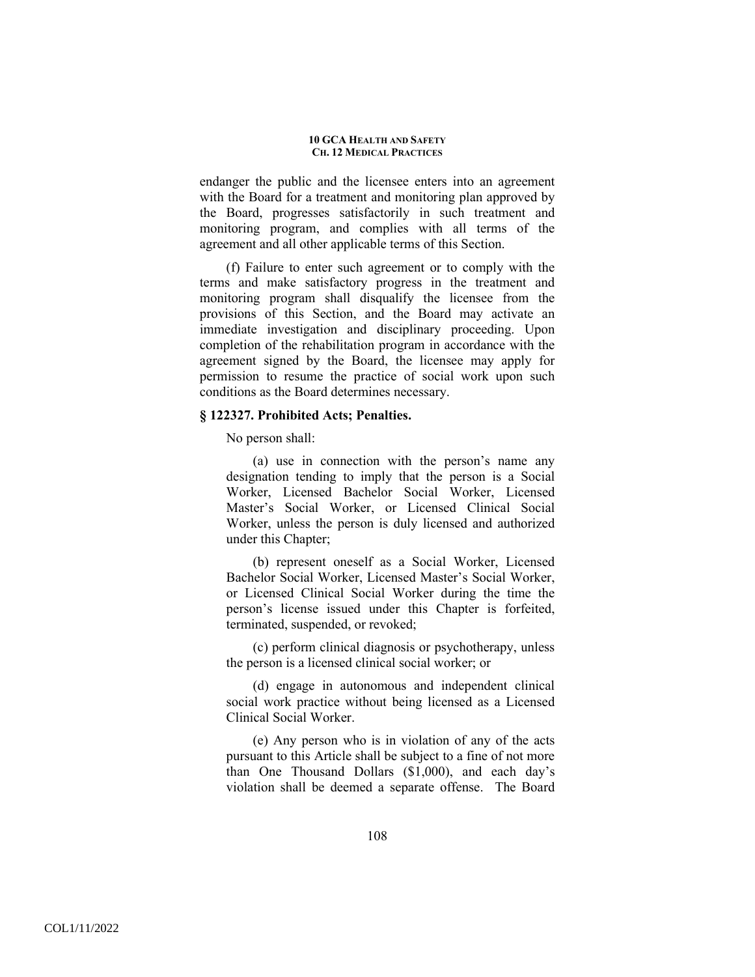endanger the public and the licensee enters into an agreement with the Board for a treatment and monitoring plan approved by the Board, progresses satisfactorily in such treatment and monitoring program, and complies with all terms of the agreement and all other applicable terms of this Section.

(f) Failure to enter such agreement or to comply with the terms and make satisfactory progress in the treatment and monitoring program shall disqualify the licensee from the provisions of this Section, and the Board may activate an immediate investigation and disciplinary proceeding. Upon completion of the rehabilitation program in accordance with the agreement signed by the Board, the licensee may apply for permission to resume the practice of social work upon such conditions as the Board determines necessary.

### **§ 122327. Prohibited Acts; Penalties.**

No person shall:

(a) use in connection with the person's name any designation tending to imply that the person is a Social Worker, Licensed Bachelor Social Worker, Licensed Master's Social Worker, or Licensed Clinical Social Worker, unless the person is duly licensed and authorized under this Chapter;

(b) represent oneself as a Social Worker, Licensed Bachelor Social Worker, Licensed Master's Social Worker, or Licensed Clinical Social Worker during the time the person's license issued under this Chapter is forfeited, terminated, suspended, or revoked;

(c) perform clinical diagnosis or psychotherapy, unless the person is a licensed clinical social worker; or

(d) engage in autonomous and independent clinical social work practice without being licensed as a Licensed Clinical Social Worker.

(e) Any person who is in violation of any of the acts pursuant to this Article shall be subject to a fine of not more than One Thousand Dollars (\$1,000), and each day's violation shall be deemed a separate offense. The Board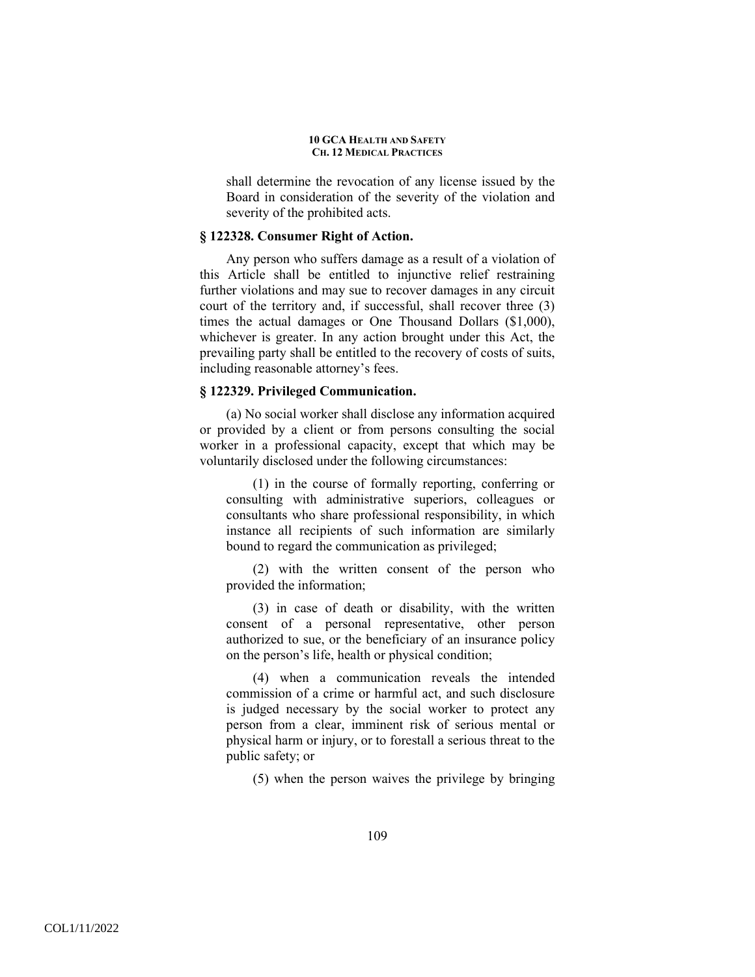shall determine the revocation of any license issued by the Board in consideration of the severity of the violation and severity of the prohibited acts.

### **§ 122328. Consumer Right of Action.**

Any person who suffers damage as a result of a violation of this Article shall be entitled to injunctive relief restraining further violations and may sue to recover damages in any circuit court of the territory and, if successful, shall recover three (3) times the actual damages or One Thousand Dollars (\$1,000), whichever is greater. In any action brought under this Act, the prevailing party shall be entitled to the recovery of costs of suits, including reasonable attorney's fees.

### **§ 122329. Privileged Communication.**

(a) No social worker shall disclose any information acquired or provided by a client or from persons consulting the social worker in a professional capacity, except that which may be voluntarily disclosed under the following circumstances:

(1) in the course of formally reporting, conferring or consulting with administrative superiors, colleagues or consultants who share professional responsibility, in which instance all recipients of such information are similarly bound to regard the communication as privileged;

(2) with the written consent of the person who provided the information;

(3) in case of death or disability, with the written consent of a personal representative, other person authorized to sue, or the beneficiary of an insurance policy on the person's life, health or physical condition;

(4) when a communication reveals the intended commission of a crime or harmful act, and such disclosure is judged necessary by the social worker to protect any person from a clear, imminent risk of serious mental or physical harm or injury, or to forestall a serious threat to the public safety; or

(5) when the person waives the privilege by bringing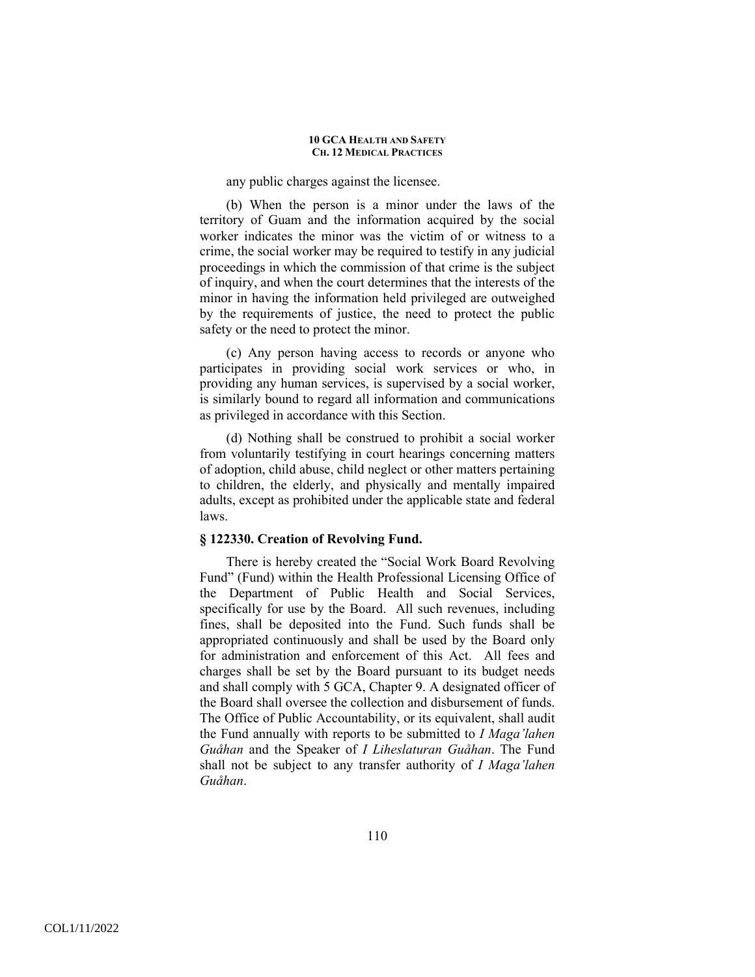### any public charges against the licensee.

(b) When the person is a minor under the laws of the territory of Guam and the information acquired by the social worker indicates the minor was the victim of or witness to a crime, the social worker may be required to testify in any judicial proceedings in which the commission of that crime is the subject of inquiry, and when the court determines that the interests of the minor in having the information held privileged are outweighed by the requirements of justice, the need to protect the public safety or the need to protect the minor.

(c) Any person having access to records or anyone who participates in providing social work services or who, in providing any human services, is supervised by a social worker, is similarly bound to regard all information and communications as privileged in accordance with this Section.

(d) Nothing shall be construed to prohibit a social worker from voluntarily testifying in court hearings concerning matters of adoption, child abuse, child neglect or other matters pertaining to children, the elderly, and physically and mentally impaired adults, except as prohibited under the applicable state and federal laws.

### **§ 122330. Creation of Revolving Fund.**

There is hereby created the "Social Work Board Revolving Fund" (Fund) within the Health Professional Licensing Office of the Department of Public Health and Social Services, specifically for use by the Board. All such revenues, including fines, shall be deposited into the Fund. Such funds shall be appropriated continuously and shall be used by the Board only for administration and enforcement of this Act. All fees and charges shall be set by the Board pursuant to its budget needs and shall comply with 5 GCA, Chapter 9. A designated officer of the Board shall oversee the collection and disbursement of funds. The Office of Public Accountability, or its equivalent, shall audit the Fund annually with reports to be submitted to *I Maga'lahen Guåhan* and the Speaker of *I Liheslaturan Guåhan*. The Fund shall not be subject to any transfer authority of *I Maga'lahen Guåhan*.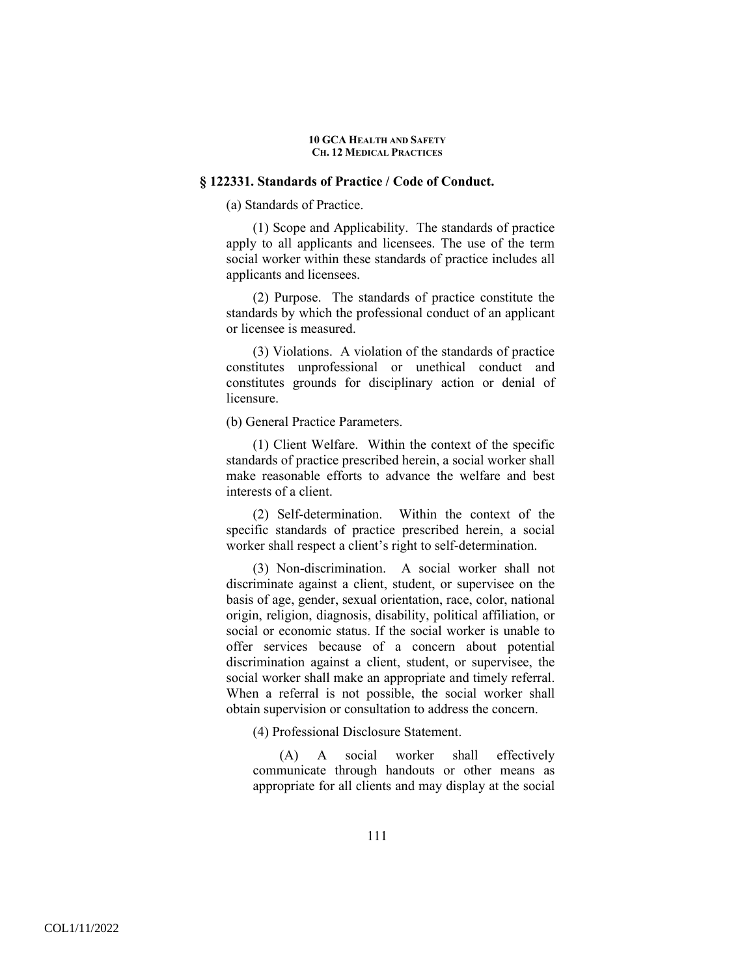### **§ 122331. Standards of Practice / Code of Conduct.**

(a) Standards of Practice.

(1) Scope and Applicability. The standards of practice apply to all applicants and licensees. The use of the term social worker within these standards of practice includes all applicants and licensees.

(2) Purpose. The standards of practice constitute the standards by which the professional conduct of an applicant or licensee is measured.

(3) Violations. A violation of the standards of practice constitutes unprofessional or unethical conduct and constitutes grounds for disciplinary action or denial of licensure.

(b) General Practice Parameters.

(1) Client Welfare. Within the context of the specific standards of practice prescribed herein, a social worker shall make reasonable efforts to advance the welfare and best interests of a client.

(2) Self-determination. Within the context of the specific standards of practice prescribed herein, a social worker shall respect a client's right to self-determination.

(3) Non-discrimination. A social worker shall not discriminate against a client, student, or supervisee on the basis of age, gender, sexual orientation, race, color, national origin, religion, diagnosis, disability, political affiliation, or social or economic status. If the social worker is unable to offer services because of a concern about potential discrimination against a client, student, or supervisee, the social worker shall make an appropriate and timely referral. When a referral is not possible, the social worker shall obtain supervision or consultation to address the concern.

(4) Professional Disclosure Statement.

(A) A social worker shall effectively communicate through handouts or other means as appropriate for all clients and may display at the social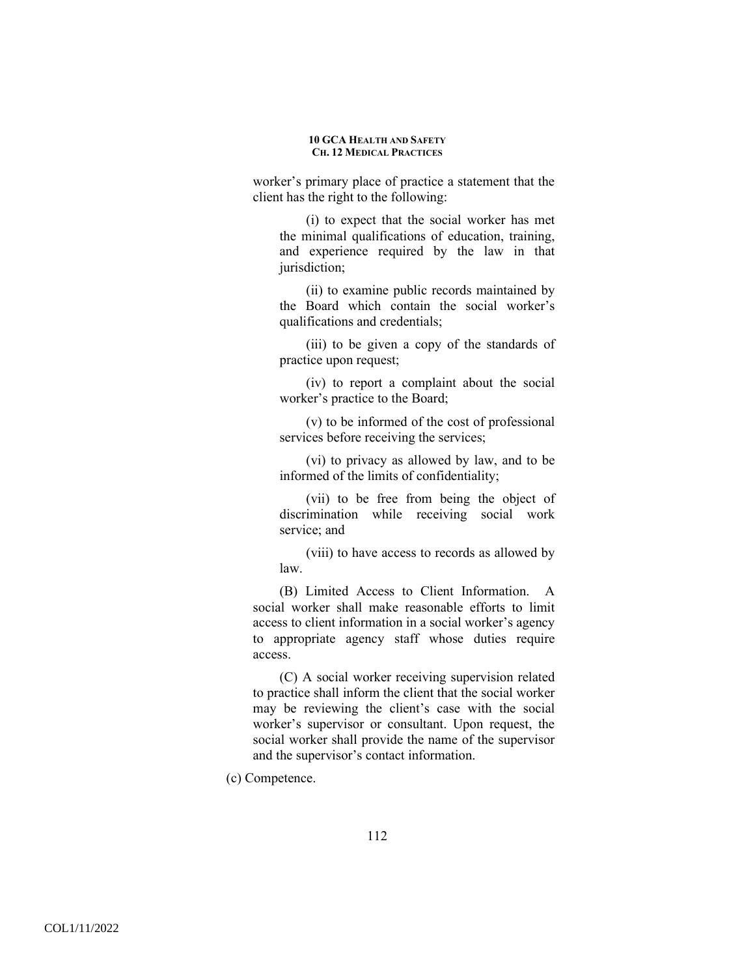worker's primary place of practice a statement that the client has the right to the following:

(i) to expect that the social worker has met the minimal qualifications of education, training, and experience required by the law in that jurisdiction;

(ii) to examine public records maintained by the Board which contain the social worker's qualifications and credentials;

(iii) to be given a copy of the standards of practice upon request;

(iv) to report a complaint about the social worker's practice to the Board;

(v) to be informed of the cost of professional services before receiving the services;

(vi) to privacy as allowed by law, and to be informed of the limits of confidentiality;

(vii) to be free from being the object of discrimination while receiving social work service; and

(viii) to have access to records as allowed by law.

(B) Limited Access to Client Information. A social worker shall make reasonable efforts to limit access to client information in a social worker's agency to appropriate agency staff whose duties require access.

(C) A social worker receiving supervision related to practice shall inform the client that the social worker may be reviewing the client's case with the social worker's supervisor or consultant. Upon request, the social worker shall provide the name of the supervisor and the supervisor's contact information.

(c) Competence.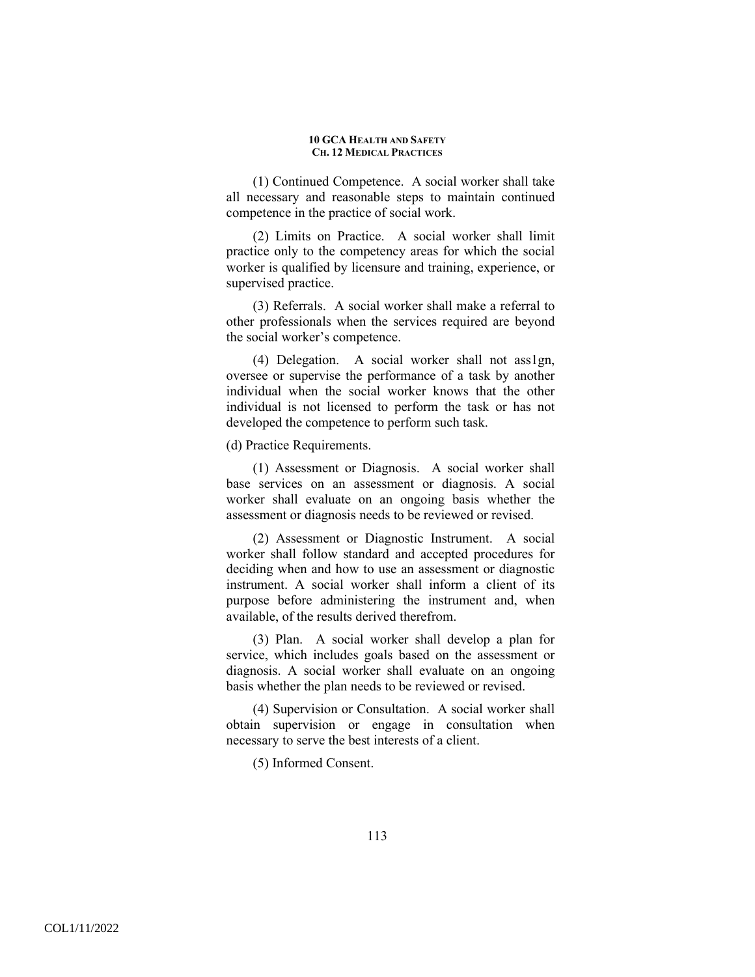(1) Continued Competence. A social worker shall take all necessary and reasonable steps to maintain continued competence in the practice of social work.

(2) Limits on Practice. A social worker shall limit practice only to the competency areas for which the social worker is qualified by licensure and training, experience, or supervised practice.

(3) Referrals. A social worker shall make a referral to other professionals when the services required are beyond the social worker's competence.

(4) Delegation. A social worker shall not ass1gn, oversee or supervise the performance of a task by another individual when the social worker knows that the other individual is not licensed to perform the task or has not developed the competence to perform such task.

(d) Practice Requirements.

(1) Assessment or Diagnosis. A social worker shall base services on an assessment or diagnosis. A social worker shall evaluate on an ongoing basis whether the assessment or diagnosis needs to be reviewed or revised.

(2) Assessment or Diagnostic Instrument. A social worker shall follow standard and accepted procedures for deciding when and how to use an assessment or diagnostic instrument. A social worker shall inform a client of its purpose before administering the instrument and, when available, of the results derived therefrom.

(3) Plan. A social worker shall develop a plan for service, which includes goals based on the assessment or diagnosis. A social worker shall evaluate on an ongoing basis whether the plan needs to be reviewed or revised.

(4) Supervision or Consultation. A social worker shall obtain supervision or engage in consultation when necessary to serve the best interests of a client.

(5) Informed Consent.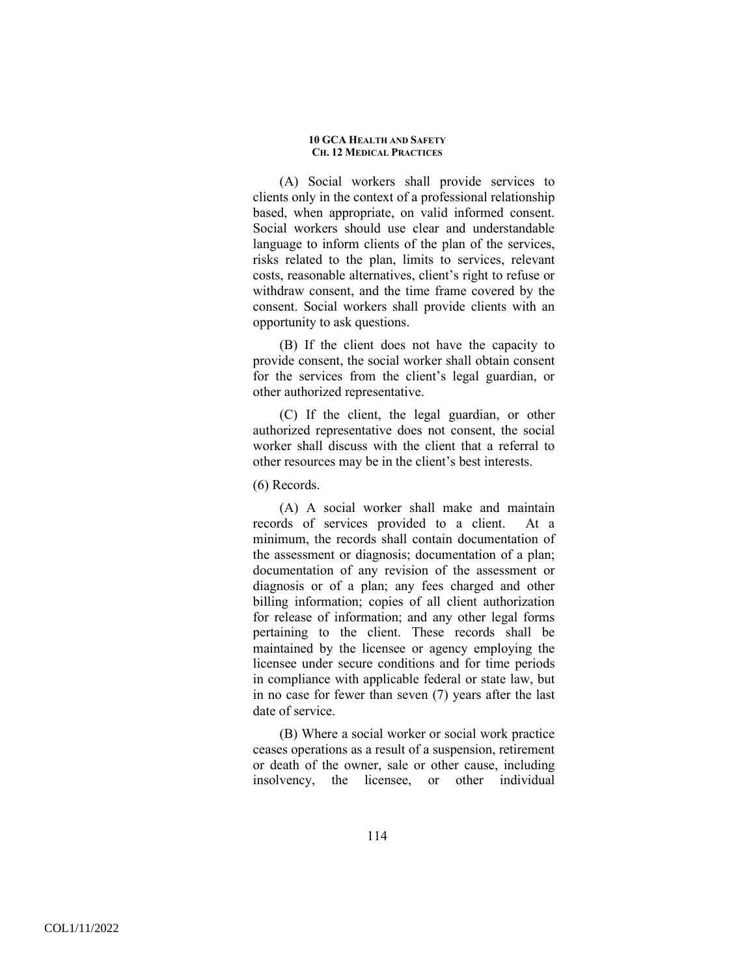(A) Social workers shall provide services to clients only in the context of a professional relationship based, when appropriate, on valid informed consent. Social workers should use clear and understandable language to inform clients of the plan of the services, risks related to the plan, limits to services, relevant costs, reasonable alternatives, client's right to refuse or withdraw consent, and the time frame covered by the consent. Social workers shall provide clients with an opportunity to ask questions.

(B) If the client does not have the capacity to provide consent, the social worker shall obtain consent for the services from the client's legal guardian, or other authorized representative.

(C) If the client, the legal guardian, or other authorized representative does not consent, the social worker shall discuss with the client that a referral to other resources may be in the client's best interests.

(6) Records.

(A) A social worker shall make and maintain records of services provided to a client. At a minimum, the records shall contain documentation of the assessment or diagnosis; documentation of a plan; documentation of any revision of the assessment or diagnosis or of a plan; any fees charged and other billing information; copies of all client authorization for release of information; and any other legal forms pertaining to the client. These records shall be maintained by the licensee or agency employing the licensee under secure conditions and for time periods in compliance with applicable federal or state law, but in no case for fewer than seven (7) years after the last date of service.

(B) Where a social worker or social work practice ceases operations as a result of a suspension, retirement or death of the owner, sale or other cause, including insolvency, the licensee, or other individual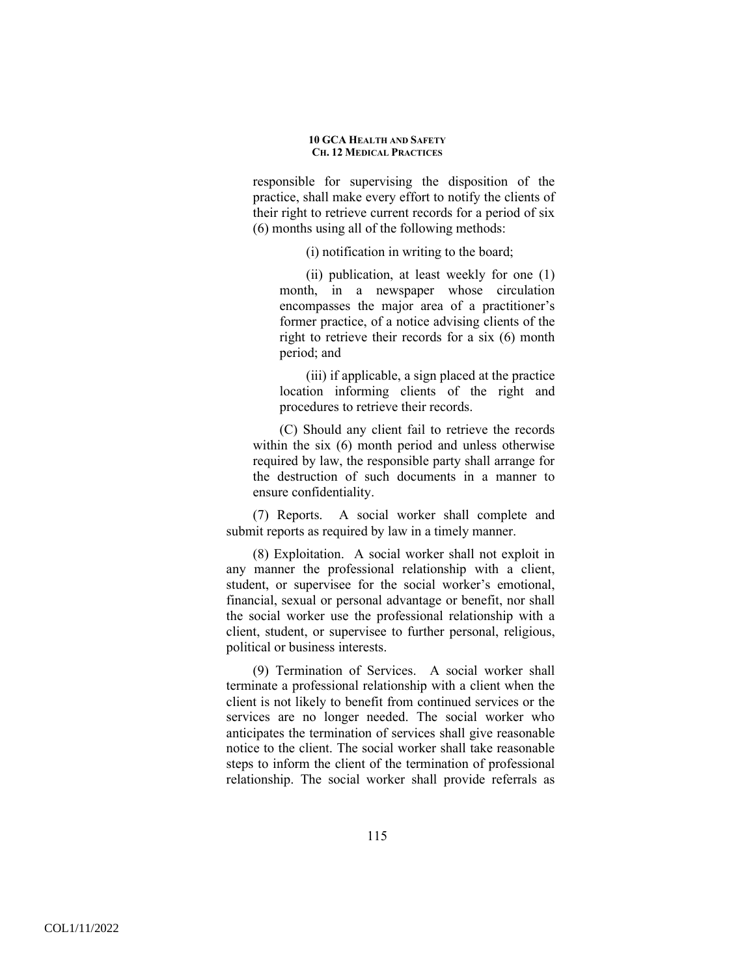responsible for supervising the disposition of the practice, shall make every effort to notify the clients of their right to retrieve current records for a period of six (6) months using all of the following methods:

(i) notification in writing to the board;

(ii) publication, at least weekly for one (1) month, in a newspaper whose circulation encompasses the major area of a practitioner's former practice, of a notice advising clients of the right to retrieve their records for a six (6) month period; and

(iii) if applicable, a sign placed at the practice location informing clients of the right and procedures to retrieve their records.

(C) Should any client fail to retrieve the records within the six (6) month period and unless otherwise required by law, the responsible party shall arrange for the destruction of such documents in a manner to ensure confidentiality.

(7) Reports. A social worker shall complete and submit reports as required by law in a timely manner.

(8) Exploitation. A social worker shall not exploit in any manner the professional relationship with a client, student, or supervisee for the social worker's emotional, financial, sexual or personal advantage or benefit, nor shall the social worker use the professional relationship with a client, student, or supervisee to further personal, religious, political or business interests.

(9) Termination of Services. A social worker shall terminate a professional relationship with a client when the client is not likely to benefit from continued services or the services are no longer needed. The social worker who anticipates the termination of services shall give reasonable notice to the client. The social worker shall take reasonable steps to inform the client of the termination of professional relationship. The social worker shall provide referrals as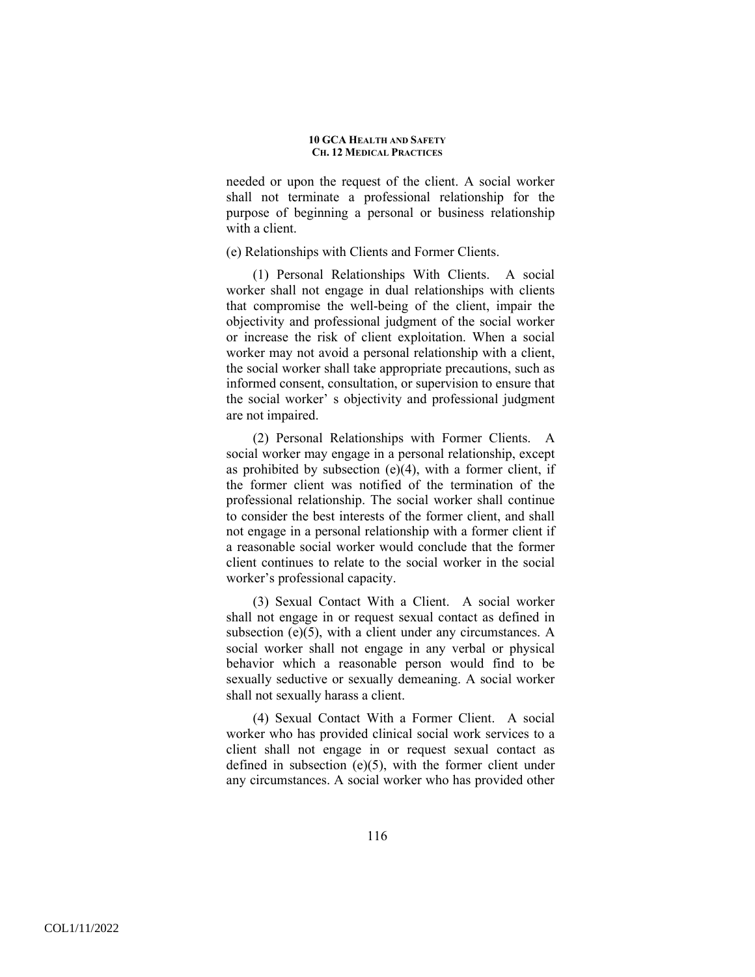needed or upon the request of the client. A social worker shall not terminate a professional relationship for the purpose of beginning a personal or business relationship with a client.

(e) Relationships with Clients and Former Clients.

(1) Personal Relationships With Clients. A social worker shall not engage in dual relationships with clients that compromise the well-being of the client, impair the objectivity and professional judgment of the social worker or increase the risk of client exploitation. When a social worker may not avoid a personal relationship with a client, the social worker shall take appropriate precautions, such as informed consent, consultation, or supervision to ensure that the social worker' s objectivity and professional judgment are not impaired.

(2) Personal Relationships with Former Clients. A social worker may engage in a personal relationship, except as prohibited by subsection (e)(4), with a former client, if the former client was notified of the termination of the professional relationship. The social worker shall continue to consider the best interests of the former client, and shall not engage in a personal relationship with a former client if a reasonable social worker would conclude that the former client continues to relate to the social worker in the social worker's professional capacity.

(3) Sexual Contact With a Client. A social worker shall not engage in or request sexual contact as defined in subsection  $(e)(5)$ , with a client under any circumstances. A social worker shall not engage in any verbal or physical behavior which a reasonable person would find to be sexually seductive or sexually demeaning. A social worker shall not sexually harass a client.

(4) Sexual Contact With a Former Client. A social worker who has provided clinical social work services to a client shall not engage in or request sexual contact as defined in subsection (e)(5), with the former client under any circumstances. A social worker who has provided other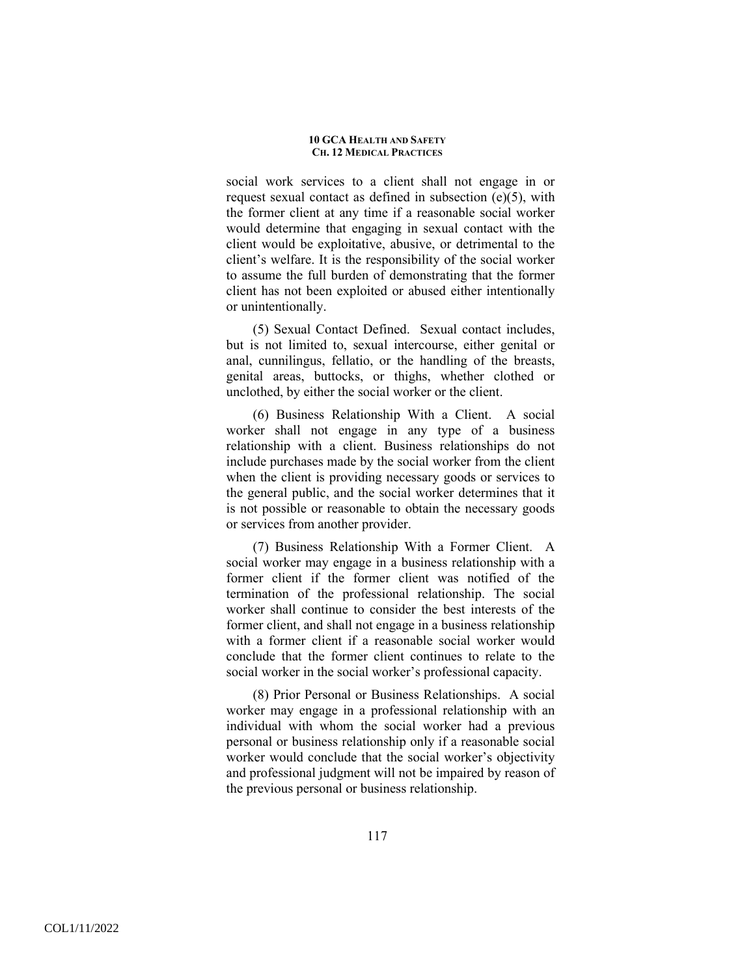social work services to a client shall not engage in or request sexual contact as defined in subsection (e)(5), with the former client at any time if a reasonable social worker would determine that engaging in sexual contact with the client would be exploitative, abusive, or detrimental to the client's welfare. It is the responsibility of the social worker to assume the full burden of demonstrating that the former client has not been exploited or abused either intentionally or unintentionally.

(5) Sexual Contact Defined. Sexual contact includes, but is not limited to, sexual intercourse, either genital or anal, cunnilingus, fellatio, or the handling of the breasts, genital areas, buttocks, or thighs, whether clothed or unclothed, by either the social worker or the client.

(6) Business Relationship With a Client. A social worker shall not engage in any type of a business relationship with a client. Business relationships do not include purchases made by the social worker from the client when the client is providing necessary goods or services to the general public, and the social worker determines that it is not possible or reasonable to obtain the necessary goods or services from another provider.

(7) Business Relationship With a Former Client. A social worker may engage in a business relationship with a former client if the former client was notified of the termination of the professional relationship. The social worker shall continue to consider the best interests of the former client, and shall not engage in a business relationship with a former client if a reasonable social worker would conclude that the former client continues to relate to the social worker in the social worker's professional capacity.

(8) Prior Personal or Business Relationships. A social worker may engage in a professional relationship with an individual with whom the social worker had a previous personal or business relationship only if a reasonable social worker would conclude that the social worker's objectivity and professional judgment will not be impaired by reason of the previous personal or business relationship.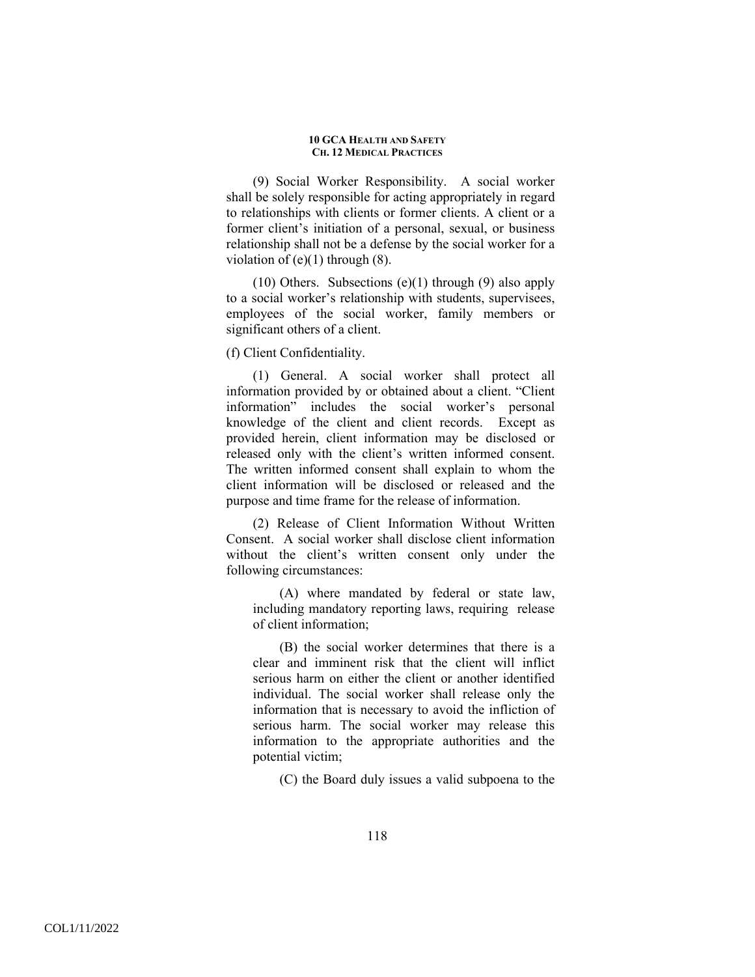(9) Social Worker Responsibility. A social worker shall be solely responsible for acting appropriately in regard to relationships with clients or former clients. A client or a former client's initiation of a personal, sexual, or business relationship shall not be a defense by the social worker for a violation of  $(e)(1)$  through  $(8)$ .

(10) Others. Subsections  $(e)(1)$  through (9) also apply to a social worker's relationship with students, supervisees, employees of the social worker, family members or significant others of a client.

(f) Client Confidentiality.

(1) General. A social worker shall protect all information provided by or obtained about a client. "Client information" includes the social worker's personal knowledge of the client and client records. Except as provided herein, client information may be disclosed or released only with the client's written informed consent. The written informed consent shall explain to whom the client information will be disclosed or released and the purpose and time frame for the release of information.

(2) Release of Client Information Without Written Consent. A social worker shall disclose client information without the client's written consent only under the following circumstances:

(A) where mandated by federal or state law, including mandatory reporting laws, requiring release of client information;

(B) the social worker determines that there is a clear and imminent risk that the client will inflict serious harm on either the client or another identified individual. The social worker shall release only the information that is necessary to avoid the infliction of serious harm. The social worker may release this information to the appropriate authorities and the potential victim;

(C) the Board duly issues a valid subpoena to the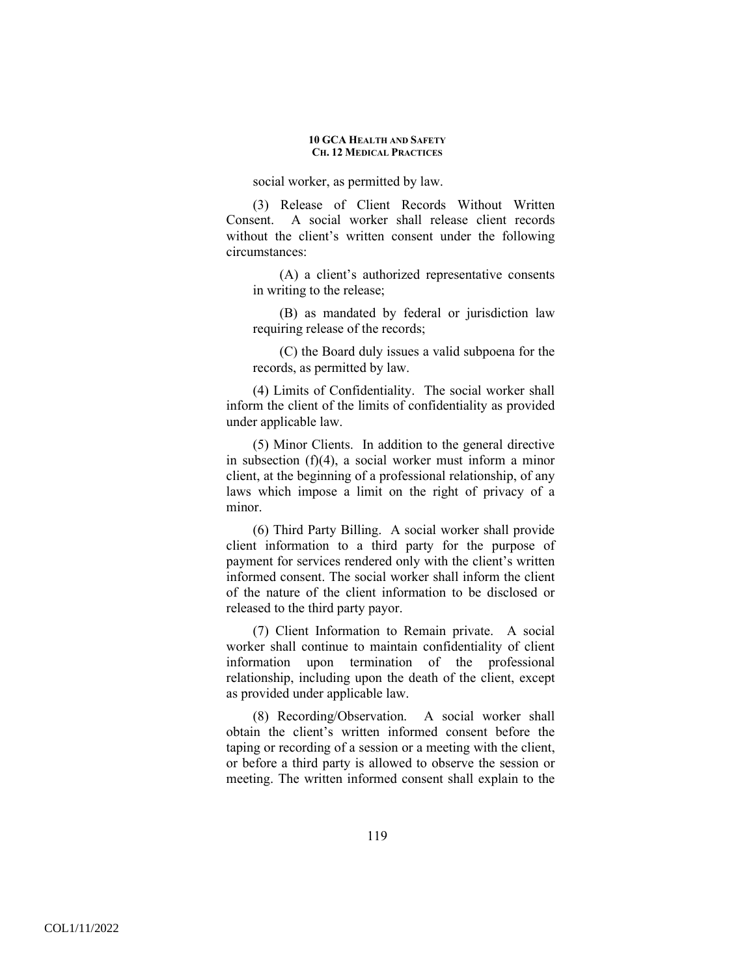social worker, as permitted by law.

(3) Release of Client Records Without Written Consent. A social worker shall release client records without the client's written consent under the following circumstances:

(A) a client's authorized representative consents in writing to the release;

(B) as mandated by federal or jurisdiction law requiring release of the records;

(C) the Board duly issues a valid subpoena for the records, as permitted by law.

(4) Limits of Confidentiality. The social worker shall inform the client of the limits of confidentiality as provided under applicable law.

(5) Minor Clients. In addition to the general directive in subsection (f)(4), a social worker must inform a minor client, at the beginning of a professional relationship, of any laws which impose a limit on the right of privacy of a minor.

(6) Third Party Billing. A social worker shall provide client information to a third party for the purpose of payment for services rendered only with the client's written informed consent. The social worker shall inform the client of the nature of the client information to be disclosed or released to the third party payor.

(7) Client Information to Remain private. A social worker shall continue to maintain confidentiality of client information upon termination of the professional relationship, including upon the death of the client, except as provided under applicable law.

(8) Recording/Observation. A social worker shall obtain the client's written informed consent before the taping or recording of a session or a meeting with the client, or before a third party is allowed to observe the session or meeting. The written informed consent shall explain to the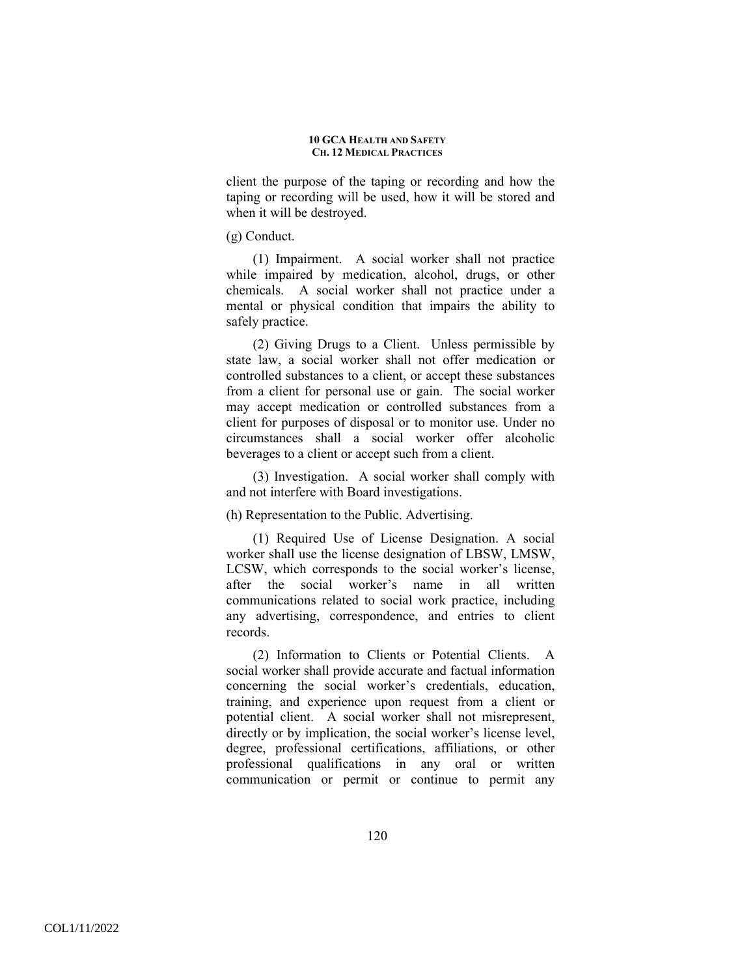client the purpose of the taping or recording and how the taping or recording will be used, how it will be stored and when it will be destroyed.

### (g) Conduct.

(1) Impairment. A social worker shall not practice while impaired by medication, alcohol, drugs, or other chemicals. A social worker shall not practice under a mental or physical condition that impairs the ability to safely practice.

(2) Giving Drugs to a Client. Unless permissible by state law, a social worker shall not offer medication or controlled substances to a client, or accept these substances from a client for personal use or gain. The social worker may accept medication or controlled substances from a client for purposes of disposal or to monitor use. Under no circumstances shall a social worker offer alcoholic beverages to a client or accept such from a client.

(3) Investigation. A social worker shall comply with and not interfere with Board investigations.

(h) Representation to the Public. Advertising.

(1) Required Use of License Designation. A social worker shall use the license designation of LBSW, LMSW, LCSW, which corresponds to the social worker's license, after the social worker's name in all written communications related to social work practice, including any advertising, correspondence, and entries to client records.

(2) Information to Clients or Potential Clients. A social worker shall provide accurate and factual information concerning the social worker's credentials, education, training, and experience upon request from a client or potential client. A social worker shall not misrepresent, directly or by implication, the social worker's license level, degree, professional certifications, affiliations, or other professional qualifications in any oral or written communication or permit or continue to permit any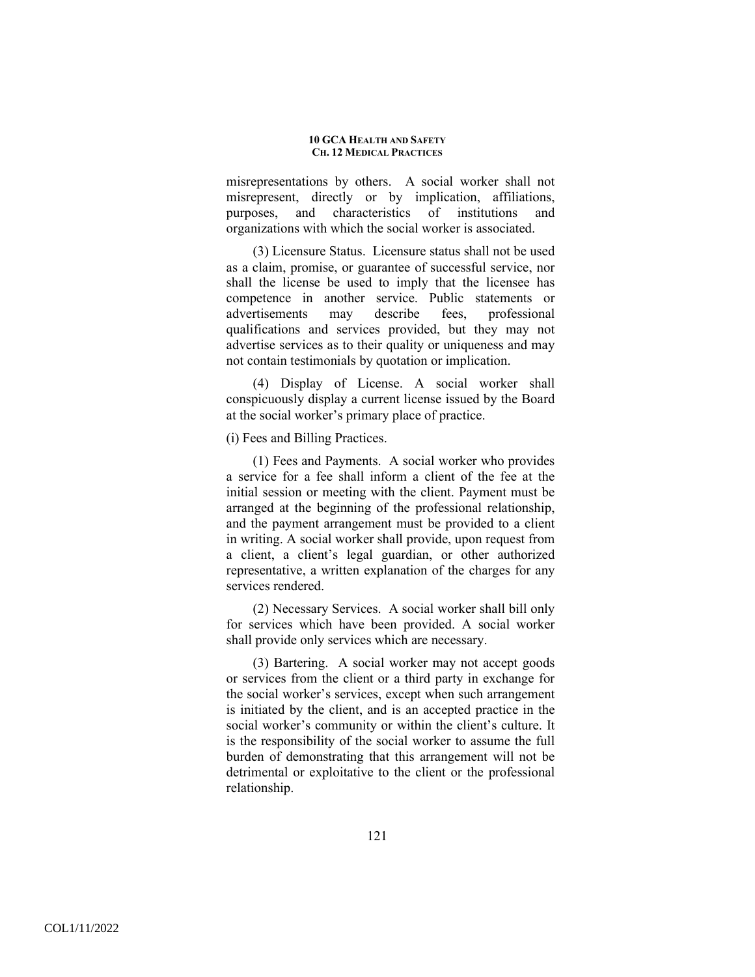misrepresentations by others. A social worker shall not misrepresent, directly or by implication, affiliations, purposes, and characteristics of institutions and organizations with which the social worker is associated.

(3) Licensure Status. Licensure status shall not be used as a claim, promise, or guarantee of successful service, nor shall the license be used to imply that the licensee has competence in another service. Public statements or advertisements may describe fees, professional qualifications and services provided, but they may not advertise services as to their quality or uniqueness and may not contain testimonials by quotation or implication.

(4) Display of License. A social worker shall conspicuously display a current license issued by the Board at the social worker's primary place of practice.

(i) Fees and Billing Practices.

(1) Fees and Payments. A social worker who provides a service for a fee shall inform a client of the fee at the initial session or meeting with the client. Payment must be arranged at the beginning of the professional relationship, and the payment arrangement must be provided to a client in writing. A social worker shall provide, upon request from a client, a client's legal guardian, or other authorized representative, a written explanation of the charges for any services rendered.

(2) Necessary Services. A social worker shall bill only for services which have been provided. A social worker shall provide only services which are necessary.

(3) Bartering. A social worker may not accept goods or services from the client or a third party in exchange for the social worker's services, except when such arrangement is initiated by the client, and is an accepted practice in the social worker's community or within the client's culture. It is the responsibility of the social worker to assume the full burden of demonstrating that this arrangement will not be detrimental or exploitative to the client or the professional relationship.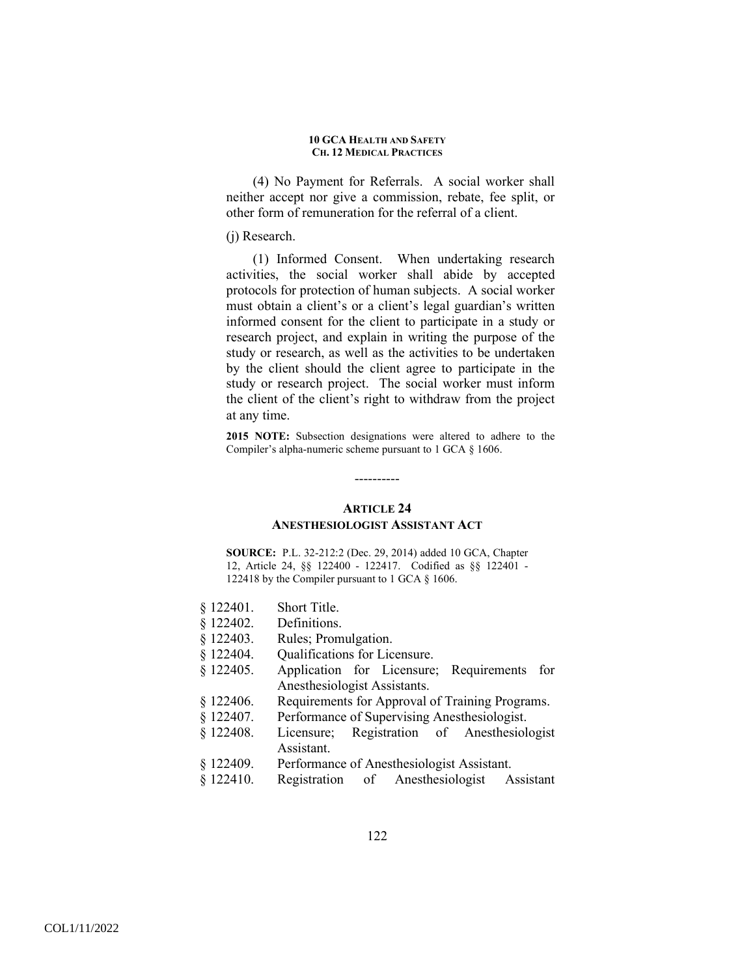(4) No Payment for Referrals. A social worker shall neither accept nor give a commission, rebate, fee split, or other form of remuneration for the referral of a client.

### (j) Research.

(1) Informed Consent. When undertaking research activities, the social worker shall abide by accepted protocols for protection of human subjects. A social worker must obtain a client's or a client's legal guardian's written informed consent for the client to participate in a study or research project, and explain in writing the purpose of the study or research, as well as the activities to be undertaken by the client should the client agree to participate in the study or research project. The social worker must inform the client of the client's right to withdraw from the project at any time.

**2015 NOTE:** Subsection designations were altered to adhere to the Compiler's alpha-numeric scheme pursuant to 1 GCA § 1606.

### ----------

## **ARTICLE 24 ANESTHESIOLOGIST ASSISTANT ACT**

**SOURCE:** P.L. 32-212:2 (Dec. 29, 2014) added 10 GCA, Chapter 12, Article 24, §§ 122400 - 122417. Codified as §§ 122401 - 122418 by the Compiler pursuant to 1 GCA § 1606.

- § 122401. Short Title.
- § 122402. Definitions.
- § 122403. Rules; Promulgation.
- § 122404. Qualifications for Licensure.
- § 122405. Application for Licensure; Requirements for Anesthesiologist Assistants.
- § 122406. Requirements for Approval of Training Programs.
- § 122407. Performance of Supervising Anesthesiologist.
- § 122408. Licensure; Registration of Anesthesiologist Assistant.
- § 122409. Performance of Anesthesiologist Assistant.
- § 122410. Registration of Anesthesiologist Assistant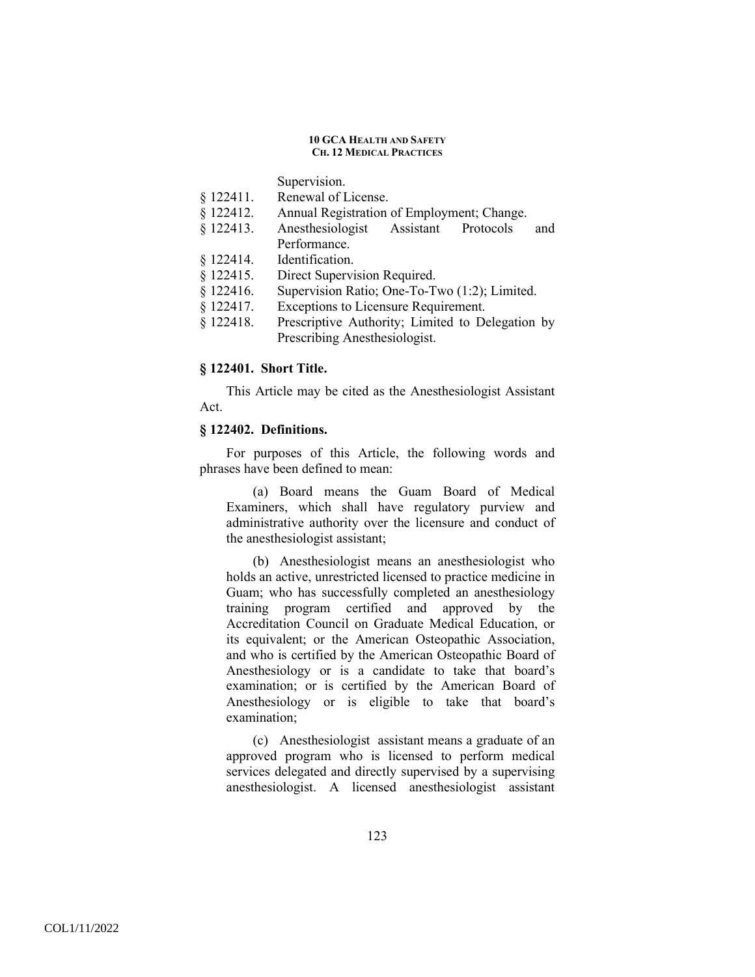Supervision.

- § 122411. Renewal of License.
- § 122412. Annual Registration of Employment; Change.
- § 122413. Anesthesiologist Assistant Protocols and Performance.
- § 122414. Identification.
- § 122415. Direct Supervision Required.
- § 122416. Supervision Ratio; One-To-Two (1:2); Limited.
- § 122417. Exceptions to Licensure Requirement.
- § 122418. Prescriptive Authority; Limited to Delegation by Prescribing Anesthesiologist.

# **§ 122401. Short Title.**

This Article may be cited as the Anesthesiologist Assistant Act.

## **§ 122402. Definitions.**

For purposes of this Article, the following words and phrases have been defined to mean:

(a) Board means the Guam Board of Medical Examiners, which shall have regulatory purview and administrative authority over the licensure and conduct of the anesthesiologist assistant;

(b) Anesthesiologist means an anesthesiologist who holds an active, unrestricted licensed to practice medicine in Guam; who has successfully completed an anesthesiology training program certified and approved by the Accreditation Council on Graduate Medical Education, or its equivalent; or the American Osteopathic Association, and who is certified by the American Osteopathic Board of Anesthesiology or is a candidate to take that board's examination; or is certified by the American Board of Anesthesiology or is eligible to take that board's examination;

(c) Anesthesiologist assistant means a graduate of an approved program who is licensed to perform medical services delegated and directly supervised by a supervising anesthesiologist. A licensed anesthesiologist assistant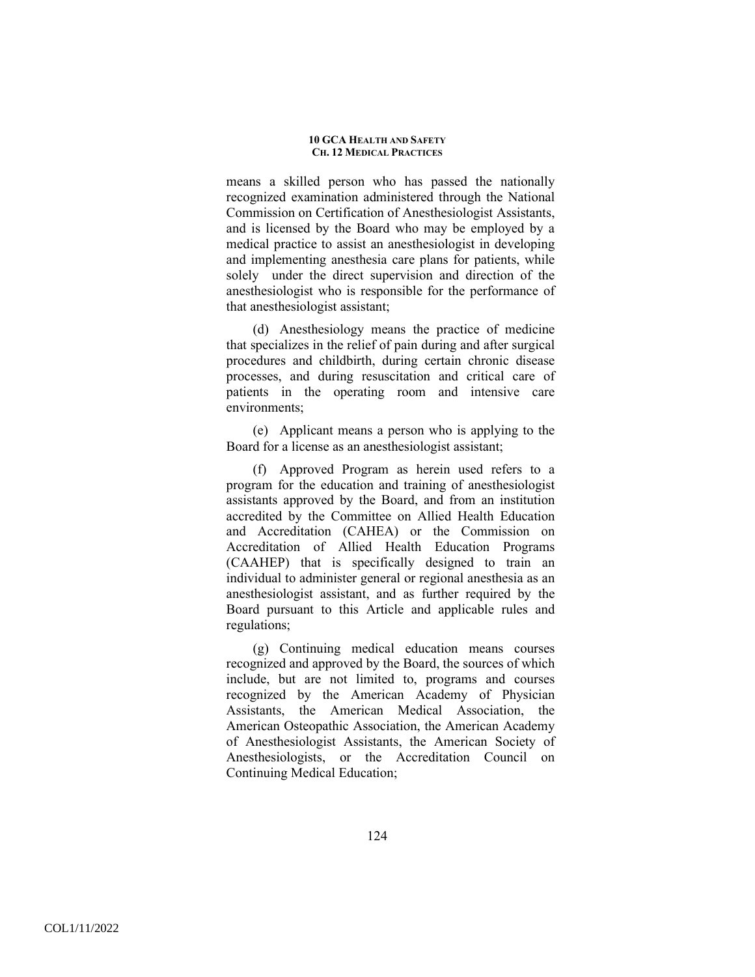means a skilled person who has passed the nationally recognized examination administered through the National Commission on Certification of Anesthesiologist Assistants, and is licensed by the Board who may be employed by a medical practice to assist an anesthesiologist in developing and implementing anesthesia care plans for patients, while solely under the direct supervision and direction of the anesthesiologist who is responsible for the performance of that anesthesiologist assistant;

(d) Anesthesiology means the practice of medicine that specializes in the relief of pain during and after surgical procedures and childbirth, during certain chronic disease processes, and during resuscitation and critical care of patients in the operating room and intensive care environments;

(e) Applicant means a person who is applying to the Board for a license as an anesthesiologist assistant;

(f) Approved Program as herein used refers to a program for the education and training of anesthesiologist assistants approved by the Board, and from an institution accredited by the Committee on Allied Health Education and Accreditation (CAHEA) or the Commission on Accreditation of Allied Health Education Programs (CAAHEP) that is specifically designed to train an individual to administer general or regional anesthesia as an anesthesiologist assistant, and as further required by the Board pursuant to this Article and applicable rules and regulations;

(g) Continuing medical education means courses recognized and approved by the Board, the sources of which include, but are not limited to, programs and courses recognized by the American Academy of Physician Assistants, the American Medical Association, the American Osteopathic Association, the American Academy of Anesthesiologist Assistants, the American Society of Anesthesiologists, or the Accreditation Council on Continuing Medical Education;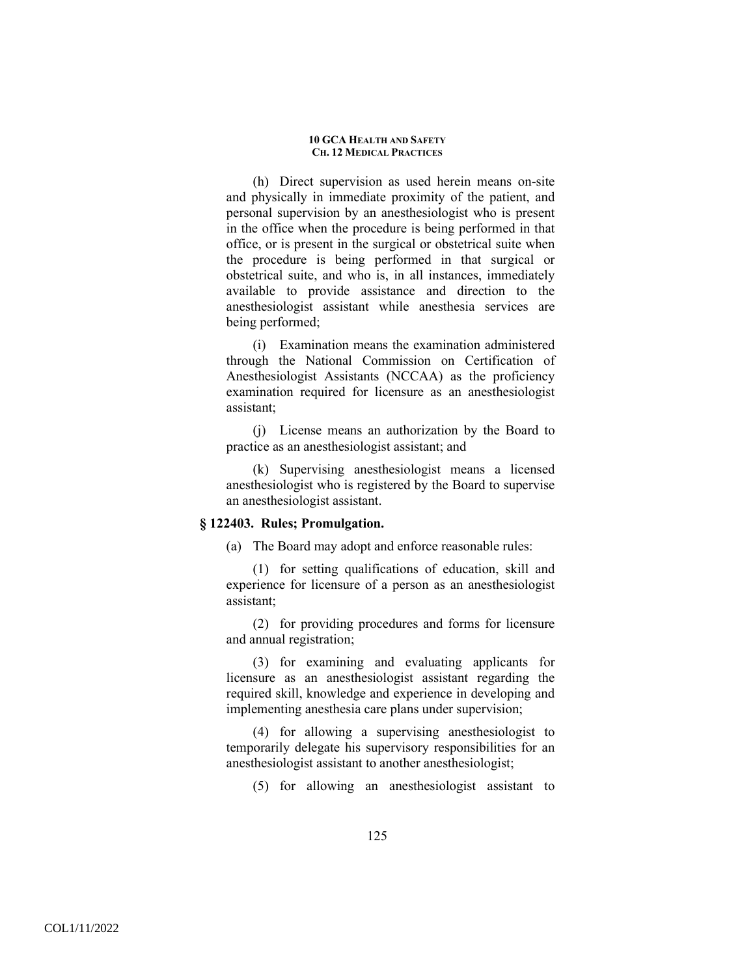(h) Direct supervision as used herein means on-site and physically in immediate proximity of the patient, and personal supervision by an anesthesiologist who is present in the office when the procedure is being performed in that office, or is present in the surgical or obstetrical suite when the procedure is being performed in that surgical or obstetrical suite, and who is, in all instances, immediately available to provide assistance and direction to the anesthesiologist assistant while anesthesia services are being performed;

(i) Examination means the examination administered through the National Commission on Certification of Anesthesiologist Assistants (NCCAA) as the proficiency examination required for licensure as an anesthesiologist assistant;

(j) License means an authorization by the Board to practice as an anesthesiologist assistant; and

(k) Supervising anesthesiologist means a licensed anesthesiologist who is registered by the Board to supervise an anesthesiologist assistant.

## **§ 122403. Rules; Promulgation.**

(a) The Board may adopt and enforce reasonable rules:

(1) for setting qualifications of education, skill and experience for licensure of a person as an anesthesiologist assistant;

(2) for providing procedures and forms for licensure and annual registration;

(3) for examining and evaluating applicants for licensure as an anesthesiologist assistant regarding the required skill, knowledge and experience in developing and implementing anesthesia care plans under supervision;

(4) for allowing a supervising anesthesiologist to temporarily delegate his supervisory responsibilities for an anesthesiologist assistant to another anesthesiologist;

(5) for allowing an anesthesiologist assistant to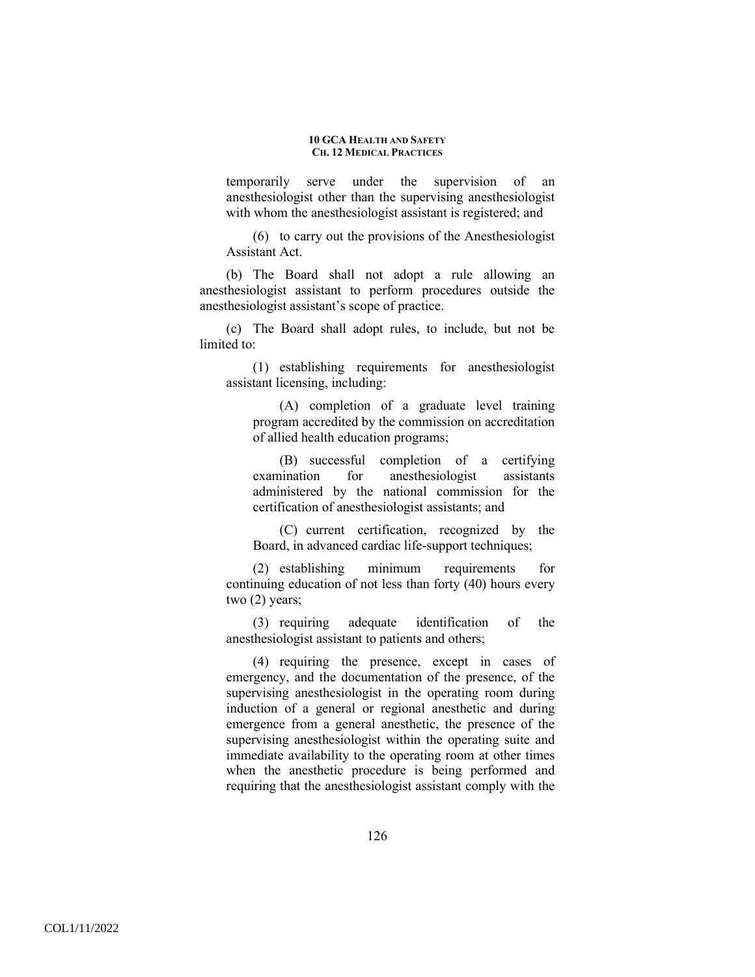temporarily serve under the supervision of an anesthesiologist other than the supervising anesthesiologist with whom the anesthesiologist assistant is registered; and

(6) to carry out the provisions of the Anesthesiologist Assistant Act.

(b) The Board shall not adopt a rule allowing an anesthesiologist assistant to perform procedures outside the anesthesiologist assistant's scope of practice.

(c) The Board shall adopt rules, to include, but not be limited to:

(1) establishing requirements for anesthesiologist assistant licensing, including:

(A) completion of a graduate level training program accredited by the commission on accreditation of allied health education programs;

(B) successful completion of a certifying examination for anesthesiologist assistants administered by the national commission for the certification of anesthesiologist assistants; and

(C) current certification, recognized by the Board, in advanced cardiac life-support techniques;

(2) establishing minimum requirements for continuing education of not less than forty (40) hours every two (2) years;

(3) requiring adequate identification of the anesthesiologist assistant to patients and others;

(4) requiring the presence, except in cases of emergency, and the documentation of the presence, of the supervising anesthesiologist in the operating room during induction of a general or regional anesthetic and during emergence from a general anesthetic, the presence of the supervising anesthesiologist within the operating suite and immediate availability to the operating room at other times when the anesthetic procedure is being performed and requiring that the anesthesiologist assistant comply with the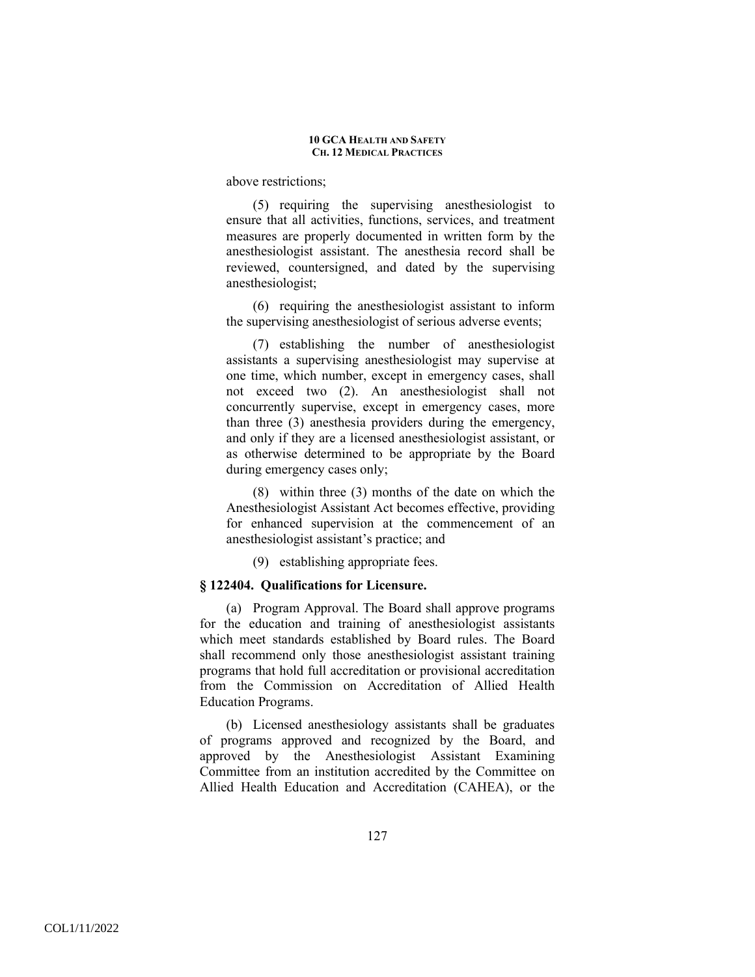above restrictions;

(5) requiring the supervising anesthesiologist to ensure that all activities, functions, services, and treatment measures are properly documented in written form by the anesthesiologist assistant. The anesthesia record shall be reviewed, countersigned, and dated by the supervising anesthesiologist;

(6) requiring the anesthesiologist assistant to inform the supervising anesthesiologist of serious adverse events;

(7) establishing the number of anesthesiologist assistants a supervising anesthesiologist may supervise at one time, which number, except in emergency cases, shall not exceed two (2). An anesthesiologist shall not concurrently supervise, except in emergency cases, more than three (3) anesthesia providers during the emergency, and only if they are a licensed anesthesiologist assistant, or as otherwise determined to be appropriate by the Board during emergency cases only;

(8) within three (3) months of the date on which the Anesthesiologist Assistant Act becomes effective, providing for enhanced supervision at the commencement of an anesthesiologist assistant's practice; and

(9) establishing appropriate fees.

### **§ 122404. Qualifications for Licensure.**

(a) Program Approval. The Board shall approve programs for the education and training of anesthesiologist assistants which meet standards established by Board rules. The Board shall recommend only those anesthesiologist assistant training programs that hold full accreditation or provisional accreditation from the Commission on Accreditation of Allied Health Education Programs.

(b) Licensed anesthesiology assistants shall be graduates of programs approved and recognized by the Board, and approved by the Anesthesiologist Assistant Examining Committee from an institution accredited by the Committee on Allied Health Education and Accreditation (CAHEA), or the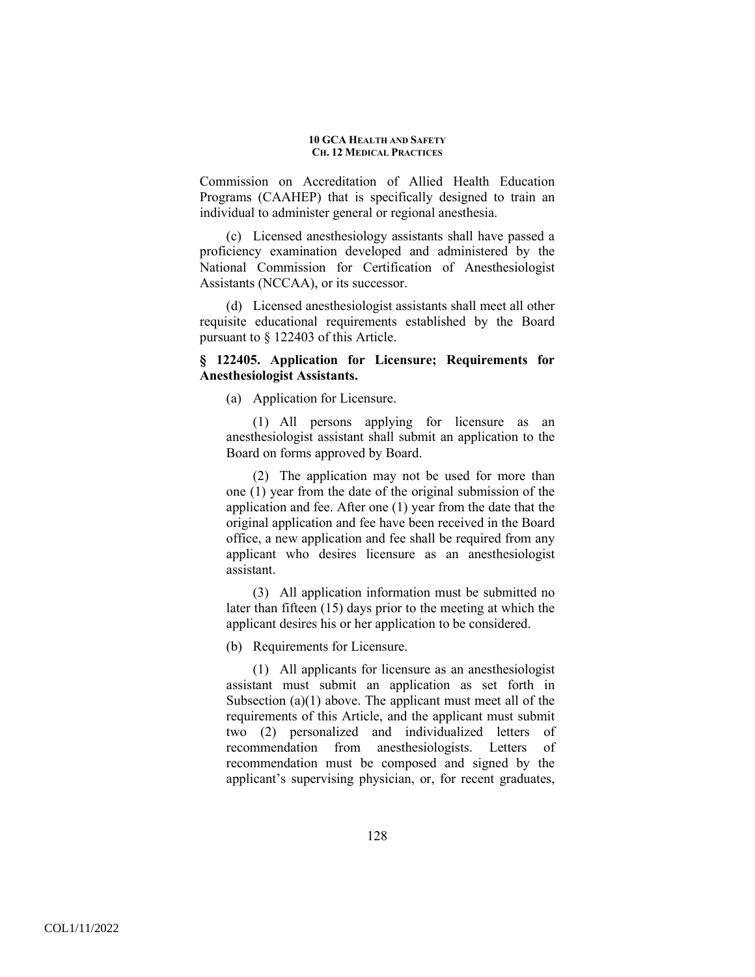Commission on Accreditation of Allied Health Education Programs (CAAHEP) that is specifically designed to train an individual to administer general or regional anesthesia.

(c) Licensed anesthesiology assistants shall have passed a proficiency examination developed and administered by the National Commission for Certification of Anesthesiologist Assistants (NCCAA), or its successor.

(d) Licensed anesthesiologist assistants shall meet all other requisite educational requirements established by the Board pursuant to § 122403 of this Article.

# **§ 122405. Application for Licensure; Requirements for Anesthesiologist Assistants.**

(a) Application for Licensure.

(1) All persons applying for licensure as an anesthesiologist assistant shall submit an application to the Board on forms approved by Board.

(2) The application may not be used for more than one (1) year from the date of the original submission of the application and fee. After one (1) year from the date that the original application and fee have been received in the Board office, a new application and fee shall be required from any applicant who desires licensure as an anesthesiologist assistant.

(3) All application information must be submitted no later than fifteen (15) days prior to the meeting at which the applicant desires his or her application to be considered.

(b) Requirements for Licensure.

(1) All applicants for licensure as an anesthesiologist assistant must submit an application as set forth in Subsection (a)(1) above. The applicant must meet all of the requirements of this Article, and the applicant must submit two (2) personalized and individualized letters of recommendation from anesthesiologists. Letters of recommendation must be composed and signed by the applicant's supervising physician, or, for recent graduates,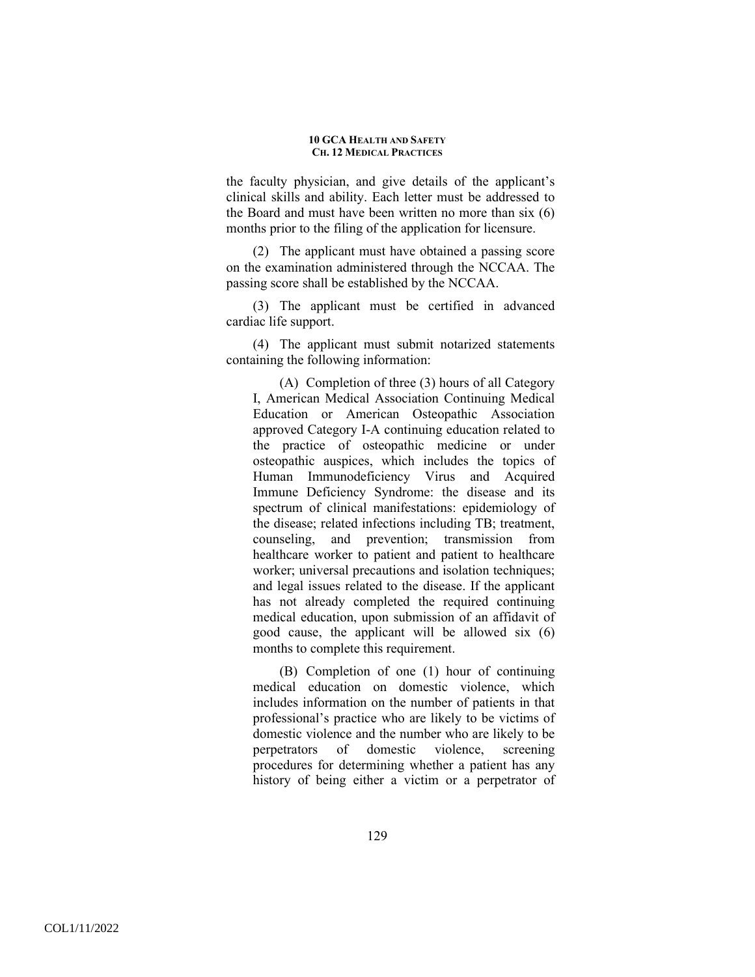the faculty physician, and give details of the applicant's clinical skills and ability. Each letter must be addressed to the Board and must have been written no more than six (6) months prior to the filing of the application for licensure.

(2) The applicant must have obtained a passing score on the examination administered through the NCCAA. The passing score shall be established by the NCCAA.

(3) The applicant must be certified in advanced cardiac life support.

(4) The applicant must submit notarized statements containing the following information:

(A) Completion of three (3) hours of all Category I, American Medical Association Continuing Medical Education or American Osteopathic Association approved Category I-A continuing education related to the practice of osteopathic medicine or under osteopathic auspices, which includes the topics of Human Immunodeficiency Virus and Acquired Immune Deficiency Syndrome: the disease and its spectrum of clinical manifestations: epidemiology of the disease; related infections including TB; treatment, counseling, and prevention; transmission from healthcare worker to patient and patient to healthcare worker; universal precautions and isolation techniques; and legal issues related to the disease. If the applicant has not already completed the required continuing medical education, upon submission of an affidavit of good cause, the applicant will be allowed six (6) months to complete this requirement.

(B) Completion of one (1) hour of continuing medical education on domestic violence, which includes information on the number of patients in that professional's practice who are likely to be victims of domestic violence and the number who are likely to be perpetrators of domestic violence, screening procedures for determining whether a patient has any history of being either a victim or a perpetrator of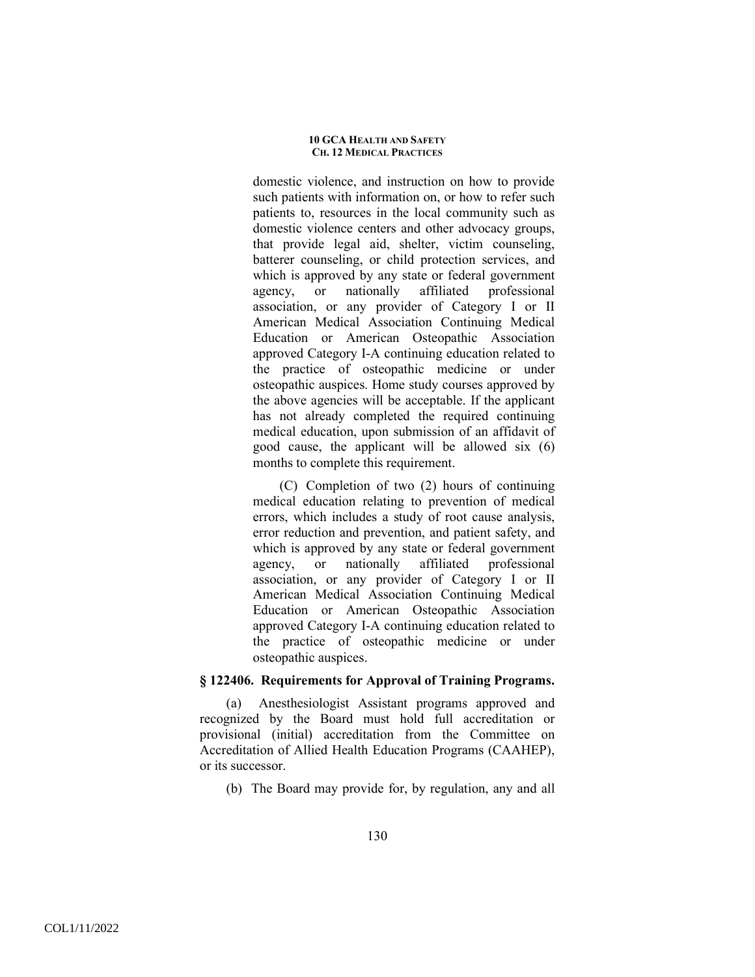domestic violence, and instruction on how to provide such patients with information on, or how to refer such patients to, resources in the local community such as domestic violence centers and other advocacy groups, that provide legal aid, shelter, victim counseling, batterer counseling, or child protection services, and which is approved by any state or federal government agency, or nationally affiliated professional association, or any provider of Category I or II American Medical Association Continuing Medical Education or American Osteopathic Association approved Category I-A continuing education related to the practice of osteopathic medicine or under osteopathic auspices. Home study courses approved by the above agencies will be acceptable. If the applicant has not already completed the required continuing medical education, upon submission of an affidavit of good cause, the applicant will be allowed six (6) months to complete this requirement.

(C) Completion of two (2) hours of continuing medical education relating to prevention of medical errors, which includes a study of root cause analysis, error reduction and prevention, and patient safety, and which is approved by any state or federal government agency, or nationally affiliated professional association, or any provider of Category I or II American Medical Association Continuing Medical Education or American Osteopathic Association approved Category I-A continuing education related to the practice of osteopathic medicine or under osteopathic auspices.

## **§ 122406. Requirements for Approval of Training Programs.**

(a) Anesthesiologist Assistant programs approved and recognized by the Board must hold full accreditation or provisional (initial) accreditation from the Committee on Accreditation of Allied Health Education Programs (CAAHEP), or its successor.

(b) The Board may provide for, by regulation, any and all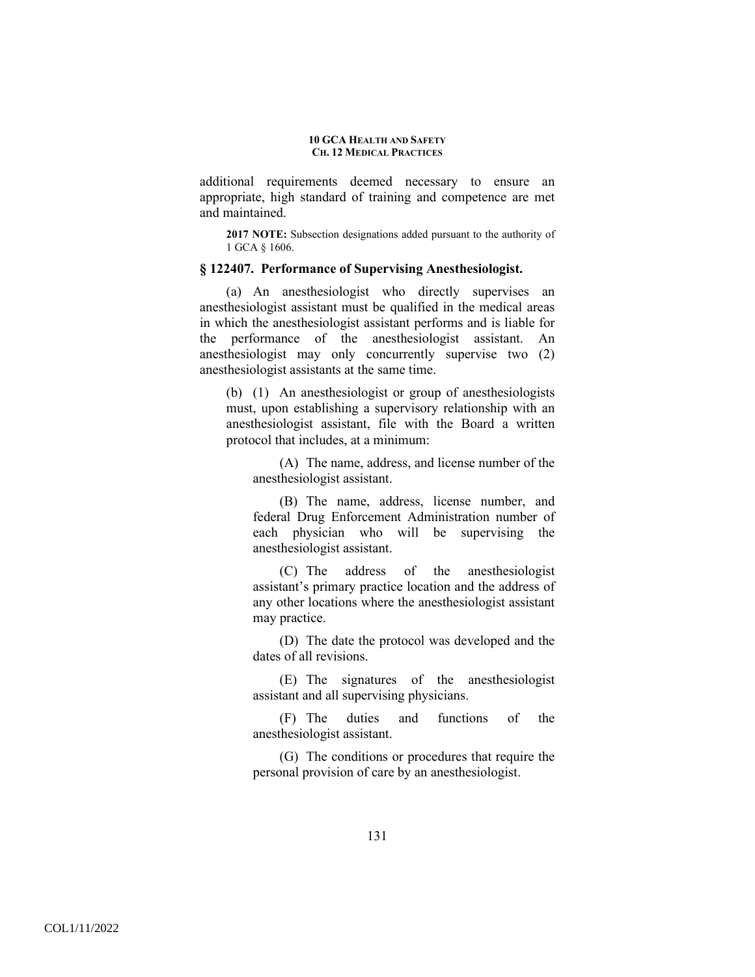additional requirements deemed necessary to ensure an appropriate, high standard of training and competence are met and maintained.

**2017 NOTE:** Subsection designations added pursuant to the authority of 1 GCA § 1606.

### **§ 122407. Performance of Supervising Anesthesiologist.**

(a) An anesthesiologist who directly supervises an anesthesiologist assistant must be qualified in the medical areas in which the anesthesiologist assistant performs and is liable for the performance of the anesthesiologist assistant. An anesthesiologist may only concurrently supervise two (2) anesthesiologist assistants at the same time.

(b) (1) An anesthesiologist or group of anesthesiologists must, upon establishing a supervisory relationship with an anesthesiologist assistant, file with the Board a written protocol that includes, at a minimum:

(A) The name, address, and license number of the anesthesiologist assistant.

(B) The name, address, license number, and federal Drug Enforcement Administration number of each physician who will be supervising the anesthesiologist assistant.

(C) The address of the anesthesiologist assistant's primary practice location and the address of any other locations where the anesthesiologist assistant may practice.

(D) The date the protocol was developed and the dates of all revisions.

(E) The signatures of the anesthesiologist assistant and all supervising physicians.

(F) The duties and functions of the anesthesiologist assistant.

(G) The conditions or procedures that require the personal provision of care by an anesthesiologist.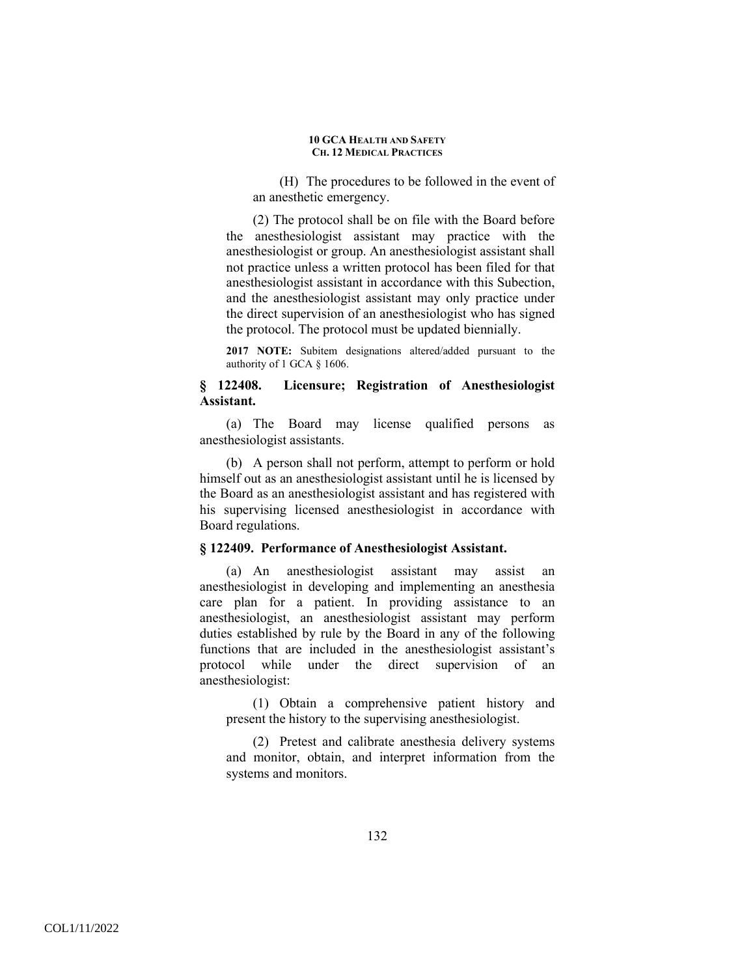(H) The procedures to be followed in the event of an anesthetic emergency.

(2) The protocol shall be on file with the Board before the anesthesiologist assistant may practice with the anesthesiologist or group. An anesthesiologist assistant shall not practice unless a written protocol has been filed for that anesthesiologist assistant in accordance with this Subection, and the anesthesiologist assistant may only practice under the direct supervision of an anesthesiologist who has signed the protocol. The protocol must be updated biennially.

**2017 NOTE:** Subitem designations altered/added pursuant to the authority of 1 GCA § 1606.

## **§ 122408. Licensure; Registration of Anesthesiologist Assistant.**

(a) The Board may license qualified persons as anesthesiologist assistants.

(b) A person shall not perform, attempt to perform or hold himself out as an anesthesiologist assistant until he is licensed by the Board as an anesthesiologist assistant and has registered with his supervising licensed anesthesiologist in accordance with Board regulations.

### **§ 122409. Performance of Anesthesiologist Assistant.**

(a) An anesthesiologist assistant may assist an anesthesiologist in developing and implementing an anesthesia care plan for a patient. In providing assistance to an anesthesiologist, an anesthesiologist assistant may perform duties established by rule by the Board in any of the following functions that are included in the anesthesiologist assistant's protocol while under the direct supervision of an anesthesiologist:

(1) Obtain a comprehensive patient history and present the history to the supervising anesthesiologist.

(2) Pretest and calibrate anesthesia delivery systems and monitor, obtain, and interpret information from the systems and monitors.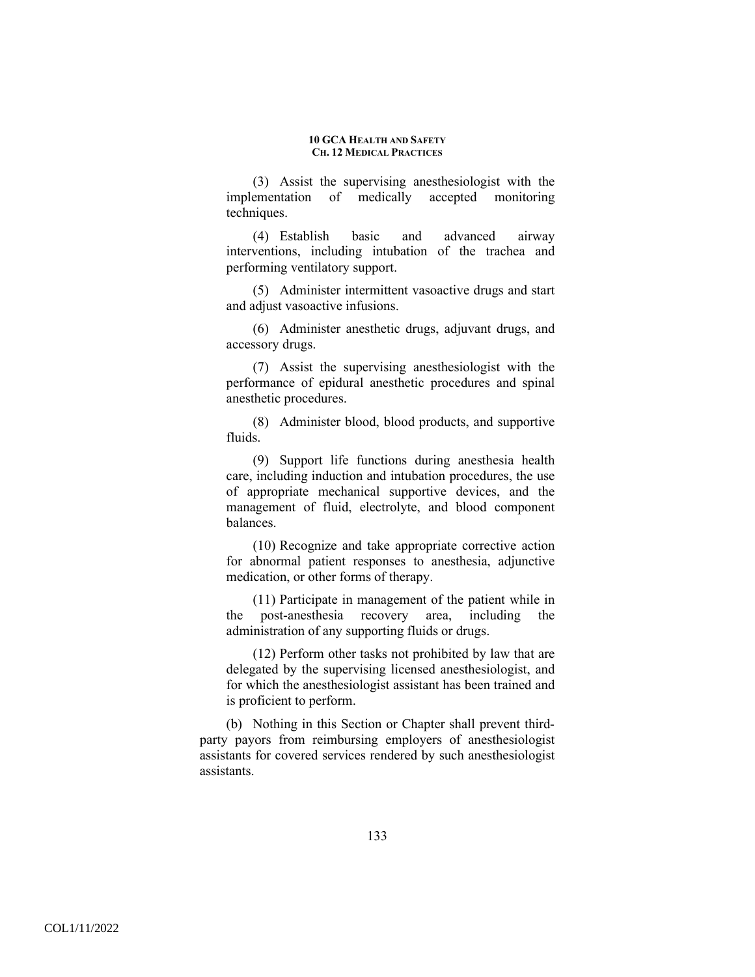(3) Assist the supervising anesthesiologist with the implementation of medically accepted monitoring techniques.

(4) Establish basic and advanced airway interventions, including intubation of the trachea and performing ventilatory support.

(5) Administer intermittent vasoactive drugs and start and adjust vasoactive infusions.

(6) Administer anesthetic drugs, adjuvant drugs, and accessory drugs.

(7) Assist the supervising anesthesiologist with the performance of epidural anesthetic procedures and spinal anesthetic procedures.

(8) Administer blood, blood products, and supportive fluids.

(9) Support life functions during anesthesia health care, including induction and intubation procedures, the use of appropriate mechanical supportive devices, and the management of fluid, electrolyte, and blood component balances.

(10) Recognize and take appropriate corrective action for abnormal patient responses to anesthesia, adjunctive medication, or other forms of therapy.

(11) Participate in management of the patient while in the post-anesthesia recovery area, including the administration of any supporting fluids or drugs.

(12) Perform other tasks not prohibited by law that are delegated by the supervising licensed anesthesiologist, and for which the anesthesiologist assistant has been trained and is proficient to perform.

(b) Nothing in this Section or Chapter shall prevent thirdparty payors from reimbursing employers of anesthesiologist assistants for covered services rendered by such anesthesiologist assistants.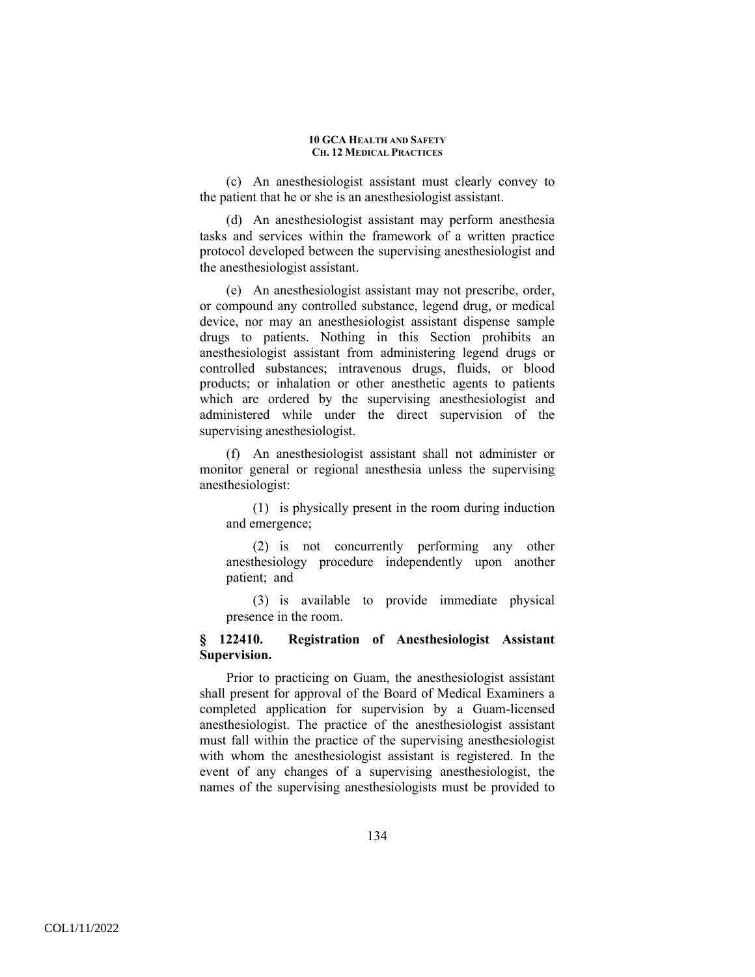(c) An anesthesiologist assistant must clearly convey to the patient that he or she is an anesthesiologist assistant.

(d) An anesthesiologist assistant may perform anesthesia tasks and services within the framework of a written practice protocol developed between the supervising anesthesiologist and the anesthesiologist assistant.

(e) An anesthesiologist assistant may not prescribe, order, or compound any controlled substance, legend drug, or medical device, nor may an anesthesiologist assistant dispense sample drugs to patients. Nothing in this Section prohibits an anesthesiologist assistant from administering legend drugs or controlled substances; intravenous drugs, fluids, or blood products; or inhalation or other anesthetic agents to patients which are ordered by the supervising anesthesiologist and administered while under the direct supervision of the supervising anesthesiologist.

(f) An anesthesiologist assistant shall not administer or monitor general or regional anesthesia unless the supervising anesthesiologist:

(1) is physically present in the room during induction and emergence;

(2) is not concurrently performing any other anesthesiology procedure independently upon another patient; and

(3) is available to provide immediate physical presence in the room.

# **§ 122410. Registration of Anesthesiologist Assistant Supervision.**

Prior to practicing on Guam, the anesthesiologist assistant shall present for approval of the Board of Medical Examiners a completed application for supervision by a Guam-licensed anesthesiologist. The practice of the anesthesiologist assistant must fall within the practice of the supervising anesthesiologist with whom the anesthesiologist assistant is registered. In the event of any changes of a supervising anesthesiologist, the names of the supervising anesthesiologists must be provided to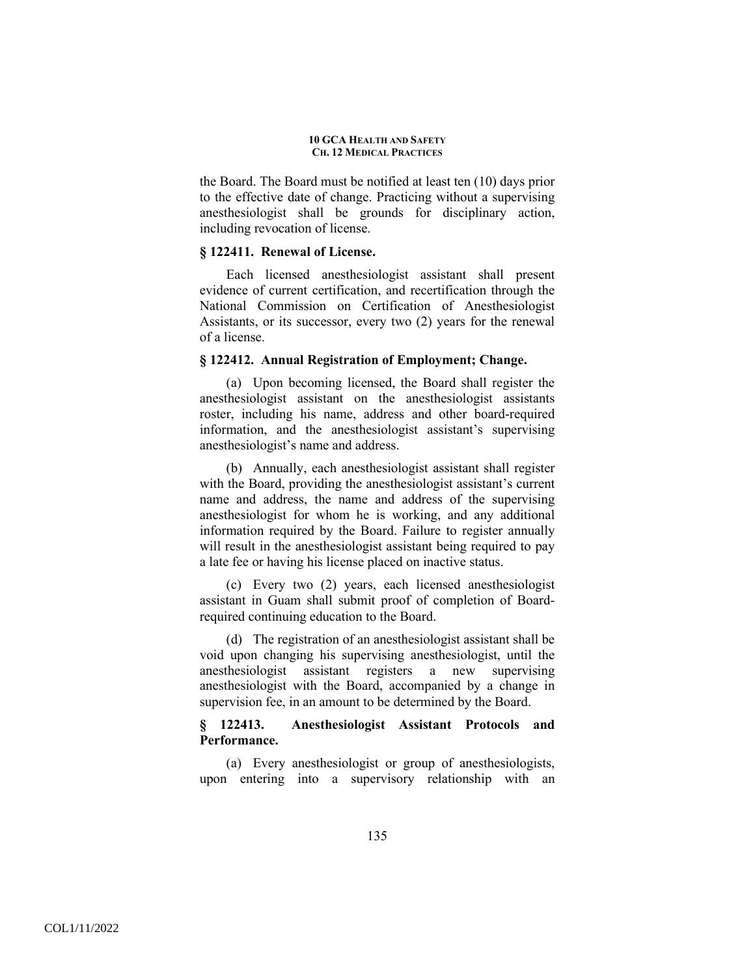the Board. The Board must be notified at least ten (10) days prior to the effective date of change. Practicing without a supervising anesthesiologist shall be grounds for disciplinary action, including revocation of license.

## **§ 122411. Renewal of License.**

Each licensed anesthesiologist assistant shall present evidence of current certification, and recertification through the National Commission on Certification of Anesthesiologist Assistants, or its successor, every two (2) years for the renewal of a license.

### **§ 122412. Annual Registration of Employment; Change.**

(a) Upon becoming licensed, the Board shall register the anesthesiologist assistant on the anesthesiologist assistants roster, including his name, address and other board-required information, and the anesthesiologist assistant's supervising anesthesiologist's name and address.

(b) Annually, each anesthesiologist assistant shall register with the Board, providing the anesthesiologist assistant's current name and address, the name and address of the supervising anesthesiologist for whom he is working, and any additional information required by the Board. Failure to register annually will result in the anesthesiologist assistant being required to pay a late fee or having his license placed on inactive status.

(c) Every two (2) years, each licensed anesthesiologist assistant in Guam shall submit proof of completion of Boardrequired continuing education to the Board.

(d) The registration of an anesthesiologist assistant shall be void upon changing his supervising anesthesiologist, until the anesthesiologist assistant registers a new supervising anesthesiologist with the Board, accompanied by a change in supervision fee, in an amount to be determined by the Board.

## **§ 122413. Anesthesiologist Assistant Protocols and Performance.**

(a) Every anesthesiologist or group of anesthesiologists, upon entering into a supervisory relationship with an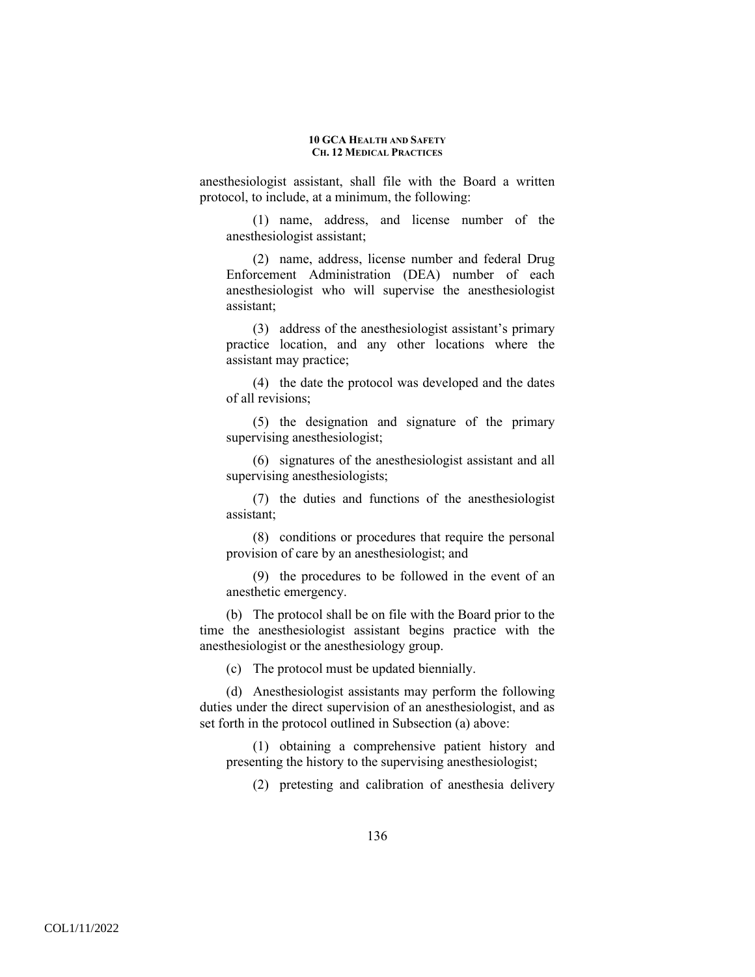anesthesiologist assistant, shall file with the Board a written protocol, to include, at a minimum, the following:

(1) name, address, and license number of the anesthesiologist assistant;

(2) name, address, license number and federal Drug Enforcement Administration (DEA) number of each anesthesiologist who will supervise the anesthesiologist assistant;

(3) address of the anesthesiologist assistant's primary practice location, and any other locations where the assistant may practice;

(4) the date the protocol was developed and the dates of all revisions;

(5) the designation and signature of the primary supervising anesthesiologist;

(6) signatures of the anesthesiologist assistant and all supervising anesthesiologists;

(7) the duties and functions of the anesthesiologist assistant;

(8) conditions or procedures that require the personal provision of care by an anesthesiologist; and

(9) the procedures to be followed in the event of an anesthetic emergency.

(b) The protocol shall be on file with the Board prior to the time the anesthesiologist assistant begins practice with the anesthesiologist or the anesthesiology group.

(c) The protocol must be updated biennially.

(d) Anesthesiologist assistants may perform the following duties under the direct supervision of an anesthesiologist, and as set forth in the protocol outlined in Subsection (a) above:

(1) obtaining a comprehensive patient history and presenting the history to the supervising anesthesiologist;

(2) pretesting and calibration of anesthesia delivery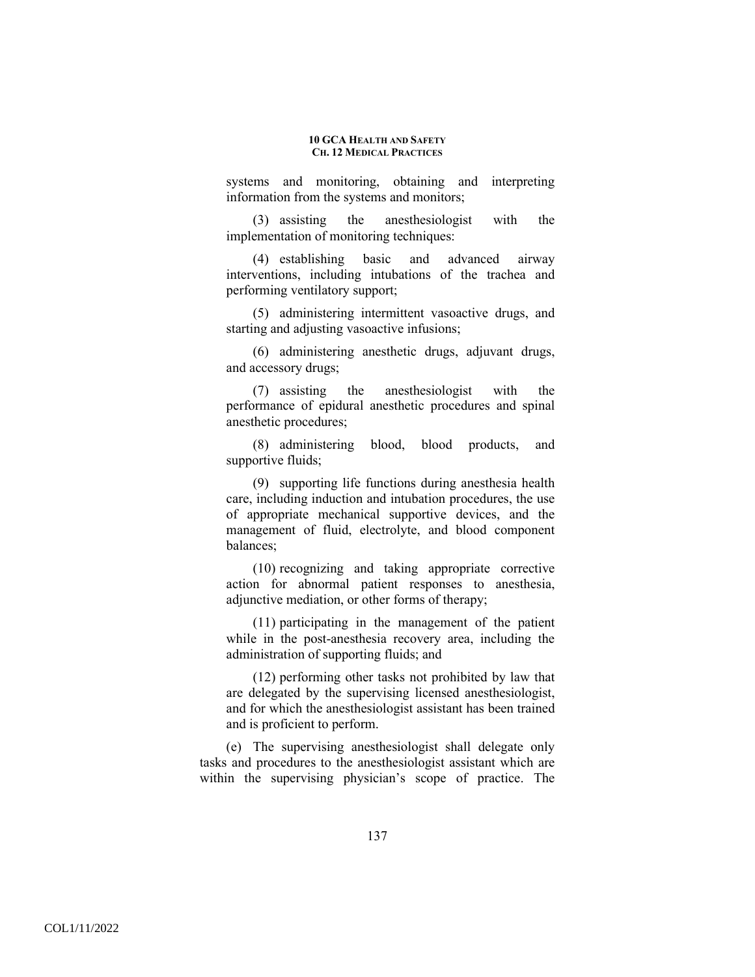systems and monitoring, obtaining and interpreting information from the systems and monitors;

(3) assisting the anesthesiologist with the implementation of monitoring techniques:

(4) establishing basic and advanced airway interventions, including intubations of the trachea and performing ventilatory support;

(5) administering intermittent vasoactive drugs, and starting and adjusting vasoactive infusions;

(6) administering anesthetic drugs, adjuvant drugs, and accessory drugs;

(7) assisting the anesthesiologist with the performance of epidural anesthetic procedures and spinal anesthetic procedures;

(8) administering blood, blood products, and supportive fluids;

(9) supporting life functions during anesthesia health care, including induction and intubation procedures, the use of appropriate mechanical supportive devices, and the management of fluid, electrolyte, and blood component balances;

(10) recognizing and taking appropriate corrective action for abnormal patient responses to anesthesia, adjunctive mediation, or other forms of therapy;

(11) participating in the management of the patient while in the post-anesthesia recovery area, including the administration of supporting fluids; and

(12) performing other tasks not prohibited by law that are delegated by the supervising licensed anesthesiologist, and for which the anesthesiologist assistant has been trained and is proficient to perform.

(e) The supervising anesthesiologist shall delegate only tasks and procedures to the anesthesiologist assistant which are within the supervising physician's scope of practice. The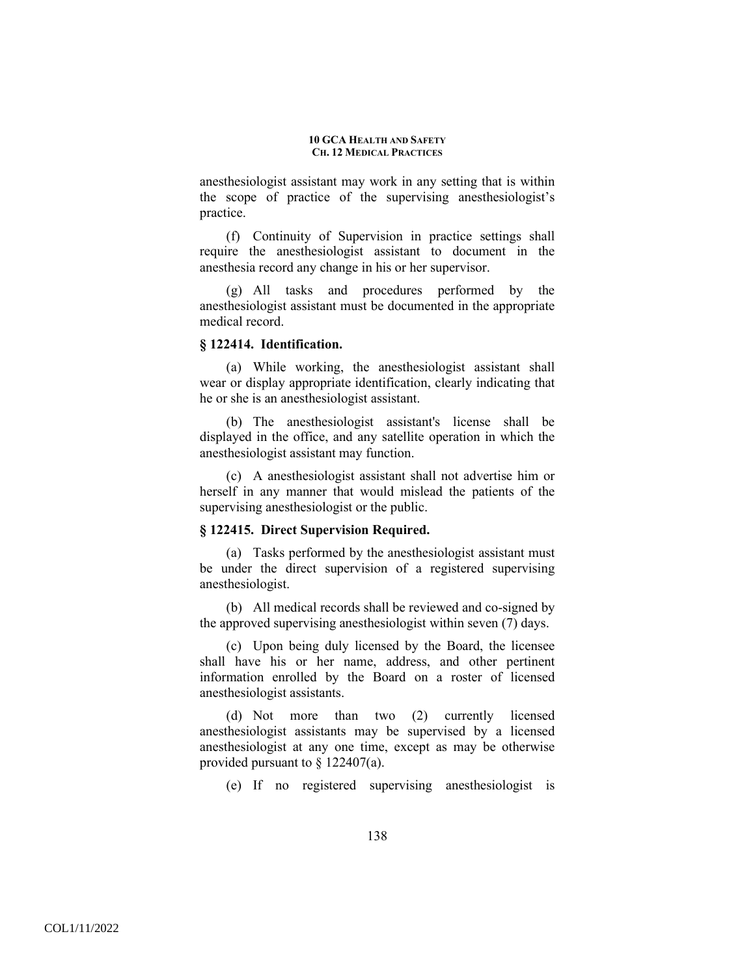anesthesiologist assistant may work in any setting that is within the scope of practice of the supervising anesthesiologist's practice.

(f) Continuity of Supervision in practice settings shall require the anesthesiologist assistant to document in the anesthesia record any change in his or her supervisor.

(g) All tasks and procedures performed by the anesthesiologist assistant must be documented in the appropriate medical record.

### **§ 122414. Identification.**

(a) While working, the anesthesiologist assistant shall wear or display appropriate identification, clearly indicating that he or she is an anesthesiologist assistant.

(b) The anesthesiologist assistant's license shall be displayed in the office, and any satellite operation in which the anesthesiologist assistant may function.

(c) A anesthesiologist assistant shall not advertise him or herself in any manner that would mislead the patients of the supervising anesthesiologist or the public.

### **§ 122415. Direct Supervision Required.**

(a) Tasks performed by the anesthesiologist assistant must be under the direct supervision of a registered supervising anesthesiologist.

(b) All medical records shall be reviewed and co-signed by the approved supervising anesthesiologist within seven (7) days.

(c) Upon being duly licensed by the Board, the licensee shall have his or her name, address, and other pertinent information enrolled by the Board on a roster of licensed anesthesiologist assistants.

(d) Not more than two (2) currently licensed anesthesiologist assistants may be supervised by a licensed anesthesiologist at any one time, except as may be otherwise provided pursuant to § 122407(a).

(e) If no registered supervising anesthesiologist is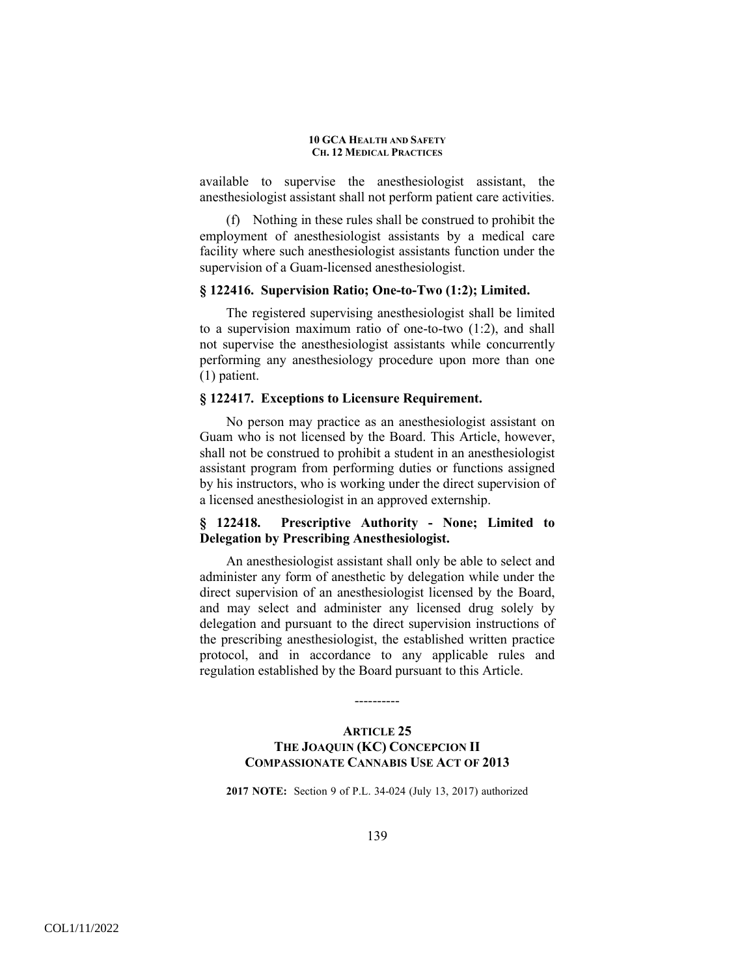available to supervise the anesthesiologist assistant, the anesthesiologist assistant shall not perform patient care activities.

(f) Nothing in these rules shall be construed to prohibit the employment of anesthesiologist assistants by a medical care facility where such anesthesiologist assistants function under the supervision of a Guam-licensed anesthesiologist.

### **§ 122416. Supervision Ratio; One-to-Two (1:2); Limited.**

The registered supervising anesthesiologist shall be limited to a supervision maximum ratio of one-to-two (1:2), and shall not supervise the anesthesiologist assistants while concurrently performing any anesthesiology procedure upon more than one (1) patient.

### **§ 122417. Exceptions to Licensure Requirement.**

No person may practice as an anesthesiologist assistant on Guam who is not licensed by the Board. This Article, however, shall not be construed to prohibit a student in an anesthesiologist assistant program from performing duties or functions assigned by his instructors, who is working under the direct supervision of a licensed anesthesiologist in an approved externship.

# **§ 122418. Prescriptive Authority - None; Limited to Delegation by Prescribing Anesthesiologist.**

An anesthesiologist assistant shall only be able to select and administer any form of anesthetic by delegation while under the direct supervision of an anesthesiologist licensed by the Board, and may select and administer any licensed drug solely by delegation and pursuant to the direct supervision instructions of the prescribing anesthesiologist, the established written practice protocol, and in accordance to any applicable rules and regulation established by the Board pursuant to this Article.

# **ARTICLE 25 THE JOAQUIN (KC) CONCEPCION II COMPASSIONATE CANNABIS USE ACT OF 2013**

----------

**2017 NOTE:** Section 9 of P.L. 34-024 (July 13, 2017) authorized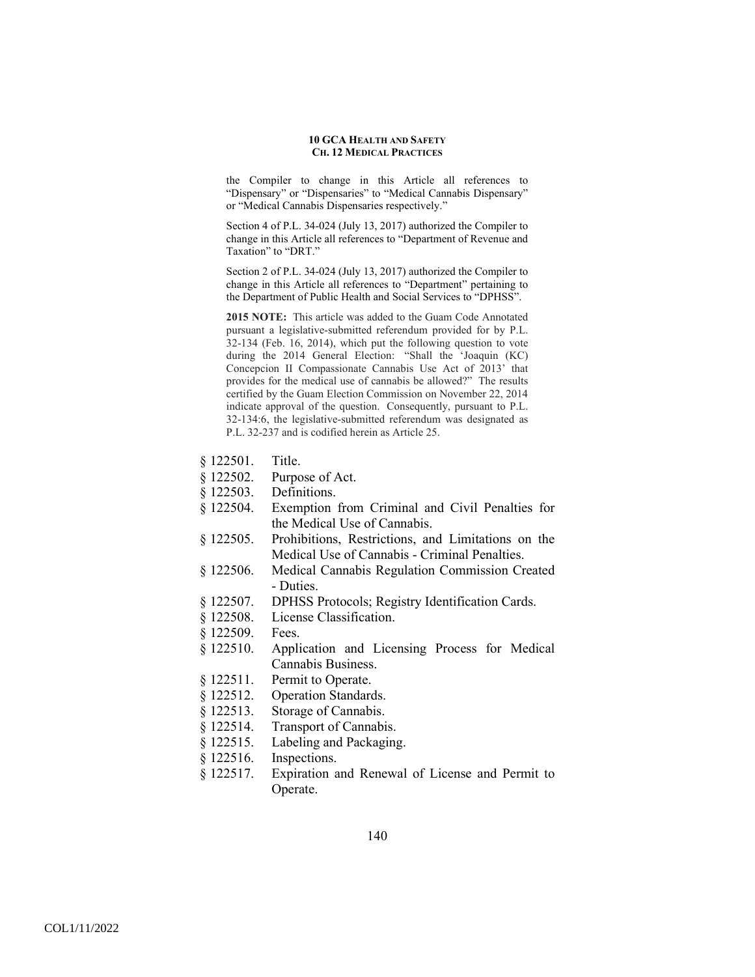the Compiler to change in this Article all references to "Dispensary" or "Dispensaries" to "Medical Cannabis Dispensary" or "Medical Cannabis Dispensaries respectively."

Section 4 of P.L. 34-024 (July 13, 2017) authorized the Compiler to change in this Article all references to "Department of Revenue and Taxation" to "DRT."

Section 2 of P.L. 34-024 (July 13, 2017) authorized the Compiler to change in this Article all references to "Department" pertaining to the Department of Public Health and Social Services to "DPHSS".

**2015 NOTE:** This article was added to the Guam Code Annotated pursuant a legislative-submitted referendum provided for by P.L. 32-134 (Feb. 16, 2014), which put the following question to vote during the 2014 General Election: "Shall the 'Joaquin (KC) Concepcion II Compassionate Cannabis Use Act of 2013' that provides for the medical use of cannabis be allowed?" The results certified by the Guam Election Commission on November 22, 2014 indicate approval of the question. Consequently, pursuant to P.L. 32-134:6, the legislative-submitted referendum was designated as P.L. 32-237 and is codified herein as Article 25.

- § 122501. Title.
- § 122502. Purpose of Act.
- § 122503. Definitions.
- § 122504. Exemption from Criminal and Civil Penalties for the Medical Use of Cannabis.
- § 122505. Prohibitions, Restrictions, and Limitations on the Medical Use of Cannabis - Criminal Penalties.
- § 122506. Medical Cannabis Regulation Commission Created - Duties.
- § 122507. DPHSS Protocols; Registry Identification Cards.
- § 122508. License Classification.
- § 122509. Fees.
- § 122510. Application and Licensing Process for Medical Cannabis Business.
- § 122511. Permit to Operate.
- § 122512. Operation Standards.
- § 122513. Storage of Cannabis.
- § 122514. Transport of Cannabis.
- § 122515. Labeling and Packaging.
- § 122516. Inspections.
- § 122517. Expiration and Renewal of License and Permit to Operate.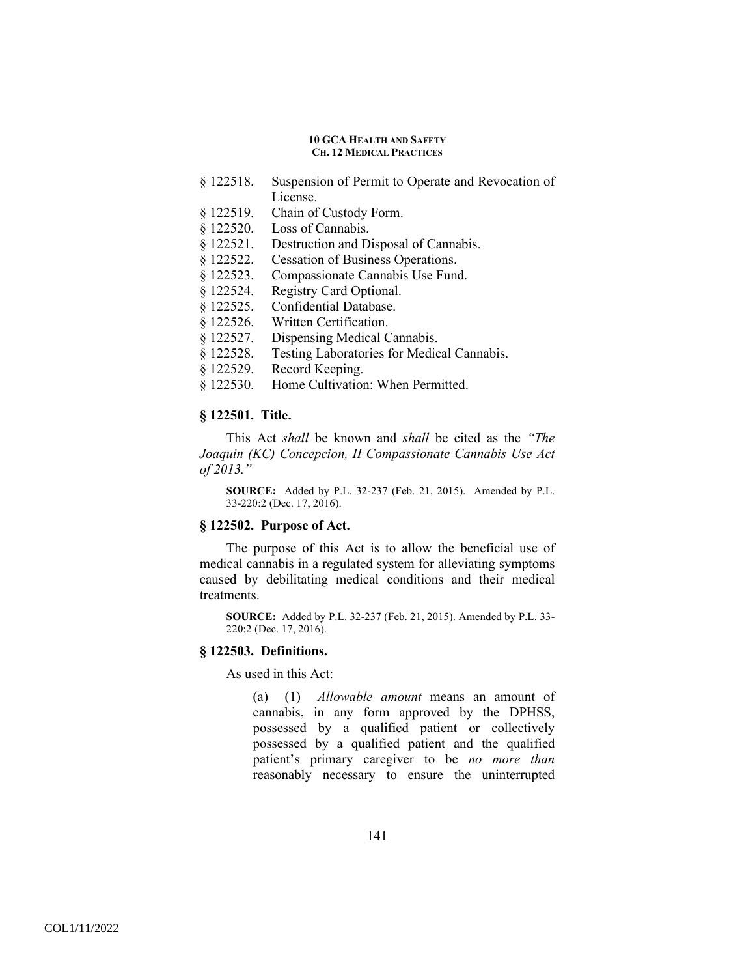- § 122518. Suspension of Permit to Operate and Revocation of License.
- § 122519. Chain of Custody Form.
- § 122520. Loss of Cannabis.
- § 122521. Destruction and Disposal of Cannabis.
- § 122522. Cessation of Business Operations.
- § 122523. Compassionate Cannabis Use Fund.
- § 122524. Registry Card Optional.
- § 122525. Confidential Database.
- § 122526. Written Certification.
- § 122527. Dispensing Medical Cannabis.
- § 122528. Testing Laboratories for Medical Cannabis.
- § 122529. Record Keeping.
- § 122530. Home Cultivation: When Permitted.

## **§ 122501. Title.**

This Act *shall* be known and *shall* be cited as the *"The Joaquin (KC) Concepcion, II Compassionate Cannabis Use Act of 2013."*

**SOURCE:** Added by P.L. 32-237 (Feb. 21, 2015). Amended by P.L. 33-220:2 (Dec. 17, 2016).

# **§ 122502. Purpose of Act.**

The purpose of this Act is to allow the beneficial use of medical cannabis in a regulated system for alleviating symptoms caused by debilitating medical conditions and their medical treatments.

**SOURCE:** Added by P.L. 32-237 (Feb. 21, 2015). Amended by P.L. 33- 220:2 (Dec. 17, 2016).

## **§ 122503. Definitions.**

As used in this Act:

(a) (1) *Allowable amount* means an amount of cannabis, in any form approved by the DPHSS, possessed by a qualified patient or collectively possessed by a qualified patient and the qualified patient's primary caregiver to be *no more than* reasonably necessary to ensure the uninterrupted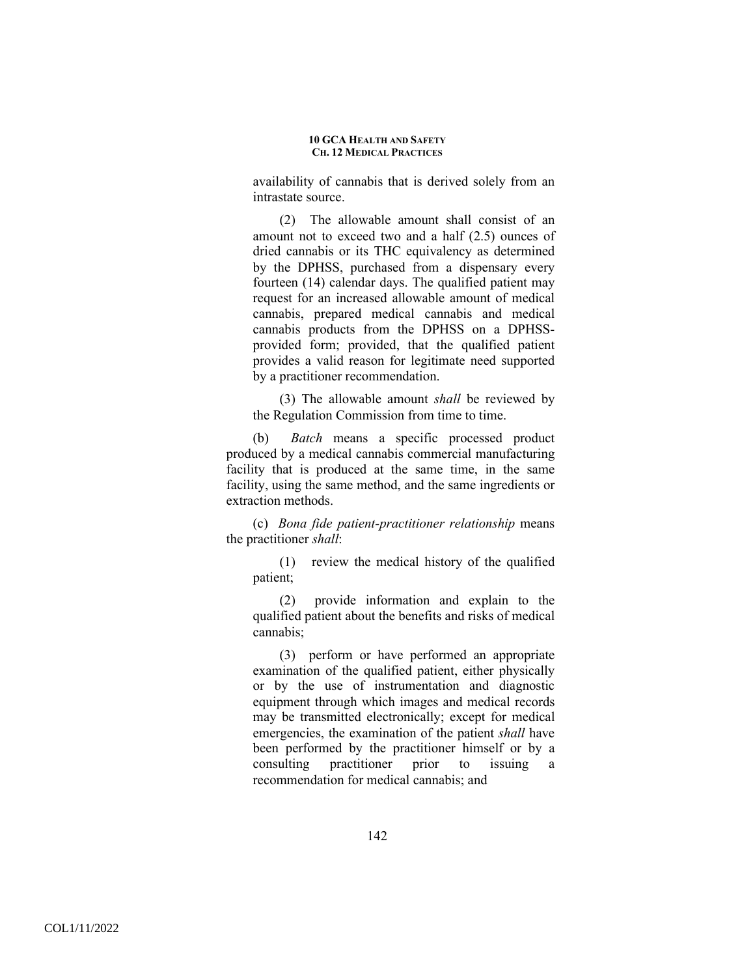availability of cannabis that is derived solely from an intrastate source.

(2) The allowable amount shall consist of an amount not to exceed two and a half (2.5) ounces of dried cannabis or its THC equivalency as determined by the DPHSS, purchased from a dispensary every fourteen (14) calendar days. The qualified patient may request for an increased allowable amount of medical cannabis, prepared medical cannabis and medical cannabis products from the DPHSS on a DPHSSprovided form; provided, that the qualified patient provides a valid reason for legitimate need supported by a practitioner recommendation.

(3) The allowable amount *shall* be reviewed by the Regulation Commission from time to time.

(b) *Batch* means a specific processed product produced by a medical cannabis commercial manufacturing facility that is produced at the same time, in the same facility, using the same method, and the same ingredients or extraction methods.

(c) *Bona fide patient-practitioner relationship* means the practitioner *shall*:

(1) review the medical history of the qualified patient;

(2) provide information and explain to the qualified patient about the benefits and risks of medical cannabis;

(3) perform or have performed an appropriate examination of the qualified patient, either physically or by the use of instrumentation and diagnostic equipment through which images and medical records may be transmitted electronically; except for medical emergencies, the examination of the patient *shall* have been performed by the practitioner himself or by a consulting practitioner prior to issuing a recommendation for medical cannabis; and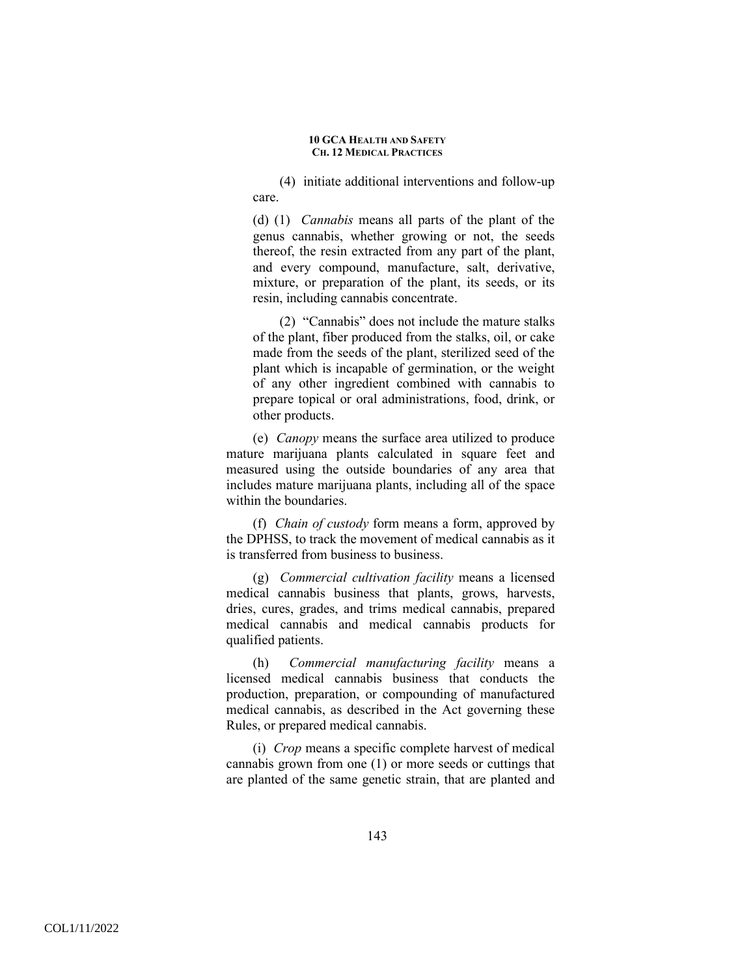(4) initiate additional interventions and follow-up care.

(d) (1) *Cannabis* means all parts of the plant of the genus cannabis, whether growing or not, the seeds thereof, the resin extracted from any part of the plant, and every compound, manufacture, salt, derivative, mixture, or preparation of the plant, its seeds, or its resin, including cannabis concentrate.

(2) "Cannabis" does not include the mature stalks of the plant, fiber produced from the stalks, oil, or cake made from the seeds of the plant, sterilized seed of the plant which is incapable of germination, or the weight of any other ingredient combined with cannabis to prepare topical or oral administrations, food, drink, or other products.

(e) *Canopy* means the surface area utilized to produce mature marijuana plants calculated in square feet and measured using the outside boundaries of any area that includes mature marijuana plants, including all of the space within the boundaries.

(f) *Chain of custody* form means a form, approved by the DPHSS, to track the movement of medical cannabis as it is transferred from business to business.

(g) *Commercial cultivation facility* means a licensed medical cannabis business that plants, grows, harvests, dries, cures, grades, and trims medical cannabis, prepared medical cannabis and medical cannabis products for qualified patients.

(h) *Commercial manufacturing facility* means a licensed medical cannabis business that conducts the production, preparation, or compounding of manufactured medical cannabis, as described in the Act governing these Rules, or prepared medical cannabis.

(i) *Crop* means a specific complete harvest of medical cannabis grown from one (1) or more seeds or cuttings that are planted of the same genetic strain, that are planted and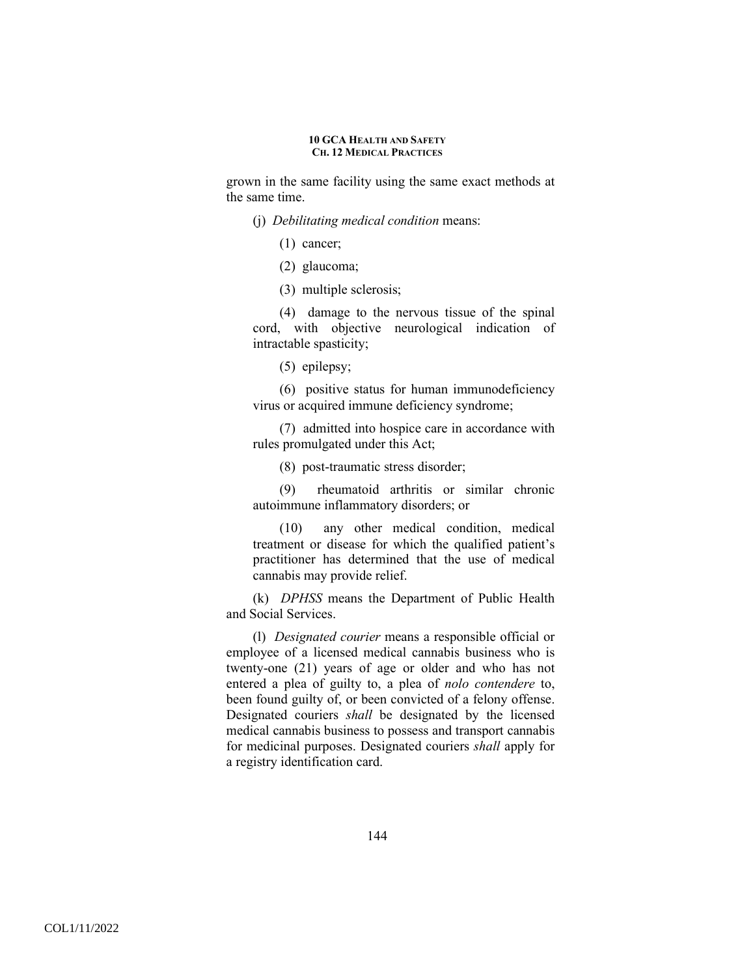grown in the same facility using the same exact methods at the same time.

- (j) *Debilitating medical condition* means:
	- (1) cancer;
	- (2) glaucoma;
	- (3) multiple sclerosis;

(4) damage to the nervous tissue of the spinal cord, with objective neurological indication of intractable spasticity;

(5) epilepsy;

(6) positive status for human immunodeficiency virus or acquired immune deficiency syndrome;

(7) admitted into hospice care in accordance with rules promulgated under this Act;

(8) post-traumatic stress disorder;

(9) rheumatoid arthritis or similar chronic autoimmune inflammatory disorders; or

(10) any other medical condition, medical treatment or disease for which the qualified patient's practitioner has determined that the use of medical cannabis may provide relief.

(k) *DPHSS* means the Department of Public Health and Social Services.

(l) *Designated courier* means a responsible official or employee of a licensed medical cannabis business who is twenty-one (21) years of age or older and who has not entered a plea of guilty to, a plea of *nolo contendere* to, been found guilty of, or been convicted of a felony offense. Designated couriers *shall* be designated by the licensed medical cannabis business to possess and transport cannabis for medicinal purposes. Designated couriers *shall* apply for a registry identification card.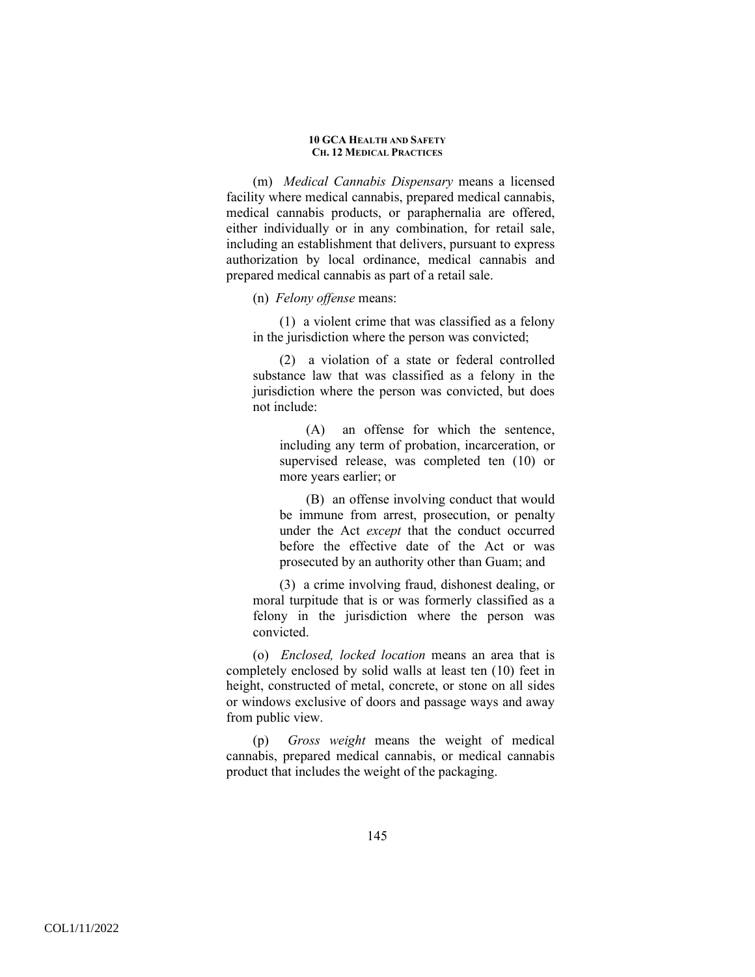(m) *Medical Cannabis Dispensary* means a licensed facility where medical cannabis, prepared medical cannabis, medical cannabis products, or paraphernalia are offered, either individually or in any combination, for retail sale, including an establishment that delivers, pursuant to express authorization by local ordinance, medical cannabis and prepared medical cannabis as part of a retail sale.

(n) *Felony offense* means:

(1) a violent crime that was classified as a felony in the jurisdiction where the person was convicted;

(2) a violation of a state or federal controlled substance law that was classified as a felony in the jurisdiction where the person was convicted, but does not include:

(A) an offense for which the sentence, including any term of probation, incarceration, or supervised release, was completed ten (10) or more years earlier; or

(B) an offense involving conduct that would be immune from arrest, prosecution, or penalty under the Act *except* that the conduct occurred before the effective date of the Act or was prosecuted by an authority other than Guam; and

(3) a crime involving fraud, dishonest dealing, or moral turpitude that is or was formerly classified as a felony in the jurisdiction where the person was convicted.

(o) *Enclosed, locked location* means an area that is completely enclosed by solid walls at least ten (10) feet in height, constructed of metal, concrete, or stone on all sides or windows exclusive of doors and passage ways and away from public view.

(p) *Gross weight* means the weight of medical cannabis, prepared medical cannabis, or medical cannabis product that includes the weight of the packaging.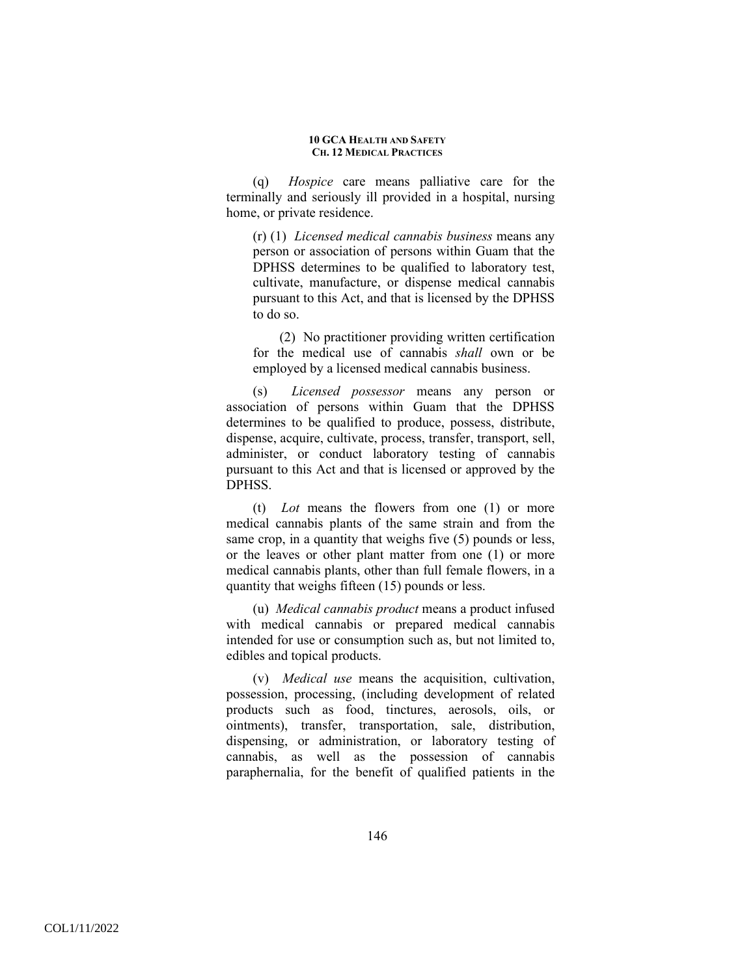(q) *Hospice* care means palliative care for the terminally and seriously ill provided in a hospital, nursing home, or private residence.

(r) (1) *Licensed medical cannabis business* means any person or association of persons within Guam that the DPHSS determines to be qualified to laboratory test, cultivate, manufacture, or dispense medical cannabis pursuant to this Act, and that is licensed by the DPHSS to do so.

(2) No practitioner providing written certification for the medical use of cannabis *shall* own or be employed by a licensed medical cannabis business.

(s) *Licensed possessor* means any person or association of persons within Guam that the DPHSS determines to be qualified to produce, possess, distribute, dispense, acquire, cultivate, process, transfer, transport, sell, administer, or conduct laboratory testing of cannabis pursuant to this Act and that is licensed or approved by the **DPHSS** 

(t) *Lot* means the flowers from one (1) or more medical cannabis plants of the same strain and from the same crop, in a quantity that weighs five (5) pounds or less, or the leaves or other plant matter from one (1) or more medical cannabis plants, other than full female flowers, in a quantity that weighs fifteen (15) pounds or less.

(u) *Medical cannabis product* means a product infused with medical cannabis or prepared medical cannabis intended for use or consumption such as, but not limited to, edibles and topical products.

(v) *Medical use* means the acquisition, cultivation, possession, processing, (including development of related products such as food, tinctures, aerosols, oils, or ointments), transfer, transportation, sale, distribution, dispensing, or administration, or laboratory testing of cannabis, as well as the possession of cannabis paraphernalia, for the benefit of qualified patients in the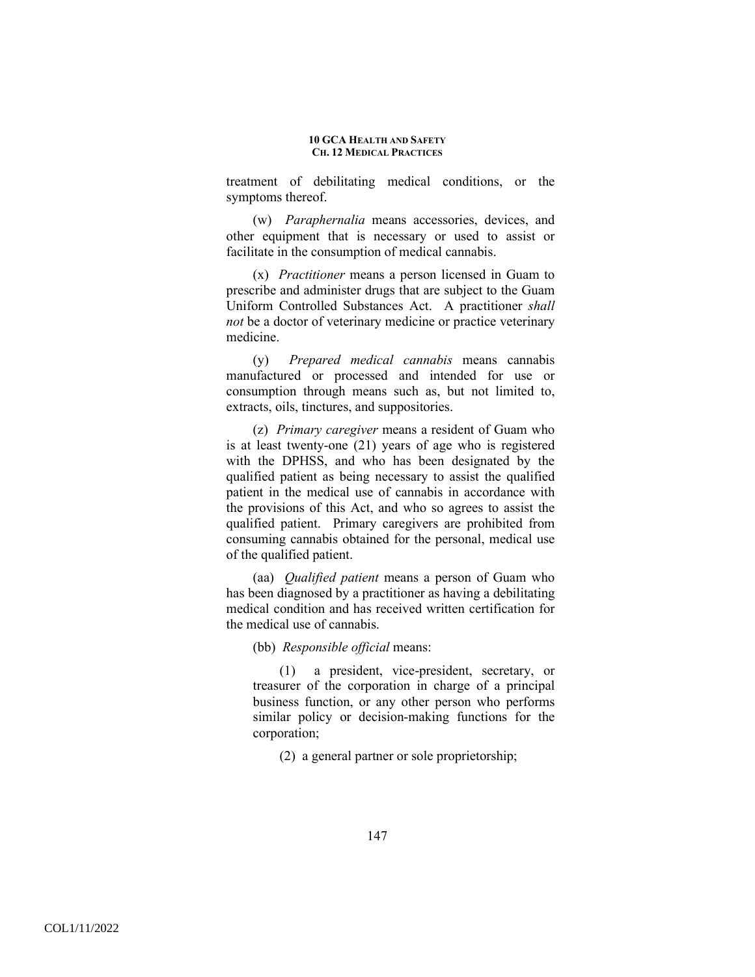treatment of debilitating medical conditions, or the symptoms thereof.

(w) *Paraphernalia* means accessories, devices, and other equipment that is necessary or used to assist or facilitate in the consumption of medical cannabis.

(x) *Practitioner* means a person licensed in Guam to prescribe and administer drugs that are subject to the Guam Uniform Controlled Substances Act. A practitioner *shall not* be a doctor of veterinary medicine or practice veterinary medicine.

(y) *Prepared medical cannabis* means cannabis manufactured or processed and intended for use or consumption through means such as, but not limited to, extracts, oils, tinctures, and suppositories.

(z) *Primary caregiver* means a resident of Guam who is at least twenty-one (21) years of age who is registered with the DPHSS, and who has been designated by the qualified patient as being necessary to assist the qualified patient in the medical use of cannabis in accordance with the provisions of this Act, and who so agrees to assist the qualified patient. Primary caregivers are prohibited from consuming cannabis obtained for the personal, medical use of the qualified patient.

(aa) *Qualified patient* means a person of Guam who has been diagnosed by a practitioner as having a debilitating medical condition and has received written certification for the medical use of cannabis.

(bb) *Responsible official* means:

(1) a president, vice-president, secretary, or treasurer of the corporation in charge of a principal business function, or any other person who performs similar policy or decision-making functions for the corporation;

(2) a general partner or sole proprietorship;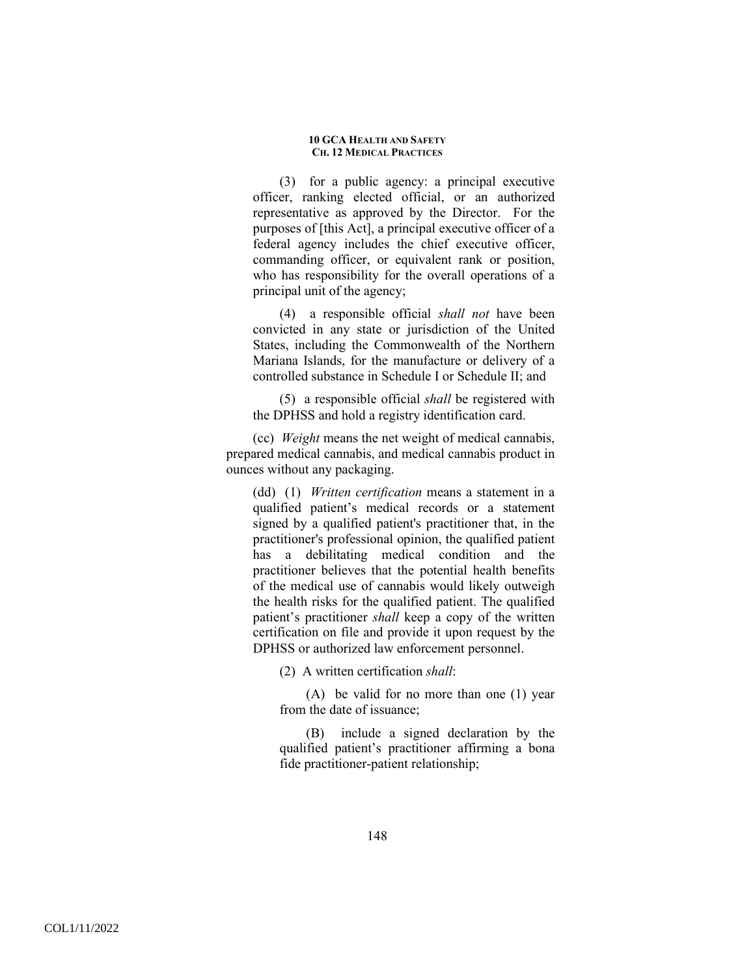(3) for a public agency: a principal executive officer, ranking elected official, or an authorized representative as approved by the Director. For the purposes of [this Act], a principal executive officer of a federal agency includes the chief executive officer, commanding officer, or equivalent rank or position, who has responsibility for the overall operations of a principal unit of the agency;

(4) a responsible official *shall not* have been convicted in any state or jurisdiction of the United States, including the Commonwealth of the Northern Mariana Islands, for the manufacture or delivery of a controlled substance in Schedule I or Schedule II; and

(5) a responsible official *shall* be registered with the DPHSS and hold a registry identification card.

(cc) *Weight* means the net weight of medical cannabis, prepared medical cannabis, and medical cannabis product in ounces without any packaging.

(dd) (1) *Written certification* means a statement in a qualified patient's medical records or a statement signed by a qualified patient's practitioner that, in the practitioner's professional opinion, the qualified patient has a debilitating medical condition and the practitioner believes that the potential health benefits of the medical use of cannabis would likely outweigh the health risks for the qualified patient. The qualified patient's practitioner *shall* keep a copy of the written certification on file and provide it upon request by the DPHSS or authorized law enforcement personnel.

(2) A written certification *shall*:

(A) be valid for no more than one (1) year from the date of issuance;

(B) include a signed declaration by the qualified patient's practitioner affirming a bona fide practitioner-patient relationship;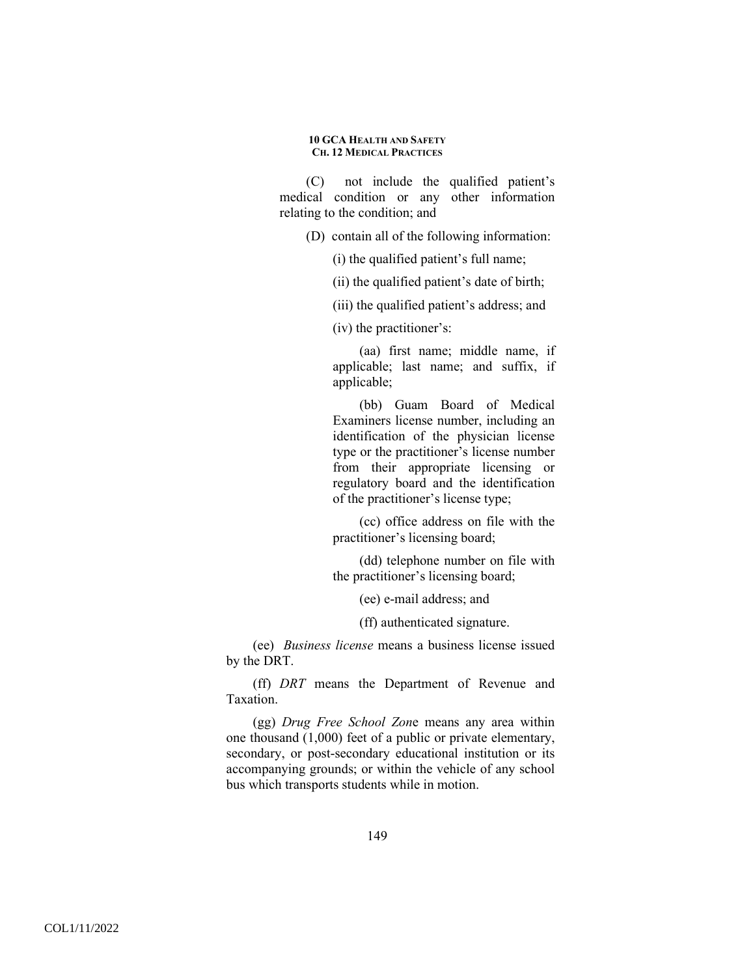(C) not include the qualified patient's medical condition or any other information relating to the condition; and

(D) contain all of the following information:

(i) the qualified patient's full name;

(ii) the qualified patient's date of birth;

(iii) the qualified patient's address; and

(iv) the practitioner's:

(aa) first name; middle name, if applicable; last name; and suffix, if applicable;

(bb) Guam Board of Medical Examiners license number, including an identification of the physician license type or the practitioner's license number from their appropriate licensing or regulatory board and the identification of the practitioner's license type;

(cc) office address on file with the practitioner's licensing board;

(dd) telephone number on file with the practitioner's licensing board;

(ee) e-mail address; and

(ff) authenticated signature.

(ee) *Business license* means a business license issued by the DRT.

(ff) *DRT* means the Department of Revenue and Taxation.

(gg) *Drug Free School Zon*e means any area within one thousand (1,000) feet of a public or private elementary, secondary, or post-secondary educational institution or its accompanying grounds; or within the vehicle of any school bus which transports students while in motion.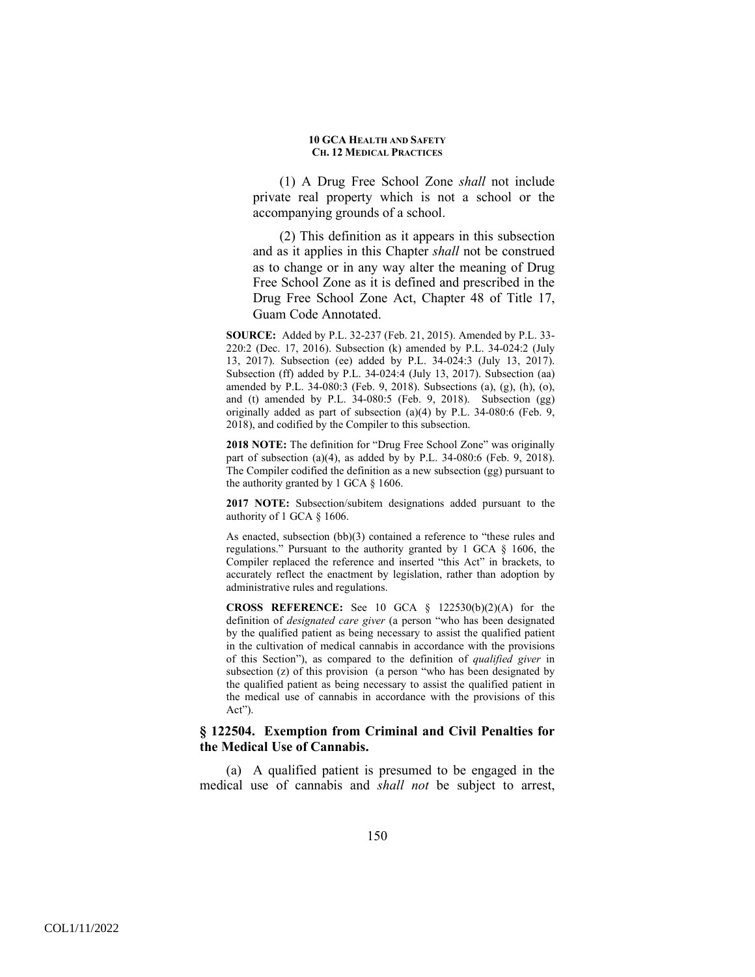(1) A Drug Free School Zone *shall* not include private real property which is not a school or the accompanying grounds of a school.

(2) This definition as it appears in this subsection and as it applies in this Chapter *shall* not be construed as to change or in any way alter the meaning of Drug Free School Zone as it is defined and prescribed in the Drug Free School Zone Act, Chapter 48 of Title 17, Guam Code Annotated.

**SOURCE:** Added by P.L. 32-237 (Feb. 21, 2015). Amended by P.L. 33- 220:2 (Dec. 17, 2016). Subsection (k) amended by P.L. 34-024:2 (July 13, 2017). Subsection (ee) added by P.L. 34-024:3 (July 13, 2017). Subsection (ff) added by P.L. 34-024:4 (July 13, 2017). Subsection (aa) amended by P.L. 34-080:3 (Feb. 9, 2018). Subsections (a), (g), (h), (o), and (t) amended by P.L. 34-080:5 (Feb. 9, 2018). Subsection (gg) originally added as part of subsection (a)(4) by P.L. 34-080:6 (Feb. 9, 2018), and codified by the Compiler to this subsection.

**2018 NOTE:** The definition for "Drug Free School Zone" was originally part of subsection (a)(4), as added by by P.L. 34-080:6 (Feb. 9, 2018). The Compiler codified the definition as a new subsection (gg) pursuant to the authority granted by 1 GCA § 1606.

**2017 NOTE:** Subsection/subitem designations added pursuant to the authority of 1 GCA § 1606.

As enacted, subsection (bb)(3) contained a reference to "these rules and regulations." Pursuant to the authority granted by 1 GCA § 1606, the Compiler replaced the reference and inserted "this Act" in brackets, to accurately reflect the enactment by legislation, rather than adoption by administrative rules and regulations.

**CROSS REFERENCE:** See 10 GCA § 122530(b)(2)(A) for the definition of *designated care giver* (a person "who has been designated by the qualified patient as being necessary to assist the qualified patient in the cultivation of medical cannabis in accordance with the provisions of this Section"), as compared to the definition of *qualified giver* in subsection (z) of this provision (a person "who has been designated by the qualified patient as being necessary to assist the qualified patient in the medical use of cannabis in accordance with the provisions of this Act").

## **§ 122504. Exemption from Criminal and Civil Penalties for the Medical Use of Cannabis.**

(a) A qualified patient is presumed to be engaged in the medical use of cannabis and *shall not* be subject to arrest,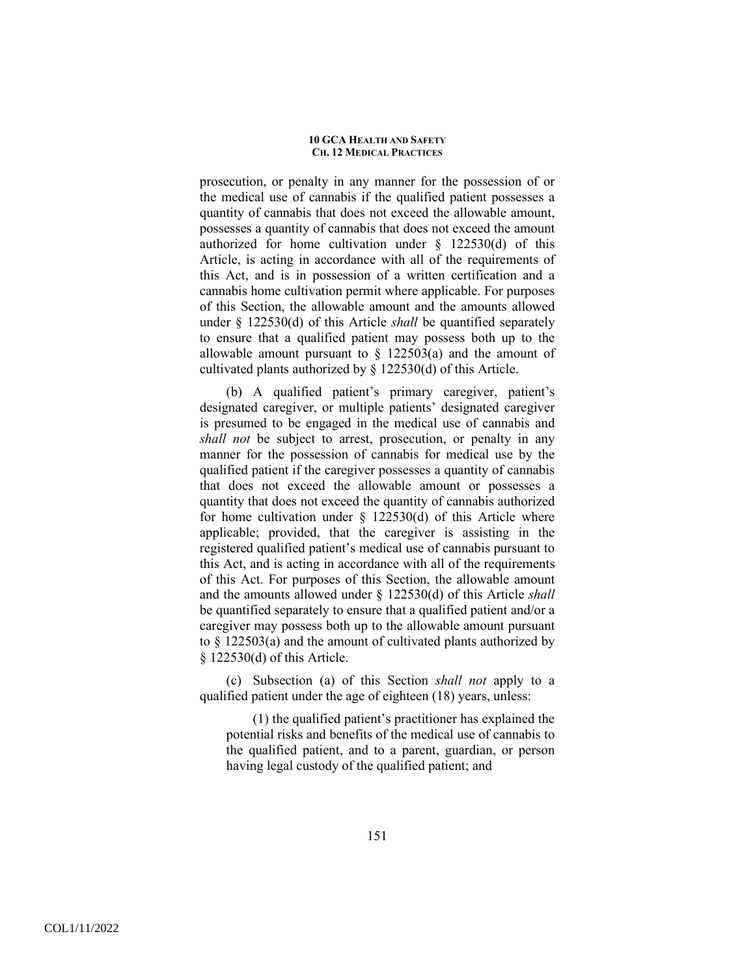prosecution, or penalty in any manner for the possession of or the medical use of cannabis if the qualified patient possesses a quantity of cannabis that does not exceed the allowable amount, possesses a quantity of cannabis that does not exceed the amount authorized for home cultivation under § 122530(d) of this Article, is acting in accordance with all of the requirements of this Act, and is in possession of a written certification and a cannabis home cultivation permit where applicable. For purposes of this Section, the allowable amount and the amounts allowed under § 122530(d) of this Article *shall* be quantified separately to ensure that a qualified patient may possess both up to the allowable amount pursuant to  $\S$  122503(a) and the amount of cultivated plants authorized by § 122530(d) of this Article.

(b) A qualified patient's primary caregiver, patient's designated caregiver, or multiple patients' designated caregiver is presumed to be engaged in the medical use of cannabis and *shall not* be subject to arrest, prosecution, or penalty in any manner for the possession of cannabis for medical use by the qualified patient if the caregiver possesses a quantity of cannabis that does not exceed the allowable amount or possesses a quantity that does not exceed the quantity of cannabis authorized for home cultivation under  $\S$  122530(d) of this Article where applicable; provided, that the caregiver is assisting in the registered qualified patient's medical use of cannabis pursuant to this Act, and is acting in accordance with all of the requirements of this Act. For purposes of this Section, the allowable amount and the amounts allowed under § 122530(d) of this Article *shall* be quantified separately to ensure that a qualified patient and/or a caregiver may possess both up to the allowable amount pursuant to § 122503(a) and the amount of cultivated plants authorized by § 122530(d) of this Article.

(c) Subsection (a) of this Section *shall not* apply to a qualified patient under the age of eighteen (18) years, unless:

(1) the qualified patient's practitioner has explained the potential risks and benefits of the medical use of cannabis to the qualified patient, and to a parent, guardian, or person having legal custody of the qualified patient; and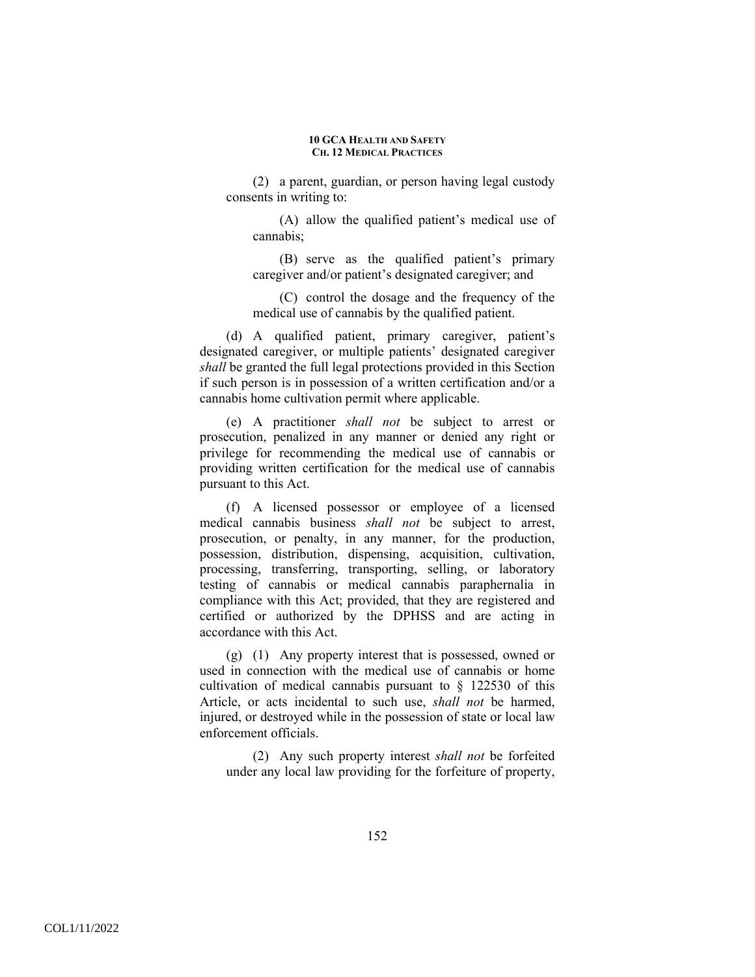(2) a parent, guardian, or person having legal custody consents in writing to:

(A) allow the qualified patient's medical use of cannabis;

(B) serve as the qualified patient's primary caregiver and/or patient's designated caregiver; and

(C) control the dosage and the frequency of the medical use of cannabis by the qualified patient.

(d) A qualified patient, primary caregiver, patient's designated caregiver, or multiple patients' designated caregiver *shall* be granted the full legal protections provided in this Section if such person is in possession of a written certification and/or a cannabis home cultivation permit where applicable.

(e) A practitioner *shall not* be subject to arrest or prosecution, penalized in any manner or denied any right or privilege for recommending the medical use of cannabis or providing written certification for the medical use of cannabis pursuant to this Act.

(f) A licensed possessor or employee of a licensed medical cannabis business *shall not* be subject to arrest, prosecution, or penalty, in any manner, for the production, possession, distribution, dispensing, acquisition, cultivation, processing, transferring, transporting, selling, or laboratory testing of cannabis or medical cannabis paraphernalia in compliance with this Act; provided, that they are registered and certified or authorized by the DPHSS and are acting in accordance with this Act.

(g) (1) Any property interest that is possessed, owned or used in connection with the medical use of cannabis or home cultivation of medical cannabis pursuant to § 122530 of this Article, or acts incidental to such use, *shall not* be harmed, injured, or destroyed while in the possession of state or local law enforcement officials.

(2) Any such property interest *shall not* be forfeited under any local law providing for the forfeiture of property,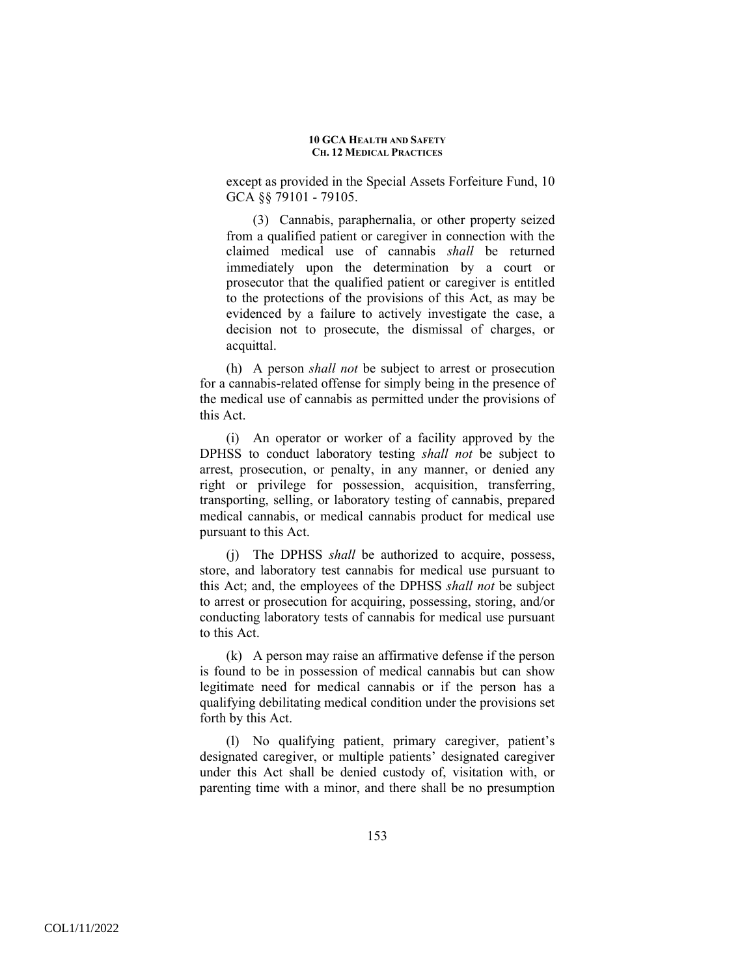except as provided in the Special Assets Forfeiture Fund, 10 GCA §§ 79101 - 79105.

(3) Cannabis, paraphernalia, or other property seized from a qualified patient or caregiver in connection with the claimed medical use of cannabis *shall* be returned immediately upon the determination by a court or prosecutor that the qualified patient or caregiver is entitled to the protections of the provisions of this Act, as may be evidenced by a failure to actively investigate the case, a decision not to prosecute, the dismissal of charges, or acquittal.

(h) A person *shall not* be subject to arrest or prosecution for a cannabis-related offense for simply being in the presence of the medical use of cannabis as permitted under the provisions of this Act.

(i) An operator or worker of a facility approved by the DPHSS to conduct laboratory testing *shall not* be subject to arrest, prosecution, or penalty, in any manner, or denied any right or privilege for possession, acquisition, transferring, transporting, selling, or laboratory testing of cannabis, prepared medical cannabis, or medical cannabis product for medical use pursuant to this Act.

(j) The DPHSS *shall* be authorized to acquire, possess, store, and laboratory test cannabis for medical use pursuant to this Act; and, the employees of the DPHSS *shall not* be subject to arrest or prosecution for acquiring, possessing, storing, and/or conducting laboratory tests of cannabis for medical use pursuant to this Act.

(k) A person may raise an affirmative defense if the person is found to be in possession of medical cannabis but can show legitimate need for medical cannabis or if the person has a qualifying debilitating medical condition under the provisions set forth by this Act.

(l) No qualifying patient, primary caregiver, patient's designated caregiver, or multiple patients' designated caregiver under this Act shall be denied custody of, visitation with, or parenting time with a minor, and there shall be no presumption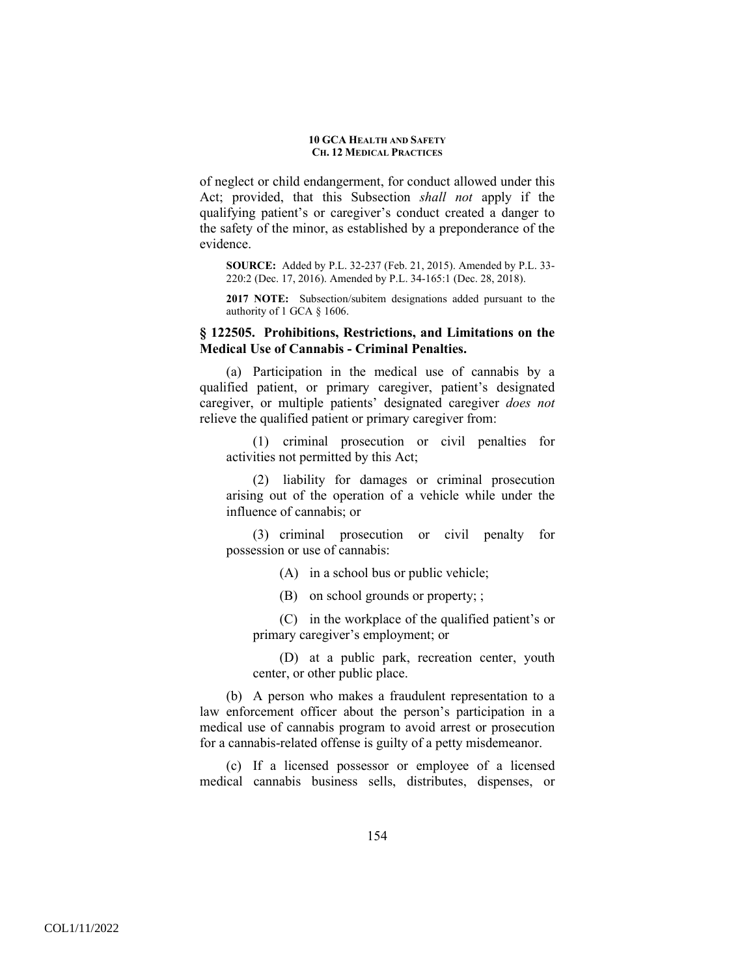of neglect or child endangerment, for conduct allowed under this Act; provided, that this Subsection *shall not* apply if the qualifying patient's or caregiver's conduct created a danger to the safety of the minor, as established by a preponderance of the evidence.

**SOURCE:** Added by P.L. 32-237 (Feb. 21, 2015). Amended by P.L. 33- 220:2 (Dec. 17, 2016). Amended by P.L. 34-165:1 (Dec. 28, 2018).

**2017 NOTE:** Subsection/subitem designations added pursuant to the authority of 1 GCA § 1606.

# **§ 122505. Prohibitions, Restrictions, and Limitations on the Medical Use of Cannabis - Criminal Penalties.**

(a) Participation in the medical use of cannabis by a qualified patient, or primary caregiver, patient's designated caregiver, or multiple patients' designated caregiver *does not* relieve the qualified patient or primary caregiver from:

(1) criminal prosecution or civil penalties for activities not permitted by this Act;

(2) liability for damages or criminal prosecution arising out of the operation of a vehicle while under the influence of cannabis; or

(3) criminal prosecution or civil penalty for possession or use of cannabis:

(A) in a school bus or public vehicle;

(B) on school grounds or property; ;

(C) in the workplace of the qualified patient's or primary caregiver's employment; or

(D) at a public park, recreation center, youth center, or other public place.

(b) A person who makes a fraudulent representation to a law enforcement officer about the person's participation in a medical use of cannabis program to avoid arrest or prosecution for a cannabis-related offense is guilty of a petty misdemeanor.

(c) If a licensed possessor or employee of a licensed medical cannabis business sells, distributes, dispenses, or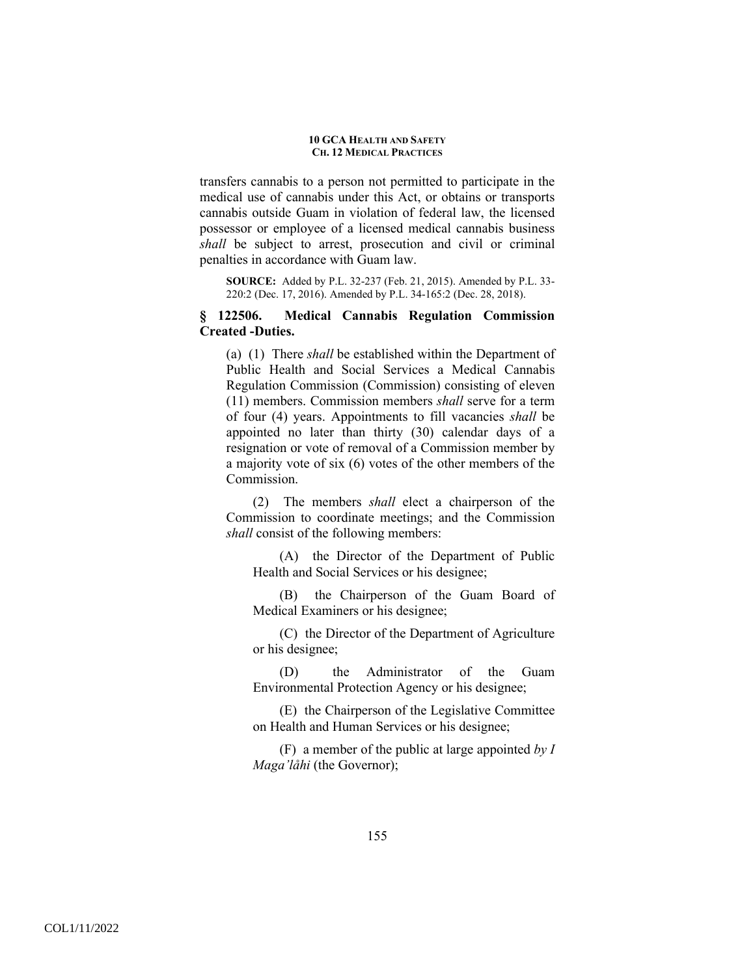transfers cannabis to a person not permitted to participate in the medical use of cannabis under this Act, or obtains or transports cannabis outside Guam in violation of federal law, the licensed possessor or employee of a licensed medical cannabis business *shall* be subject to arrest, prosecution and civil or criminal penalties in accordance with Guam law.

**SOURCE:** Added by P.L. 32-237 (Feb. 21, 2015). Amended by P.L. 33- 220:2 (Dec. 17, 2016). Amended by P.L. 34-165:2 (Dec. 28, 2018).

# **§ 122506. Medical Cannabis Regulation Commission Created -Duties.**

(a) (1) There *shall* be established within the Department of Public Health and Social Services a Medical Cannabis Regulation Commission (Commission) consisting of eleven (11) members. Commission members *shall* serve for a term of four (4) years. Appointments to fill vacancies *shall* be appointed no later than thirty (30) calendar days of a resignation or vote of removal of a Commission member by a majority vote of six (6) votes of the other members of the Commission.

(2) The members *shall* elect a chairperson of the Commission to coordinate meetings; and the Commission *shall* consist of the following members:

(A) the Director of the Department of Public Health and Social Services or his designee;

(B) the Chairperson of the Guam Board of Medical Examiners or his designee;

(C) the Director of the Department of Agriculture or his designee;

(D) the Administrator of the Guam Environmental Protection Agency or his designee;

(E) the Chairperson of the Legislative Committee on Health and Human Services or his designee;

(F) a member of the public at large appointed *by I Maga'låhi* (the Governor);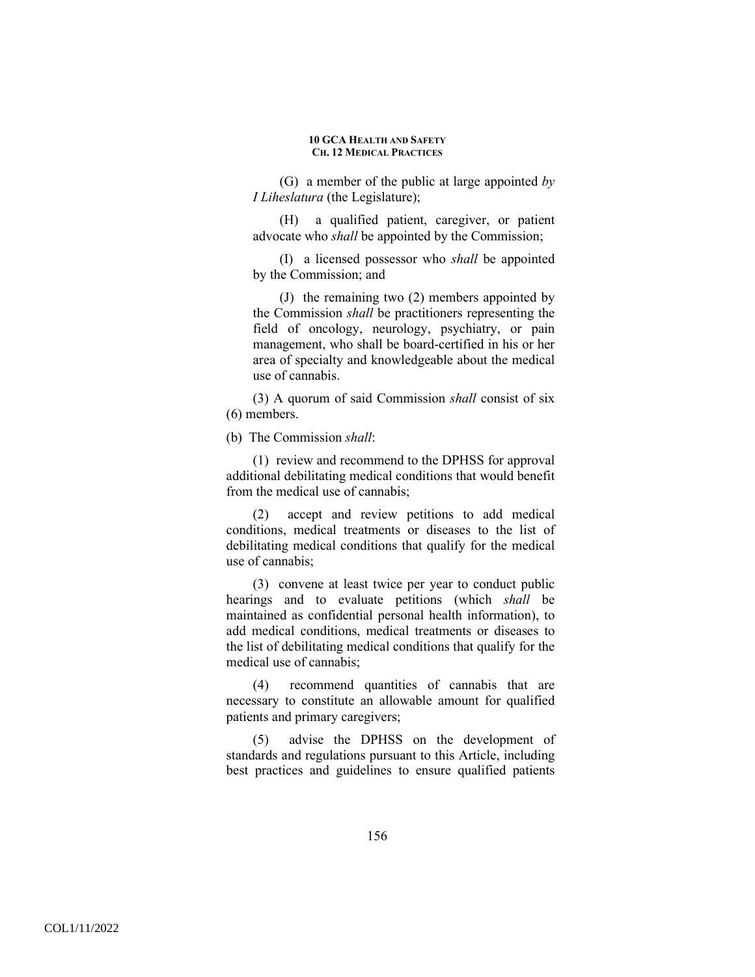(G) a member of the public at large appointed *by I Liheslatura* (the Legislature);

(H) a qualified patient, caregiver, or patient advocate who *shall* be appointed by the Commission;

(I) a licensed possessor who *shall* be appointed by the Commission; and

(J) the remaining two (2) members appointed by the Commission *shall* be practitioners representing the field of oncology, neurology, psychiatry, or pain management, who shall be board-certified in his or her area of specialty and knowledgeable about the medical use of cannabis.

(3) A quorum of said Commission *shall* consist of six (6) members.

(b) The Commission *shall*:

(1) review and recommend to the DPHSS for approval additional debilitating medical conditions that would benefit from the medical use of cannabis;

(2) accept and review petitions to add medical conditions, medical treatments or diseases to the list of debilitating medical conditions that qualify for the medical use of cannabis;

(3) convene at least twice per year to conduct public hearings and to evaluate petitions (which *shall* be maintained as confidential personal health information), to add medical conditions, medical treatments or diseases to the list of debilitating medical conditions that qualify for the medical use of cannabis;

(4) recommend quantities of cannabis that are necessary to constitute an allowable amount for qualified patients and primary caregivers;

(5) advise the DPHSS on the development of standards and regulations pursuant to this Article, including best practices and guidelines to ensure qualified patients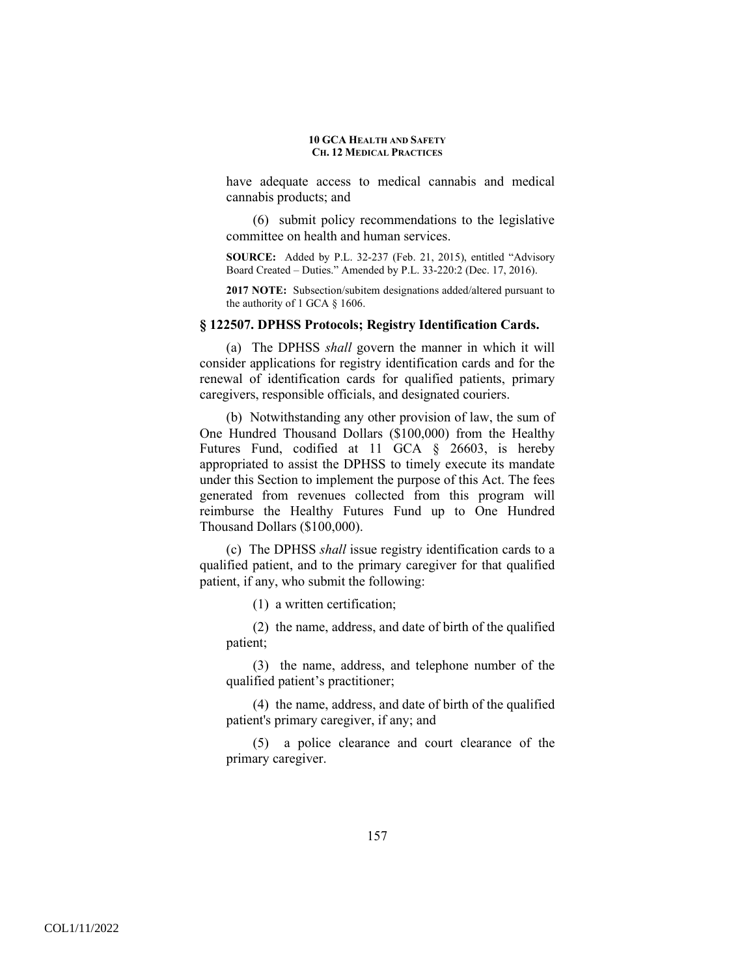have adequate access to medical cannabis and medical cannabis products; and

(6) submit policy recommendations to the legislative committee on health and human services.

**SOURCE:** Added by P.L. 32-237 (Feb. 21, 2015), entitled "Advisory Board Created – Duties." Amended by P.L. 33-220:2 (Dec. 17, 2016).

**2017 NOTE:** Subsection/subitem designations added/altered pursuant to the authority of 1 GCA § 1606.

### **§ 122507. DPHSS Protocols; Registry Identification Cards.**

(a) The DPHSS *shall* govern the manner in which it will consider applications for registry identification cards and for the renewal of identification cards for qualified patients, primary caregivers, responsible officials, and designated couriers.

(b) Notwithstanding any other provision of law, the sum of One Hundred Thousand Dollars (\$100,000) from the Healthy Futures Fund, codified at 11 GCA § 26603, is hereby appropriated to assist the DPHSS to timely execute its mandate under this Section to implement the purpose of this Act. The fees generated from revenues collected from this program will reimburse the Healthy Futures Fund up to One Hundred Thousand Dollars (\$100,000).

(c) The DPHSS *shall* issue registry identification cards to a qualified patient, and to the primary caregiver for that qualified patient, if any, who submit the following:

(1) a written certification;

(2) the name, address, and date of birth of the qualified patient;

(3) the name, address, and telephone number of the qualified patient's practitioner;

(4) the name, address, and date of birth of the qualified patient's primary caregiver, if any; and

(5) a police clearance and court clearance of the primary caregiver.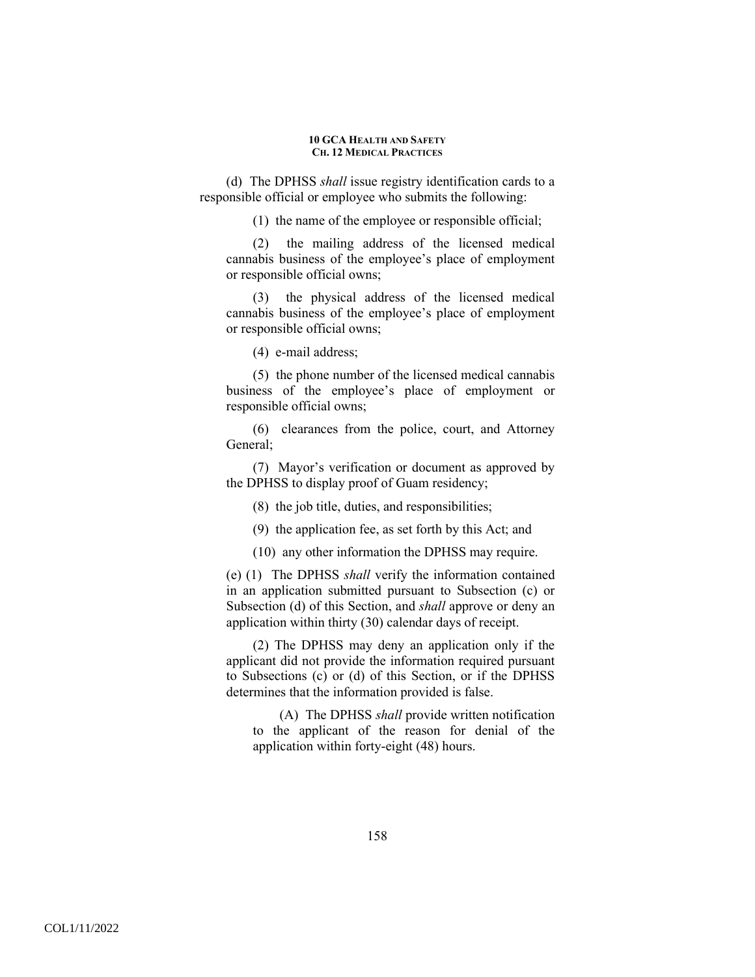(d) The DPHSS *shall* issue registry identification cards to a responsible official or employee who submits the following:

(1) the name of the employee or responsible official;

(2) the mailing address of the licensed medical cannabis business of the employee's place of employment or responsible official owns;

(3) the physical address of the licensed medical cannabis business of the employee's place of employment or responsible official owns;

(4) e-mail address;

(5) the phone number of the licensed medical cannabis business of the employee's place of employment or responsible official owns;

(6) clearances from the police, court, and Attorney General;

(7) Mayor's verification or document as approved by the DPHSS to display proof of Guam residency;

(8) the job title, duties, and responsibilities;

(9) the application fee, as set forth by this Act; and

(10) any other information the DPHSS may require.

(e) (1) The DPHSS *shall* verify the information contained in an application submitted pursuant to Subsection (c) or Subsection (d) of this Section, and *shall* approve or deny an application within thirty (30) calendar days of receipt.

(2) The DPHSS may deny an application only if the applicant did not provide the information required pursuant to Subsections (c) or (d) of this Section, or if the DPHSS determines that the information provided is false.

(A) The DPHSS *shall* provide written notification to the applicant of the reason for denial of the application within forty-eight (48) hours.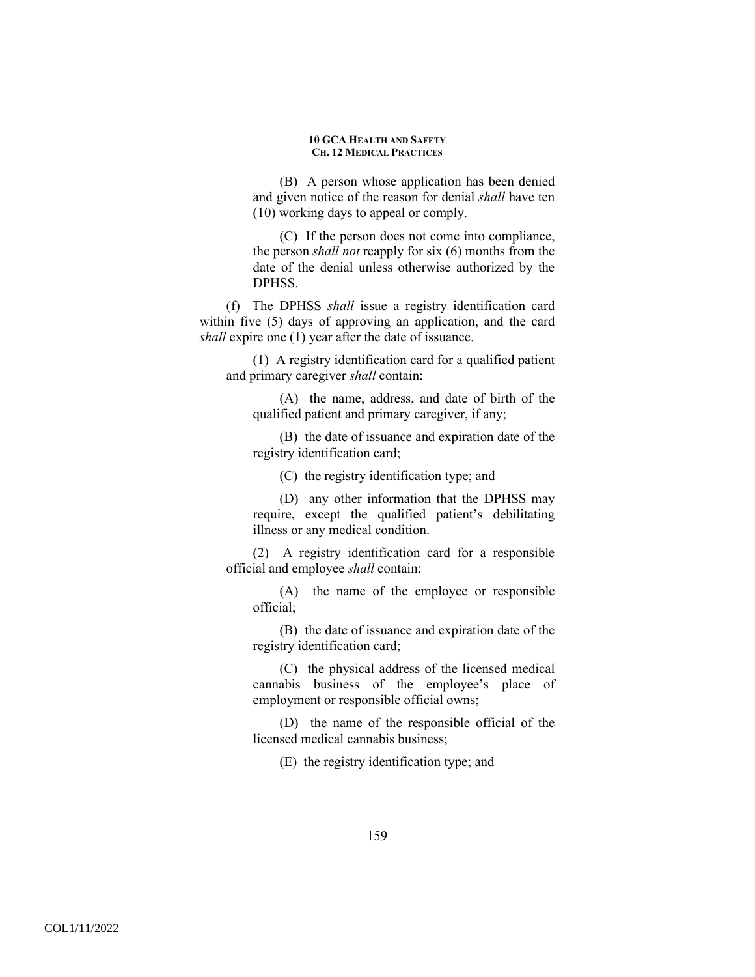(B) A person whose application has been denied and given notice of the reason for denial *shall* have ten (10) working days to appeal or comply.

(C) If the person does not come into compliance, the person *shall not* reapply for six (6) months from the date of the denial unless otherwise authorized by the DPHSS.

(f) The DPHSS *shall* issue a registry identification card within five (5) days of approving an application, and the card *shall* expire one (1) year after the date of issuance.

(1) A registry identification card for a qualified patient and primary caregiver *shall* contain:

(A) the name, address, and date of birth of the qualified patient and primary caregiver, if any;

(B) the date of issuance and expiration date of the registry identification card;

(C) the registry identification type; and

(D) any other information that the DPHSS may require, except the qualified patient's debilitating illness or any medical condition.

(2) A registry identification card for a responsible official and employee *shall* contain:

(A) the name of the employee or responsible official;

(B) the date of issuance and expiration date of the registry identification card;

(C) the physical address of the licensed medical cannabis business of the employee's place of employment or responsible official owns;

(D) the name of the responsible official of the licensed medical cannabis business;

(E) the registry identification type; and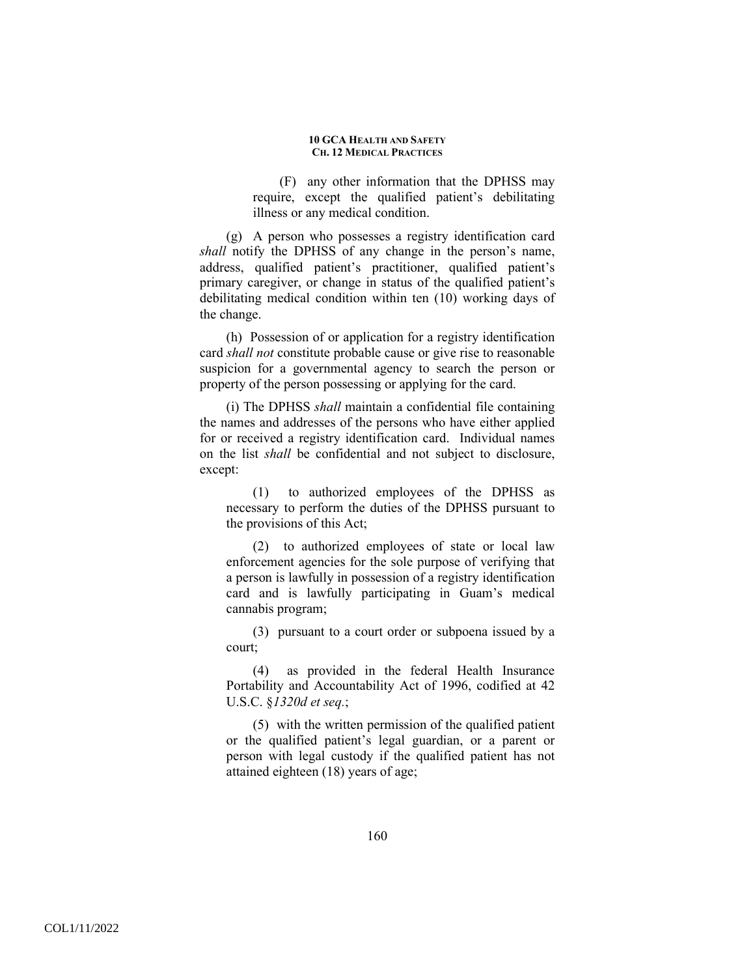(F) any other information that the DPHSS may require, except the qualified patient's debilitating illness or any medical condition.

(g) A person who possesses a registry identification card *shall* notify the DPHSS of any change in the person's name, address, qualified patient's practitioner, qualified patient's primary caregiver, or change in status of the qualified patient's debilitating medical condition within ten (10) working days of the change.

(h) Possession of or application for a registry identification card *shall not* constitute probable cause or give rise to reasonable suspicion for a governmental agency to search the person or property of the person possessing or applying for the card.

(i) The DPHSS *shall* maintain a confidential file containing the names and addresses of the persons who have either applied for or received a registry identification card. Individual names on the list *shall* be confidential and not subject to disclosure, except:

(1) to authorized employees of the DPHSS as necessary to perform the duties of the DPHSS pursuant to the provisions of this Act;

(2) to authorized employees of state or local law enforcement agencies for the sole purpose of verifying that a person is lawfully in possession of a registry identification card and is lawfully participating in Guam's medical cannabis program;

(3) pursuant to a court order or subpoena issued by a court;

(4) as provided in the federal Health Insurance Portability and Accountability Act of 1996, codified at 42 U.S.C. §*1320d et seq.*;

(5) with the written permission of the qualified patient or the qualified patient's legal guardian, or a parent or person with legal custody if the qualified patient has not attained eighteen (18) years of age;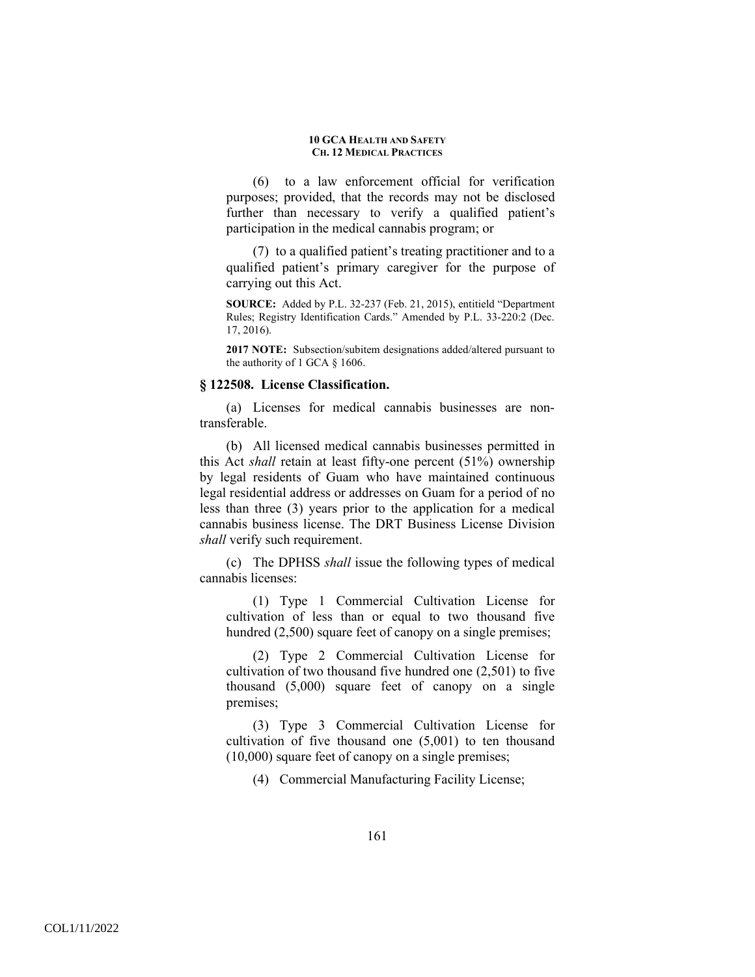(6) to a law enforcement official for verification purposes; provided, that the records may not be disclosed further than necessary to verify a qualified patient's participation in the medical cannabis program; or

(7) to a qualified patient's treating practitioner and to a qualified patient's primary caregiver for the purpose of carrying out this Act.

**SOURCE:** Added by P.L. 32-237 (Feb. 21, 2015), entitield "Department Rules; Registry Identification Cards." Amended by P.L. 33-220:2 (Dec. 17, 2016).

**2017 NOTE:** Subsection/subitem designations added/altered pursuant to the authority of 1 GCA § 1606.

### **§ 122508. License Classification.**

(a) Licenses for medical cannabis businesses are nontransferable.

(b) All licensed medical cannabis businesses permitted in this Act *shall* retain at least fifty-one percent (51%) ownership by legal residents of Guam who have maintained continuous legal residential address or addresses on Guam for a period of no less than three (3) years prior to the application for a medical cannabis business license. The DRT Business License Division *shall* verify such requirement.

(c) The DPHSS *shall* issue the following types of medical cannabis licenses:

(1) Type 1 Commercial Cultivation License for cultivation of less than or equal to two thousand five hundred (2,500) square feet of canopy on a single premises;

(2) Type 2 Commercial Cultivation License for cultivation of two thousand five hundred one (2,501) to five thousand (5,000) square feet of canopy on a single premises;

(3) Type 3 Commercial Cultivation License for cultivation of five thousand one (5,001) to ten thousand (10,000) square feet of canopy on a single premises;

(4) Commercial Manufacturing Facility License;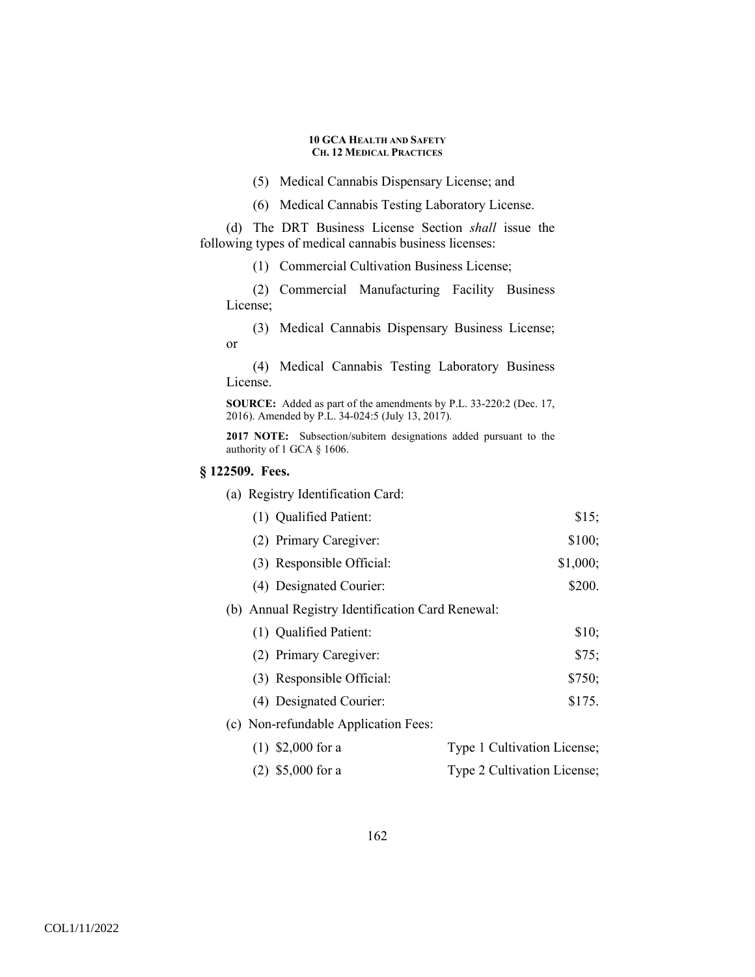- (5) Medical Cannabis Dispensary License; and
- (6) Medical Cannabis Testing Laboratory License.

(d) The DRT Business License Section *shall* issue the following types of medical cannabis business licenses:

(1) Commercial Cultivation Business License;

(2) Commercial Manufacturing Facility Business License;

(3) Medical Cannabis Dispensary Business License; or

(4) Medical Cannabis Testing Laboratory Business License.

**SOURCE:** Added as part of the amendments by P.L. 33-220:2 (Dec. 17, 2016). Amended by P.L. 34-024:5 (July 13, 2017).

**2017 NOTE:** Subsection/subitem designations added pursuant to the authority of 1 GCA § 1606.

### **§ 122509. Fees.**

(a) Registry Identification Card:

| (1) Qualified Patient: | \$15; |
|------------------------|-------|
|                        |       |

- (2) Primary Caregiver: \$100;
- (3) Responsible Official: \$1,000;
- (4) Designated Courier: \$200.

# (b) Annual Registry Identification Card Renewal:

| (1) Qualified Patient:    | \$10:  |
|---------------------------|--------|
| (2) Primary Caregiver:    | \$75:  |
| (3) Responsible Official: | \$750; |

- (4) Designated Courier: \$175.
- (c) Non-refundable Application Fees:

| $(1)$ \$2,000 for a | Type 1 Cultivation License; |
|---------------------|-----------------------------|
| $(2)$ \$5,000 for a | Type 2 Cultivation License; |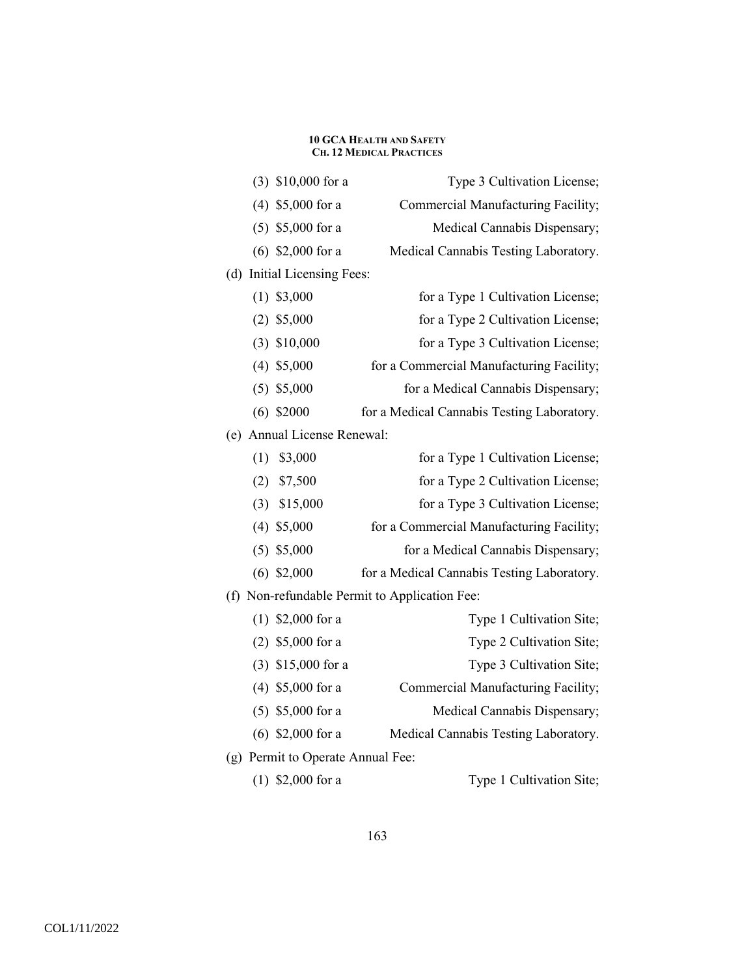|     |                                           | $(3)$ \$10,000 for a          | Type 3 Cultivation License;                |
|-----|-------------------------------------------|-------------------------------|--------------------------------------------|
|     |                                           | $(4)$ \$5,000 for a           | Commercial Manufacturing Facility;         |
|     |                                           | $(5)$ \$5,000 for a           | Medical Cannabis Dispensary;               |
|     |                                           | $(6)$ \$2,000 for a           | Medical Cannabis Testing Laboratory.       |
|     |                                           | (d) Initial Licensing Fees:   |                                            |
|     |                                           | $(1)$ \$3,000                 | for a Type 1 Cultivation License;          |
|     |                                           | $(2)$ \$5,000                 | for a Type 2 Cultivation License;          |
|     |                                           | $(3)$ \$10,000                | for a Type 3 Cultivation License;          |
|     |                                           | $(4)$ \$5,000                 | for a Commercial Manufacturing Facility;   |
|     |                                           | $(5)$ \$5,000                 | for a Medical Cannabis Dispensary;         |
|     |                                           | $(6)$ \$2000                  | for a Medical Cannabis Testing Laboratory. |
|     |                                           | (e) Annual License Renewal:   |                                            |
|     | (1)                                       | \$3,000                       | for a Type 1 Cultivation License;          |
|     | (2)                                       | \$7,500                       | for a Type 2 Cultivation License;          |
|     | (3)                                       | \$15,000                      | for a Type 3 Cultivation License;          |
|     |                                           | $(4)$ \$5,000                 | for a Commercial Manufacturing Facility;   |
|     |                                           | $(5)$ \$5,000                 | for a Medical Cannabis Dispensary;         |
|     |                                           | $(6)$ \$2,000                 | for a Medical Cannabis Testing Laboratory. |
| (f) | Non-refundable Permit to Application Fee: |                               |                                            |
|     |                                           | $(1)$ \$2,000 for a           | Type 1 Cultivation Site;                   |
|     |                                           | $(2)$ \$5,000 for a           | Type 2 Cultivation Site;                   |
|     |                                           | $(3)$ \$15,000 for a          | Type 3 Cultivation Site;                   |
|     |                                           | $(4)$ \$5,000 for a           | Commercial Manufacturing Facility;         |
|     |                                           | $(5)$ \$5,000 for a           | Medical Cannabis Dispensary;               |
|     |                                           | $(6)$ \$2,000 for a           | Medical Cannabis Testing Laboratory.       |
| (g) |                                           | Permit to Operate Annual Fee: |                                            |
|     |                                           | $(1)$ \$2,000 for a           | Type 1 Cultivation Site;                   |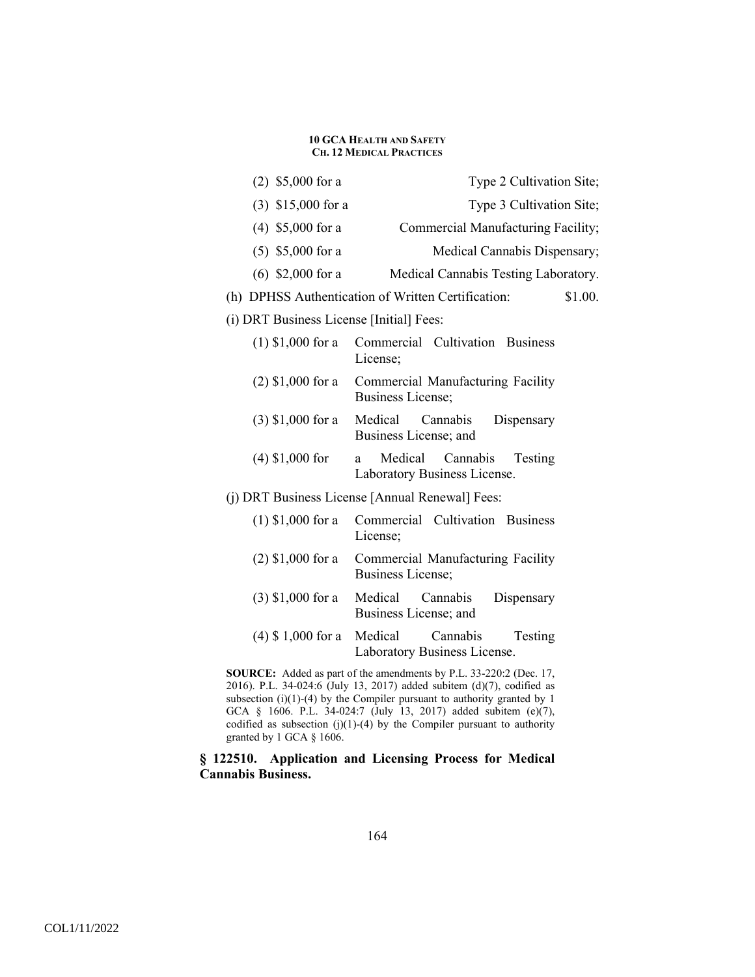| $(2)$ \$5,000 for a                      | Type 2 Cultivation Site;                                            |
|------------------------------------------|---------------------------------------------------------------------|
| $(3)$ \$15,000 for a                     | Type 3 Cultivation Site;                                            |
| $(4)$ \$5,000 for a                      | Commercial Manufacturing Facility;                                  |
| $(5)$ \$5,000 for a                      | Medical Cannabis Dispensary;                                        |
| $(6)$ \$2,000 for a                      | Medical Cannabis Testing Laboratory.                                |
|                                          | (h) DPHSS Authentication of Written Certification:<br>\$1.00.       |
| (i) DRT Business License [Initial] Fees: |                                                                     |
| $(1)$ \$1,000 for a                      | Commercial Cultivation Business<br>License;                         |
| $(2)$ \$1,000 for a                      | Commercial Manufacturing Facility<br><b>Business License;</b>       |
| $(3)$ \$1,000 for a Medical              | Cannabis<br>Dispensary<br>Business License; and                     |
| $(4)$ \$1,000 for                        | Medical<br>Cannabis<br>Testing<br>a<br>Laboratory Business License. |
|                                          | (j) DRT Business License [Annual Renewal] Fees:                     |
| $(1)$ \$1,000 for a                      | Commercial Cultivation Business<br>License;                         |
| $(2)$ \$1,000 for a                      | Commercial Manufacturing Facility<br>Business License;              |
| $(3)$ \$1,000 for a                      | Medical<br>Cannabis<br>Dispensary<br>Business License; and          |
| $(4)$ \$ 1,000 for a                     | Medical<br>Cannabis<br>Testing<br>Laboratory Business License.      |

**SOURCE:** Added as part of the amendments by P.L. 33-220:2 (Dec. 17, 2016). P.L. 34-024:6 (July 13, 2017) added subitem (d)(7), codified as subsection (i)(1)-(4) by the Compiler pursuant to authority granted by 1 GCA § 1606. P.L. 34-024:7 (July 13, 2017) added subitem (e)(7), codified as subsection  $(j)(1)-(4)$  by the Compiler pursuant to authority granted by 1 GCA § 1606.

## **§ 122510. Application and Licensing Process for Medical Cannabis Business.**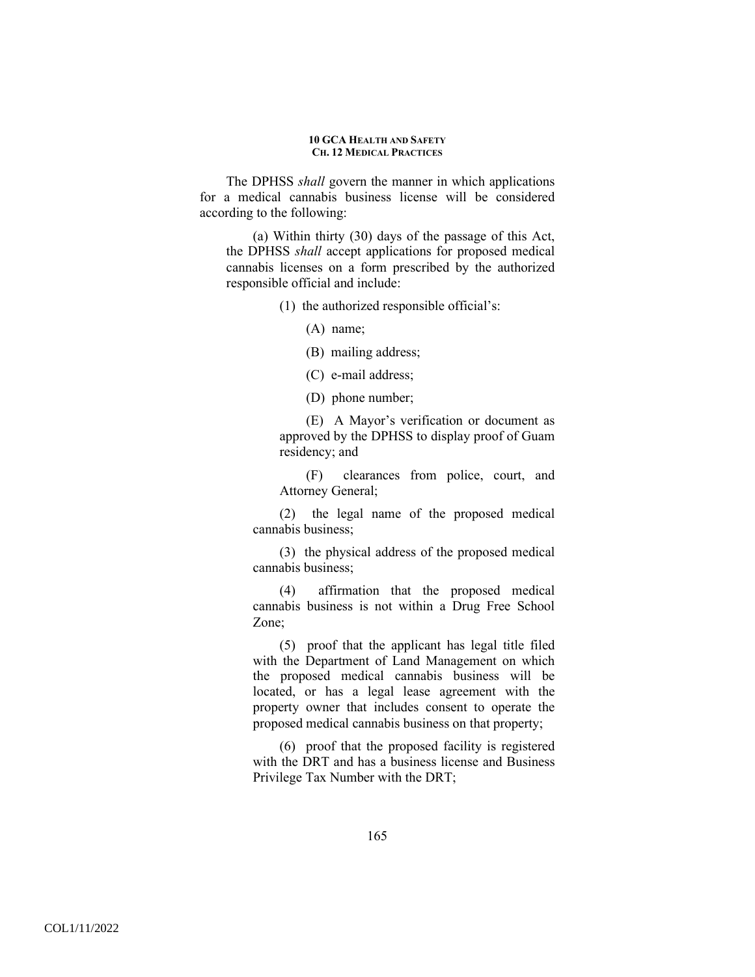The DPHSS *shall* govern the manner in which applications for a medical cannabis business license will be considered according to the following:

(a) Within thirty (30) days of the passage of this Act, the DPHSS *shall* accept applications for proposed medical cannabis licenses on a form prescribed by the authorized responsible official and include:

(1) the authorized responsible official's:

(A) name;

(B) mailing address;

(C) e-mail address;

(D) phone number;

(E) A Mayor's verification or document as approved by the DPHSS to display proof of Guam residency; and

(F) clearances from police, court, and Attorney General;

(2) the legal name of the proposed medical cannabis business;

(3) the physical address of the proposed medical cannabis business;

(4) affirmation that the proposed medical cannabis business is not within a Drug Free School Zone;

(5) proof that the applicant has legal title filed with the Department of Land Management on which the proposed medical cannabis business will be located, or has a legal lease agreement with the property owner that includes consent to operate the proposed medical cannabis business on that property;

(6) proof that the proposed facility is registered with the DRT and has a business license and Business Privilege Tax Number with the DRT;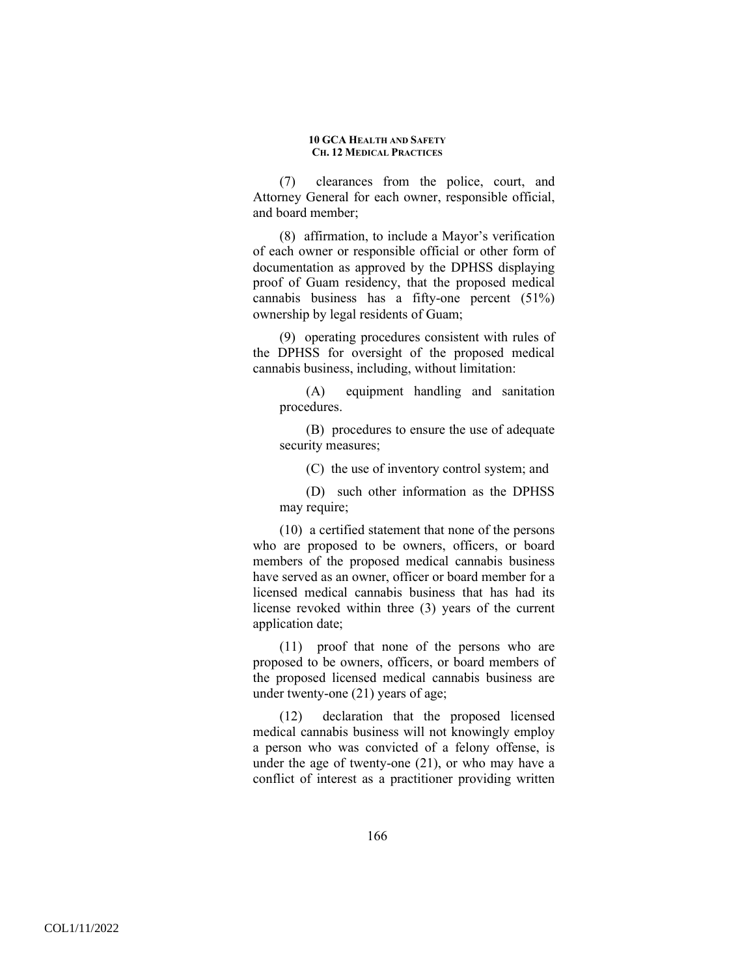(7) clearances from the police, court, and Attorney General for each owner, responsible official, and board member;

(8) affirmation, to include a Mayor's verification of each owner or responsible official or other form of documentation as approved by the DPHSS displaying proof of Guam residency, that the proposed medical cannabis business has a fifty-one percent (51%) ownership by legal residents of Guam;

(9) operating procedures consistent with rules of the DPHSS for oversight of the proposed medical cannabis business, including, without limitation:

(A) equipment handling and sanitation procedures.

(B) procedures to ensure the use of adequate security measures;

(C) the use of inventory control system; and

(D) such other information as the DPHSS may require;

(10) a certified statement that none of the persons who are proposed to be owners, officers, or board members of the proposed medical cannabis business have served as an owner, officer or board member for a licensed medical cannabis business that has had its license revoked within three (3) years of the current application date;

(11) proof that none of the persons who are proposed to be owners, officers, or board members of the proposed licensed medical cannabis business are under twenty-one (21) years of age;

(12) declaration that the proposed licensed medical cannabis business will not knowingly employ a person who was convicted of a felony offense, is under the age of twenty-one (21), or who may have a conflict of interest as a practitioner providing written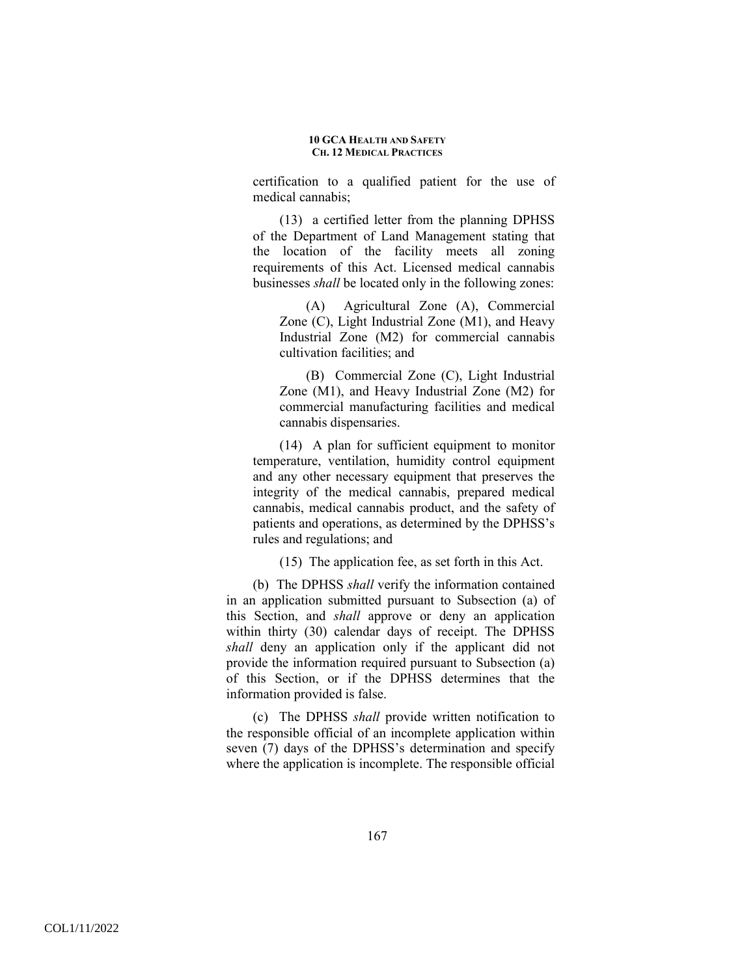certification to a qualified patient for the use of medical cannabis;

(13) a certified letter from the planning DPHSS of the Department of Land Management stating that the location of the facility meets all zoning requirements of this Act. Licensed medical cannabis businesses *shall* be located only in the following zones:

(A) Agricultural Zone (A), Commercial Zone (C), Light Industrial Zone (M1), and Heavy Industrial Zone (M2) for commercial cannabis cultivation facilities; and

(B) Commercial Zone (C), Light Industrial Zone (M1), and Heavy Industrial Zone (M2) for commercial manufacturing facilities and medical cannabis dispensaries.

(14) A plan for sufficient equipment to monitor temperature, ventilation, humidity control equipment and any other necessary equipment that preserves the integrity of the medical cannabis, prepared medical cannabis, medical cannabis product, and the safety of patients and operations, as determined by the DPHSS's rules and regulations; and

(15) The application fee, as set forth in this Act.

(b) The DPHSS *shall* verify the information contained in an application submitted pursuant to Subsection (a) of this Section, and *shall* approve or deny an application within thirty (30) calendar days of receipt. The DPHSS *shall* deny an application only if the applicant did not provide the information required pursuant to Subsection (a) of this Section, or if the DPHSS determines that the information provided is false.

(c) The DPHSS *shall* provide written notification to the responsible official of an incomplete application within seven (7) days of the DPHSS's determination and specify where the application is incomplete. The responsible official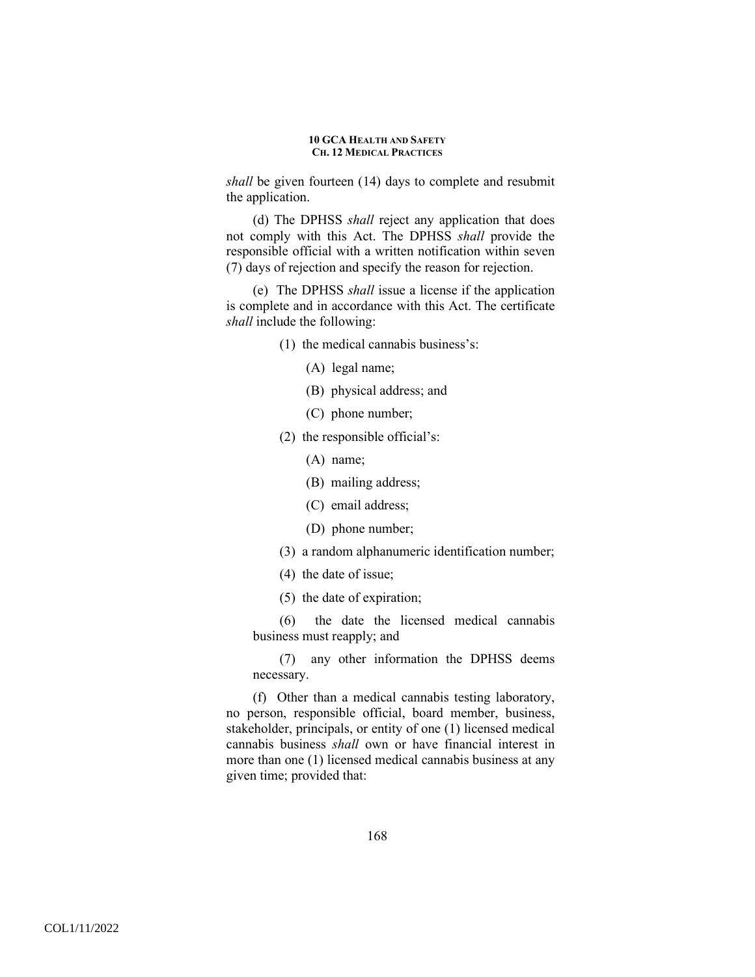*shall* be given fourteen (14) days to complete and resubmit the application.

(d) The DPHSS *shall* reject any application that does not comply with this Act. The DPHSS *shall* provide the responsible official with a written notification within seven (7) days of rejection and specify the reason for rejection.

(e) The DPHSS *shall* issue a license if the application is complete and in accordance with this Act. The certificate *shall* include the following:

- (1) the medical cannabis business's:
	- (A) legal name;
	- (B) physical address; and
	- (C) phone number;
- (2) the responsible official's:
	- (A) name;
	- (B) mailing address;
	- (C) email address;
	- (D) phone number;
- (3) a random alphanumeric identification number;
- (4) the date of issue;
- (5) the date of expiration;

(6) the date the licensed medical cannabis business must reapply; and

(7) any other information the DPHSS deems necessary.

(f) Other than a medical cannabis testing laboratory, no person, responsible official, board member, business, stakeholder, principals, or entity of one (1) licensed medical cannabis business *shall* own or have financial interest in more than one (1) licensed medical cannabis business at any given time; provided that: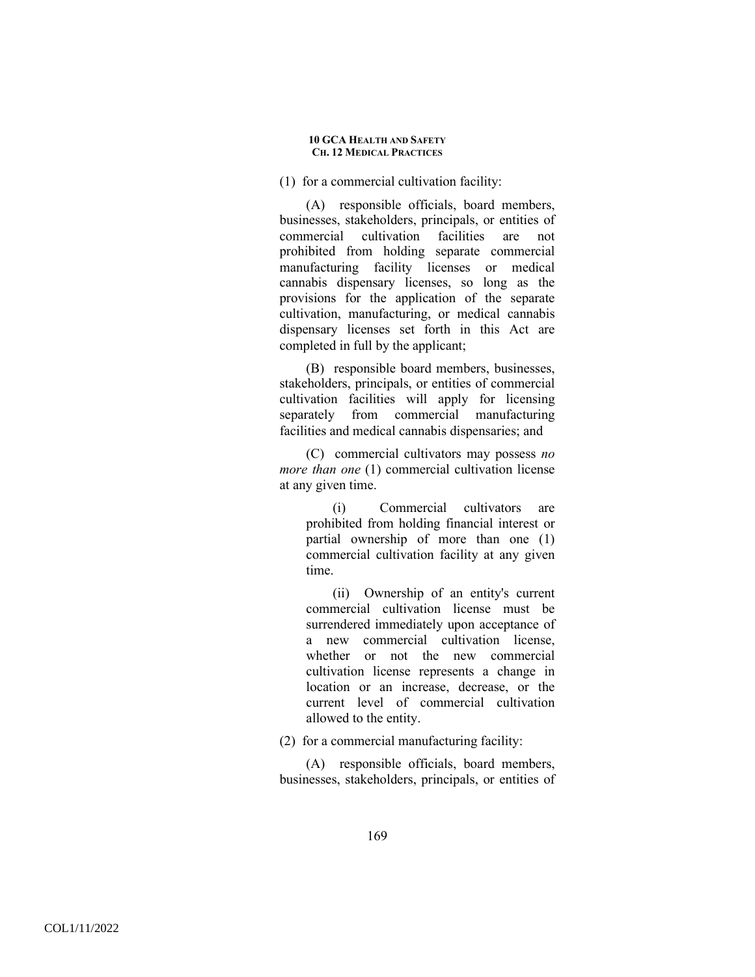### (1) for a commercial cultivation facility:

(A) responsible officials, board members, businesses, stakeholders, principals, or entities of commercial cultivation facilities are not prohibited from holding separate commercial manufacturing facility licenses or medical cannabis dispensary licenses, so long as the provisions for the application of the separate cultivation, manufacturing, or medical cannabis dispensary licenses set forth in this Act are completed in full by the applicant;

(B) responsible board members, businesses, stakeholders, principals, or entities of commercial cultivation facilities will apply for licensing separately from commercial manufacturing facilities and medical cannabis dispensaries; and

(C) commercial cultivators may possess *no more than one* (1) commercial cultivation license at any given time.

(i) Commercial cultivators are prohibited from holding financial interest or partial ownership of more than one (1) commercial cultivation facility at any given time.

(ii) Ownership of an entity's current commercial cultivation license must be surrendered immediately upon acceptance of a new commercial cultivation license, whether or not the new commercial cultivation license represents a change in location or an increase, decrease, or the current level of commercial cultivation allowed to the entity.

(2) for a commercial manufacturing facility:

(A) responsible officials, board members, businesses, stakeholders, principals, or entities of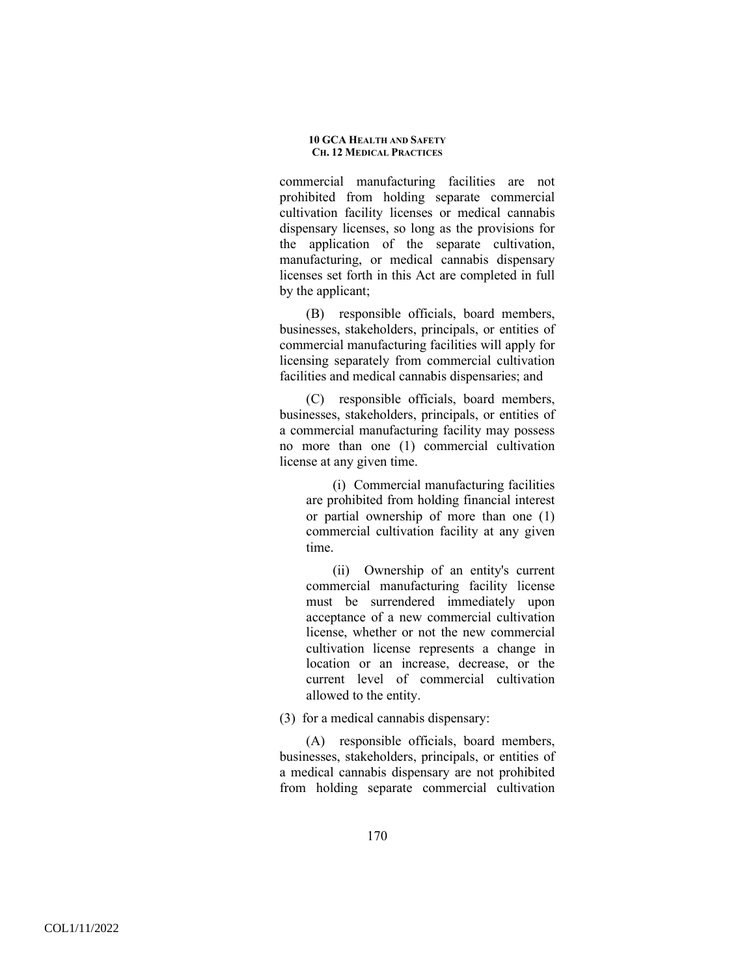commercial manufacturing facilities are not prohibited from holding separate commercial cultivation facility licenses or medical cannabis dispensary licenses, so long as the provisions for the application of the separate cultivation, manufacturing, or medical cannabis dispensary licenses set forth in this Act are completed in full by the applicant;

(B) responsible officials, board members, businesses, stakeholders, principals, or entities of commercial manufacturing facilities will apply for licensing separately from commercial cultivation facilities and medical cannabis dispensaries; and

(C) responsible officials, board members, businesses, stakeholders, principals, or entities of a commercial manufacturing facility may possess no more than one (1) commercial cultivation license at any given time.

(i) Commercial manufacturing facilities are prohibited from holding financial interest or partial ownership of more than one (1) commercial cultivation facility at any given time.

(ii) Ownership of an entity's current commercial manufacturing facility license must be surrendered immediately upon acceptance of a new commercial cultivation license, whether or not the new commercial cultivation license represents a change in location or an increase, decrease, or the current level of commercial cultivation allowed to the entity.

(3) for a medical cannabis dispensary:

(A) responsible officials, board members, businesses, stakeholders, principals, or entities of a medical cannabis dispensary are not prohibited from holding separate commercial cultivation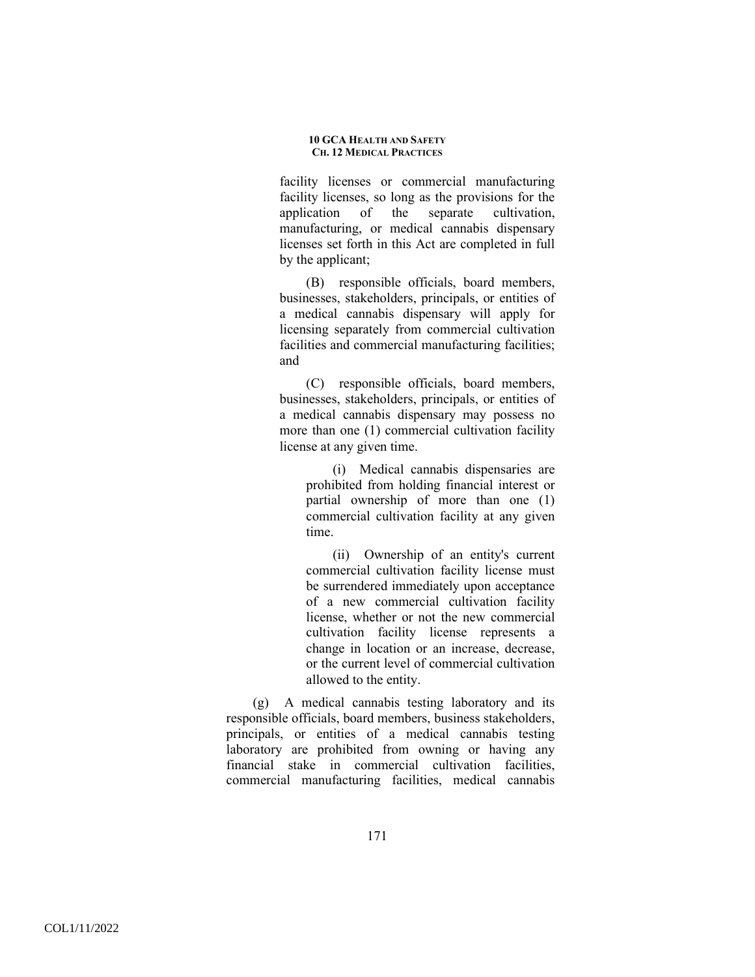facility licenses or commercial manufacturing facility licenses, so long as the provisions for the application of the separate cultivation, manufacturing, or medical cannabis dispensary licenses set forth in this Act are completed in full by the applicant;

(B) responsible officials, board members, businesses, stakeholders, principals, or entities of a medical cannabis dispensary will apply for licensing separately from commercial cultivation facilities and commercial manufacturing facilities; and

(C) responsible officials, board members, businesses, stakeholders, principals, or entities of a medical cannabis dispensary may possess no more than one (1) commercial cultivation facility license at any given time.

(i) Medical cannabis dispensaries are prohibited from holding financial interest or partial ownership of more than one (1) commercial cultivation facility at any given time.

(ii) Ownership of an entity's current commercial cultivation facility license must be surrendered immediately upon acceptance of a new commercial cultivation facility license, whether or not the new commercial cultivation facility license represents a change in location or an increase, decrease, or the current level of commercial cultivation allowed to the entity.

(g) A medical cannabis testing laboratory and its responsible officials, board members, business stakeholders, principals, or entities of a medical cannabis testing laboratory are prohibited from owning or having any financial stake in commercial cultivation facilities, commercial manufacturing facilities, medical cannabis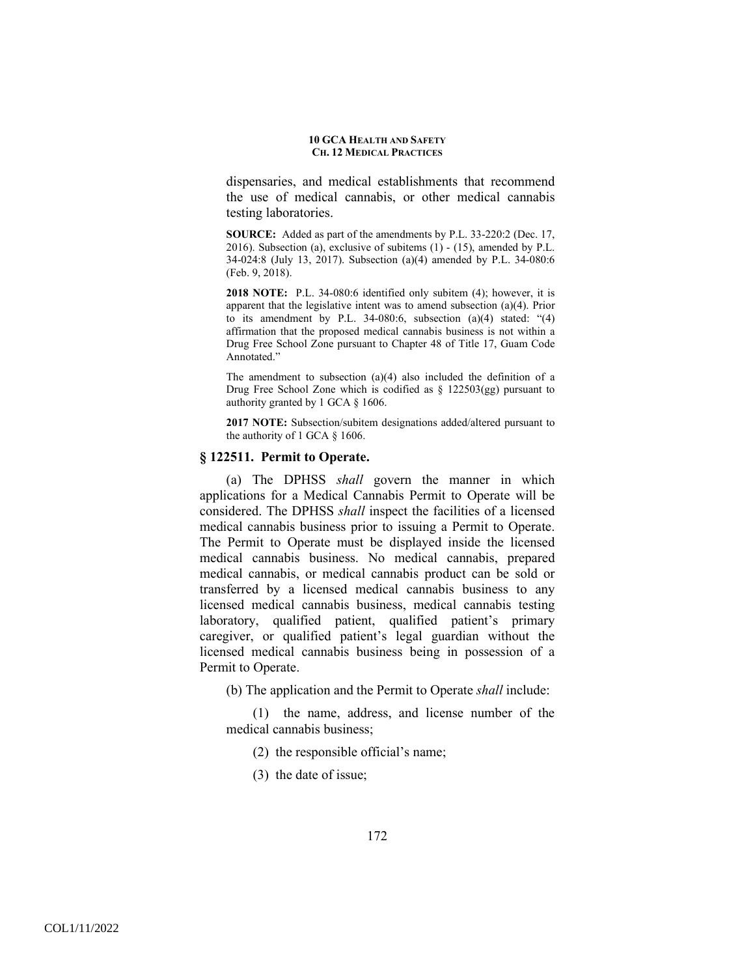dispensaries, and medical establishments that recommend the use of medical cannabis, or other medical cannabis testing laboratories.

**SOURCE:** Added as part of the amendments by P.L. 33-220:2 (Dec. 17, 2016). Subsection (a), exclusive of subitems (1) - (15), amended by P.L. 34-024:8 (July 13, 2017). Subsection (a)(4) amended by P.L. 34-080:6 (Feb. 9, 2018).

**2018 NOTE:** P.L. 34-080:6 identified only subitem (4); however, it is apparent that the legislative intent was to amend subsection (a)(4). Prior to its amendment by P.L. 34-080:6, subsection  $(a)(4)$  stated: " $(4)$ affirmation that the proposed medical cannabis business is not within a Drug Free School Zone pursuant to Chapter 48 of Title 17, Guam Code Annotated."

The amendment to subsection (a)(4) also included the definition of a Drug Free School Zone which is codified as § 122503(gg) pursuant to authority granted by 1 GCA § 1606.

**2017 NOTE:** Subsection/subitem designations added/altered pursuant to the authority of 1 GCA § 1606.

## **§ 122511. Permit to Operate.**

(a) The DPHSS *shall* govern the manner in which applications for a Medical Cannabis Permit to Operate will be considered. The DPHSS *shall* inspect the facilities of a licensed medical cannabis business prior to issuing a Permit to Operate. The Permit to Operate must be displayed inside the licensed medical cannabis business. No medical cannabis, prepared medical cannabis, or medical cannabis product can be sold or transferred by a licensed medical cannabis business to any licensed medical cannabis business, medical cannabis testing laboratory, qualified patient, qualified patient's primary caregiver, or qualified patient's legal guardian without the licensed medical cannabis business being in possession of a Permit to Operate.

(b) The application and the Permit to Operate *shall* include:

(1) the name, address, and license number of the medical cannabis business;

- (2) the responsible official's name;
- (3) the date of issue;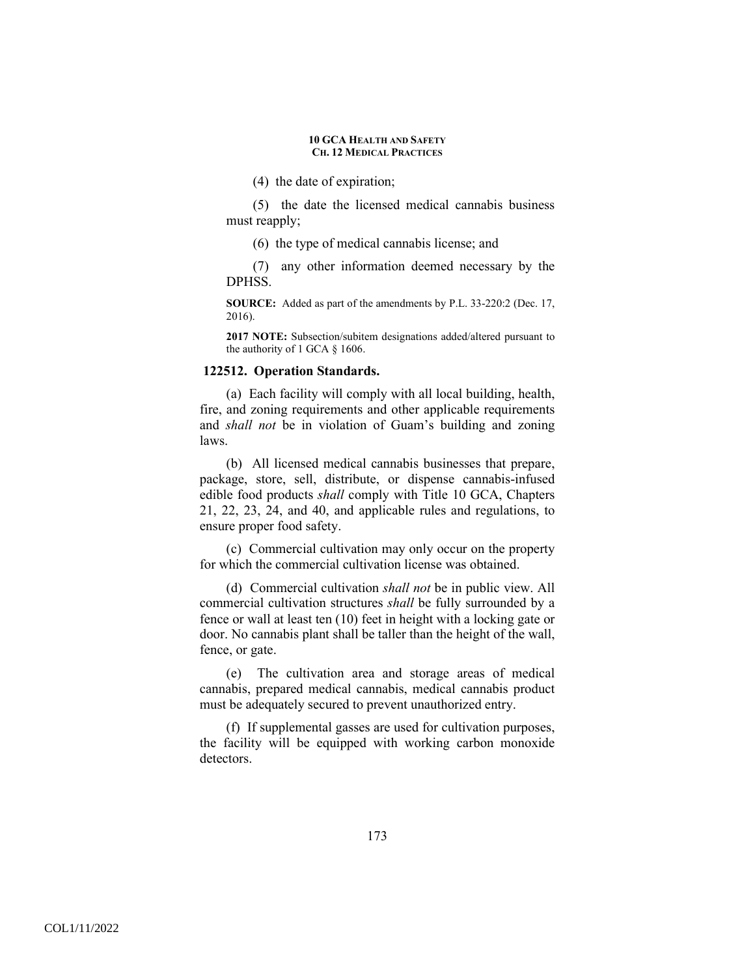(4) the date of expiration;

(5) the date the licensed medical cannabis business must reapply;

(6) the type of medical cannabis license; and

(7) any other information deemed necessary by the DPHSS.

**SOURCE:** Added as part of the amendments by P.L. 33-220:2 (Dec. 17, 2016).

**2017 NOTE:** Subsection/subitem designations added/altered pursuant to the authority of 1 GCA § 1606.

### **122512. Operation Standards.**

(a) Each facility will comply with all local building, health, fire, and zoning requirements and other applicable requirements and *shall not* be in violation of Guam's building and zoning laws.

(b) All licensed medical cannabis businesses that prepare, package, store, sell, distribute, or dispense cannabis-infused edible food products *shall* comply with Title 10 GCA, Chapters 21, 22, 23, 24, and 40, and applicable rules and regulations, to ensure proper food safety.

(c) Commercial cultivation may only occur on the property for which the commercial cultivation license was obtained.

(d) Commercial cultivation *shall not* be in public view. All commercial cultivation structures *shall* be fully surrounded by a fence or wall at least ten (10) feet in height with a locking gate or door. No cannabis plant shall be taller than the height of the wall, fence, or gate.

(e) The cultivation area and storage areas of medical cannabis, prepared medical cannabis, medical cannabis product must be adequately secured to prevent unauthorized entry.

(f) If supplemental gasses are used for cultivation purposes, the facility will be equipped with working carbon monoxide detectors.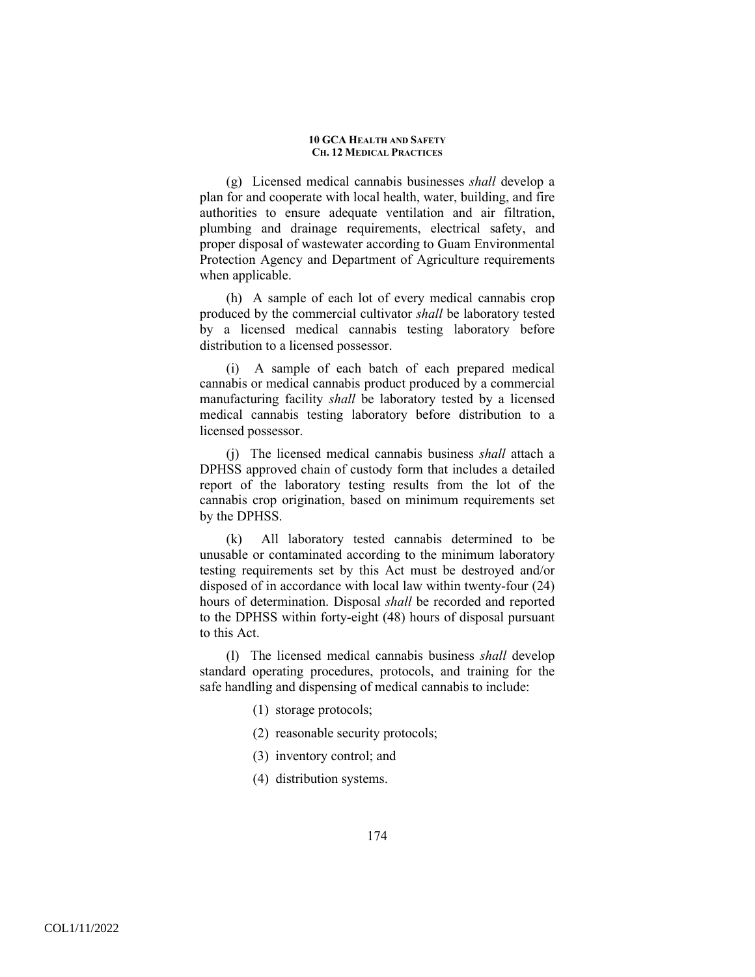(g) Licensed medical cannabis businesses *shall* develop a plan for and cooperate with local health, water, building, and fire authorities to ensure adequate ventilation and air filtration, plumbing and drainage requirements, electrical safety, and proper disposal of wastewater according to Guam Environmental Protection Agency and Department of Agriculture requirements when applicable.

(h) A sample of each lot of every medical cannabis crop produced by the commercial cultivator *shall* be laboratory tested by a licensed medical cannabis testing laboratory before distribution to a licensed possessor.

(i) A sample of each batch of each prepared medical cannabis or medical cannabis product produced by a commercial manufacturing facility *shall* be laboratory tested by a licensed medical cannabis testing laboratory before distribution to a licensed possessor.

(j) The licensed medical cannabis business *shall* attach a DPHSS approved chain of custody form that includes a detailed report of the laboratory testing results from the lot of the cannabis crop origination, based on minimum requirements set by the DPHSS.

(k) All laboratory tested cannabis determined to be unusable or contaminated according to the minimum laboratory testing requirements set by this Act must be destroyed and/or disposed of in accordance with local law within twenty-four (24) hours of determination. Disposal *shall* be recorded and reported to the DPHSS within forty-eight (48) hours of disposal pursuant to this Act.

(l) The licensed medical cannabis business *shall* develop standard operating procedures, protocols, and training for the safe handling and dispensing of medical cannabis to include:

- (1) storage protocols;
- (2) reasonable security protocols;
- (3) inventory control; and
- (4) distribution systems.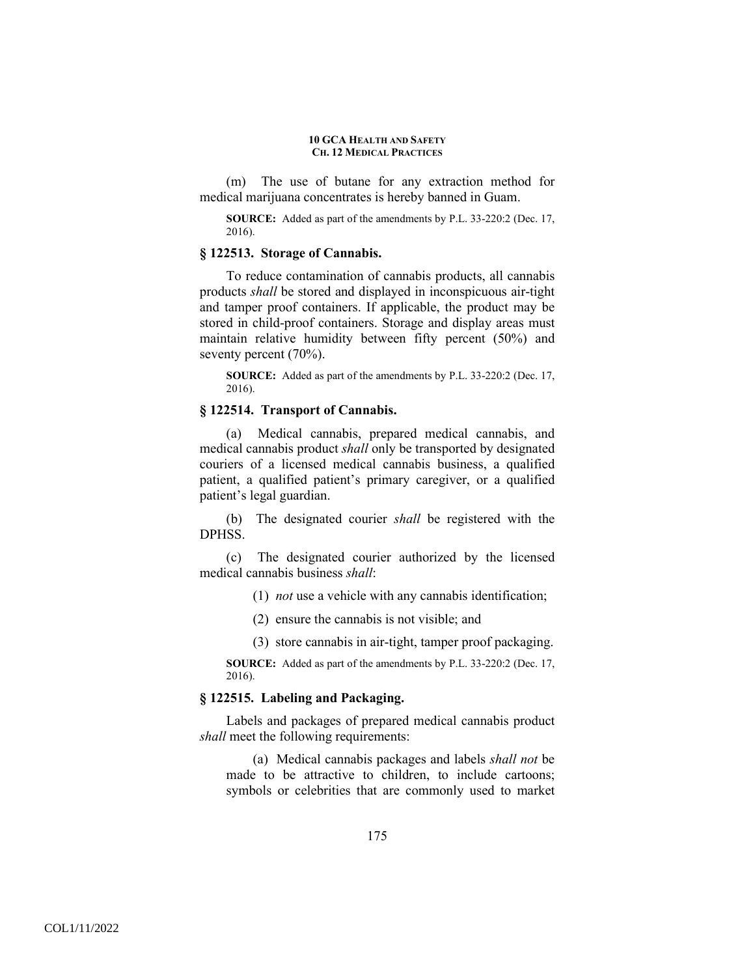(m) The use of butane for any extraction method for medical marijuana concentrates is hereby banned in Guam.

**SOURCE:** Added as part of the amendments by P.L. 33-220:2 (Dec. 17, 2016).

## **§ 122513. Storage of Cannabis.**

To reduce contamination of cannabis products, all cannabis products *shall* be stored and displayed in inconspicuous air-tight and tamper proof containers. If applicable, the product may be stored in child-proof containers. Storage and display areas must maintain relative humidity between fifty percent (50%) and seventy percent (70%).

**SOURCE:** Added as part of the amendments by P.L. 33-220:2 (Dec. 17, 2016).

# **§ 122514. Transport of Cannabis.**

(a) Medical cannabis, prepared medical cannabis, and medical cannabis product *shall* only be transported by designated couriers of a licensed medical cannabis business, a qualified patient, a qualified patient's primary caregiver, or a qualified patient's legal guardian.

(b) The designated courier *shall* be registered with the DPHSS.

(c) The designated courier authorized by the licensed medical cannabis business *shall*:

(1) *not* use a vehicle with any cannabis identification;

(2) ensure the cannabis is not visible; and

(3) store cannabis in air-tight, tamper proof packaging.

**SOURCE:** Added as part of the amendments by P.L. 33-220:2 (Dec. 17, 2016).

# **§ 122515. Labeling and Packaging.**

Labels and packages of prepared medical cannabis product *shall* meet the following requirements:

(a) Medical cannabis packages and labels *shall not* be made to be attractive to children, to include cartoons; symbols or celebrities that are commonly used to market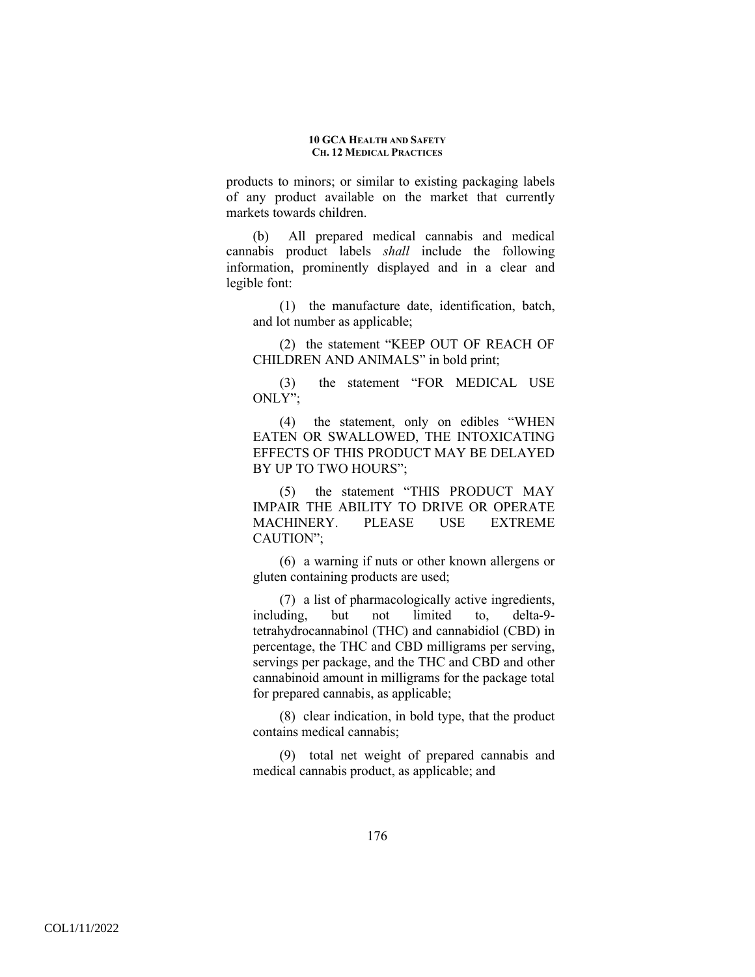products to minors; or similar to existing packaging labels of any product available on the market that currently markets towards children.

(b) All prepared medical cannabis and medical cannabis product labels *shall* include the following information, prominently displayed and in a clear and legible font:

(1) the manufacture date, identification, batch, and lot number as applicable;

(2) the statement "KEEP OUT OF REACH OF CHILDREN AND ANIMALS" in bold print;

(3) the statement "FOR MEDICAL USE ONLY";

(4) the statement, only on edibles "WHEN EATEN OR SWALLOWED, THE INTOXICATING EFFECTS OF THIS PRODUCT MAY BE DELAYED BY UP TO TWO HOURS";

(5) the statement "THIS PRODUCT MAY IMPAIR THE ABILITY TO DRIVE OR OPERATE MACHINERY. PLEASE USE EXTREME CAUTION";

(6) a warning if nuts or other known allergens or gluten containing products are used;

(7) a list of pharmacologically active ingredients, including, but not limited to, delta-9 tetrahydrocannabinol (THC) and cannabidiol (CBD) in percentage, the THC and CBD milligrams per serving, servings per package, and the THC and CBD and other cannabinoid amount in milligrams for the package total for prepared cannabis, as applicable;

(8) clear indication, in bold type, that the product contains medical cannabis;

(9) total net weight of prepared cannabis and medical cannabis product, as applicable; and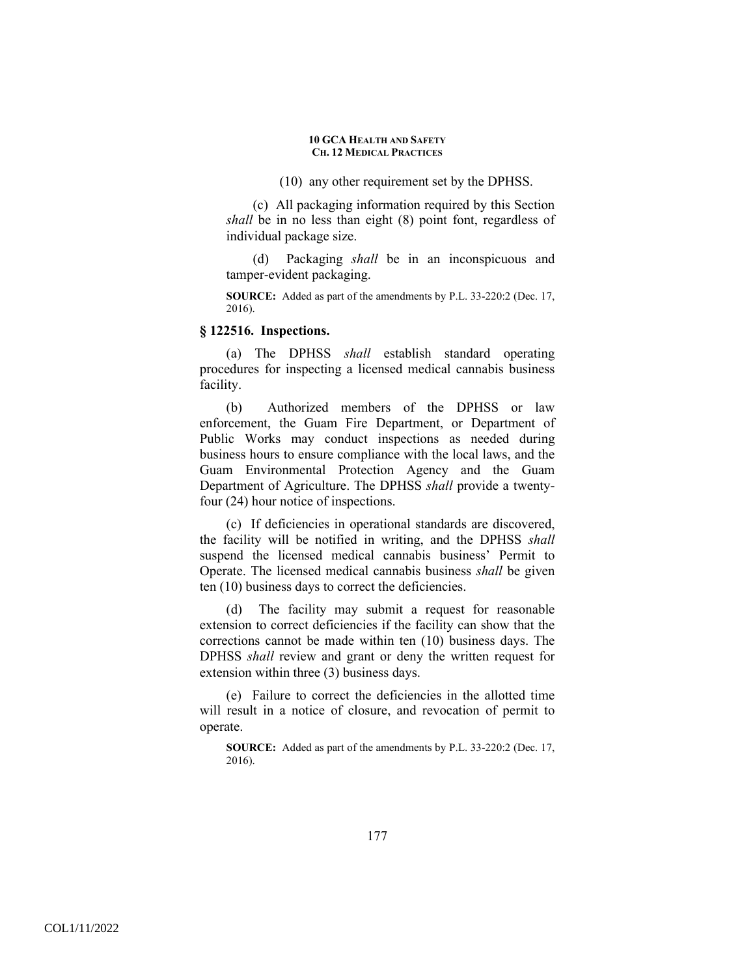(10) any other requirement set by the DPHSS.

(c) All packaging information required by this Section *shall* be in no less than eight (8) point font, regardless of individual package size.

(d) Packaging *shall* be in an inconspicuous and tamper-evident packaging.

**SOURCE:** Added as part of the amendments by P.L. 33-220:2 (Dec. 17, 2016).

## **§ 122516. Inspections.**

(a) The DPHSS *shall* establish standard operating procedures for inspecting a licensed medical cannabis business facility.

(b) Authorized members of the DPHSS or law enforcement, the Guam Fire Department, or Department of Public Works may conduct inspections as needed during business hours to ensure compliance with the local laws, and the Guam Environmental Protection Agency and the Guam Department of Agriculture. The DPHSS *shall* provide a twentyfour (24) hour notice of inspections.

(c) If deficiencies in operational standards are discovered, the facility will be notified in writing, and the DPHSS *shall* suspend the licensed medical cannabis business' Permit to Operate. The licensed medical cannabis business *shall* be given ten (10) business days to correct the deficiencies.

(d) The facility may submit a request for reasonable extension to correct deficiencies if the facility can show that the corrections cannot be made within ten (10) business days. The DPHSS *shall* review and grant or deny the written request for extension within three (3) business days.

(e) Failure to correct the deficiencies in the allotted time will result in a notice of closure, and revocation of permit to operate.

**SOURCE:** Added as part of the amendments by P.L. 33-220:2 (Dec. 17, 2016).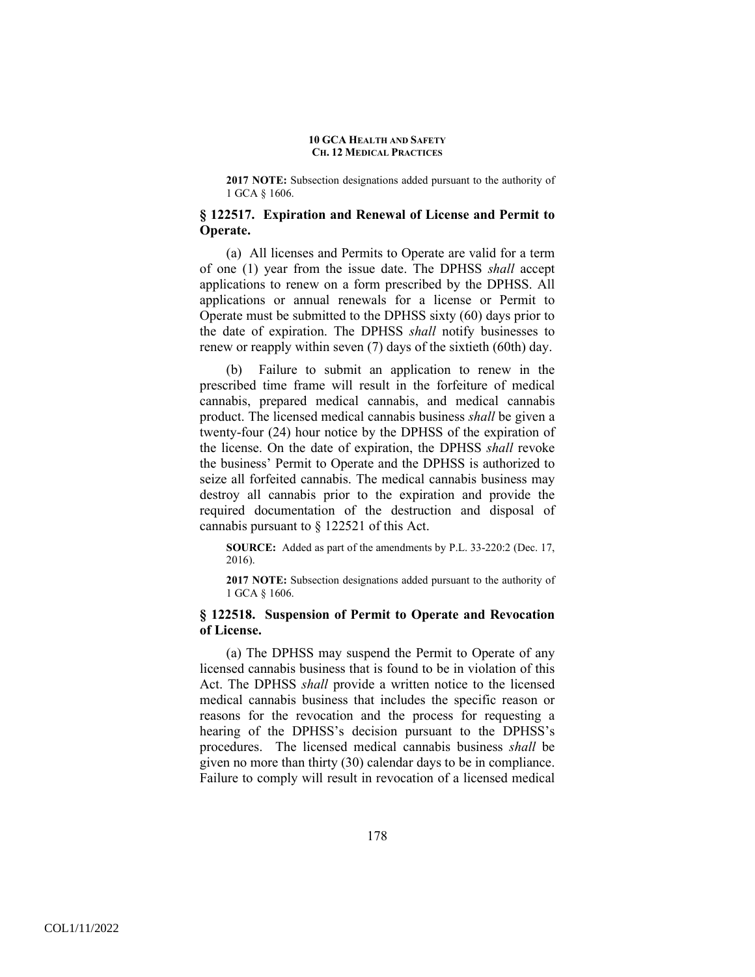**2017 NOTE:** Subsection designations added pursuant to the authority of 1 GCA § 1606.

## **§ 122517. Expiration and Renewal of License and Permit to Operate.**

(a) All licenses and Permits to Operate are valid for a term of one (1) year from the issue date. The DPHSS *shall* accept applications to renew on a form prescribed by the DPHSS. All applications or annual renewals for a license or Permit to Operate must be submitted to the DPHSS sixty (60) days prior to the date of expiration. The DPHSS *shall* notify businesses to renew or reapply within seven (7) days of the sixtieth (60th) day.

(b) Failure to submit an application to renew in the prescribed time frame will result in the forfeiture of medical cannabis, prepared medical cannabis, and medical cannabis product. The licensed medical cannabis business *shall* be given a twenty-four (24) hour notice by the DPHSS of the expiration of the license. On the date of expiration, the DPHSS *shall* revoke the business' Permit to Operate and the DPHSS is authorized to seize all forfeited cannabis. The medical cannabis business may destroy all cannabis prior to the expiration and provide the required documentation of the destruction and disposal of cannabis pursuant to § 122521 of this Act.

**SOURCE:** Added as part of the amendments by P.L. 33-220:2 (Dec. 17, 2016).

**2017 NOTE:** Subsection designations added pursuant to the authority of 1 GCA § 1606.

# **§ 122518. Suspension of Permit to Operate and Revocation of License.**

(a) The DPHSS may suspend the Permit to Operate of any licensed cannabis business that is found to be in violation of this Act. The DPHSS *shall* provide a written notice to the licensed medical cannabis business that includes the specific reason or reasons for the revocation and the process for requesting a hearing of the DPHSS's decision pursuant to the DPHSS's procedures. The licensed medical cannabis business *shall* be given no more than thirty (30) calendar days to be in compliance. Failure to comply will result in revocation of a licensed medical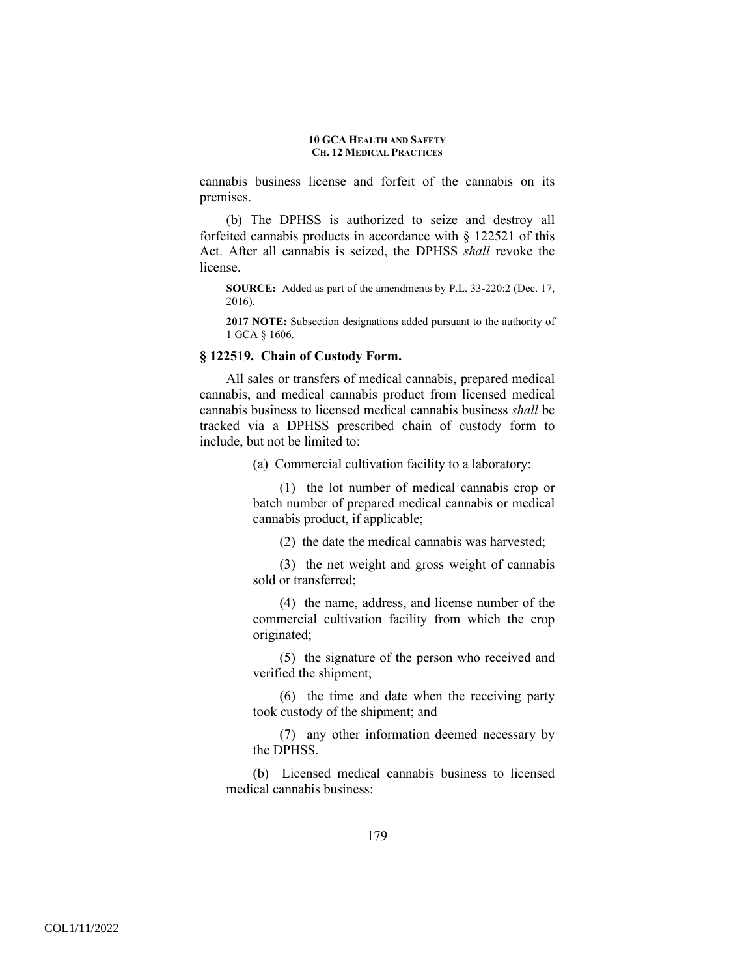cannabis business license and forfeit of the cannabis on its premises.

(b) The DPHSS is authorized to seize and destroy all forfeited cannabis products in accordance with § 122521 of this Act. After all cannabis is seized, the DPHSS *shall* revoke the license.

**SOURCE:** Added as part of the amendments by P.L. 33-220:2 (Dec. 17, 2016).

**2017 NOTE:** Subsection designations added pursuant to the authority of 1 GCA § 1606.

# **§ 122519. Chain of Custody Form.**

All sales or transfers of medical cannabis, prepared medical cannabis, and medical cannabis product from licensed medical cannabis business to licensed medical cannabis business *shall* be tracked via a DPHSS prescribed chain of custody form to include, but not be limited to:

(a) Commercial cultivation facility to a laboratory:

(1) the lot number of medical cannabis crop or batch number of prepared medical cannabis or medical cannabis product, if applicable;

(2) the date the medical cannabis was harvested;

(3) the net weight and gross weight of cannabis sold or transferred;

(4) the name, address, and license number of the commercial cultivation facility from which the crop originated;

(5) the signature of the person who received and verified the shipment;

(6) the time and date when the receiving party took custody of the shipment; and

(7) any other information deemed necessary by the DPHSS.

(b) Licensed medical cannabis business to licensed medical cannabis business: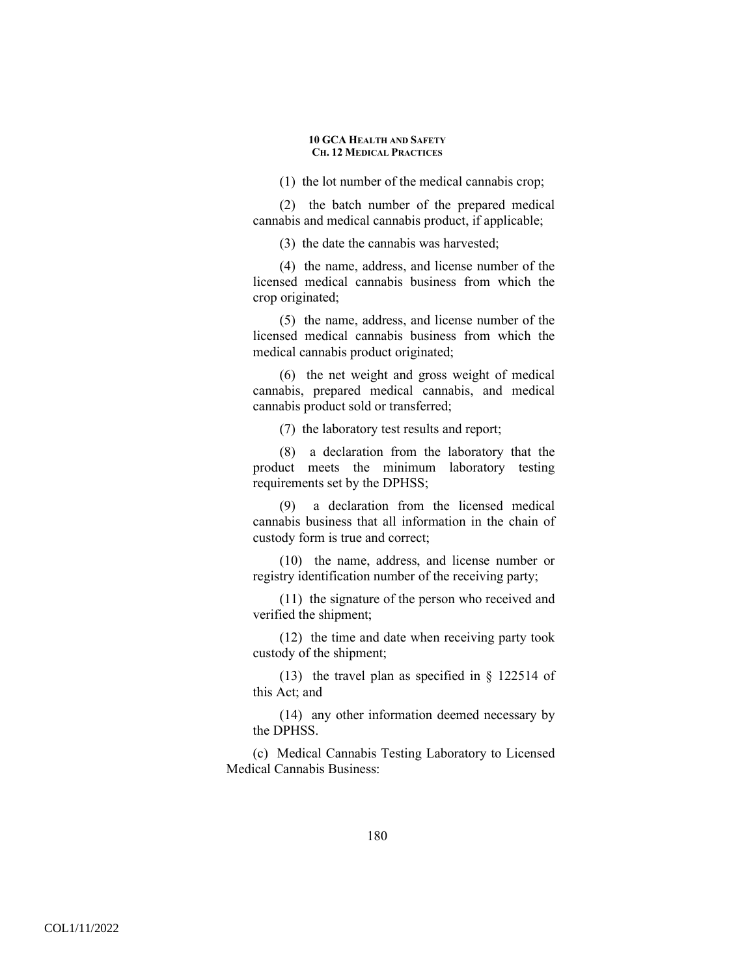(1) the lot number of the medical cannabis crop;

(2) the batch number of the prepared medical cannabis and medical cannabis product, if applicable;

(3) the date the cannabis was harvested;

(4) the name, address, and license number of the licensed medical cannabis business from which the crop originated;

(5) the name, address, and license number of the licensed medical cannabis business from which the medical cannabis product originated;

(6) the net weight and gross weight of medical cannabis, prepared medical cannabis, and medical cannabis product sold or transferred;

(7) the laboratory test results and report;

(8) a declaration from the laboratory that the product meets the minimum laboratory testing requirements set by the DPHSS;

(9) a declaration from the licensed medical cannabis business that all information in the chain of custody form is true and correct;

(10) the name, address, and license number or registry identification number of the receiving party;

(11) the signature of the person who received and verified the shipment;

(12) the time and date when receiving party took custody of the shipment;

(13) the travel plan as specified in § 122514 of this Act; and

(14) any other information deemed necessary by the DPHSS.

(c) Medical Cannabis Testing Laboratory to Licensed Medical Cannabis Business: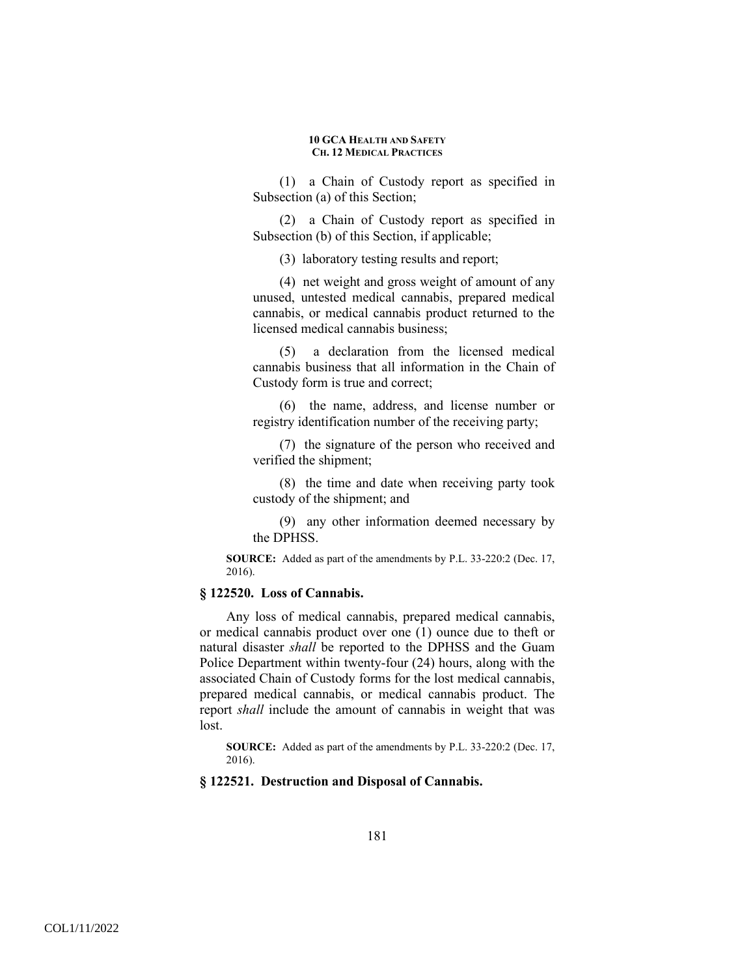(1) a Chain of Custody report as specified in Subsection (a) of this Section;

(2) a Chain of Custody report as specified in Subsection (b) of this Section, if applicable;

(3) laboratory testing results and report;

(4) net weight and gross weight of amount of any unused, untested medical cannabis, prepared medical cannabis, or medical cannabis product returned to the licensed medical cannabis business;

(5) a declaration from the licensed medical cannabis business that all information in the Chain of Custody form is true and correct;

(6) the name, address, and license number or registry identification number of the receiving party;

(7) the signature of the person who received and verified the shipment;

(8) the time and date when receiving party took custody of the shipment; and

(9) any other information deemed necessary by the DPHSS.

**SOURCE:** Added as part of the amendments by P.L. 33-220:2 (Dec. 17, 2016).

# **§ 122520. Loss of Cannabis.**

Any loss of medical cannabis, prepared medical cannabis, or medical cannabis product over one (1) ounce due to theft or natural disaster *shall* be reported to the DPHSS and the Guam Police Department within twenty-four (24) hours, along with the associated Chain of Custody forms for the lost medical cannabis, prepared medical cannabis, or medical cannabis product. The report *shall* include the amount of cannabis in weight that was lost.

**SOURCE:** Added as part of the amendments by P.L. 33-220:2 (Dec. 17, 2016).

## **§ 122521. Destruction and Disposal of Cannabis.**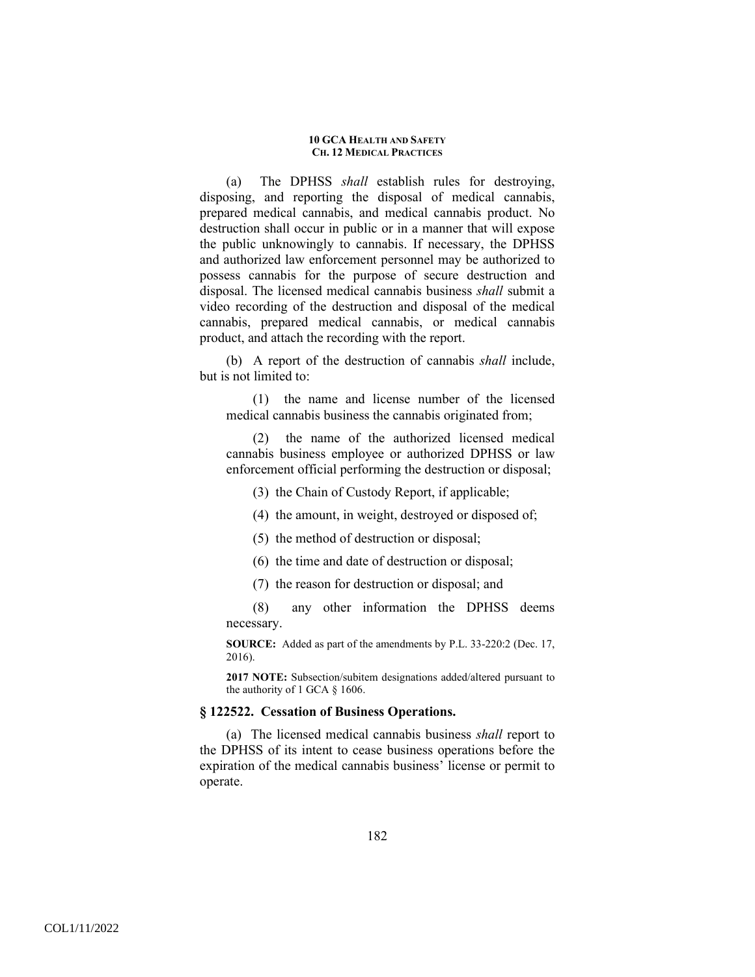(a) The DPHSS *shall* establish rules for destroying, disposing, and reporting the disposal of medical cannabis, prepared medical cannabis, and medical cannabis product. No destruction shall occur in public or in a manner that will expose the public unknowingly to cannabis. If necessary, the DPHSS and authorized law enforcement personnel may be authorized to possess cannabis for the purpose of secure destruction and disposal. The licensed medical cannabis business *shall* submit a video recording of the destruction and disposal of the medical cannabis, prepared medical cannabis, or medical cannabis product, and attach the recording with the report.

(b) A report of the destruction of cannabis *shall* include, but is not limited to:

(1) the name and license number of the licensed medical cannabis business the cannabis originated from;

(2) the name of the authorized licensed medical cannabis business employee or authorized DPHSS or law enforcement official performing the destruction or disposal;

- (3) the Chain of Custody Report, if applicable;
- (4) the amount, in weight, destroyed or disposed of;
- (5) the method of destruction or disposal;
- (6) the time and date of destruction or disposal;
- (7) the reason for destruction or disposal; and

(8) any other information the DPHSS deems necessary.

**SOURCE:** Added as part of the amendments by P.L. 33-220:2 (Dec. 17, 2016).

**2017 NOTE:** Subsection/subitem designations added/altered pursuant to the authority of 1 GCA § 1606.

# **§ 122522. Cessation of Business Operations.**

(a) The licensed medical cannabis business *shall* report to the DPHSS of its intent to cease business operations before the expiration of the medical cannabis business' license or permit to operate.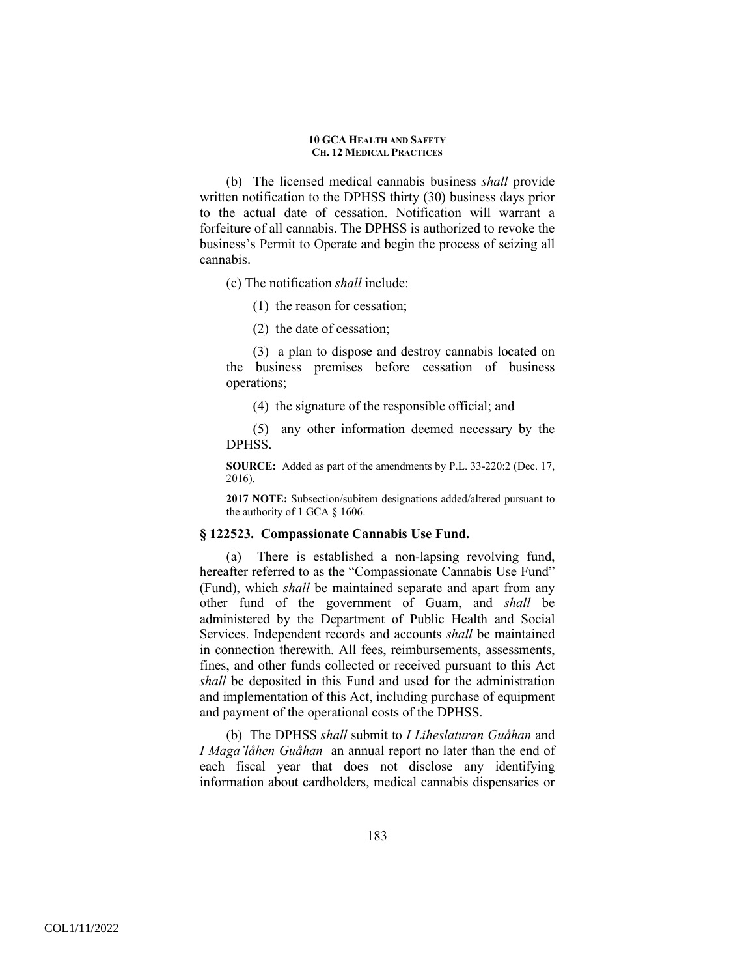(b) The licensed medical cannabis business *shall* provide written notification to the DPHSS thirty (30) business days prior to the actual date of cessation. Notification will warrant a forfeiture of all cannabis. The DPHSS is authorized to revoke the business's Permit to Operate and begin the process of seizing all cannabis.

(c) The notification *shall* include:

- (1) the reason for cessation;
- (2) the date of cessation;

(3) a plan to dispose and destroy cannabis located on the business premises before cessation of business operations;

(4) the signature of the responsible official; and

(5) any other information deemed necessary by the DPHSS.

**SOURCE:** Added as part of the amendments by P.L. 33-220:2 (Dec. 17, 2016).

**2017 NOTE:** Subsection/subitem designations added/altered pursuant to the authority of 1 GCA § 1606.

## **§ 122523. Compassionate Cannabis Use Fund.**

(a) There is established a non-lapsing revolving fund, hereafter referred to as the "Compassionate Cannabis Use Fund" (Fund), which *shall* be maintained separate and apart from any other fund of the government of Guam, and *shall* be administered by the Department of Public Health and Social Services. Independent records and accounts *shall* be maintained in connection therewith. All fees, reimbursements, assessments, fines, and other funds collected or received pursuant to this Act *shall* be deposited in this Fund and used for the administration and implementation of this Act, including purchase of equipment and payment of the operational costs of the DPHSS.

(b) The DPHSS *shall* submit to *I Liheslaturan Guåhan* and *I Maga'låhen Guåhan* an annual report no later than the end of each fiscal year that does not disclose any identifying information about cardholders, medical cannabis dispensaries or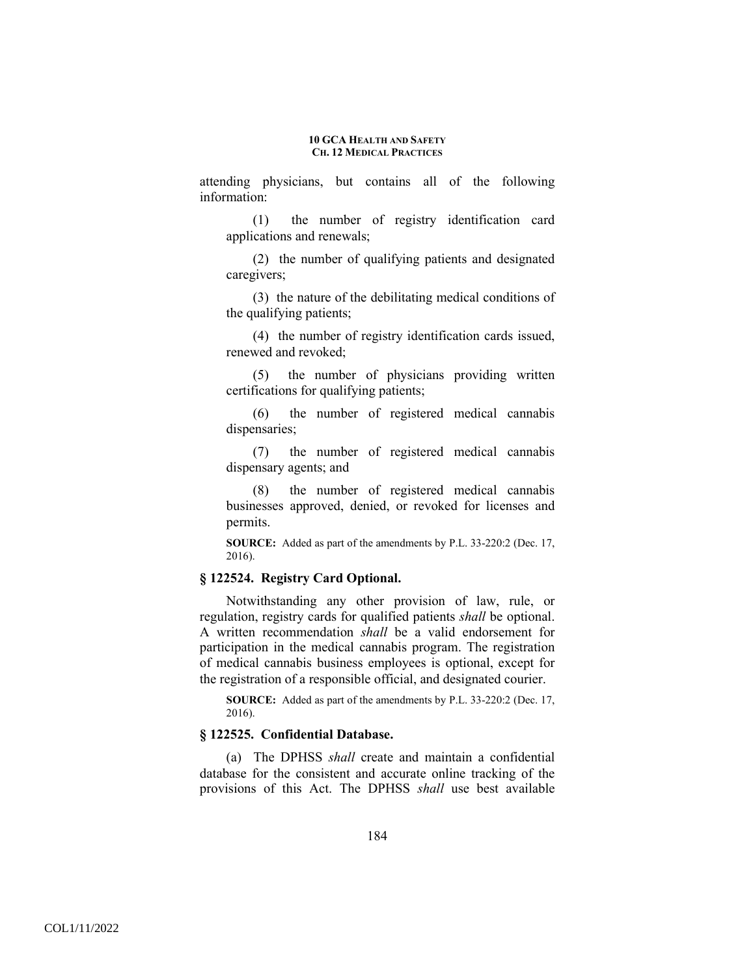attending physicians, but contains all of the following information:

(1) the number of registry identification card applications and renewals;

(2) the number of qualifying patients and designated caregivers;

(3) the nature of the debilitating medical conditions of the qualifying patients;

(4) the number of registry identification cards issued, renewed and revoked;

(5) the number of physicians providing written certifications for qualifying patients;

(6) the number of registered medical cannabis dispensaries;

(7) the number of registered medical cannabis dispensary agents; and

(8) the number of registered medical cannabis businesses approved, denied, or revoked for licenses and permits.

**SOURCE:** Added as part of the amendments by P.L. 33-220:2 (Dec. 17, 2016).

# **§ 122524. Registry Card Optional.**

Notwithstanding any other provision of law, rule, or regulation, registry cards for qualified patients *shall* be optional. A written recommendation *shall* be a valid endorsement for participation in the medical cannabis program. The registration of medical cannabis business employees is optional, except for the registration of a responsible official, and designated courier.

**SOURCE:** Added as part of the amendments by P.L. 33-220:2 (Dec. 17, 2016).

# **§ 122525. Confidential Database.**

(a) The DPHSS *shall* create and maintain a confidential database for the consistent and accurate online tracking of the provisions of this Act. The DPHSS *shall* use best available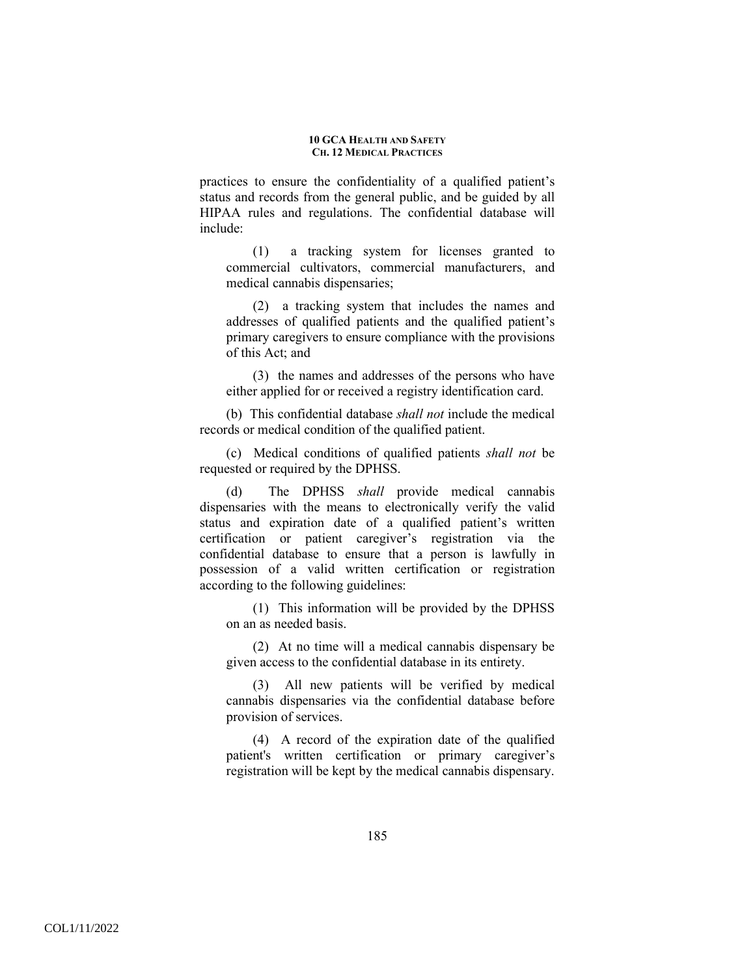practices to ensure the confidentiality of a qualified patient's status and records from the general public, and be guided by all HIPAA rules and regulations. The confidential database will include:

(1) a tracking system for licenses granted to commercial cultivators, commercial manufacturers, and medical cannabis dispensaries;

(2) a tracking system that includes the names and addresses of qualified patients and the qualified patient's primary caregivers to ensure compliance with the provisions of this Act; and

(3) the names and addresses of the persons who have either applied for or received a registry identification card.

(b) This confidential database *shall not* include the medical records or medical condition of the qualified patient.

(c) Medical conditions of qualified patients *shall not* be requested or required by the DPHSS.

(d) The DPHSS *shall* provide medical cannabis dispensaries with the means to electronically verify the valid status and expiration date of a qualified patient's written certification or patient caregiver's registration via the confidential database to ensure that a person is lawfully in possession of a valid written certification or registration according to the following guidelines:

(1) This information will be provided by the DPHSS on an as needed basis.

(2) At no time will a medical cannabis dispensary be given access to the confidential database in its entirety.

(3) All new patients will be verified by medical cannabis dispensaries via the confidential database before provision of services.

(4) A record of the expiration date of the qualified patient's written certification or primary caregiver's registration will be kept by the medical cannabis dispensary.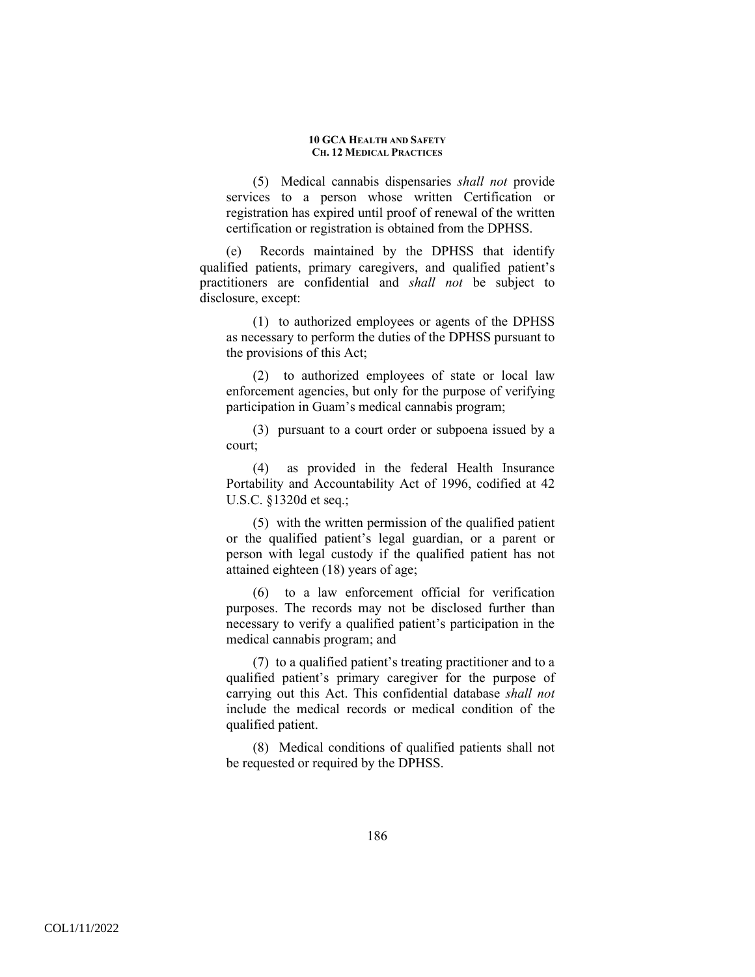(5) Medical cannabis dispensaries *shall not* provide services to a person whose written Certification or registration has expired until proof of renewal of the written certification or registration is obtained from the DPHSS.

(e) Records maintained by the DPHSS that identify qualified patients, primary caregivers, and qualified patient's practitioners are confidential and *shall not* be subject to disclosure, except:

(1) to authorized employees or agents of the DPHSS as necessary to perform the duties of the DPHSS pursuant to the provisions of this Act;

(2) to authorized employees of state or local law enforcement agencies, but only for the purpose of verifying participation in Guam's medical cannabis program;

(3) pursuant to a court order or subpoena issued by a court;

(4) as provided in the federal Health Insurance Portability and Accountability Act of 1996, codified at 42 U.S.C. §1320d et seq.;

(5) with the written permission of the qualified patient or the qualified patient's legal guardian, or a parent or person with legal custody if the qualified patient has not attained eighteen (18) years of age;

(6) to a law enforcement official for verification purposes. The records may not be disclosed further than necessary to verify a qualified patient's participation in the medical cannabis program; and

(7) to a qualified patient's treating practitioner and to a qualified patient's primary caregiver for the purpose of carrying out this Act. This confidential database *shall not* include the medical records or medical condition of the qualified patient.

(8) Medical conditions of qualified patients shall not be requested or required by the DPHSS.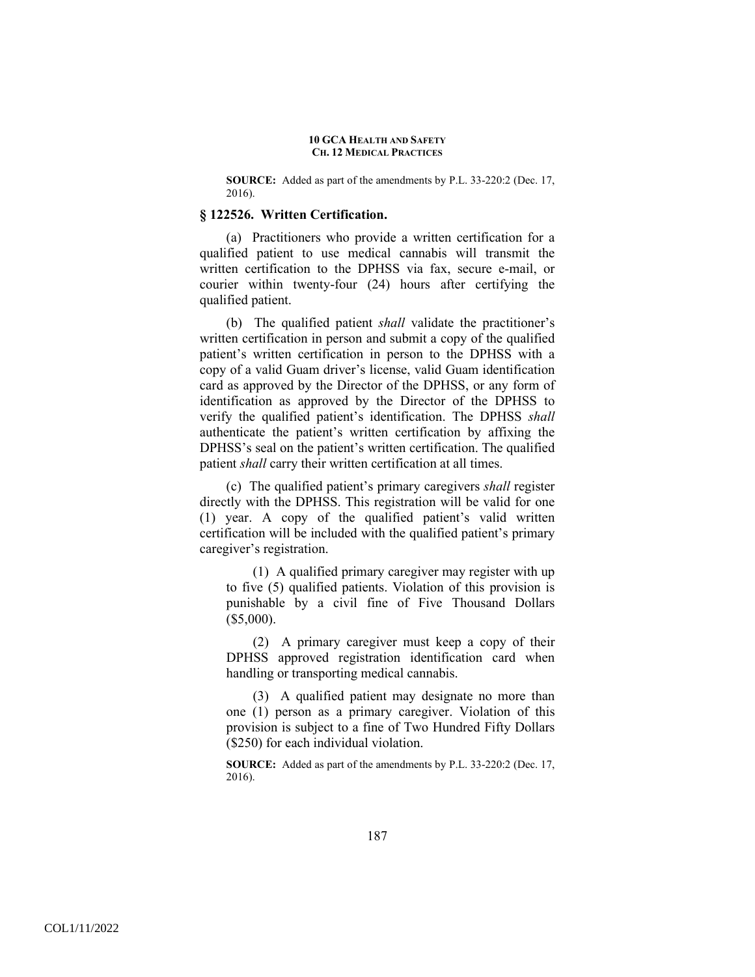**SOURCE:** Added as part of the amendments by P.L. 33-220:2 (Dec. 17, 2016).

### **§ 122526. Written Certification.**

(a) Practitioners who provide a written certification for a qualified patient to use medical cannabis will transmit the written certification to the DPHSS via fax, secure e-mail, or courier within twenty-four (24) hours after certifying the qualified patient.

(b) The qualified patient *shall* validate the practitioner's written certification in person and submit a copy of the qualified patient's written certification in person to the DPHSS with a copy of a valid Guam driver's license, valid Guam identification card as approved by the Director of the DPHSS, or any form of identification as approved by the Director of the DPHSS to verify the qualified patient's identification. The DPHSS *shall* authenticate the patient's written certification by affixing the DPHSS's seal on the patient's written certification. The qualified patient *shall* carry their written certification at all times.

(c) The qualified patient's primary caregivers *shall* register directly with the DPHSS. This registration will be valid for one (1) year. A copy of the qualified patient's valid written certification will be included with the qualified patient's primary caregiver's registration.

(1) A qualified primary caregiver may register with up to five (5) qualified patients. Violation of this provision is punishable by a civil fine of Five Thousand Dollars (\$5,000).

(2) A primary caregiver must keep a copy of their DPHSS approved registration identification card when handling or transporting medical cannabis.

(3) A qualified patient may designate no more than one (1) person as a primary caregiver. Violation of this provision is subject to a fine of Two Hundred Fifty Dollars (\$250) for each individual violation.

**SOURCE:** Added as part of the amendments by P.L. 33-220:2 (Dec. 17, 2016).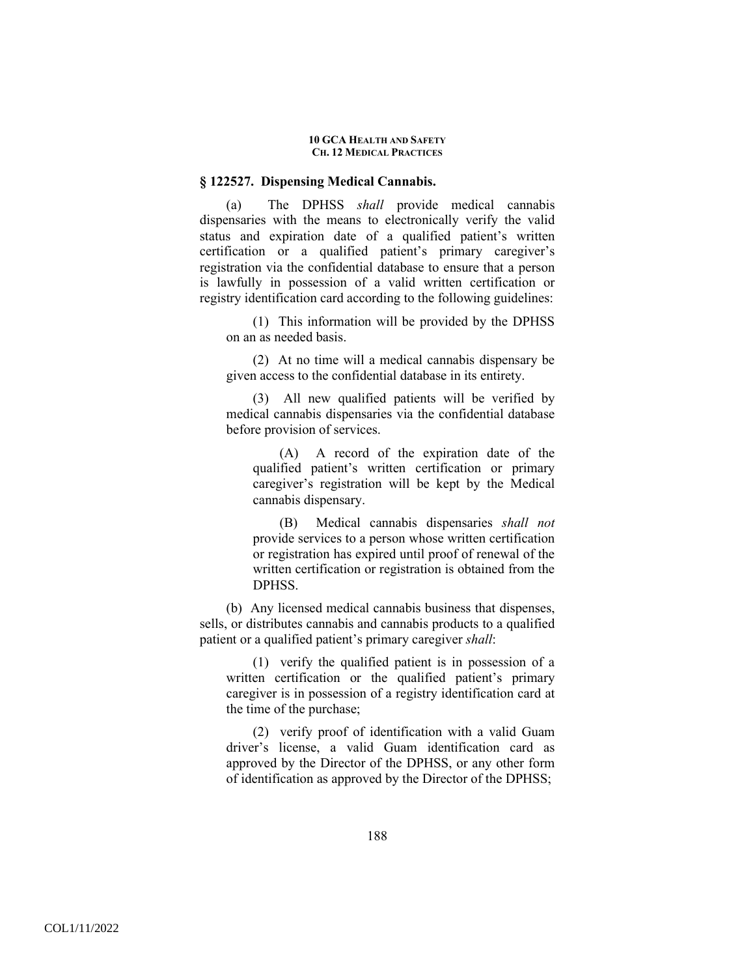### **§ 122527. Dispensing Medical Cannabis.**

(a) The DPHSS *shall* provide medical cannabis dispensaries with the means to electronically verify the valid status and expiration date of a qualified patient's written certification or a qualified patient's primary caregiver's registration via the confidential database to ensure that a person is lawfully in possession of a valid written certification or registry identification card according to the following guidelines:

(1) This information will be provided by the DPHSS on an as needed basis.

(2) At no time will a medical cannabis dispensary be given access to the confidential database in its entirety.

(3) All new qualified patients will be verified by medical cannabis dispensaries via the confidential database before provision of services.

(A) A record of the expiration date of the qualified patient's written certification or primary caregiver's registration will be kept by the Medical cannabis dispensary.

(B) Medical cannabis dispensaries *shall not* provide services to a person whose written certification or registration has expired until proof of renewal of the written certification or registration is obtained from the DPHSS.

(b) Any licensed medical cannabis business that dispenses, sells, or distributes cannabis and cannabis products to a qualified patient or a qualified patient's primary caregiver *shall*:

(1) verify the qualified patient is in possession of a written certification or the qualified patient's primary caregiver is in possession of a registry identification card at the time of the purchase;

(2) verify proof of identification with a valid Guam driver's license, a valid Guam identification card as approved by the Director of the DPHSS, or any other form of identification as approved by the Director of the DPHSS;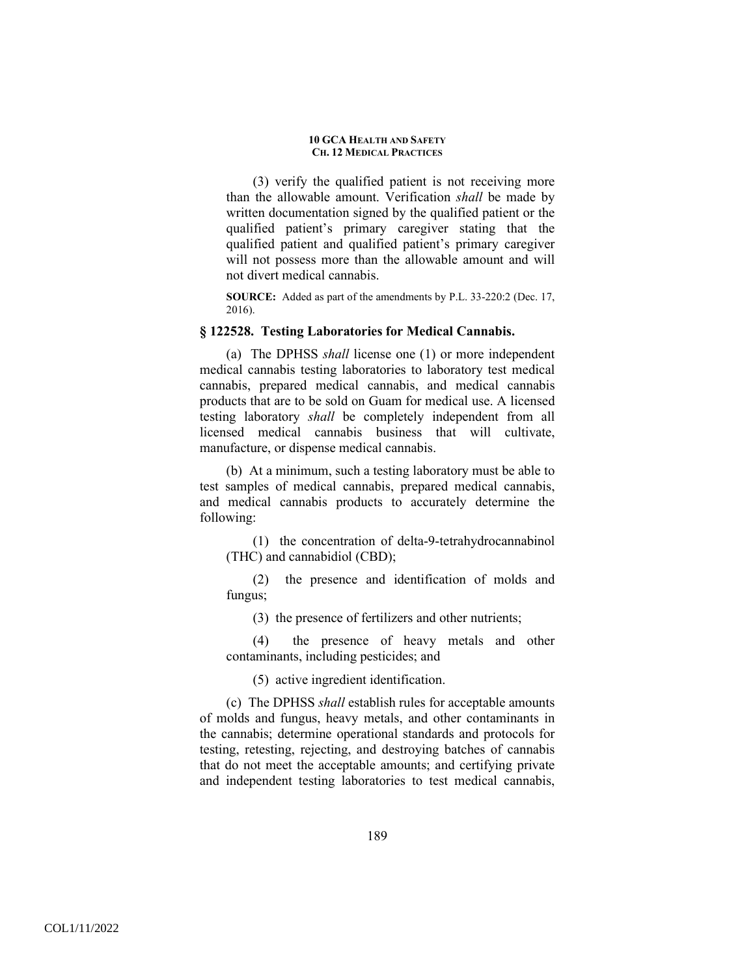(3) verify the qualified patient is not receiving more than the allowable amount. Verification *shall* be made by written documentation signed by the qualified patient or the qualified patient's primary caregiver stating that the qualified patient and qualified patient's primary caregiver will not possess more than the allowable amount and will not divert medical cannabis.

**SOURCE:** Added as part of the amendments by P.L. 33-220:2 (Dec. 17, 2016).

## **§ 122528. Testing Laboratories for Medical Cannabis.**

(a) The DPHSS *shall* license one (1) or more independent medical cannabis testing laboratories to laboratory test medical cannabis, prepared medical cannabis, and medical cannabis products that are to be sold on Guam for medical use. A licensed testing laboratory *shall* be completely independent from all licensed medical cannabis business that will cultivate, manufacture, or dispense medical cannabis.

(b) At a minimum, such a testing laboratory must be able to test samples of medical cannabis, prepared medical cannabis, and medical cannabis products to accurately determine the following:

(1) the concentration of delta-9-tetrahydrocannabinol (THC) and cannabidiol (CBD);

(2) the presence and identification of molds and fungus;

(3) the presence of fertilizers and other nutrients;

(4) the presence of heavy metals and other contaminants, including pesticides; and

(5) active ingredient identification.

(c) The DPHSS *shall* establish rules for acceptable amounts of molds and fungus, heavy metals, and other contaminants in the cannabis; determine operational standards and protocols for testing, retesting, rejecting, and destroying batches of cannabis that do not meet the acceptable amounts; and certifying private and independent testing laboratories to test medical cannabis,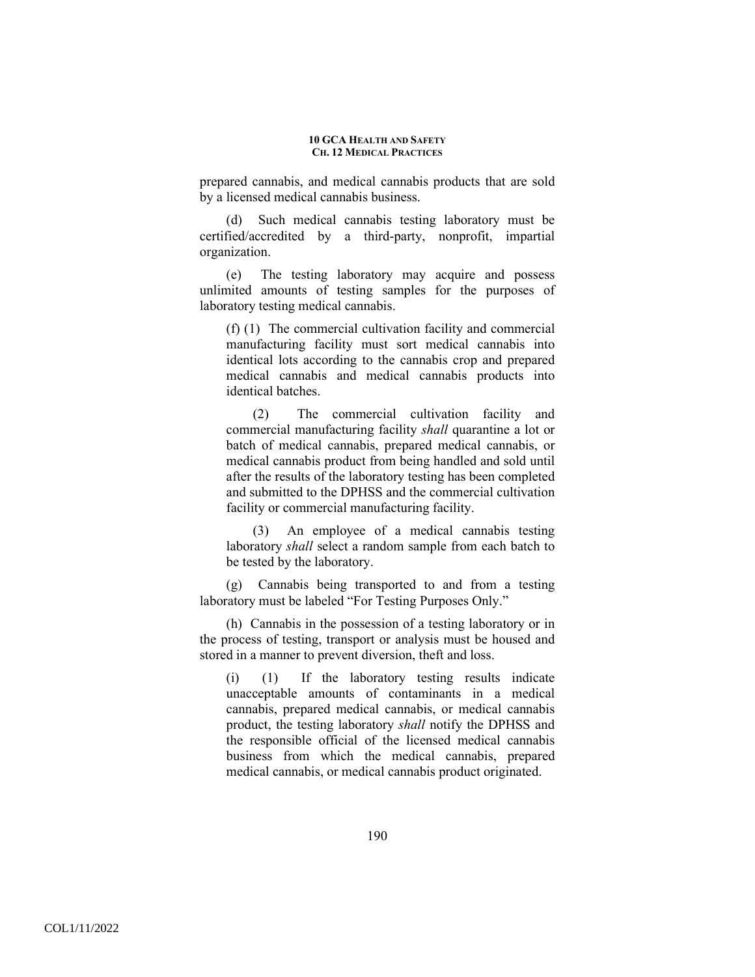prepared cannabis, and medical cannabis products that are sold by a licensed medical cannabis business.

Such medical cannabis testing laboratory must be certified/accredited by a third-party, nonprofit, impartial organization.

(e) The testing laboratory may acquire and possess unlimited amounts of testing samples for the purposes of laboratory testing medical cannabis.

(f) (1) The commercial cultivation facility and commercial manufacturing facility must sort medical cannabis into identical lots according to the cannabis crop and prepared medical cannabis and medical cannabis products into identical batches.

(2) The commercial cultivation facility and commercial manufacturing facility *shall* quarantine a lot or batch of medical cannabis, prepared medical cannabis, or medical cannabis product from being handled and sold until after the results of the laboratory testing has been completed and submitted to the DPHSS and the commercial cultivation facility or commercial manufacturing facility.

(3) An employee of a medical cannabis testing laboratory *shall* select a random sample from each batch to be tested by the laboratory.

(g) Cannabis being transported to and from a testing laboratory must be labeled "For Testing Purposes Only."

(h) Cannabis in the possession of a testing laboratory or in the process of testing, transport or analysis must be housed and stored in a manner to prevent diversion, theft and loss.

(i) (1) If the laboratory testing results indicate unacceptable amounts of contaminants in a medical cannabis, prepared medical cannabis, or medical cannabis product, the testing laboratory *shall* notify the DPHSS and the responsible official of the licensed medical cannabis business from which the medical cannabis, prepared medical cannabis, or medical cannabis product originated.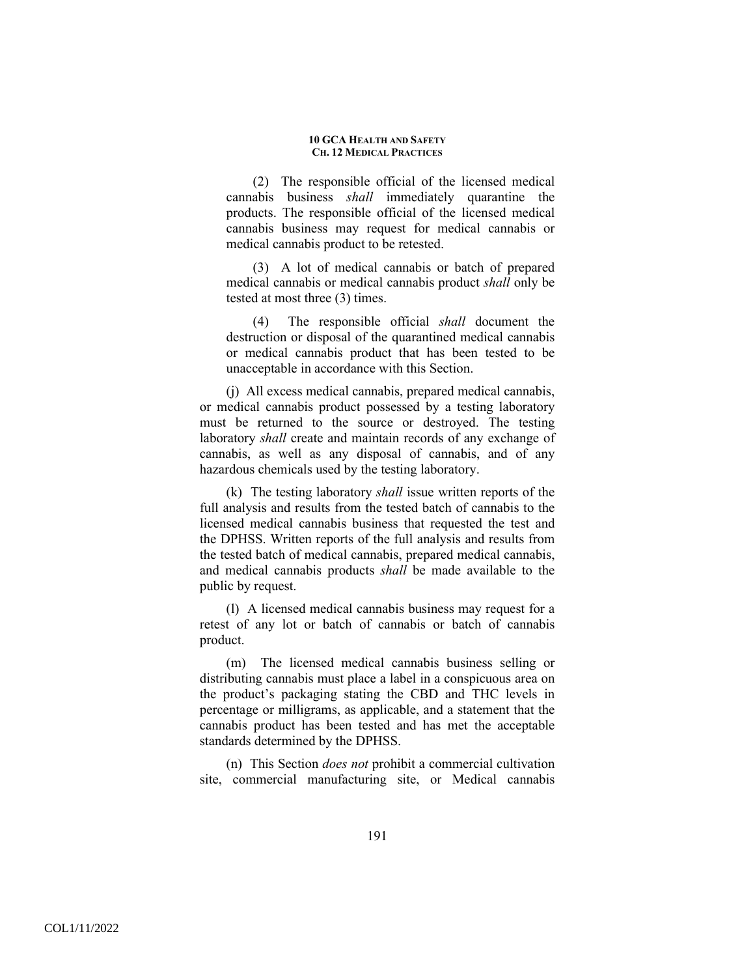(2) The responsible official of the licensed medical cannabis business *shall* immediately quarantine the products. The responsible official of the licensed medical cannabis business may request for medical cannabis or medical cannabis product to be retested.

(3) A lot of medical cannabis or batch of prepared medical cannabis or medical cannabis product *shall* only be tested at most three (3) times.

(4) The responsible official *shall* document the destruction or disposal of the quarantined medical cannabis or medical cannabis product that has been tested to be unacceptable in accordance with this Section.

(j) All excess medical cannabis, prepared medical cannabis, or medical cannabis product possessed by a testing laboratory must be returned to the source or destroyed. The testing laboratory *shall* create and maintain records of any exchange of cannabis, as well as any disposal of cannabis, and of any hazardous chemicals used by the testing laboratory.

(k) The testing laboratory *shall* issue written reports of the full analysis and results from the tested batch of cannabis to the licensed medical cannabis business that requested the test and the DPHSS. Written reports of the full analysis and results from the tested batch of medical cannabis, prepared medical cannabis, and medical cannabis products *shall* be made available to the public by request.

(l) A licensed medical cannabis business may request for a retest of any lot or batch of cannabis or batch of cannabis product.

(m) The licensed medical cannabis business selling or distributing cannabis must place a label in a conspicuous area on the product's packaging stating the CBD and THC levels in percentage or milligrams, as applicable, and a statement that the cannabis product has been tested and has met the acceptable standards determined by the DPHSS.

(n) This Section *does not* prohibit a commercial cultivation site, commercial manufacturing site, or Medical cannabis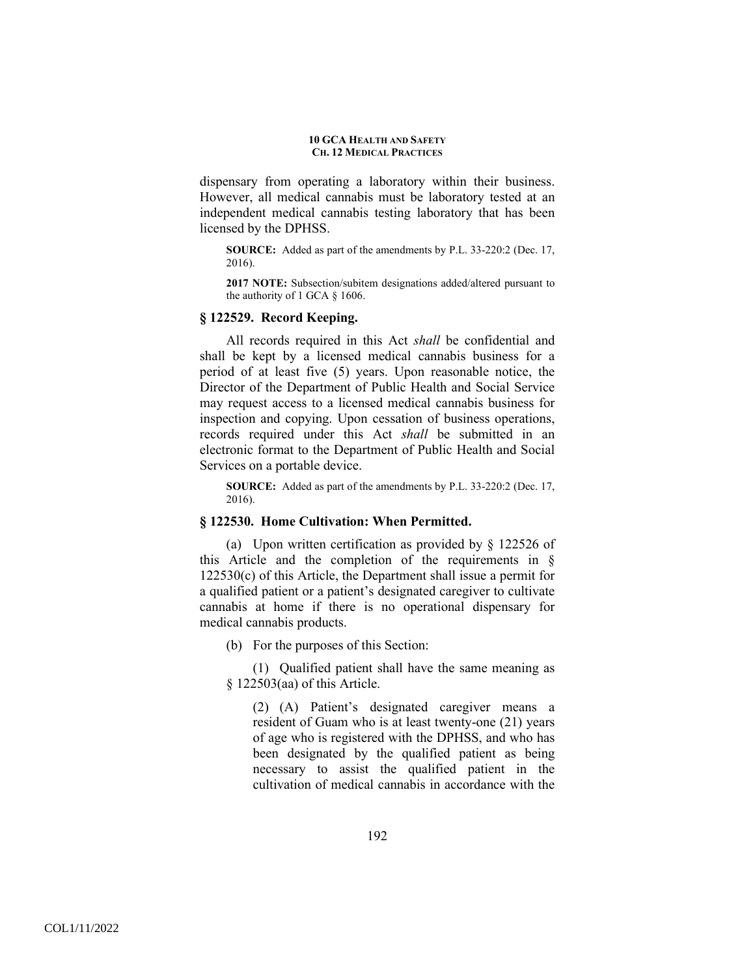dispensary from operating a laboratory within their business. However, all medical cannabis must be laboratory tested at an independent medical cannabis testing laboratory that has been licensed by the DPHSS.

**SOURCE:** Added as part of the amendments by P.L. 33-220:2 (Dec. 17, 2016).

**2017 NOTE:** Subsection/subitem designations added/altered pursuant to the authority of 1 GCA § 1606.

## **§ 122529. Record Keeping.**

All records required in this Act *shall* be confidential and shall be kept by a licensed medical cannabis business for a period of at least five (5) years. Upon reasonable notice, the Director of the Department of Public Health and Social Service may request access to a licensed medical cannabis business for inspection and copying. Upon cessation of business operations, records required under this Act *shall* be submitted in an electronic format to the Department of Public Health and Social Services on a portable device.

**SOURCE:** Added as part of the amendments by P.L. 33-220:2 (Dec. 17, 2016).

# **§ 122530. Home Cultivation: When Permitted.**

(a) Upon written certification as provided by § 122526 of this Article and the completion of the requirements in § 122530(c) of this Article, the Department shall issue a permit for a qualified patient or a patient's designated caregiver to cultivate cannabis at home if there is no operational dispensary for medical cannabis products.

(b) For the purposes of this Section:

(1) Qualified patient shall have the same meaning as § 122503(aa) of this Article.

(2) (A) Patient's designated caregiver means a resident of Guam who is at least twenty-one (21) years of age who is registered with the DPHSS, and who has been designated by the qualified patient as being necessary to assist the qualified patient in the cultivation of medical cannabis in accordance with the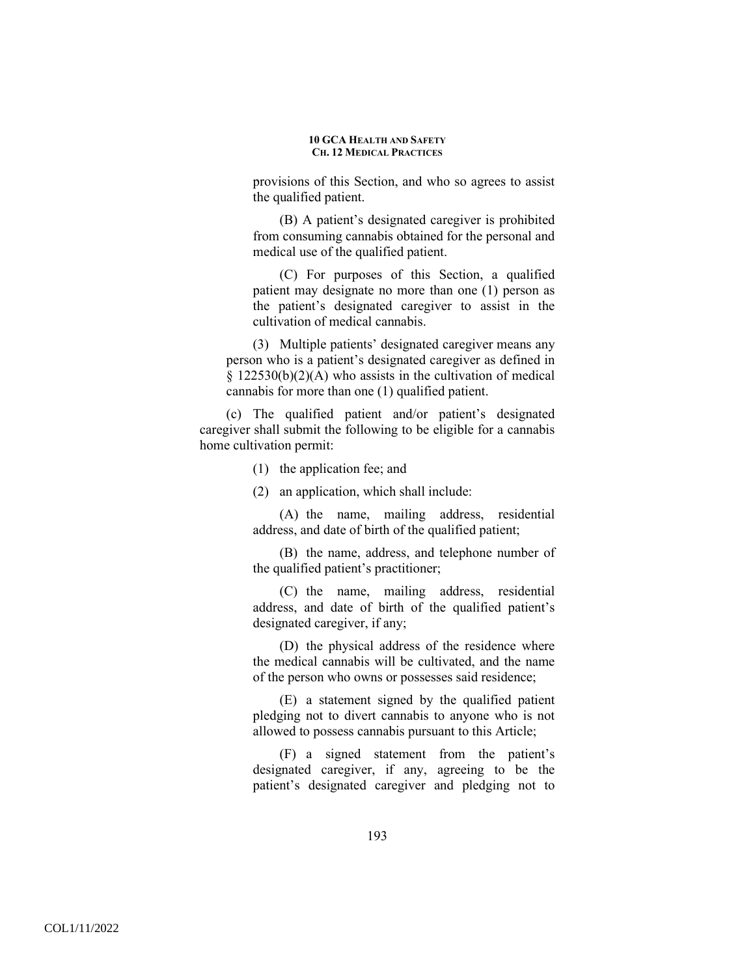provisions of this Section, and who so agrees to assist the qualified patient.

(B) A patient's designated caregiver is prohibited from consuming cannabis obtained for the personal and medical use of the qualified patient.

(C) For purposes of this Section, a qualified patient may designate no more than one (1) person as the patient's designated caregiver to assist in the cultivation of medical cannabis.

(3) Multiple patients' designated caregiver means any person who is a patient's designated caregiver as defined in  $§$  122530(b)(2)(A) who assists in the cultivation of medical cannabis for more than one (1) qualified patient.

(c) The qualified patient and/or patient's designated caregiver shall submit the following to be eligible for a cannabis home cultivation permit:

(1) the application fee; and

(2) an application, which shall include:

(A) the name, mailing address, residential address, and date of birth of the qualified patient;

(B) the name, address, and telephone number of the qualified patient's practitioner;

(C) the name, mailing address, residential address, and date of birth of the qualified patient's designated caregiver, if any;

(D) the physical address of the residence where the medical cannabis will be cultivated, and the name of the person who owns or possesses said residence;

(E) a statement signed by the qualified patient pledging not to divert cannabis to anyone who is not allowed to possess cannabis pursuant to this Article;

(F) a signed statement from the patient's designated caregiver, if any, agreeing to be the patient's designated caregiver and pledging not to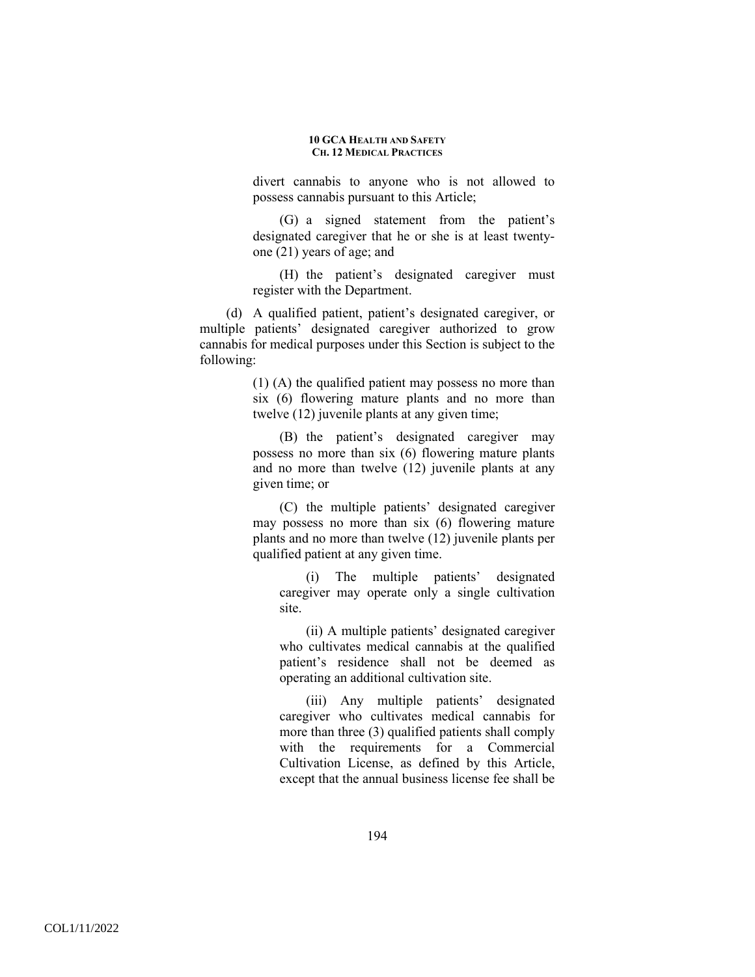divert cannabis to anyone who is not allowed to possess cannabis pursuant to this Article;

(G) a signed statement from the patient's designated caregiver that he or she is at least twentyone (21) years of age; and

(H) the patient's designated caregiver must register with the Department.

(d) A qualified patient, patient's designated caregiver, or multiple patients' designated caregiver authorized to grow cannabis for medical purposes under this Section is subject to the following:

> (1) (A) the qualified patient may possess no more than six (6) flowering mature plants and no more than twelve (12) juvenile plants at any given time;

> (B) the patient's designated caregiver may possess no more than six (6) flowering mature plants and no more than twelve (12) juvenile plants at any given time; or

> (C) the multiple patients' designated caregiver may possess no more than six (6) flowering mature plants and no more than twelve (12) juvenile plants per qualified patient at any given time.

(i) The multiple patients' designated caregiver may operate only a single cultivation site.

(ii) A multiple patients' designated caregiver who cultivates medical cannabis at the qualified patient's residence shall not be deemed as operating an additional cultivation site.

(iii) Any multiple patients' designated caregiver who cultivates medical cannabis for more than three (3) qualified patients shall comply with the requirements for a Commercial Cultivation License, as defined by this Article, except that the annual business license fee shall be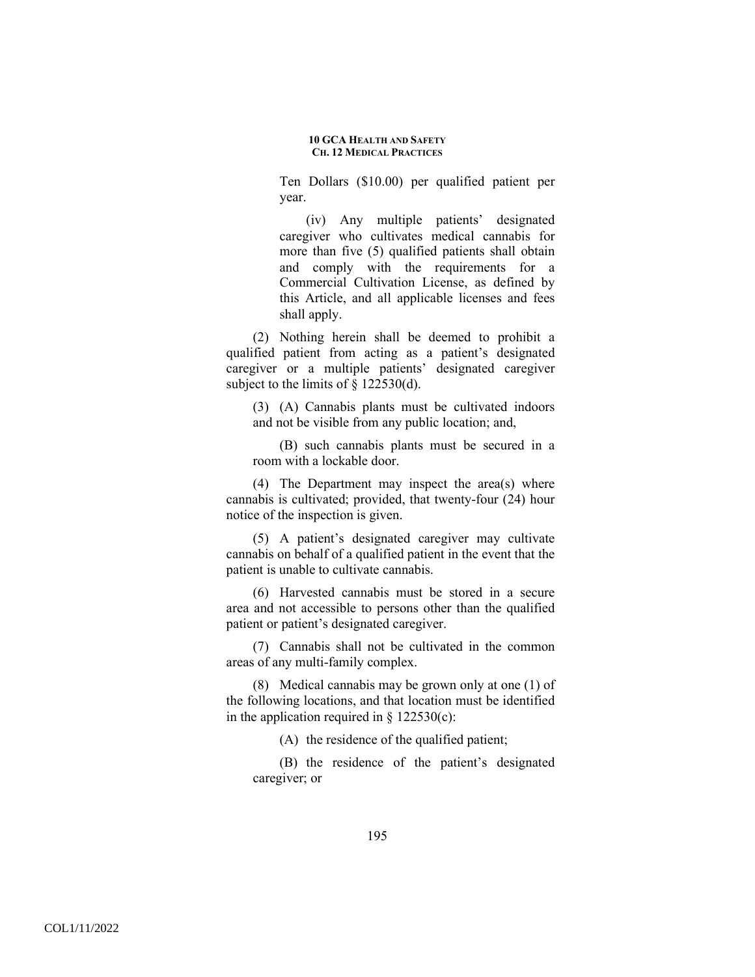Ten Dollars (\$10.00) per qualified patient per year.

(iv) Any multiple patients' designated caregiver who cultivates medical cannabis for more than five (5) qualified patients shall obtain and comply with the requirements for a Commercial Cultivation License, as defined by this Article, and all applicable licenses and fees shall apply.

(2) Nothing herein shall be deemed to prohibit a qualified patient from acting as a patient's designated caregiver or a multiple patients' designated caregiver subject to the limits of  $\S$  122530(d).

(3) (A) Cannabis plants must be cultivated indoors and not be visible from any public location; and,

(B) such cannabis plants must be secured in a room with a lockable door.

(4) The Department may inspect the area(s) where cannabis is cultivated; provided, that twenty-four (24) hour notice of the inspection is given.

(5) A patient's designated caregiver may cultivate cannabis on behalf of a qualified patient in the event that the patient is unable to cultivate cannabis.

(6) Harvested cannabis must be stored in a secure area and not accessible to persons other than the qualified patient or patient's designated caregiver.

(7) Cannabis shall not be cultivated in the common areas of any multi-family complex.

(8) Medical cannabis may be grown only at one (1) of the following locations, and that location must be identified in the application required in  $\S$  122530(c):

(A) the residence of the qualified patient;

(B) the residence of the patient's designated caregiver; or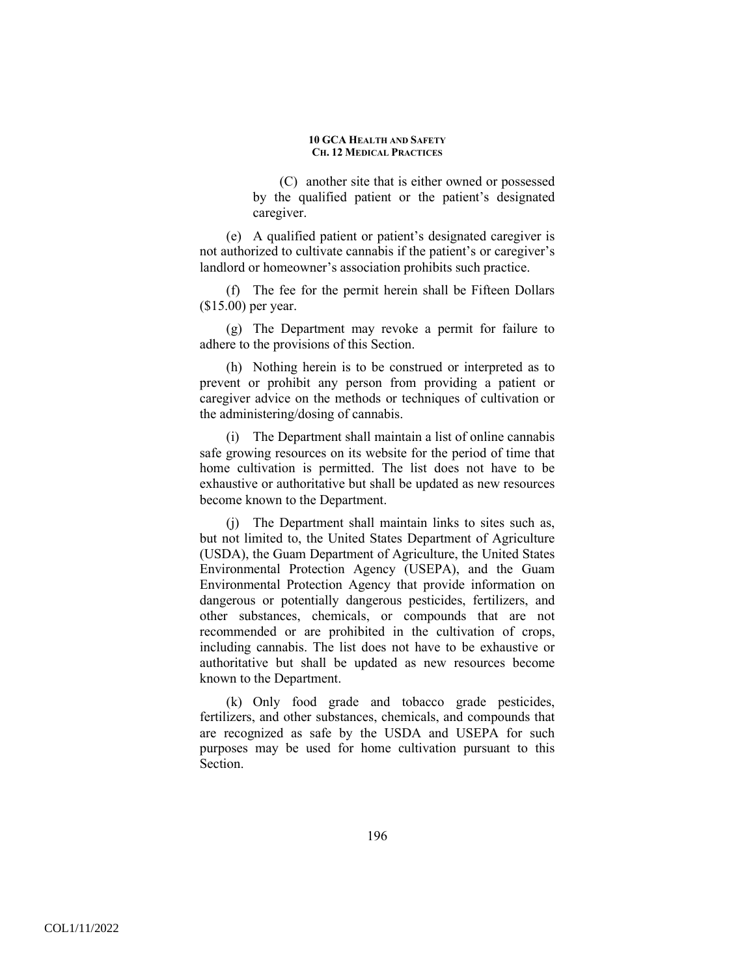(C) another site that is either owned or possessed by the qualified patient or the patient's designated caregiver.

(e) A qualified patient or patient's designated caregiver is not authorized to cultivate cannabis if the patient's or caregiver's landlord or homeowner's association prohibits such practice.

(f) The fee for the permit herein shall be Fifteen Dollars (\$15.00) per year.

(g) The Department may revoke a permit for failure to adhere to the provisions of this Section.

(h) Nothing herein is to be construed or interpreted as to prevent or prohibit any person from providing a patient or caregiver advice on the methods or techniques of cultivation or the administering/dosing of cannabis.

(i) The Department shall maintain a list of online cannabis safe growing resources on its website for the period of time that home cultivation is permitted. The list does not have to be exhaustive or authoritative but shall be updated as new resources become known to the Department.

(j) The Department shall maintain links to sites such as, but not limited to, the United States Department of Agriculture (USDA), the Guam Department of Agriculture, the United States Environmental Protection Agency (USEPA), and the Guam Environmental Protection Agency that provide information on dangerous or potentially dangerous pesticides, fertilizers, and other substances, chemicals, or compounds that are not recommended or are prohibited in the cultivation of crops, including cannabis. The list does not have to be exhaustive or authoritative but shall be updated as new resources become known to the Department.

(k) Only food grade and tobacco grade pesticides, fertilizers, and other substances, chemicals, and compounds that are recognized as safe by the USDA and USEPA for such purposes may be used for home cultivation pursuant to this Section.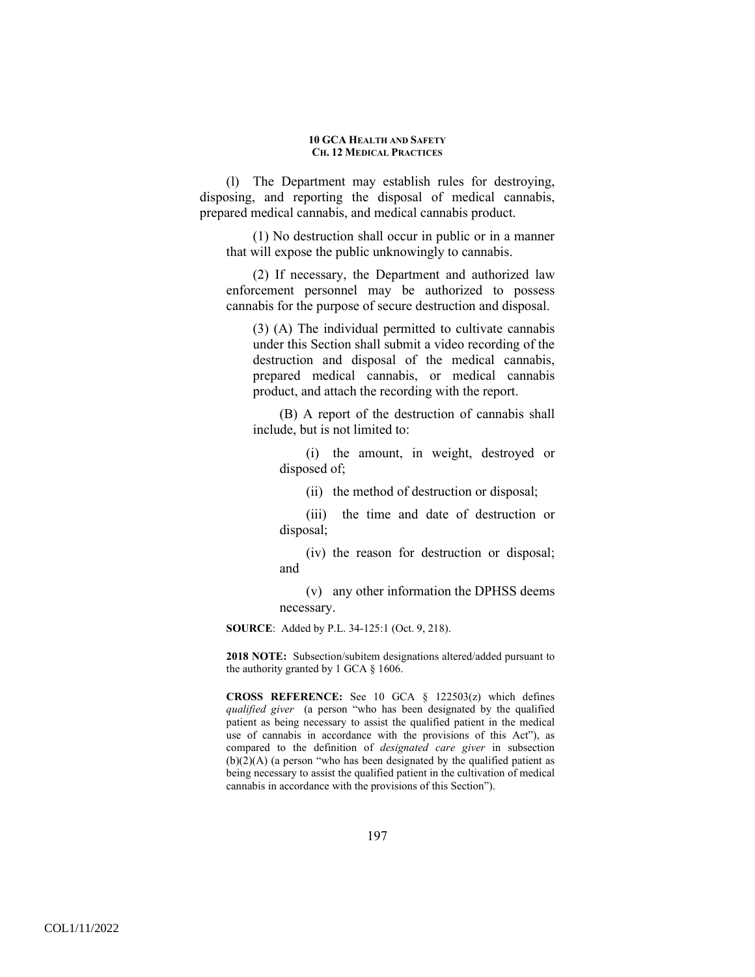(l) The Department may establish rules for destroying, disposing, and reporting the disposal of medical cannabis, prepared medical cannabis, and medical cannabis product.

(1) No destruction shall occur in public or in a manner that will expose the public unknowingly to cannabis.

(2) If necessary, the Department and authorized law enforcement personnel may be authorized to possess cannabis for the purpose of secure destruction and disposal.

(3) (A) The individual permitted to cultivate cannabis under this Section shall submit a video recording of the destruction and disposal of the medical cannabis, prepared medical cannabis, or medical cannabis product, and attach the recording with the report.

(B) A report of the destruction of cannabis shall include, but is not limited to:

(i) the amount, in weight, destroyed or disposed of;

(ii) the method of destruction or disposal;

(iii) the time and date of destruction or disposal;

(iv) the reason for destruction or disposal; and

(v) any other information the DPHSS deems necessary.

**SOURCE**: Added by P.L. 34-125:1 (Oct. 9, 218).

**2018 NOTE:** Subsection/subitem designations altered/added pursuant to the authority granted by 1 GCA § 1606.

**CROSS REFERENCE:** See 10 GCA § 122503(z) which defines *qualified giver* (a person "who has been designated by the qualified patient as being necessary to assist the qualified patient in the medical use of cannabis in accordance with the provisions of this Act"), as compared to the definition of *designated care giver* in subsection  $(b)(2)(A)$  (a person "who has been designated by the qualified patient as being necessary to assist the qualified patient in the cultivation of medical cannabis in accordance with the provisions of this Section").